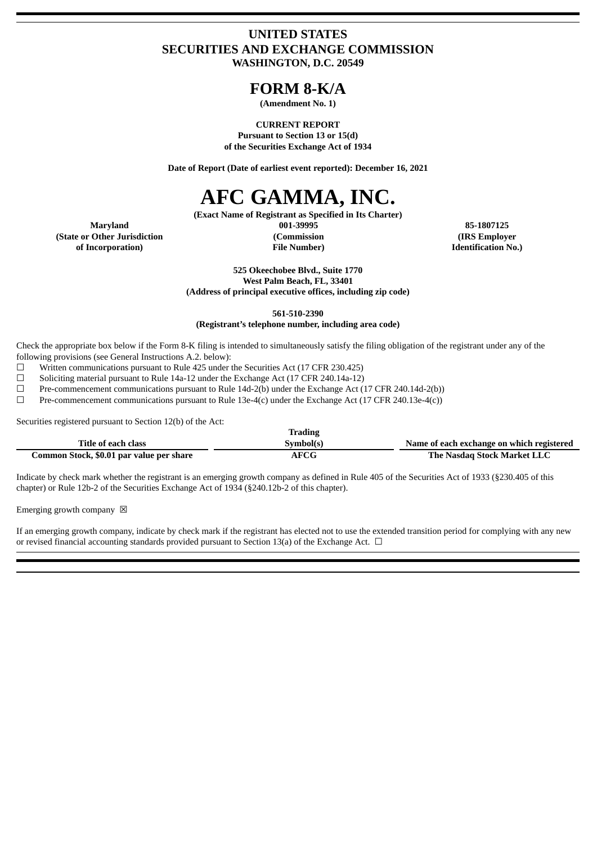## **UNITED STATES SECURITIES AND EXCHANGE COMMISSION WASHINGTON, D.C. 20549**

# **FORM 8-K/A**

**(Amendment No. 1)**

**CURRENT REPORT Pursuant to Section 13 or 15(d)**

**of the Securities Exchange Act of 1934**

**Date of Report (Date of earliest event reported): December 16, 2021**

# **AFC GAMMA, INC.**

**(Exact Name of Registrant as Specified in Its Charter)**

**Maryland 001-39995 85-1807125 (State or Other Jurisdiction of Incorporation)**

**(Commission File Number)**

**(IRS Employer Identification No.)**

**525 Okeechobee Blvd., Suite 1770 West Palm Beach, FL, 33401 (Address of principal executive offices, including zip code)**

**561-510-2390**

**(Registrant's telephone number, including area code)**

Check the appropriate box below if the Form 8-K filing is intended to simultaneously satisfy the filing obligation of the registrant under any of the following provisions (see General Instructions A.2. below):

 $\Box$  Written communications pursuant to Rule 425 under the Securities Act (17 CFR 230.425)

☐ Soliciting material pursuant to Rule 14a-12 under the Exchange Act (17 CFR 240.14a-12)

□ Pre-commencement communications pursuant to Rule 14d-2(b) under the Exchange Act (17 CFR 240.14d-2(b))<br>Pre-commencement communications pursuant to Rule 13e-4(c) under the Exchange Act (17 CFR 240.13e-4(c))

Pre-commencement communications pursuant to Rule 13e-4(c) under the Exchange Act (17 CFR 240.13e-4(c))

Securities registered pursuant to Section 12(b) of the Act:

|                                          | <b>Trading</b> |                                           |
|------------------------------------------|----------------|-------------------------------------------|
| Title of each class                      | Svmbol(s)      | Name of each exchange on which registered |
| Common Stock, \$0.01 par value per share | <b>AFCG</b>    | The Nasdag Stock Market LLC               |

Indicate by check mark whether the registrant is an emerging growth company as defined in Rule 405 of the Securities Act of 1933 (§230.405 of this chapter) or Rule 12b-2 of the Securities Exchange Act of 1934 (§240.12b-2 of this chapter).

Emerging growth company  $\boxtimes$ 

If an emerging growth company, indicate by check mark if the registrant has elected not to use the extended transition period for complying with any new or revised financial accounting standards provided pursuant to Section 13(a) of the Exchange Act.  $\Box$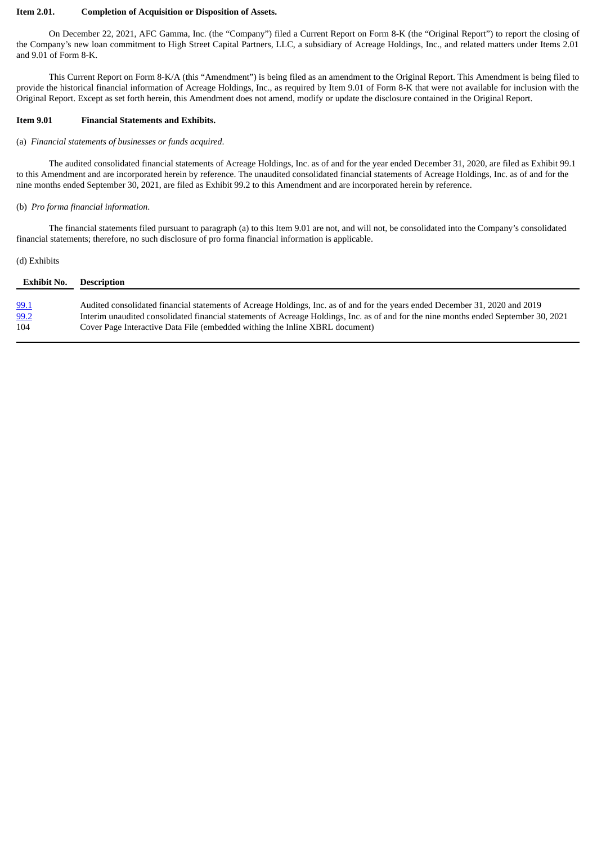## **Item 2.01. Completion of Acquisition or Disposition of Assets.**

On December 22, 2021, AFC Gamma, Inc. (the "Company") filed a Current Report on Form 8-K (the "Original Report") to report the closing of the Company's new loan commitment to High Street Capital Partners, LLC, a subsidiary of Acreage Holdings, Inc., and related matters under Items 2.01 and 9.01 of Form 8-K.

This Current Report on Form 8-K/A (this "Amendment") is being filed as an amendment to the Original Report. This Amendment is being filed to provide the historical financial information of Acreage Holdings, Inc., as required by Item 9.01 of Form 8-K that were not available for inclusion with the Original Report. Except as set forth herein, this Amendment does not amend, modify or update the disclosure contained in the Original Report.

## **Item 9.01 Financial Statements and Exhibits.**

## (a) *Financial statements of businesses or funds acquired*.

The audited consolidated financial statements of Acreage Holdings, Inc. as of and for the year ended December 31, 2020, are filed as Exhibit 99.1 to this Amendment and are incorporated herein by reference. The unaudited consolidated financial statements of Acreage Holdings, Inc. as of and for the nine months ended September 30, 2021, are filed as Exhibit 99.2 to this Amendment and are incorporated herein by reference.

## (b) *Pro forma financial information*.

The financial statements filed pursuant to paragraph (a) to this Item 9.01 are not, and will not, be consolidated into the Company's consolidated financial statements; therefore, no such disclosure of pro forma financial information is applicable.

## (d) Exhibits

| Exhibit No. | <b>Description</b>                                                                                                                   |
|-------------|--------------------------------------------------------------------------------------------------------------------------------------|
| 99.1        | Audited consolidated financial statements of Acreage Holdings, Inc. as of and for the years ended December 31, 2020 and 2019         |
| 99.2        | Interim unaudited consolidated financial statements of Acreage Holdings, Inc. as of and for the nine months ended September 30, 2021 |
| 104         | Cover Page Interactive Data File (embedded withing the Inline XBRL document)                                                         |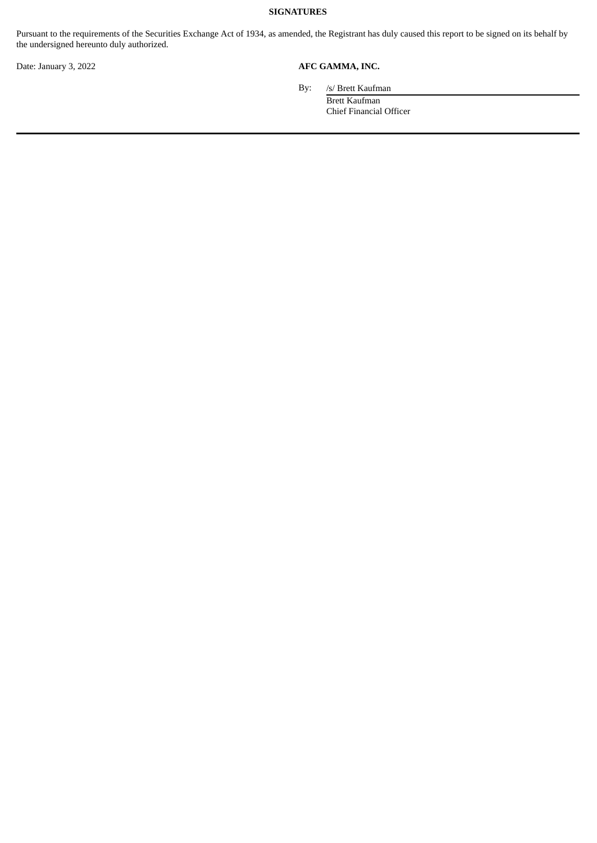## **SIGNATURES**

Pursuant to the requirements of the Securities Exchange Act of 1934, as amended, the Registrant has duly caused this report to be signed on its behalf by the undersigned hereunto duly authorized.

## Date: January 3, 2022 **AFC GAMMA, INC.**

By: /s/ Brett Kaufman

Brett Kaufman Chief Financial Officer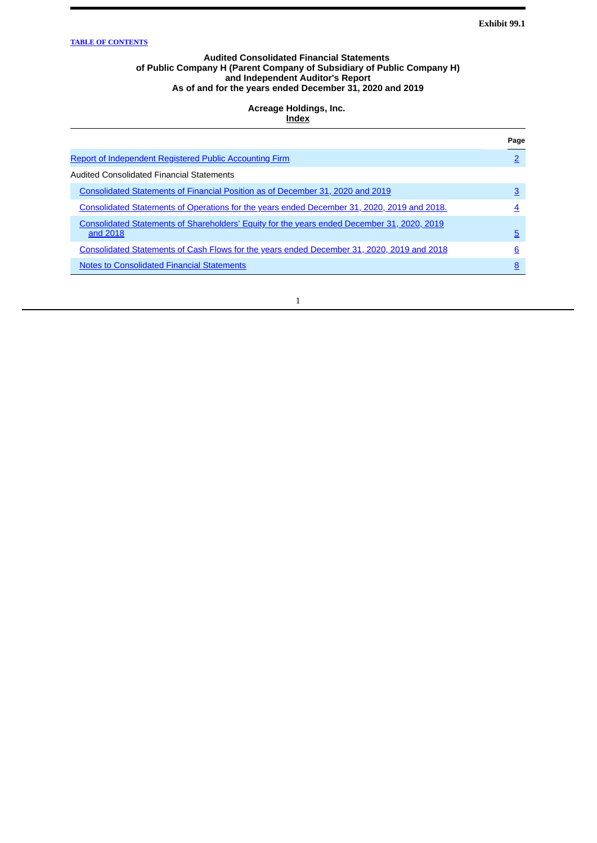## <span id="page-3-0"></span>**Audited Consolidated Financial Statements of Public Company H (Parent Company of Subsidiary of Public Company H) and Independent Auditor's Report As of and for the years ended December 31, 2020 and 2019**

# **Acreage Holdings, Inc.**

**Index**

<span id="page-3-1"></span>

|                                                                                                         | Page     |
|---------------------------------------------------------------------------------------------------------|----------|
| Report of Independent Registered Public Accounting Firm                                                 |          |
| <b>Audited Consolidated Financial Statements</b>                                                        |          |
| Consolidated Statements of Financial Position as of December 31, 2020 and 2019                          | <u>3</u> |
| Consolidated Statements of Operations for the years ended December 31, 2020, 2019 and 2018.             | 4        |
| Consolidated Statements of Shareholders' Equity for the years ended December 31, 2020, 2019<br>and 2018 | 5        |
| Consolidated Statements of Cash Flows for the years ended December 31, 2020, 2019 and 2018              | <u>6</u> |
| Notes to Consolidated Financial Statements                                                              | 8        |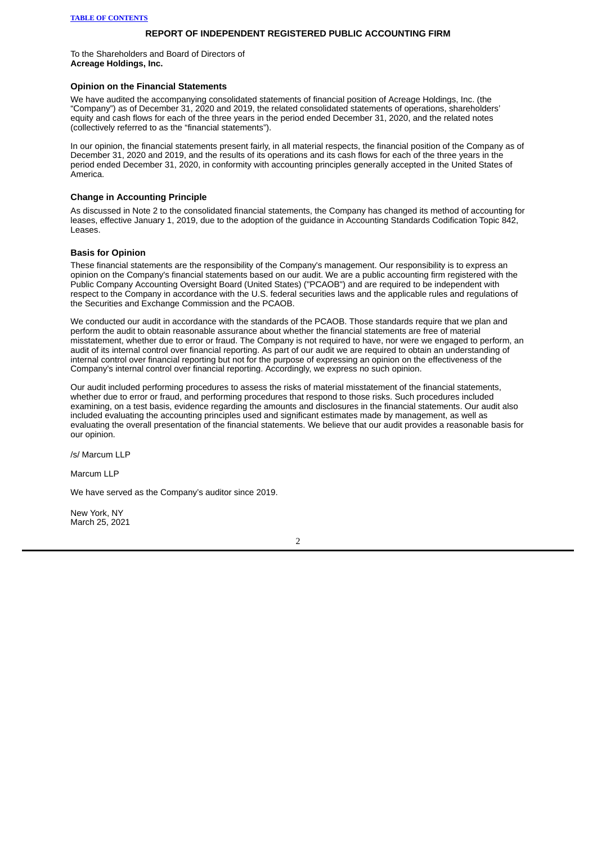#### **REPORT OF INDEPENDENT REGISTERED PUBLIC ACCOUNTING FIRM**

<span id="page-4-0"></span>To the Shareholders and Board of Directors of **Acreage Holdings, Inc.**

#### **Opinion on the Financial Statements**

We have audited the accompanying consolidated statements of financial position of Acreage Holdings, Inc. (the "Company") as of December 31, 2020 and 2019, the related consolidated statements of operations, shareholders' equity and cash flows for each of the three years in the period ended December 31, 2020, and the related notes (collectively referred to as the "financial statements").

In our opinion, the financial statements present fairly, in all material respects, the financial position of the Company as of December 31, 2020 and 2019, and the results of its operations and its cash flows for each of the three years in the period ended December 31, 2020, in conformity with accounting principles generally accepted in the United States of America.

## **Change in Accounting Principle**

As discussed in Note 2 to the consolidated financial statements, the Company has changed its method of accounting for leases, effective January 1, 2019, due to the adoption of the guidance in Accounting Standards Codification Topic 842, Leases.

#### **Basis for Opinion**

These financial statements are the responsibility of the Company's management. Our responsibility is to express an opinion on the Company's financial statements based on our audit. We are a public accounting firm registered with the Public Company Accounting Oversight Board (United States) ("PCAOB") and are required to be independent with respect to the Company in accordance with the U.S. federal securities laws and the applicable rules and regulations of the Securities and Exchange Commission and the PCAOB.

We conducted our audit in accordance with the standards of the PCAOB. Those standards require that we plan and perform the audit to obtain reasonable assurance about whether the financial statements are free of material misstatement, whether due to error or fraud. The Company is not required to have, nor were we engaged to perform, an audit of its internal control over financial reporting. As part of our audit we are required to obtain an understanding of internal control over financial reporting but not for the purpose of expressing an opinion on the effectiveness of the Company's internal control over financial reporting. Accordingly, we express no such opinion.

Our audit included performing procedures to assess the risks of material misstatement of the financial statements, whether due to error or fraud, and performing procedures that respond to those risks. Such procedures included examining, on a test basis, evidence regarding the amounts and disclosures in the financial statements. Our audit also included evaluating the accounting principles used and significant estimates made by management, as well as evaluating the overall presentation of the financial statements. We believe that our audit provides a reasonable basis for our opinion.

/s/ Marcum LLP

Marcum LLP

We have served as the Company's auditor since 2019.

New York, NY March 25, 2021

 $\overline{2}$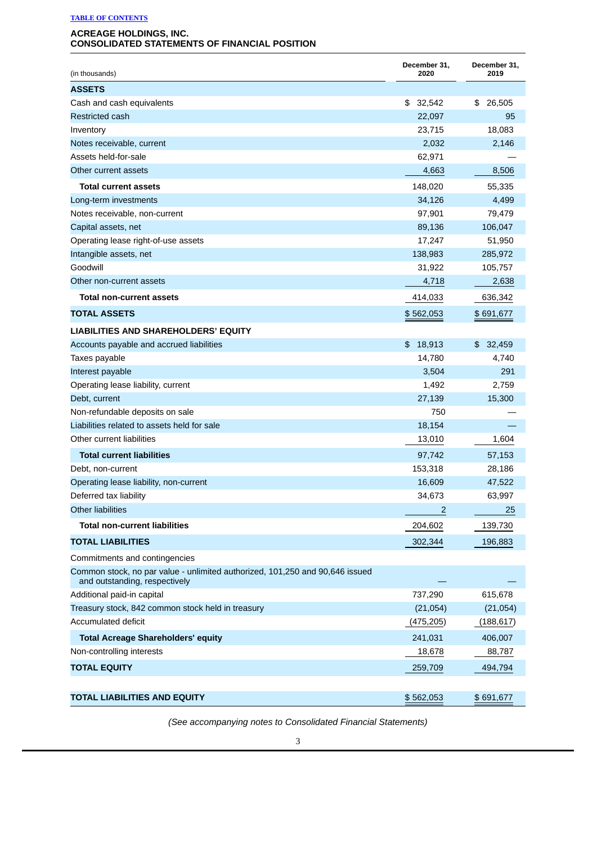## **TABLE OF [CONTENTS](#page-3-1)**

## <span id="page-5-0"></span>**ACREAGE HOLDINGS, INC. CONSOLIDATED STATEMENTS OF FINANCIAL POSITION**

| (in thousands)                                                                                                | December 31,<br>2020 | December 31,<br>2019 |
|---------------------------------------------------------------------------------------------------------------|----------------------|----------------------|
| <b>ASSETS</b>                                                                                                 |                      |                      |
| Cash and cash equivalents                                                                                     | 32,542<br>\$         | 26,505<br>\$         |
| <b>Restricted cash</b>                                                                                        | 22,097               | 95                   |
| Inventory                                                                                                     | 23,715               | 18,083               |
| Notes receivable, current                                                                                     | 2,032                | 2,146                |
| Assets held-for-sale                                                                                          | 62,971               |                      |
| Other current assets                                                                                          | 4,663                | 8,506                |
| <b>Total current assets</b>                                                                                   | 148,020              | 55,335               |
| Long-term investments                                                                                         | 34,126               | 4,499                |
| Notes receivable, non-current                                                                                 | 97,901               | 79,479               |
| Capital assets, net                                                                                           | 89,136               | 106,047              |
| Operating lease right-of-use assets                                                                           | 17,247               | 51,950               |
| Intangible assets, net                                                                                        | 138,983              | 285,972              |
| Goodwill                                                                                                      | 31,922               | 105,757              |
| Other non-current assets                                                                                      | 4,718                | 2,638                |
| <b>Total non-current assets</b>                                                                               | 414,033              | 636,342              |
| <b>TOTAL ASSETS</b>                                                                                           | \$562,053            | \$691,677            |
| <b>LIABILITIES AND SHAREHOLDERS' EQUITY</b>                                                                   |                      |                      |
| Accounts payable and accrued liabilities                                                                      | \$<br>18,913         | 32,459<br>\$         |
| Taxes payable                                                                                                 | 14,780               | 4,740                |
| Interest payable                                                                                              | 3,504                | 291                  |
| Operating lease liability, current                                                                            | 1,492                | 2,759                |
| Debt, current                                                                                                 | 27,139               | 15,300               |
| Non-refundable deposits on sale                                                                               | 750                  |                      |
| Liabilities related to assets held for sale                                                                   | 18,154               |                      |
| Other current liabilities                                                                                     | 13,010               | 1,604                |
| <b>Total current liabilities</b>                                                                              | 97,742               | 57,153               |
| Debt, non-current                                                                                             | 153,318              | 28,186               |
| Operating lease liability, non-current                                                                        | 16,609               | 47,522               |
| Deferred tax liability                                                                                        | 34,673               | 63,997               |
| Other liabilities                                                                                             | $\overline{2}$       | 25                   |
| <b>Total non-current liabilities</b>                                                                          | 204,602              | 139,730              |
| <b>TOTAL LIABILITIES</b>                                                                                      | 302,344              | 196,883              |
| Commitments and contingencies                                                                                 |                      |                      |
| Common stock, no par value - unlimited authorized, 101,250 and 90,646 issued<br>and outstanding, respectively |                      |                      |
| Additional paid-in capital                                                                                    | 737,290              | 615,678              |
| Treasury stock, 842 common stock held in treasury                                                             | (21,054)             | (21,054)             |
| Accumulated deficit                                                                                           | (475, 205)           | (188, 617)           |
| <b>Total Acreage Shareholders' equity</b>                                                                     | 241,031              | 406,007              |
| Non-controlling interests                                                                                     | 18,678               | 88,787               |
| <b>TOTAL EQUITY</b>                                                                                           | 259,709              | 494,794              |
| <b>TOTAL LIABILITIES AND EQUITY</b>                                                                           | \$562,053            | \$691,677            |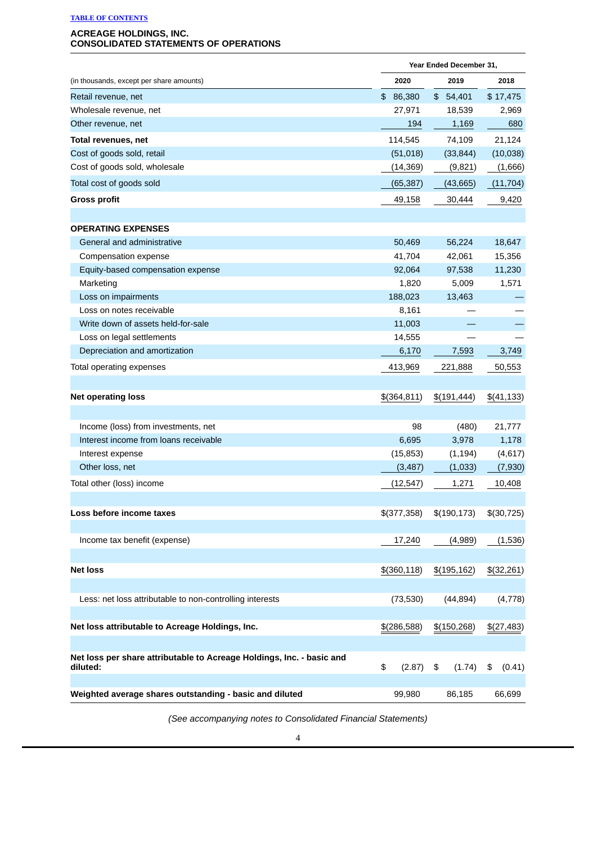## **TABLE OF [CONTENTS](#page-3-1)**

## <span id="page-6-0"></span>**ACREAGE HOLDINGS, INC. CONSOLIDATED STATEMENTS OF OPERATIONS**

|                                                                       |               | Year Ended December 31, |              |  |  |
|-----------------------------------------------------------------------|---------------|-------------------------|--------------|--|--|
| (in thousands, except per share amounts)                              | 2020          | 2019                    | 2018         |  |  |
| Retail revenue, net                                                   | \$86,380      | \$54,401                | \$17,475     |  |  |
| Wholesale revenue, net                                                | 27,971        | 18,539                  | 2,969        |  |  |
| Other revenue, net                                                    | 194           | 1,169                   | 680          |  |  |
| Total revenues, net                                                   | 114,545       | 74,109                  | 21,124       |  |  |
| Cost of goods sold, retail                                            | (51,018)      | (33, 844)               | (10, 038)    |  |  |
| Cost of goods sold, wholesale                                         | (14, 369)     | (9,821)                 | (1,666)      |  |  |
| Total cost of goods sold                                              | (65, 387)     | (43, 665)               | (11, 704)    |  |  |
| <b>Gross profit</b>                                                   | 49,158        | 30,444                  | 9,420        |  |  |
|                                                                       |               |                         |              |  |  |
| <b>OPERATING EXPENSES</b>                                             |               |                         |              |  |  |
| General and administrative                                            | 50,469        | 56,224                  | 18,647       |  |  |
| Compensation expense                                                  | 41,704        | 42,061                  | 15,356       |  |  |
| Equity-based compensation expense                                     | 92,064        | 97,538                  | 11,230       |  |  |
| Marketing                                                             | 1,820         | 5,009                   | 1,571        |  |  |
| Loss on impairments                                                   | 188,023       | 13,463                  |              |  |  |
| Loss on notes receivable                                              | 8,161         |                         |              |  |  |
| Write down of assets held-for-sale                                    | 11,003        |                         |              |  |  |
| Loss on legal settlements                                             | 14,555        |                         |              |  |  |
| Depreciation and amortization                                         | 6,170         | 7,593                   | 3,749        |  |  |
| Total operating expenses                                              | 413,969       | 221,888                 | 50,553       |  |  |
|                                                                       |               |                         |              |  |  |
| <b>Net operating loss</b>                                             | \$(364, 811)  | \$(191,444)             | \$(41,133)   |  |  |
|                                                                       |               |                         |              |  |  |
| Income (loss) from investments, net                                   | 98            | (480)                   | 21,777       |  |  |
| Interest income from loans receivable                                 | 6,695         | 3,978                   | 1,178        |  |  |
| Interest expense                                                      | (15, 853)     | (1, 194)                | (4,617)      |  |  |
| Other loss, net                                                       | (3, 487)      | (1,033)                 | (7, 930)     |  |  |
| Total other (loss) income                                             | (12, 547)     | 1,271                   | 10,408       |  |  |
|                                                                       |               |                         |              |  |  |
| Loss before income taxes                                              | \$(377,358)   | \$(190, 173)            | \$(30,725)   |  |  |
|                                                                       |               |                         |              |  |  |
| Income tax benefit (expense)                                          | 17,240        | (4,989)                 | (1,536)      |  |  |
|                                                                       |               |                         |              |  |  |
| <b>Net loss</b>                                                       | \$(360,118)   | \$(195, 162)            | $$$ (32,261) |  |  |
|                                                                       |               |                         |              |  |  |
| Less: net loss attributable to non-controlling interests              | (73, 530)     | (44, 894)               | (4, 778)     |  |  |
|                                                                       |               |                         |              |  |  |
| Net loss attributable to Acreage Holdings, Inc.                       | $$$ (286,588) | \$(150, 268)            | \$(27,483)   |  |  |
|                                                                       |               |                         |              |  |  |
| Net loss per share attributable to Acreage Holdings, Inc. - basic and |               |                         |              |  |  |
| diluted:                                                              | \$<br>(2.87)  | (1.74)<br>\$            | \$<br>(0.41) |  |  |
|                                                                       |               |                         |              |  |  |
| Weighted average shares outstanding - basic and diluted               | 99,980        | 86,185                  | 66,699       |  |  |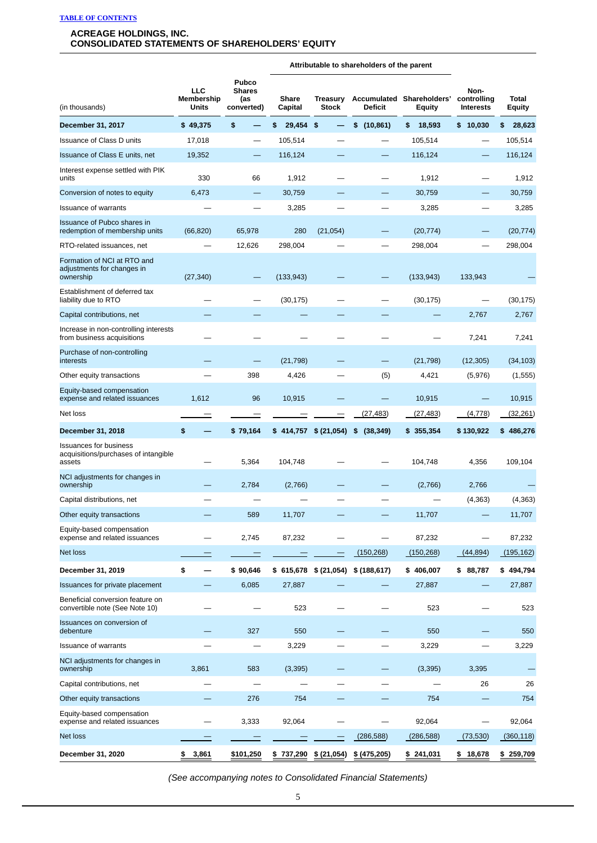## <span id="page-7-0"></span>**ACREAGE HOLDINGS, INC. CONSOLIDATED STATEMENTS OF SHAREHOLDERS' EQUITY**

|                                                                                 |                                          |                                             |                        |                                 | Attributable to shareholders of the parent |                                     |                                         |                        |
|---------------------------------------------------------------------------------|------------------------------------------|---------------------------------------------|------------------------|---------------------------------|--------------------------------------------|-------------------------------------|-----------------------------------------|------------------------|
| (in thousands)                                                                  | <b>LLC</b><br>Membership<br><b>Units</b> | Pubco<br><b>Shares</b><br>(as<br>converted) | Share<br>Capital       | <b>Treasury</b><br><b>Stock</b> | <b>Deficit</b>                             | Accumulated Shareholders'<br>Equity | Non-<br>controlling<br><b>Interests</b> | Total<br><b>Equity</b> |
| December 31, 2017                                                               | \$49,375                                 | \$                                          | 29,454 \$<br>\$        |                                 | \$ (10, 861)                               | \$<br>18,593                        | \$10,030                                | \$<br>28,623           |
| <b>Issuance of Class D units</b>                                                | 17,018                                   |                                             | 105,514                |                                 |                                            | 105,514                             |                                         | 105,514                |
| Issuance of Class E units, net                                                  | 19,352                                   |                                             | 116,124                |                                 |                                            | 116,124                             |                                         | 116,124                |
| Interest expense settled with PIK<br>units                                      | 330                                      | 66                                          | 1,912                  |                                 |                                            | 1,912                               |                                         | 1,912                  |
| Conversion of notes to equity                                                   | 6,473                                    |                                             | 30,759                 |                                 |                                            | 30,759                              |                                         | 30,759                 |
| <b>Issuance of warrants</b>                                                     |                                          |                                             | 3,285                  |                                 |                                            | 3,285                               |                                         | 3,285                  |
| <b>Issuance of Pubco shares in</b><br>redemption of membership units            | (66, 820)                                | 65,978                                      | 280                    | (21,054)                        |                                            | (20, 774)                           |                                         | (20, 774)              |
| RTO-related issuances, net                                                      |                                          | 12,626                                      | 298,004                |                                 |                                            | 298,004                             |                                         | 298,004                |
| Formation of NCI at RTO and<br>adjustments for changes in<br>ownership          | (27, 340)                                |                                             | (133, 943)             |                                 |                                            | (133, 943)                          | 133,943                                 |                        |
| Establishment of deferred tax<br>liability due to RTO                           |                                          |                                             | (30, 175)              |                                 |                                            | (30, 175)                           |                                         | (30, 175)              |
| Capital contributions, net                                                      |                                          |                                             |                        |                                 |                                            |                                     | 2,767                                   | 2,767                  |
| Increase in non-controlling interests<br>from business acquisitions             |                                          |                                             |                        |                                 |                                            |                                     | 7,241                                   | 7,241                  |
| Purchase of non-controlling<br>interests                                        |                                          |                                             | (21, 798)              |                                 |                                            | (21, 798)                           | (12, 305)                               | (34, 103)              |
| Other equity transactions                                                       |                                          | 398                                         | 4,426                  |                                 | (5)                                        | 4,421                               | (5,976)                                 | (1, 555)               |
| Equity-based compensation<br>expense and related issuances                      | 1,612                                    | 96                                          | 10,915                 |                                 |                                            | 10,915                              |                                         | 10,915                 |
| Net loss                                                                        |                                          |                                             |                        |                                 | (27, 483)                                  | (27, 483)                           | (4, 778)                                | (32, 261)              |
| December 31, 2018                                                               | \$                                       | \$79,164                                    | $$414,757$ $$(21,054)$ |                                 | (38, 349)<br>\$                            | \$355,354                           | \$130,922                               | \$486,276              |
| <b>Issuances for business</b><br>acquisitions/purchases of intangible<br>assets |                                          | 5,364                                       | 104,748                |                                 |                                            | 104,748                             | 4,356                                   | 109,104                |
| NCI adjustments for changes in<br>ownership                                     |                                          | 2,784                                       | (2,766)                |                                 |                                            | (2,766)                             | 2,766                                   |                        |
| Capital distributions, net                                                      |                                          |                                             |                        |                                 |                                            |                                     | (4, 363)                                | (4, 363)               |
| Other equity transactions                                                       |                                          | 589                                         | 11,707                 |                                 |                                            | 11,707                              |                                         | 11,707                 |
| Equity-based compensation<br>expense and related issuances                      |                                          | 2,745                                       | 87,232                 |                                 |                                            | 87,232                              |                                         | 87,232                 |
| Net loss                                                                        |                                          |                                             |                        |                                 | (150, 268)                                 | (150, 268)                          | (44, 894)                               | (195, 162)             |
| December 31, 2019                                                               | \$                                       | \$90,646                                    | $$615,678$ $$(21,054)$ |                                 | \$ (188, 617)                              | \$406,007                           | \$ 88,787                               | \$494,794              |
| <b>Issuances for private placement</b>                                          |                                          | 6,085                                       | 27,887                 |                                 |                                            | 27,887                              |                                         | 27,887                 |
| Beneficial conversion feature on<br>convertible note (See Note 10)              |                                          |                                             | 523                    |                                 |                                            | 523                                 |                                         | 523                    |
| Issuances on conversion of<br>debenture                                         |                                          | 327                                         | 550                    |                                 |                                            | 550                                 |                                         | 550                    |
| <b>Issuance of warrants</b>                                                     |                                          |                                             | 3,229                  |                                 |                                            | 3,229                               |                                         | 3,229                  |
| NCI adjustments for changes in<br>ownership                                     | 3,861                                    | 583                                         | (3, 395)               |                                 |                                            | (3, 395)                            | 3,395                                   |                        |
| Capital contributions, net                                                      |                                          |                                             |                        |                                 |                                            |                                     | 26                                      | 26                     |
| Other equity transactions                                                       |                                          | 276                                         | 754                    |                                 |                                            | 754                                 |                                         | 754                    |
| Equity-based compensation<br>expense and related issuances                      |                                          | 3,333                                       | 92,064                 |                                 |                                            | 92,064                              |                                         | 92,064                 |
| Net loss                                                                        |                                          |                                             |                        |                                 | (286, 588)                                 | (286,588)                           | (73,530)                                | (360, 118)             |
| December 31, 2020                                                               | 3,861<br>\$                              | \$101,250                                   | \$737,290              | \$ (21,054)                     | \$ (475, 205)                              | \$241,031                           | \$18,678                                | \$ 259,709             |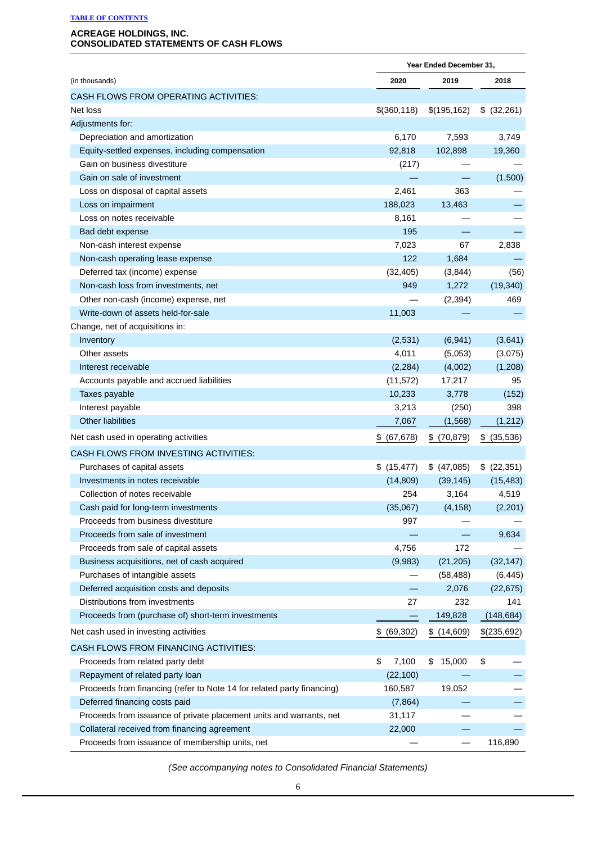## **TABLE OF [CONTENTS](#page-3-1)**

## <span id="page-8-0"></span>**ACREAGE HOLDINGS, INC. CONSOLIDATED STATEMENTS OF CASH FLOWS**

| 2020                                                                                        |              |
|---------------------------------------------------------------------------------------------|--------------|
| (in thousands)<br>2019                                                                      | 2018         |
| CASH FLOWS FROM OPERATING ACTIVITIES:                                                       |              |
| Net loss<br>\$(360,118)<br>\$(195, 162)                                                     | \$ (32, 261) |
| Adjustments for:                                                                            |              |
| 7,593<br>Depreciation and amortization<br>6,170                                             | 3,749        |
| 92,818<br>102,898<br>Equity-settled expenses, including compensation                        | 19,360       |
| Gain on business divestiture<br>(217)                                                       |              |
| Gain on sale of investment                                                                  | (1,500)      |
| 363<br>Loss on disposal of capital assets<br>2,461                                          |              |
| 188,023<br>13,463<br>Loss on impairment                                                     |              |
| Loss on notes receivable<br>8,161                                                           |              |
| Bad debt expense<br>195                                                                     |              |
| Non-cash interest expense<br>7,023<br>67                                                    | 2,838        |
| Non-cash operating lease expense<br>122<br>1,684                                            |              |
| Deferred tax (income) expense<br>(32, 405)<br>(3, 844)                                      | (56)         |
| Non-cash loss from investments, net<br>949<br>1,272                                         | (19, 340)    |
| Other non-cash (income) expense, net<br>(2, 394)                                            | 469          |
| Write-down of assets held-for-sale<br>11,003                                                |              |
| Change, net of acquisitions in:                                                             |              |
| Inventory<br>(2,531)<br>(6, 941)                                                            | (3,641)      |
| 4,011<br>Other assets<br>(5,053)                                                            | (3,075)      |
| Interest receivable<br>(2, 284)<br>(4,002)                                                  | (1,208)      |
| Accounts payable and accrued liabilities<br>(11, 572)<br>17,217                             | 95           |
| Taxes payable<br>10,233<br>3,778                                                            | (152)        |
| Interest payable<br>3,213<br>(250)                                                          | 398          |
| <b>Other liabilities</b><br>7,067<br>(1, 568)                                               | (1,212)      |
| Net cash used in operating activities<br>\$ (70, 879)<br>\$ (67,678)                        | \$ (35,536)  |
| CASH FLOWS FROM INVESTING ACTIVITIES:                                                       |              |
| Purchases of capital assets<br>\$ (15, 477)<br>\$ (47,085)                                  | \$ (22, 351) |
| Investments in notes receivable<br>(14, 809)<br>(39, 145)                                   | (15, 483)    |
| Collection of notes receivable<br>254<br>3,164                                              | 4,519        |
| (35,067)<br>(4, 158)<br>Cash paid for long-term investments                                 | (2, 201)     |
| Proceeds from business divestiture<br>997                                                   |              |
| Proceeds from sale of investment                                                            | 9,634        |
| Proceeds from sale of capital assets<br>4,756<br>172                                        |              |
| Business acquisitions, net of cash acquired<br>(9,983)<br>(21, 205)                         | (32, 147)    |
| Purchases of intangible assets<br>(58, 488)<br>—                                            | (6, 445)     |
| Deferred acquisition costs and deposits<br>2,076                                            | (22, 675)    |
| Distributions from investments<br>27<br>232                                                 | 141          |
| Proceeds from (purchase of) short-term investments<br>149,828                               | (148, 684)   |
| Net cash used in investing activities<br>\$ (69, 302)<br>\$ (14,609)                        | \$(235,692)  |
| CASH FLOWS FROM FINANCING ACTIVITIES:                                                       |              |
| Proceeds from related party debt<br>\$<br>7,100<br>15,000<br>\$<br>\$                       |              |
| Repayment of related party loan<br>(22, 100)                                                |              |
| Proceeds from financing (refer to Note 14 for related party financing)<br>160,587<br>19,052 |              |
| Deferred financing costs paid<br>(7,864)                                                    |              |
| Proceeds from issuance of private placement units and warrants, net<br>31,117               |              |
| Collateral received from financing agreement<br>22,000                                      |              |
| Proceeds from issuance of membership units, net                                             | 116,890      |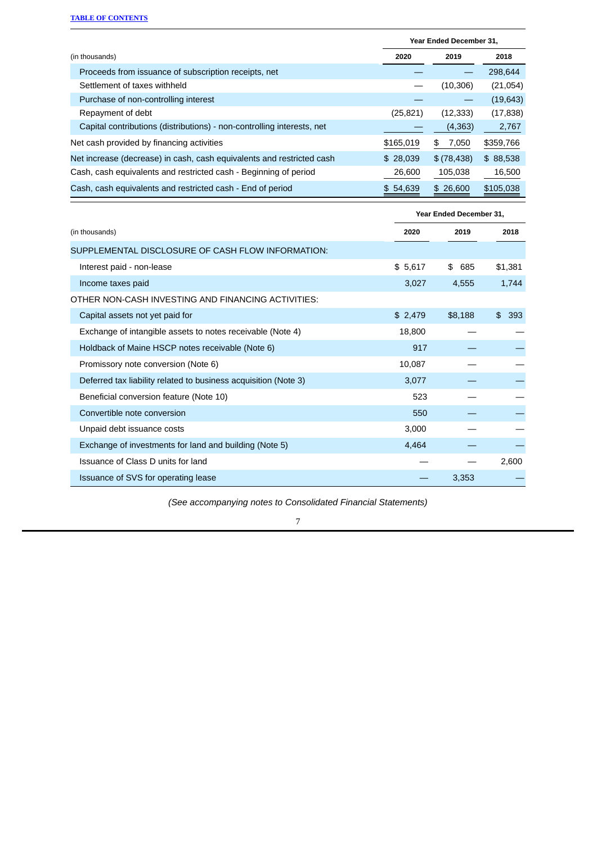|                                                                        |           | <b>Year Ended December 31.</b> |           |  |
|------------------------------------------------------------------------|-----------|--------------------------------|-----------|--|
| (in thousands)                                                         | 2020      | 2019                           | 2018      |  |
| Proceeds from issuance of subscription receipts, net                   |           |                                | 298.644   |  |
| Settlement of taxes withheld                                           |           | (10, 306)                      | (21,054)  |  |
| Purchase of non-controlling interest                                   |           |                                | (19, 643) |  |
| Repayment of debt                                                      | (25, 821) | (12, 333)                      | (17, 838) |  |
| Capital contributions (distributions) - non-controlling interests, net |           | (4, 363)                       | 2,767     |  |
| Net cash provided by financing activities                              | \$165,019 | 7,050<br>\$                    | \$359,766 |  |
| Net increase (decrease) in cash, cash equivalents and restricted cash  | \$28,039  | \$ (78, 438)                   | \$88,538  |  |
| Cash, cash equivalents and restricted cash - Beginning of period       | 26,600    | 105,038                        | 16,500    |  |
| Cash, cash equivalents and restricted cash - End of period             | \$54,639  | \$26.600                       | \$105.038 |  |

|                                                                 | Year Ended December 31, |           |                       |  |  |
|-----------------------------------------------------------------|-------------------------|-----------|-----------------------|--|--|
| (in thousands)                                                  | 2020                    | 2019      | 2018                  |  |  |
| SUPPLEMENTAL DISCLOSURE OF CASH FLOW INFORMATION:               |                         |           |                       |  |  |
| Interest paid - non-lease                                       | \$5,617                 | \$<br>685 | \$1,381               |  |  |
| Income taxes paid                                               | 3,027                   | 4,555     | 1,744                 |  |  |
| OTHER NON-CASH INVESTING AND FINANCING ACTIVITIES:              |                         |           |                       |  |  |
| Capital assets not yet paid for                                 | \$2,479                 | \$8,188   | 393<br>$\mathfrak{L}$ |  |  |
| Exchange of intangible assets to notes receivable (Note 4)      | 18,800                  |           |                       |  |  |
| Holdback of Maine HSCP notes receivable (Note 6)                | 917                     |           |                       |  |  |
| Promissory note conversion (Note 6)                             | 10,087                  |           |                       |  |  |
| Deferred tax liability related to business acquisition (Note 3) | 3,077                   |           |                       |  |  |
| Beneficial conversion feature (Note 10)                         | 523                     |           |                       |  |  |
| Convertible note conversion                                     | 550                     |           |                       |  |  |
| Unpaid debt issuance costs                                      | 3,000                   |           |                       |  |  |
| Exchange of investments for land and building (Note 5)          | 4,464                   |           |                       |  |  |
| Issuance of Class D units for land                              |                         |           | 2,600                 |  |  |
| Issuance of SVS for operating lease                             |                         | 3,353     |                       |  |  |

*(See accompanying notes to Consolidated Financial Statements)*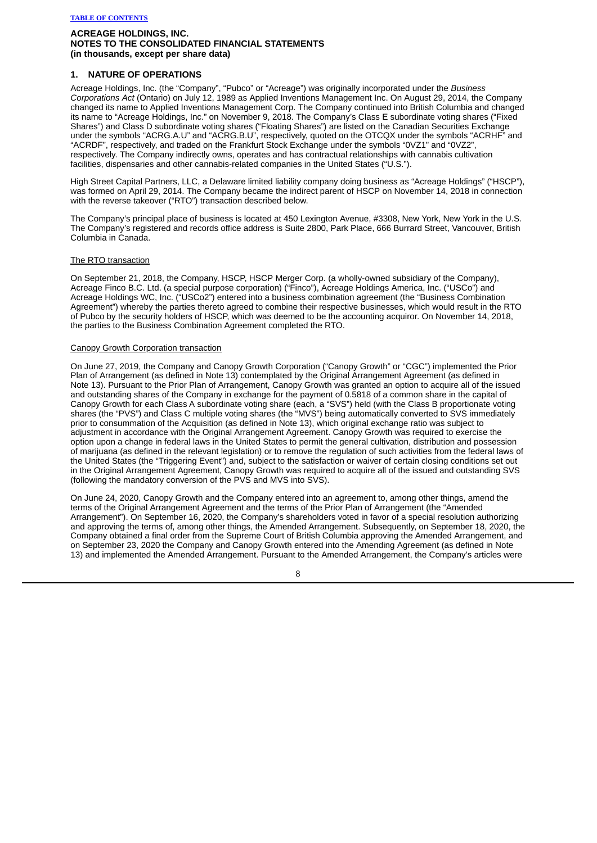## <span id="page-10-0"></span>**1. NATURE OF OPERATIONS**

Acreage Holdings, Inc. (the "Company", "Pubco" or "Acreage") was originally incorporated under the *Business Corporations Act* (Ontario) on July 12, 1989 as Applied Inventions Management Inc. On August 29, 2014, the Company changed its name to Applied Inventions Management Corp. The Company continued into British Columbia and changed its name to "Acreage Holdings, Inc." on November 9, 2018. The Company's Class E subordinate voting shares ("Fixed Shares") and Class D subordinate voting shares ("Floating Shares") are listed on the Canadian Securities Exchange under the symbols "ACRG.A.U" and "ACRG.B.U", respectively, quoted on the OTCQX under the symbols "ACRHF" and "ACRDF", respectively, and traded on the Frankfurt Stock Exchange under the symbols "0VZ1" and "0VZ2", respectively. The Company indirectly owns, operates and has contractual relationships with cannabis cultivation facilities, dispensaries and other cannabis-related companies in the United States ("U.S.").

High Street Capital Partners, LLC, a Delaware limited liability company doing business as "Acreage Holdings" ("HSCP"), was formed on April 29, 2014. The Company became the indirect parent of HSCP on November 14, 2018 in connection with the reverse takeover ("RTO") transaction described below.

The Company's principal place of business is located at 450 Lexington Avenue, #3308, New York, New York in the U.S. The Company's registered and records office address is Suite 2800, Park Place, 666 Burrard Street, Vancouver, British Columbia in Canada.

#### The RTO transaction

On September 21, 2018, the Company, HSCP, HSCP Merger Corp. (a wholly-owned subsidiary of the Company), Acreage Finco B.C. Ltd. (a special purpose corporation) ("Finco"), Acreage Holdings America, Inc. ("USCo") and Acreage Holdings WC, Inc. ("USCo2") entered into a business combination agreement (the "Business Combination Agreement") whereby the parties thereto agreed to combine their respective businesses, which would result in the RTO of Pubco by the security holders of HSCP, which was deemed to be the accounting acquiror. On November 14, 2018, the parties to the Business Combination Agreement completed the RTO.

#### Canopy Growth Corporation transaction

On June 27, 2019, the Company and Canopy Growth Corporation ("Canopy Growth" or "CGC") implemented the Prior Plan of Arrangement (as defined in Note 13) contemplated by the Original Arrangement Agreement (as defined in Note 13). Pursuant to the Prior Plan of Arrangement, Canopy Growth was granted an option to acquire all of the issued and outstanding shares of the Company in exchange for the payment of 0.5818 of a common share in the capital of Canopy Growth for each Class A subordinate voting share (each, a "SVS") held (with the Class B proportionate voting shares (the "PVS") and Class C multiple voting shares (the "MVS") being automatically converted to SVS immediately prior to consummation of the Acquisition (as defined in Note 13), which original exchange ratio was subject to adjustment in accordance with the Original Arrangement Agreement. Canopy Growth was required to exercise the option upon a change in federal laws in the United States to permit the general cultivation, distribution and possession of marijuana (as defined in the relevant legislation) or to remove the regulation of such activities from the federal laws of the United States (the "Triggering Event") and, subject to the satisfaction or waiver of certain closing conditions set out in the Original Arrangement Agreement, Canopy Growth was required to acquire all of the issued and outstanding SVS (following the mandatory conversion of the PVS and MVS into SVS).

On June 24, 2020, Canopy Growth and the Company entered into an agreement to, among other things, amend the terms of the Original Arrangement Agreement and the terms of the Prior Plan of Arrangement (the "Amended Arrangement"). On September 16, 2020, the Company's shareholders voted in favor of a special resolution authorizing and approving the terms of, among other things, the Amended Arrangement. Subsequently, on September 18, 2020, the Company obtained a final order from the Supreme Court of British Columbia approving the Amended Arrangement, and on September 23, 2020 the Company and Canopy Growth entered into the Amending Agreement (as defined in Note 13) and implemented the Amended Arrangement. Pursuant to the Amended Arrangement, the Company's articles were

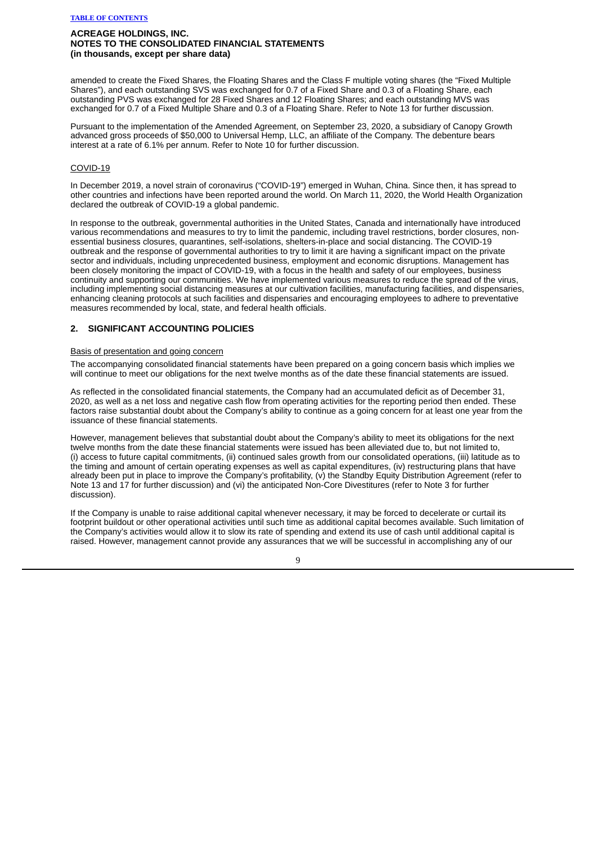amended to create the Fixed Shares, the Floating Shares and the Class F multiple voting shares (the "Fixed Multiple Shares"), and each outstanding SVS was exchanged for 0.7 of a Fixed Share and 0.3 of a Floating Share, each outstanding PVS was exchanged for 28 Fixed Shares and 12 Floating Shares; and each outstanding MVS was exchanged for 0.7 of a Fixed Multiple Share and 0.3 of a Floating Share. Refer to Note 13 for further discussion.

Pursuant to the implementation of the Amended Agreement, on September 23, 2020, a subsidiary of Canopy Growth advanced gross proceeds of \$50,000 to Universal Hemp, LLC, an affiliate of the Company. The debenture bears interest at a rate of 6.1% per annum. Refer to Note 10 for further discussion.

### COVID-19

In December 2019, a novel strain of coronavirus ("COVID-19") emerged in Wuhan, China. Since then, it has spread to other countries and infections have been reported around the world. On March 11, 2020, the World Health Organization declared the outbreak of COVID-19 a global pandemic.

In response to the outbreak, governmental authorities in the United States, Canada and internationally have introduced various recommendations and measures to try to limit the pandemic, including travel restrictions, border closures, nonessential business closures, quarantines, self-isolations, shelters-in-place and social distancing. The COVID-19 outbreak and the response of governmental authorities to try to limit it are having a significant impact on the private sector and individuals, including unprecedented business, employment and economic disruptions. Management has been closely monitoring the impact of COVID-19, with a focus in the health and safety of our employees, business continuity and supporting our communities. We have implemented various measures to reduce the spread of the virus, including implementing social distancing measures at our cultivation facilities, manufacturing facilities, and dispensaries, enhancing cleaning protocols at such facilities and dispensaries and encouraging employees to adhere to preventative measures recommended by local, state, and federal health officials.

## **2. SIGNIFICANT ACCOUNTING POLICIES**

#### Basis of presentation and going concern

The accompanying consolidated financial statements have been prepared on a going concern basis which implies we will continue to meet our obligations for the next twelve months as of the date these financial statements are issued.

As reflected in the consolidated financial statements, the Company had an accumulated deficit as of December 31, 2020, as well as a net loss and negative cash flow from operating activities for the reporting period then ended. These factors raise substantial doubt about the Company's ability to continue as a going concern for at least one year from the issuance of these financial statements.

However, management believes that substantial doubt about the Company's ability to meet its obligations for the next twelve months from the date these financial statements were issued has been alleviated due to, but not limited to, (i) access to future capital commitments, (ii) continued sales growth from our consolidated operations, (iii) latitude as to the timing and amount of certain operating expenses as well as capital expenditures, (iv) restructuring plans that have already been put in place to improve the Company's profitability, (v) the Standby Equity Distribution Agreement (refer to Note 13 and 17 for further discussion) and (vi) the anticipated Non-Core Divestitures (refer to Note 3 for further discussion).

If the Company is unable to raise additional capital whenever necessary, it may be forced to decelerate or curtail its footprint buildout or other operational activities until such time as additional capital becomes available. Such limitation of the Company's activities would allow it to slow its rate of spending and extend its use of cash until additional capital is raised. However, management cannot provide any assurances that we will be successful in accomplishing any of our

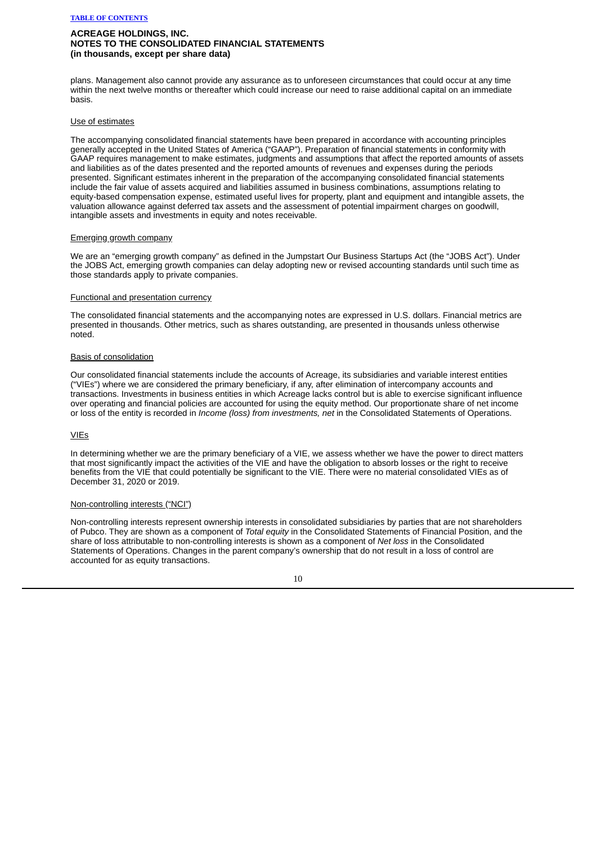plans. Management also cannot provide any assurance as to unforeseen circumstances that could occur at any time within the next twelve months or thereafter which could increase our need to raise additional capital on an immediate basis.

## Use of estimates

The accompanying consolidated financial statements have been prepared in accordance with accounting principles generally accepted in the United States of America ("GAAP"). Preparation of financial statements in conformity with GAAP requires management to make estimates, judgments and assumptions that affect the reported amounts of assets and liabilities as of the dates presented and the reported amounts of revenues and expenses during the periods presented. Significant estimates inherent in the preparation of the accompanying consolidated financial statements include the fair value of assets acquired and liabilities assumed in business combinations, assumptions relating to equity-based compensation expense, estimated useful lives for property, plant and equipment and intangible assets, the valuation allowance against deferred tax assets and the assessment of potential impairment charges on goodwill, intangible assets and investments in equity and notes receivable.

#### Emerging growth company

We are an "emerging growth company" as defined in the Jumpstart Our Business Startups Act (the "JOBS Act"). Under the JOBS Act, emerging growth companies can delay adopting new or revised accounting standards until such time as those standards apply to private companies.

#### Functional and presentation currency

The consolidated financial statements and the accompanying notes are expressed in U.S. dollars. Financial metrics are presented in thousands. Other metrics, such as shares outstanding, are presented in thousands unless otherwise noted.

#### Basis of consolidation

Our consolidated financial statements include the accounts of Acreage, its subsidiaries and variable interest entities ("VIEs") where we are considered the primary beneficiary, if any, after elimination of intercompany accounts and transactions. Investments in business entities in which Acreage lacks control but is able to exercise significant influence over operating and financial policies are accounted for using the equity method. Our proportionate share of net income or loss of the entity is recorded in *Income (loss) from investments, net* in the Consolidated Statements of Operations.

#### VIEs

In determining whether we are the primary beneficiary of a VIE, we assess whether we have the power to direct matters that most significantly impact the activities of the VIE and have the obligation to absorb losses or the right to receive benefits from the VIE that could potentially be significant to the VIE. There were no material consolidated VIEs as of December 31, 2020 or 2019.

#### Non-controlling interests ("NCI")

Non-controlling interests represent ownership interests in consolidated subsidiaries by parties that are not shareholders of Pubco. They are shown as a component of *Total equity* in the Consolidated Statements of Financial Position, and the share of loss attributable to non-controlling interests is shown as a component of *Net loss* in the Consolidated Statements of Operations. Changes in the parent company's ownership that do not result in a loss of control are accounted for as equity transactions.

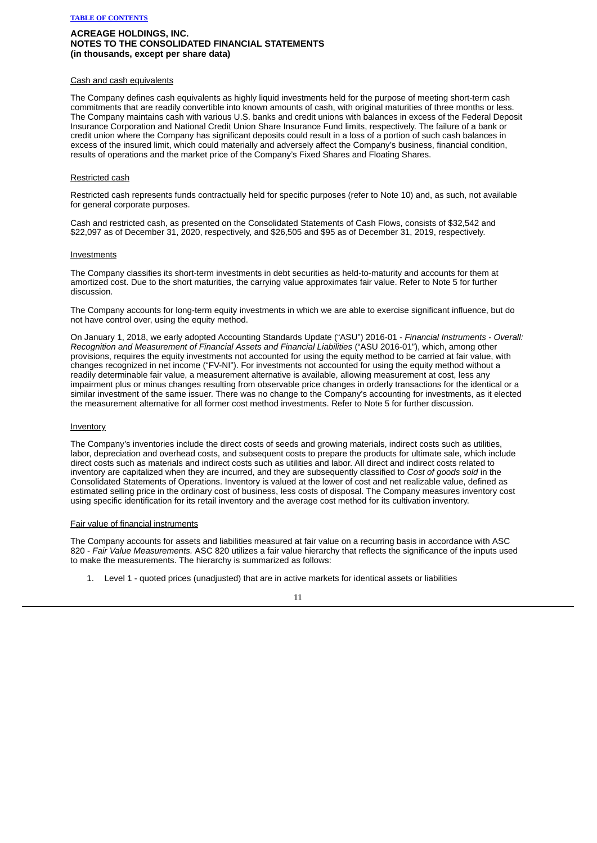#### Cash and cash equivalents

The Company defines cash equivalents as highly liquid investments held for the purpose of meeting short-term cash commitments that are readily convertible into known amounts of cash, with original maturities of three months or less. The Company maintains cash with various U.S. banks and credit unions with balances in excess of the Federal Deposit Insurance Corporation and National Credit Union Share Insurance Fund limits, respectively. The failure of a bank or credit union where the Company has significant deposits could result in a loss of a portion of such cash balances in excess of the insured limit, which could materially and adversely affect the Company's business, financial condition, results of operations and the market price of the Company's Fixed Shares and Floating Shares.

#### Restricted cash

Restricted cash represents funds contractually held for specific purposes (refer to Note 10) and, as such, not available for general corporate purposes.

Cash and restricted cash, as presented on the Consolidated Statements of Cash Flows, consists of \$32,542 and \$22,097 as of December 31, 2020, respectively, and \$26,505 and \$95 as of December 31, 2019, respectively.

#### **Investments**

The Company classifies its short-term investments in debt securities as held-to-maturity and accounts for them at amortized cost. Due to the short maturities, the carrying value approximates fair value. Refer to Note 5 for further discussion.

The Company accounts for long-term equity investments in which we are able to exercise significant influence, but do not have control over, using the equity method.

On January 1, 2018, we early adopted Accounting Standards Update ("ASU") 2016-01 - *Financial Instruments - Overall: Recognition and Measurement of Financial Assets and Financial Liabilities* ("ASU 2016-01"), which, among other provisions, requires the equity investments not accounted for using the equity method to be carried at fair value, with changes recognized in net income ("FV-NI"). For investments not accounted for using the equity method without a readily determinable fair value, a measurement alternative is available, allowing measurement at cost, less any impairment plus or minus changes resulting from observable price changes in orderly transactions for the identical or a similar investment of the same issuer. There was no change to the Company's accounting for investments, as it elected the measurement alternative for all former cost method investments. Refer to Note 5 for further discussion.

#### Inventory

The Company's inventories include the direct costs of seeds and growing materials, indirect costs such as utilities, labor, depreciation and overhead costs, and subsequent costs to prepare the products for ultimate sale, which include direct costs such as materials and indirect costs such as utilities and labor. All direct and indirect costs related to inventory are capitalized when they are incurred, and they are subsequently classified to *Cost of goods sold* in the Consolidated Statements of Operations. Inventory is valued at the lower of cost and net realizable value, defined as estimated selling price in the ordinary cost of business, less costs of disposal. The Company measures inventory cost using specific identification for its retail inventory and the average cost method for its cultivation inventory.

#### Fair value of financial instruments

The Company accounts for assets and liabilities measured at fair value on a recurring basis in accordance with ASC 820 - *Fair Value Measurements.* ASC 820 utilizes a fair value hierarchy that reflects the significance of the inputs used to make the measurements. The hierarchy is summarized as follows:

1. Level 1 - quoted prices (unadjusted) that are in active markets for identical assets or liabilities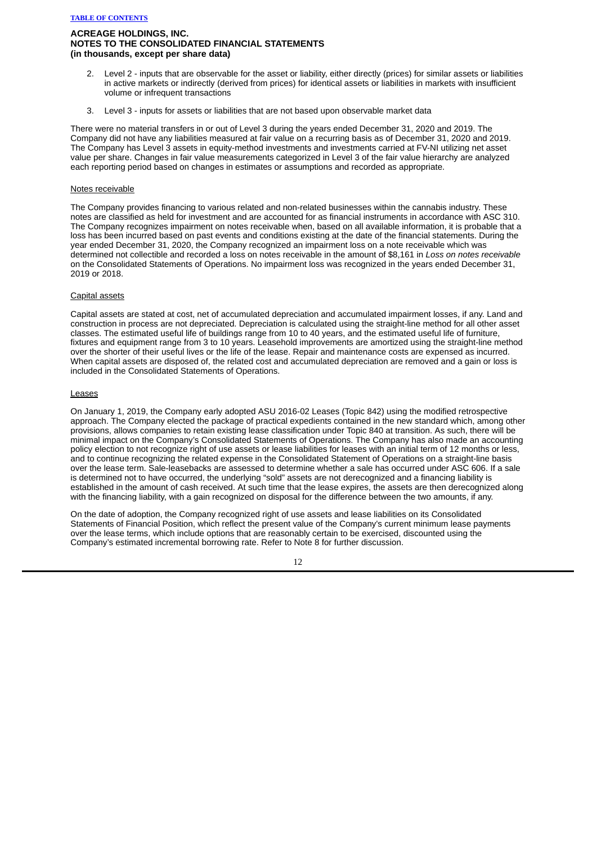- 2. Level 2 inputs that are observable for the asset or liability, either directly (prices) for similar assets or liabilities in active markets or indirectly (derived from prices) for identical assets or liabilities in markets with insufficient volume or infrequent transactions
- 3. Level 3 inputs for assets or liabilities that are not based upon observable market data

There were no material transfers in or out of Level 3 during the years ended December 31, 2020 and 2019. The Company did not have any liabilities measured at fair value on a recurring basis as of December 31, 2020 and 2019. The Company has Level 3 assets in equity-method investments and investments carried at FV-NI utilizing net asset value per share. Changes in fair value measurements categorized in Level 3 of the fair value hierarchy are analyzed each reporting period based on changes in estimates or assumptions and recorded as appropriate.

#### Notes receivable

The Company provides financing to various related and non-related businesses within the cannabis industry. These notes are classified as held for investment and are accounted for as financial instruments in accordance with ASC 310. The Company recognizes impairment on notes receivable when, based on all available information, it is probable that a loss has been incurred based on past events and conditions existing at the date of the financial statements. During the year ended December 31, 2020, the Company recognized an impairment loss on a note receivable which was determined not collectible and recorded a loss on notes receivable in the amount of \$8,161 in *Loss on notes receivable* on the Consolidated Statements of Operations. No impairment loss was recognized in the years ended December 31, 2019 or 2018.

#### Capital assets

Capital assets are stated at cost, net of accumulated depreciation and accumulated impairment losses, if any. Land and construction in process are not depreciated. Depreciation is calculated using the straight-line method for all other asset classes. The estimated useful life of buildings range from 10 to 40 years, and the estimated useful life of furniture, fixtures and equipment range from 3 to 10 years. Leasehold improvements are amortized using the straight-line method over the shorter of their useful lives or the life of the lease. Repair and maintenance costs are expensed as incurred. When capital assets are disposed of, the related cost and accumulated depreciation are removed and a gain or loss is included in the Consolidated Statements of Operations.

#### Leases

On January 1, 2019, the Company early adopted ASU 2016-02 Leases (Topic 842) using the modified retrospective approach. The Company elected the package of practical expedients contained in the new standard which, among other provisions, allows companies to retain existing lease classification under Topic 840 at transition. As such, there will be minimal impact on the Company's Consolidated Statements of Operations. The Company has also made an accounting policy election to not recognize right of use assets or lease liabilities for leases with an initial term of 12 months or less, and to continue recognizing the related expense in the Consolidated Statement of Operations on a straight-line basis over the lease term. Sale-leasebacks are assessed to determine whether a sale has occurred under ASC 606. If a sale is determined not to have occurred, the underlying "sold" assets are not derecognized and a financing liability is established in the amount of cash received. At such time that the lease expires, the assets are then derecognized along with the financing liability, with a gain recognized on disposal for the difference between the two amounts, if any.

On the date of adoption, the Company recognized right of use assets and lease liabilities on its Consolidated Statements of Financial Position, which reflect the present value of the Company's current minimum lease payments over the lease terms, which include options that are reasonably certain to be exercised, discounted using the Company's estimated incremental borrowing rate. Refer to Note 8 for further discussion.

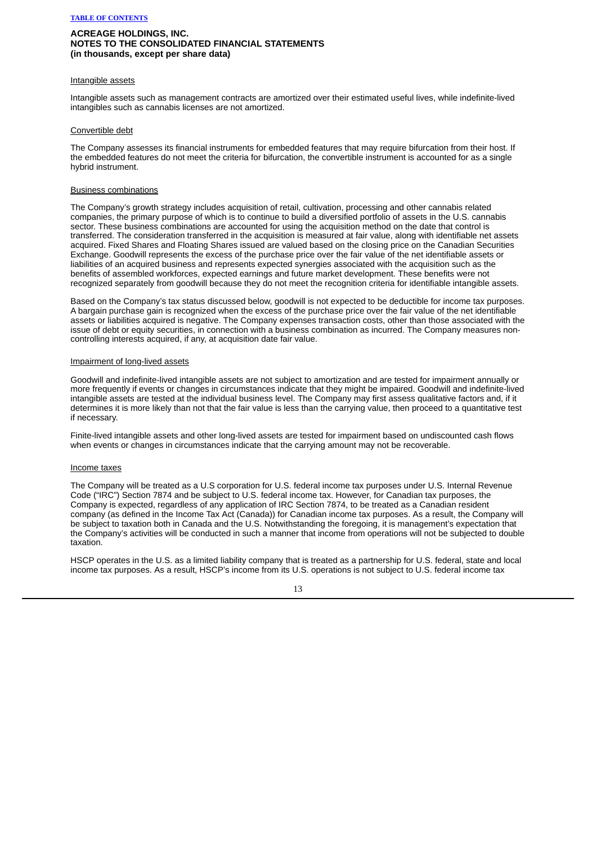#### Intangible assets

Intangible assets such as management contracts are amortized over their estimated useful lives, while indefinite-lived intangibles such as cannabis licenses are not amortized.

#### Convertible debt

The Company assesses its financial instruments for embedded features that may require bifurcation from their host. If the embedded features do not meet the criteria for bifurcation, the convertible instrument is accounted for as a single hybrid instrument.

#### Business combinations

The Company's growth strategy includes acquisition of retail, cultivation, processing and other cannabis related companies, the primary purpose of which is to continue to build a diversified portfolio of assets in the U.S. cannabis sector. These business combinations are accounted for using the acquisition method on the date that control is transferred. The consideration transferred in the acquisition is measured at fair value, along with identifiable net assets acquired. Fixed Shares and Floating Shares issued are valued based on the closing price on the Canadian Securities Exchange. Goodwill represents the excess of the purchase price over the fair value of the net identifiable assets or liabilities of an acquired business and represents expected synergies associated with the acquisition such as the benefits of assembled workforces, expected earnings and future market development. These benefits were not recognized separately from goodwill because they do not meet the recognition criteria for identifiable intangible assets.

Based on the Company's tax status discussed below, goodwill is not expected to be deductible for income tax purposes. A bargain purchase gain is recognized when the excess of the purchase price over the fair value of the net identifiable assets or liabilities acquired is negative. The Company expenses transaction costs, other than those associated with the issue of debt or equity securities, in connection with a business combination as incurred. The Company measures noncontrolling interests acquired, if any, at acquisition date fair value.

#### Impairment of long-lived assets

Goodwill and indefinite-lived intangible assets are not subject to amortization and are tested for impairment annually or more frequently if events or changes in circumstances indicate that they might be impaired. Goodwill and indefinite-lived intangible assets are tested at the individual business level. The Company may first assess qualitative factors and, if it determines it is more likely than not that the fair value is less than the carrying value, then proceed to a quantitative test if necessary.

Finite-lived intangible assets and other long-lived assets are tested for impairment based on undiscounted cash flows when events or changes in circumstances indicate that the carrying amount may not be recoverable.

#### Income taxes

The Company will be treated as a U.S corporation for U.S. federal income tax purposes under U.S. Internal Revenue Code ("IRC") Section 7874 and be subject to U.S. federal income tax. However, for Canadian tax purposes, the Company is expected, regardless of any application of IRC Section 7874, to be treated as a Canadian resident company (as defined in the Income Tax Act (Canada)) for Canadian income tax purposes. As a result, the Company will be subject to taxation both in Canada and the U.S. Notwithstanding the foregoing, it is management's expectation that the Company's activities will be conducted in such a manner that income from operations will not be subjected to double taxation.

HSCP operates in the U.S. as a limited liability company that is treated as a partnership for U.S. federal, state and local income tax purposes. As a result, HSCP's income from its U.S. operations is not subject to U.S. federal income tax

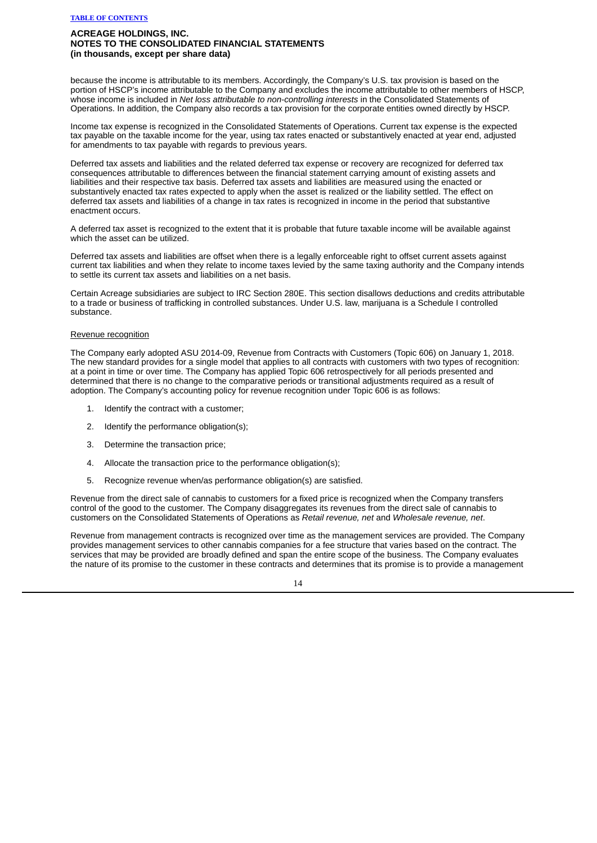because the income is attributable to its members. Accordingly, the Company's U.S. tax provision is based on the portion of HSCP's income attributable to the Company and excludes the income attributable to other members of HSCP, whose income is included in *Net loss attributable to non-controlling interests* in the Consolidated Statements of Operations. In addition, the Company also records a tax provision for the corporate entities owned directly by HSCP.

Income tax expense is recognized in the Consolidated Statements of Operations. Current tax expense is the expected tax payable on the taxable income for the year, using tax rates enacted or substantively enacted at year end, adjusted for amendments to tax payable with regards to previous years.

Deferred tax assets and liabilities and the related deferred tax expense or recovery are recognized for deferred tax consequences attributable to differences between the financial statement carrying amount of existing assets and liabilities and their respective tax basis. Deferred tax assets and liabilities are measured using the enacted or substantively enacted tax rates expected to apply when the asset is realized or the liability settled. The effect on deferred tax assets and liabilities of a change in tax rates is recognized in income in the period that substantive enactment occurs.

A deferred tax asset is recognized to the extent that it is probable that future taxable income will be available against which the asset can be utilized.

Deferred tax assets and liabilities are offset when there is a legally enforceable right to offset current assets against current tax liabilities and when they relate to income taxes levied by the same taxing authority and the Company intends to settle its current tax assets and liabilities on a net basis.

Certain Acreage subsidiaries are subject to IRC Section 280E. This section disallows deductions and credits attributable to a trade or business of trafficking in controlled substances. Under U.S. law, marijuana is a Schedule I controlled substance.

#### Revenue recognition

The Company early adopted ASU 2014-09, Revenue from Contracts with Customers (Topic 606) on January 1, 2018. The new standard provides for a single model that applies to all contracts with customers with two types of recognition: at a point in time or over time. The Company has applied Topic 606 retrospectively for all periods presented and determined that there is no change to the comparative periods or transitional adjustments required as a result of adoption. The Company's accounting policy for revenue recognition under Topic 606 is as follows:

- 1. Identify the contract with a customer;
- 2. Identify the performance obligation(s);
- 3. Determine the transaction price;
- 4. Allocate the transaction price to the performance obligation(s);
- 5. Recognize revenue when/as performance obligation(s) are satisfied.

Revenue from the direct sale of cannabis to customers for a fixed price is recognized when the Company transfers control of the good to the customer. The Company disaggregates its revenues from the direct sale of cannabis to customers on the Consolidated Statements of Operations as *Retail revenue, net* and *Wholesale revenue, net*.

Revenue from management contracts is recognized over time as the management services are provided. The Company provides management services to other cannabis companies for a fee structure that varies based on the contract. The services that may be provided are broadly defined and span the entire scope of the business. The Company evaluates the nature of its promise to the customer in these contracts and determines that its promise is to provide a management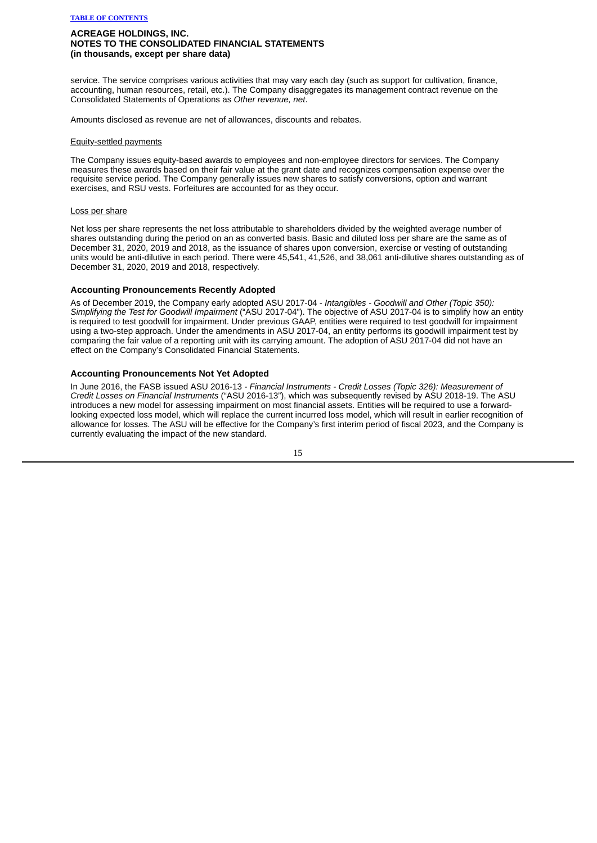service. The service comprises various activities that may vary each day (such as support for cultivation, finance, accounting, human resources, retail, etc.). The Company disaggregates its management contract revenue on the Consolidated Statements of Operations as *Other revenue, net*.

Amounts disclosed as revenue are net of allowances, discounts and rebates.

#### Equity-settled payments

The Company issues equity-based awards to employees and non-employee directors for services. The Company measures these awards based on their fair value at the grant date and recognizes compensation expense over the requisite service period. The Company generally issues new shares to satisfy conversions, option and warrant exercises, and RSU vests. Forfeitures are accounted for as they occur.

#### Loss per share

Net loss per share represents the net loss attributable to shareholders divided by the weighted average number of shares outstanding during the period on an as converted basis. Basic and diluted loss per share are the same as of December 31, 2020, 2019 and 2018, as the issuance of shares upon conversion, exercise or vesting of outstanding units would be anti-dilutive in each period. There were 45,541, 41,526, and 38,061 anti-dilutive shares outstanding as of December 31, 2020, 2019 and 2018, respectively.

## **Accounting Pronouncements Recently Adopted**

As of December 2019, the Company early adopted ASU 2017-04 - *Intangibles - Goodwill and Other (Topic 350): Simplifying the Test for Goodwill Impairment* ("ASU 2017-04"). The objective of ASU 2017-04 is to simplify how an entity is required to test goodwill for impairment. Under previous GAAP, entities were required to test goodwill for impairment using a two-step approach. Under the amendments in ASU 2017-04, an entity performs its goodwill impairment test by comparing the fair value of a reporting unit with its carrying amount. The adoption of ASU 2017-04 did not have an effect on the Company's Consolidated Financial Statements.

## **Accounting Pronouncements Not Yet Adopted**

In June 2016, the FASB issued ASU 2016-13 *- Financial Instruments - Credit Losses (Topic 326): Measurement of Credit Losses on Financial Instruments* ("ASU 2016-13"), which was subsequently revised by ASU 2018-19. The ASU introduces a new model for assessing impairment on most financial assets. Entities will be required to use a forwardlooking expected loss model, which will replace the current incurred loss model, which will result in earlier recognition of allowance for losses. The ASU will be effective for the Company's first interim period of fiscal 2023, and the Company is currently evaluating the impact of the new standard.

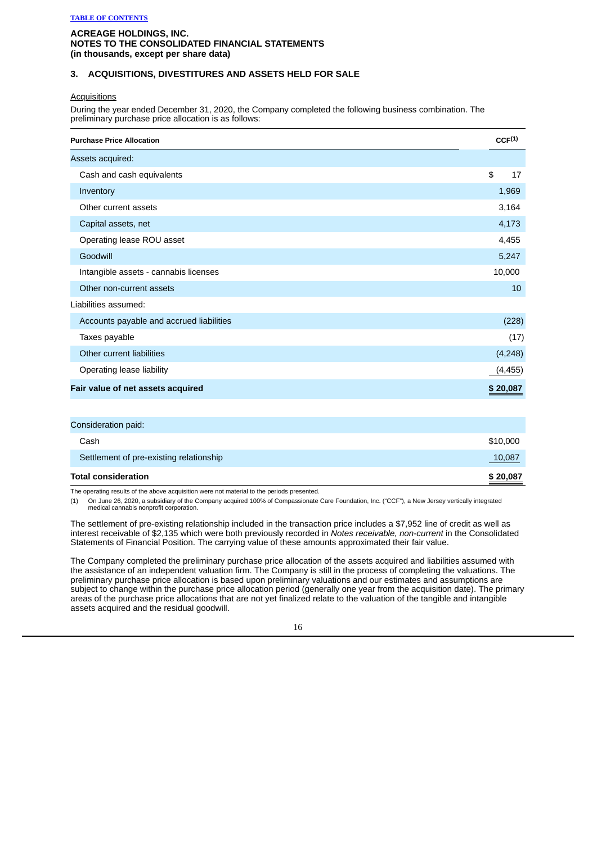## **3. ACQUISITIONS, DIVESTITURES AND ASSETS HELD FOR SALE**

#### **Acquisitions**

During the year ended December 31, 2020, the Company completed the following business combination. The preliminary purchase price allocation is as follows:

| <b>Purchase Price Allocation</b>         | CCF <sup>(1)</sup> |
|------------------------------------------|--------------------|
| Assets acquired:                         |                    |
| Cash and cash equivalents                | \$<br>17           |
| Inventory                                | 1,969              |
| Other current assets                     | 3,164              |
| Capital assets, net                      | 4,173              |
| Operating lease ROU asset                | 4,455              |
| Goodwill                                 | 5,247              |
| Intangible assets - cannabis licenses    | 10,000             |
| Other non-current assets                 | 10                 |
| Liabilities assumed:                     |                    |
| Accounts payable and accrued liabilities | (228)              |
| Taxes payable                            | (17)               |
| Other current liabilities                | (4, 248)           |
| Operating lease liability                | (4, 455)           |
| Fair value of net assets acquired        | \$20,087           |
|                                          |                    |
| Consideration paid:                      |                    |
| Cash                                     | \$10,000           |

**Total consideration \$ 20,087**

The operating results of the above acquisition were not material to the periods presented.

(1) On June 26, 2020, a subsidiary of the Company acquired 100% of Compassionate Care Foundation, Inc. ("CCF"), a New Jersey vertically integrated medical cannabis nonprofit corporation.

The settlement of pre-existing relationship included in the transaction price includes a \$7,952 line of credit as well as interest receivable of \$2,135 which were both previously recorded in *Notes receivable, non-current* in the Consolidated Statements of Financial Position. The carrying value of these amounts approximated their fair value.

Settlement of pre-existing relationship 10,087

The Company completed the preliminary purchase price allocation of the assets acquired and liabilities assumed with the assistance of an independent valuation firm. The Company is still in the process of completing the valuations. The preliminary purchase price allocation is based upon preliminary valuations and our estimates and assumptions are subject to change within the purchase price allocation period (generally one year from the acquisition date). The primary areas of the purchase price allocations that are not yet finalized relate to the valuation of the tangible and intangible assets acquired and the residual goodwill.

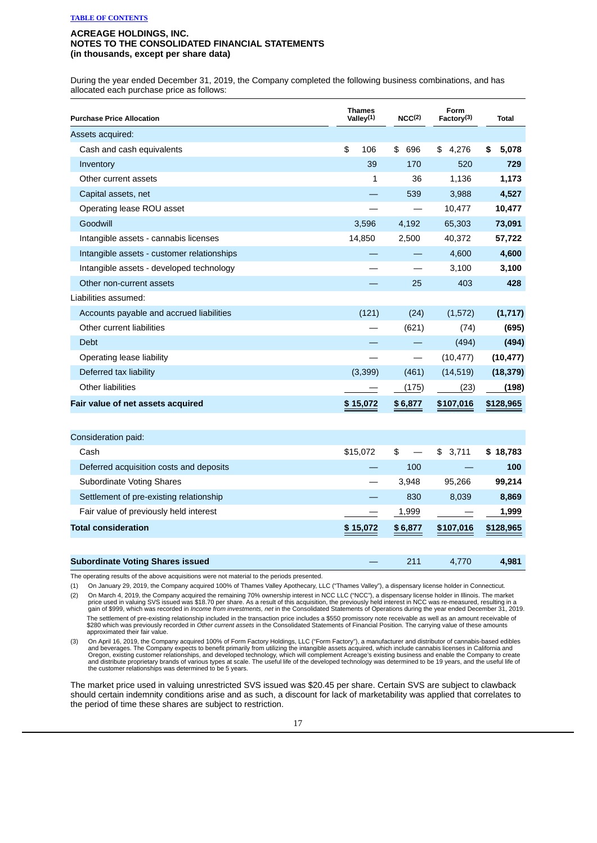#### **TABLE OF [CONTENTS](#page-3-1)**

## **ACREAGE HOLDINGS, INC. NOTES TO THE CONSOLIDATED FINANCIAL STATEMENTS (in thousands, except per share data)**

During the year ended December 31, 2019, the Company completed the following business combinations, and has allocated each purchase price as follows:

| <b>Purchase Price Allocation</b>           | <b>Thames</b><br>Valley $(1)$ | NCC <sup>(2)</sup>       | Form<br>$Factory^{(3)}$ | Total       |
|--------------------------------------------|-------------------------------|--------------------------|-------------------------|-------------|
| Assets acquired:                           |                               |                          |                         |             |
| Cash and cash equivalents                  | \$<br>106                     | 696<br>\$                | \$4,276                 | 5,078<br>\$ |
| Inventory                                  | 39                            | 170                      | 520                     | 729         |
| Other current assets                       | 1                             | 36                       | 1,136                   | 1,173       |
| Capital assets, net                        |                               | 539                      | 3,988                   | 4,527       |
| Operating lease ROU asset                  |                               |                          | 10,477                  | 10,477      |
| Goodwill                                   | 3,596                         | 4,192                    | 65,303                  | 73,091      |
| Intangible assets - cannabis licenses      | 14,850                        | 2,500                    | 40,372                  | 57,722      |
| Intangible assets - customer relationships |                               |                          | 4,600                   | 4,600       |
| Intangible assets - developed technology   |                               |                          | 3,100                   | 3,100       |
| Other non-current assets                   |                               | 25                       | 403                     | 428         |
| Liabilities assumed:                       |                               |                          |                         |             |
| Accounts payable and accrued liabilities   | (121)                         | (24)                     | (1, 572)                | (1,717)     |
| Other current liabilities                  |                               | (621)                    | (74)                    | (695)       |
| <b>Debt</b>                                |                               |                          | (494)                   | (494)       |
| Operating lease liability                  |                               | $\overline{\phantom{0}}$ | (10, 477)               | (10, 477)   |
| Deferred tax liability                     | (3, 399)                      | (461)                    | (14, 519)               | (18, 379)   |
| <b>Other liabilities</b>                   |                               | (175)                    | (23)                    | (198)       |
| Fair value of net assets acquired          | \$15,072                      | \$6,877                  | \$107,016               | \$128,965   |
| Consideration paid:                        |                               |                          |                         |             |
| Cash                                       | \$15,072                      | \$                       | \$<br>3,711             | \$18,783    |
| Deferred acquisition costs and deposits    |                               | 100                      |                         | 100         |
| <b>Subordinate Voting Shares</b>           | —                             | 3,948                    | 95,266                  | 99,214      |
| Settlement of pre-existing relationship    |                               | 830                      | 8,039                   | 8,869       |
| Fair value of previously held interest     |                               | 1,999                    |                         | 1,999       |
| <b>Total consideration</b>                 | \$15,072                      | \$6,877                  | \$107,016               | \$128,965   |
|                                            |                               |                          |                         |             |
|                                            |                               |                          |                         |             |

|        |  |  | <b>Subordinate Voting Shares issued</b> |  |  |  | $-$ 211 4.770 | 4,981 |
|--------|--|--|-----------------------------------------|--|--|--|---------------|-------|
| $\sim$ |  |  |                                         |  |  |  |               |       |

The operating results of the above acquisitions were not material to the periods presented.

(1) On January 29, 2019, the Company acquired 100% of Thames Valley Apothecary, LLC ("Thames Valley"), a dispensary license holder in Connecticut. 2) On March 4, 2019, the Company acquired the remaining 70% ownership interest in NCC LLC ("NCC"), a dispensary license holder in Illinois. The market<br>price used in valuing SVS issued was \$18.70 per share. As a result of t The settlement of pre-existing relationship included in the transaction price includes a \$550 promissory note receivable as well as an amount receivable of \$280 which was previously recorded in *Other current assets* in the Consolidated Statements of Financial Position. The carrying value of these amounts approximated their fair value.

(3) On April 16, 2019, the Company acquired 100% of Form Factory Holdings, LLC ("Form Factory"), a manufacturer and distributor of cannabis-based edibles and beverages. The Company expects to benefit primarily from utilizing the intangible assets acquired, which include cannabis licenses in California and<br>Oregon, existing customer relationships, and developed technology, wh the customer relationships was determined to be 5 years.

The market price used in valuing unrestricted SVS issued was \$20.45 per share. Certain SVS are subject to clawback should certain indemnity conditions arise and as such, a discount for lack of marketability was applied that correlates to the period of time these shares are subject to restriction.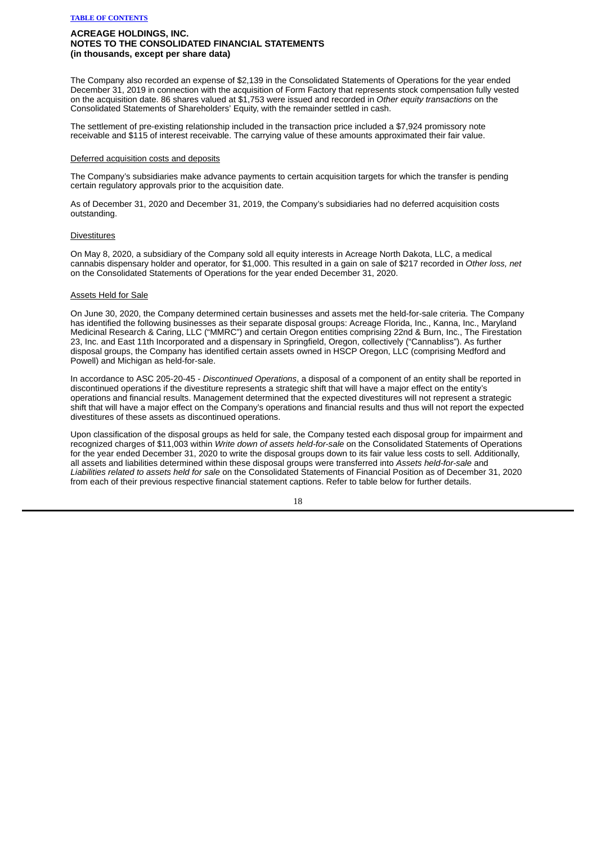The Company also recorded an expense of \$2,139 in the Consolidated Statements of Operations for the year ended December 31, 2019 in connection with the acquisition of Form Factory that represents stock compensation fully vested on the acquisition date. 86 shares valued at \$1,753 were issued and recorded in *Other equity transactions* on the Consolidated Statements of Shareholders' Equity, with the remainder settled in cash.

The settlement of pre-existing relationship included in the transaction price included a \$7,924 promissory note receivable and \$115 of interest receivable. The carrying value of these amounts approximated their fair value.

#### Deferred acquisition costs and deposits

The Company's subsidiaries make advance payments to certain acquisition targets for which the transfer is pending certain regulatory approvals prior to the acquisition date.

As of December 31, 2020 and December 31, 2019, the Company's subsidiaries had no deferred acquisition costs outstanding.

#### Divestitures

On May 8, 2020, a subsidiary of the Company sold all equity interests in Acreage North Dakota, LLC, a medical cannabis dispensary holder and operator, for \$1,000. This resulted in a gain on sale of \$217 recorded in *Other loss, net* on the Consolidated Statements of Operations for the year ended December 31, 2020.

#### Assets Held for Sale

On June 30, 2020, the Company determined certain businesses and assets met the held-for-sale criteria. The Company has identified the following businesses as their separate disposal groups: Acreage Florida, Inc., Kanna, Inc., Maryland Medicinal Research & Caring, LLC ("MMRC") and certain Oregon entities comprising 22nd & Burn, Inc., The Firestation 23, Inc. and East 11th Incorporated and a dispensary in Springfield, Oregon, collectively ("Cannabliss"). As further disposal groups, the Company has identified certain assets owned in HSCP Oregon, LLC (comprising Medford and Powell) and Michigan as held-for-sale.

In accordance to ASC 205-20-45 - *Discontinued Operations*, a disposal of a component of an entity shall be reported in discontinued operations if the divestiture represents a strategic shift that will have a major effect on the entity's operations and financial results. Management determined that the expected divestitures will not represent a strategic shift that will have a major effect on the Company's operations and financial results and thus will not report the expected divestitures of these assets as discontinued operations.

Upon classification of the disposal groups as held for sale, the Company tested each disposal group for impairment and recognized charges of \$11,003 within *Write down of assets held-for-sale* on the Consolidated Statements of Operations for the year ended December 31, 2020 to write the disposal groups down to its fair value less costs to sell. Additionally, all assets and liabilities determined within these disposal groups were transferred into *Assets held-for-sale* and *Liabilities related to assets held for sale* on the Consolidated Statements of Financial Position as of December 31, 2020 from each of their previous respective financial statement captions. Refer to table below for further details.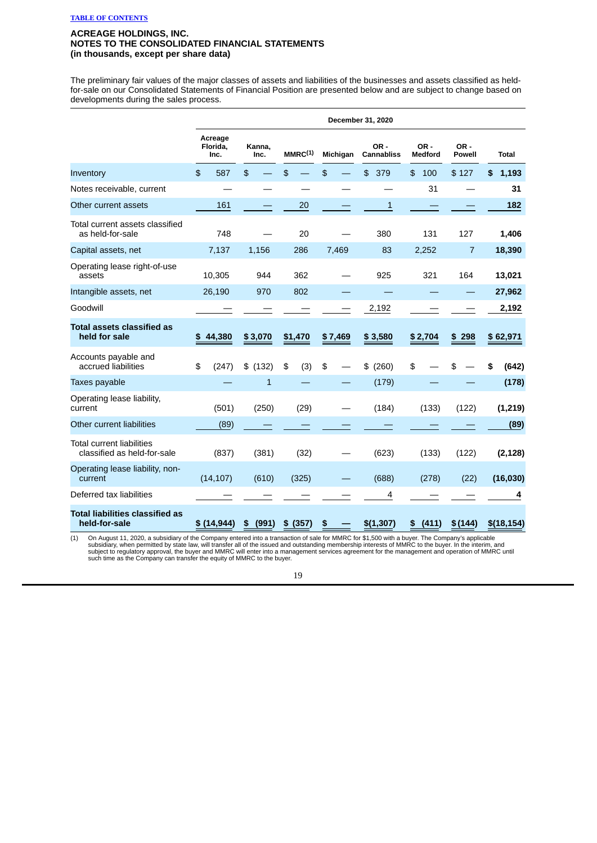The preliminary fair values of the major classes of assets and liabilities of the businesses and assets classified as heldfor-sale on our Consolidated Statements of Financial Position are presented below and are subject to change based on developments during the sales process.

|                                                          |                |                             |                |                     | December 31, 2020 |            |                   |                       |                      |                |              |
|----------------------------------------------------------|----------------|-----------------------------|----------------|---------------------|-------------------|------------|-------------------|-----------------------|----------------------|----------------|--------------|
|                                                          |                | Acreage<br>Florida,<br>Inc. | Kanna,<br>Inc. | MMRC <sup>(1)</sup> | Michigan          | OR-        | <b>Cannabliss</b> | OR-<br><b>Medford</b> | OR-<br><b>Powell</b> |                | <b>Total</b> |
| Inventory                                                | $\mathfrak{L}$ | 587                         | \$             | \$                  | \$                | \$         | 379               | \$<br>100             | \$127                |                | \$<br>1,193  |
| Notes receivable, current                                |                |                             |                |                     |                   |            |                   | 31                    |                      |                | 31           |
| Other current assets                                     |                | 161                         |                | 20                  |                   |            | 1                 |                       |                      |                | 182          |
| Total current assets classified<br>as held-for-sale      |                | 748                         |                | 20                  |                   |            | 380               | 131                   | 127                  |                | 1,406        |
| Capital assets, net                                      |                | 7,137                       | 1,156          | 286                 | 7,469             |            | 83                | 2,252                 |                      | $\overline{7}$ | 18,390       |
| Operating lease right-of-use<br>assets                   |                | 10,305                      | 944            | 362                 |                   |            | 925               | 321                   | 164                  |                | 13,021       |
| Intangible assets, net                                   |                | 26,190                      | 970            | 802                 |                   |            |                   |                       |                      |                | 27,962       |
| Goodwill                                                 |                |                             |                |                     |                   | 2,192      |                   |                       |                      |                | 2,192        |
| <b>Total assets classified as</b><br>held for sale       |                | \$44,380                    | \$3,070        | \$1,470             | \$7,469           | \$3,580    |                   | \$2,704               | \$298                |                | \$62,971     |
| Accounts payable and<br>accrued liabilities              | \$             | (247)                       | \$ (132)       | \$<br>(3)           | \$                | \$         | (260)             | \$                    | \$                   |                | \$<br>(642)  |
| Taxes payable                                            |                |                             | $\mathbf{1}$   |                     |                   |            | (179)             |                       |                      |                | (178)        |
| Operating lease liability,<br>current                    |                | (501)                       | (250)          | (29)                |                   |            | (184)             | (133)                 | (122)                |                | (1, 219)     |
| Other current liabilities                                |                | (89)                        |                |                     |                   |            |                   |                       |                      |                | (89)         |
| Total current liabilities<br>classified as held-for-sale |                | (837)                       | (381)          | (32)                |                   |            | (623)             | (133)                 | (122)                |                | (2, 128)     |
| Operating lease liability, non-<br>current               |                | (14, 107)                   | (610)          | (325)               |                   |            | (688)             | (278)                 |                      | (22)           | (16, 030)    |
| Deferred tax liabilities                                 |                |                             |                |                     |                   |            | $\overline{4}$    |                       |                      |                | 4            |
| <b>Total liabilities classified as</b><br>held-for-sale  |                | \$(14, 944)                 | \$<br>(991)    | \$ (357)            | \$                | \$(1, 307) |                   | \$<br>(411)           | \$(144)              |                | \$(18, 154)  |

(1) On August 11, 2020, a subsidiary of the Company entered into a transaction of sale for MMRC for \$1,500 with a buyer. The Company's applicable<br>subsidiary, when permitted by state law, will transfer all of the issued and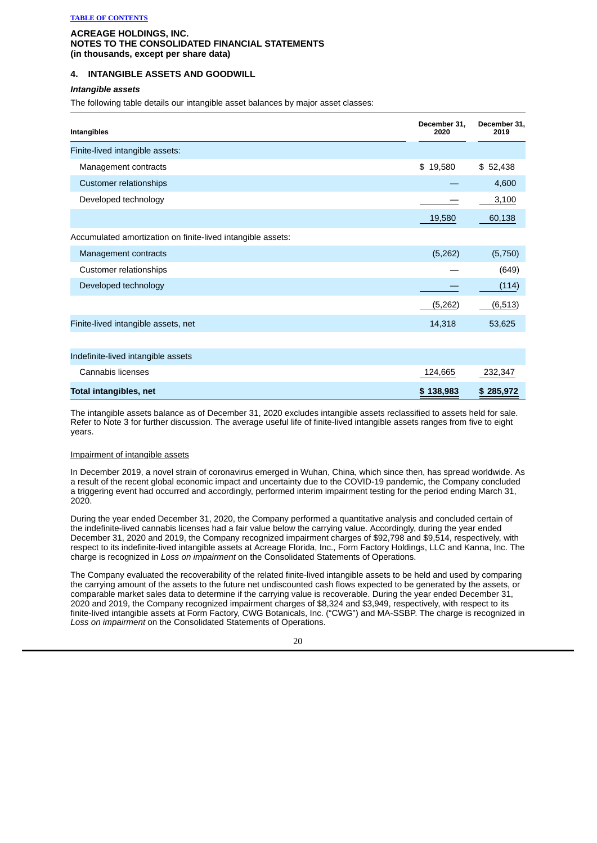## **4. INTANGIBLE ASSETS AND GOODWILL**

## *Intangible assets*

The following table details our intangible asset balances by major asset classes:

| <b>Intangibles</b>                                          | December 31,<br>2020 | December 31,<br>2019 |
|-------------------------------------------------------------|----------------------|----------------------|
| Finite-lived intangible assets:                             |                      |                      |
| Management contracts                                        | \$19,580             | \$52,438             |
| <b>Customer relationships</b>                               |                      | 4,600                |
| Developed technology                                        |                      | 3,100                |
|                                                             | 19,580               | 60,138               |
| Accumulated amortization on finite-lived intangible assets: |                      |                      |
| Management contracts                                        | (5,262)              | (5,750)              |
| Customer relationships                                      |                      | (649)                |
| Developed technology                                        |                      | (114)                |
|                                                             | (5,262)              | (6, 513)             |
| Finite-lived intangible assets, net                         | 14,318               | 53,625               |
|                                                             |                      |                      |
| Indefinite-lived intangible assets                          |                      |                      |
| Cannabis licenses                                           | 124,665              | 232,347              |
| Total intangibles, net                                      | \$138,983            | \$285,972            |

The intangible assets balance as of December 31, 2020 excludes intangible assets reclassified to assets held for sale. Refer to Note 3 for further discussion. The average useful life of finite-lived intangible assets ranges from five to eight years.

## Impairment of intangible assets

In December 2019, a novel strain of coronavirus emerged in Wuhan, China, which since then, has spread worldwide. As a result of the recent global economic impact and uncertainty due to the COVID-19 pandemic, the Company concluded a triggering event had occurred and accordingly, performed interim impairment testing for the period ending March 31, 2020.

During the year ended December 31, 2020, the Company performed a quantitative analysis and concluded certain of the indefinite-lived cannabis licenses had a fair value below the carrying value. Accordingly, during the year ended December 31, 2020 and 2019, the Company recognized impairment charges of \$92,798 and \$9,514, respectively, with respect to its indefinite-lived intangible assets at Acreage Florida, Inc., Form Factory Holdings, LLC and Kanna, Inc. The charge is recognized in *Loss on impairment* on the Consolidated Statements of Operations.

The Company evaluated the recoverability of the related finite-lived intangible assets to be held and used by comparing the carrying amount of the assets to the future net undiscounted cash flows expected to be generated by the assets, or comparable market sales data to determine if the carrying value is recoverable. During the year ended December 31, 2020 and 2019, the Company recognized impairment charges of \$8,324 and \$3,949, respectively, with respect to its finite-lived intangible assets at Form Factory, CWG Botanicals, Inc. ("CWG") and MA-SSBP. The charge is recognized in *Loss on impairment* on the Consolidated Statements of Operations.

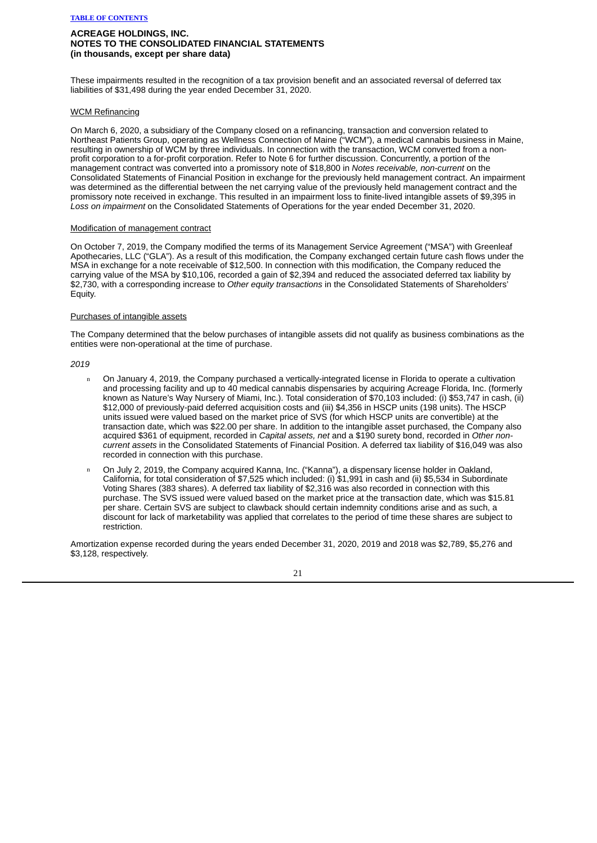These impairments resulted in the recognition of a tax provision benefit and an associated reversal of deferred tax liabilities of \$31,498 during the year ended December 31, 2020.

#### WCM Refinancing

On March 6, 2020, a subsidiary of the Company closed on a refinancing, transaction and conversion related to Northeast Patients Group, operating as Wellness Connection of Maine ("WCM"), a medical cannabis business in Maine, resulting in ownership of WCM by three individuals. In connection with the transaction, WCM converted from a nonprofit corporation to a for-profit corporation. Refer to Note 6 for further discussion. Concurrently, a portion of the management contract was converted into a promissory note of \$18,800 in *Notes receivable, non-current* on the Consolidated Statements of Financial Position in exchange for the previously held management contract. An impairment was determined as the differential between the net carrying value of the previously held management contract and the promissory note received in exchange. This resulted in an impairment loss to finite-lived intangible assets of \$9,395 in *Loss on impairment* on the Consolidated Statements of Operations for the year ended December 31, 2020.

#### Modification of management contract

On October 7, 2019, the Company modified the terms of its Management Service Agreement ("MSA") with Greenleaf Apothecaries, LLC ("GLA"). As a result of this modification, the Company exchanged certain future cash flows under the MSA in exchange for a note receivable of \$12,500. In connection with this modification, the Company reduced the carrying value of the MSA by \$10,106, recorded a gain of \$2,394 and reduced the associated deferred tax liability by \$2,730, with a corresponding increase to *Other equity transactions* in the Consolidated Statements of Shareholders' Equity.

#### Purchases of intangible assets

The Company determined that the below purchases of intangible assets did not qualify as business combinations as the entities were non-operational at the time of purchase.

*2019*

- On January 4, 2019, the Company purchased a vertically-integrated license in Florida to operate a cultivation and processing facility and up to 40 medical cannabis dispensaries by acquiring Acreage Florida, Inc. (formerly known as Nature's Way Nursery of Miami, Inc.). Total consideration of \$70,103 included: (i) \$53,747 in cash, (ii) \$12,000 of previously-paid deferred acquisition costs and (iii) \$4,356 in HSCP units (198 units). The HSCP units issued were valued based on the market price of SVS (for which HSCP units are convertible) at the transaction date, which was \$22.00 per share. In addition to the intangible asset purchased, the Company also acquired \$361 of equipment, recorded in *Capital assets, net* and a \$190 surety bond, recorded in *Other noncurrent assets* in the Consolidated Statements of Financial Position. A deferred tax liability of \$16,049 was also recorded in connection with this purchase. n
- On July 2, 2019, the Company acquired Kanna, Inc. ("Kanna"), a dispensary license holder in Oakland, California, for total consideration of \$7,525 which included: (i) \$1,991 in cash and (ii) \$5,534 in Subordinate Voting Shares (383 shares). A deferred tax liability of \$2,316 was also recorded in connection with this purchase. The SVS issued were valued based on the market price at the transaction date, which was \$15.81 per share. Certain SVS are subject to clawback should certain indemnity conditions arise and as such, a discount for lack of marketability was applied that correlates to the period of time these shares are subject to restriction. n

Amortization expense recorded during the years ended December 31, 2020, 2019 and 2018 was \$2,789, \$5,276 and \$3,128, respectively.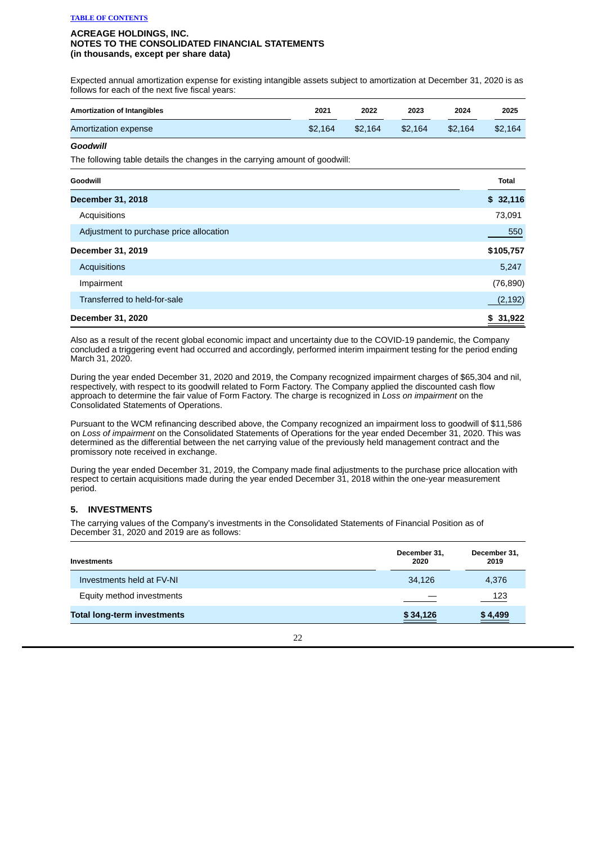Expected annual amortization expense for existing intangible assets subject to amortization at December 31, 2020 is as follows for each of the next five fiscal years:

| <b>Amortization of Intangibles</b> | 2021    | 2022    | 2023    | 2024    | 2025    |
|------------------------------------|---------|---------|---------|---------|---------|
| Amortization expense               | \$2.164 | \$2.164 | \$2.164 | \$2.164 | \$2.164 |

#### *Goodwill*

The following table details the changes in the carrying amount of goodwill:

| Goodwill                                | <b>Total</b> |
|-----------------------------------------|--------------|
| <b>December 31, 2018</b>                | \$32,116     |
| Acquisitions                            | 73,091       |
| Adjustment to purchase price allocation | 550          |
| December 31, 2019                       | \$105,757    |
| <b>Acquisitions</b>                     | 5,247        |
| Impairment                              | (76, 890)    |
| Transferred to held-for-sale            | (2,192)      |
| <b>December 31, 2020</b>                | \$31,922     |

Also as a result of the recent global economic impact and uncertainty due to the COVID-19 pandemic, the Company concluded a triggering event had occurred and accordingly, performed interim impairment testing for the period ending March 31, 2020.

During the year ended December 31, 2020 and 2019, the Company recognized impairment charges of \$65,304 and nil, respectively, with respect to its goodwill related to Form Factory. The Company applied the discounted cash flow approach to determine the fair value of Form Factory. The charge is recognized in *Loss on impairment* on the Consolidated Statements of Operations.

Pursuant to the WCM refinancing described above, the Company recognized an impairment loss to goodwill of \$11,586 on *Loss of impairment* on the Consolidated Statements of Operations for the year ended December 31, 2020. This was determined as the differential between the net carrying value of the previously held management contract and the promissory note received in exchange.

During the year ended December 31, 2019, the Company made final adjustments to the purchase price allocation with respect to certain acquisitions made during the year ended December 31, 2018 within the one-year measurement period.

## **5. INVESTMENTS**

The carrying values of the Company's investments in the Consolidated Statements of Financial Position as of December 31, 2020 and 2019 are as follows:

| <b>Investments</b>                 | December 31,<br>2020 | December 31,<br>2019 |
|------------------------------------|----------------------|----------------------|
| Investments held at FV-NI          | 34.126               | 4,376                |
| Equity method investments          |                      | 123                  |
| <b>Total long-term investments</b> | \$34,126             | \$4,499              |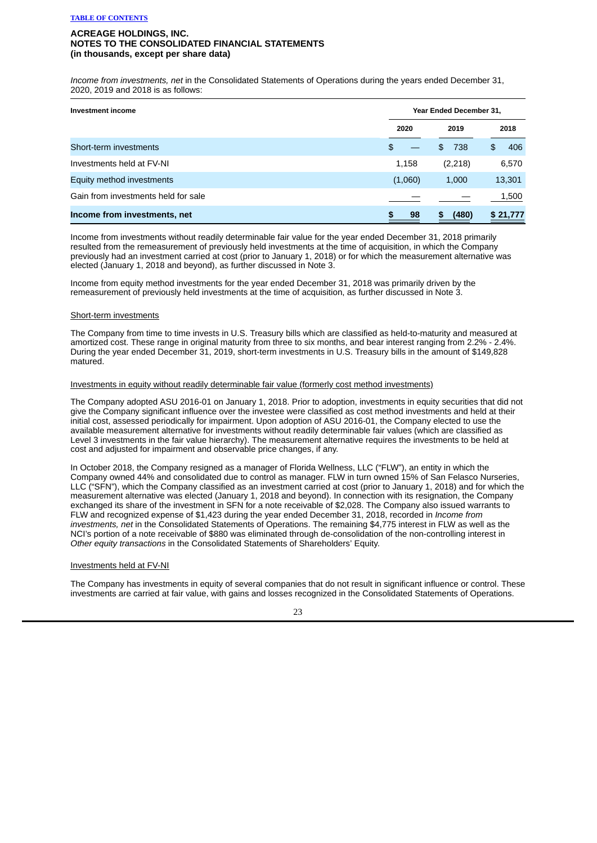*Income from investments, net* in the Consolidated Statements of Operations during the years ended December 31, 2020, 2019 and 2018 is as follows:

| <b>Year Ended December 31,</b><br>Investment income |          |                       |           |  |
|-----------------------------------------------------|----------|-----------------------|-----------|--|
|                                                     | 2020     | 2019                  | 2018      |  |
| Short-term investments                              | \$       | 738<br>$\mathfrak{S}$ | 406<br>\$ |  |
| Investments held at FV-NI                           | 1,158    | (2,218)               | 6,570     |  |
| Equity method investments                           | (1,060)  | 1,000                 | 13,301    |  |
| Gain from investments held for sale                 |          |                       | 1,500     |  |
| Income from investments, net                        | \$<br>98 | (480)<br>\$           | \$21,777  |  |

Income from investments without readily determinable fair value for the year ended December 31, 2018 primarily resulted from the remeasurement of previously held investments at the time of acquisition, in which the Company previously had an investment carried at cost (prior to January 1, 2018) or for which the measurement alternative was elected (January 1, 2018 and beyond), as further discussed in Note 3.

Income from equity method investments for the year ended December 31, 2018 was primarily driven by the remeasurement of previously held investments at the time of acquisition, as further discussed in Note 3.

## Short-term investments

The Company from time to time invests in U.S. Treasury bills which are classified as held-to-maturity and measured at amortized cost. These range in original maturity from three to six months, and bear interest ranging from 2.2% - 2.4%. During the year ended December 31, 2019, short-term investments in U.S. Treasury bills in the amount of \$149,828 matured.

#### Investments in equity without readily determinable fair value (formerly cost method investments)

The Company adopted ASU 2016-01 on January 1, 2018. Prior to adoption, investments in equity securities that did not give the Company significant influence over the investee were classified as cost method investments and held at their initial cost, assessed periodically for impairment. Upon adoption of ASU 2016-01, the Company elected to use the available measurement alternative for investments without readily determinable fair values (which are classified as Level 3 investments in the fair value hierarchy). The measurement alternative requires the investments to be held at cost and adjusted for impairment and observable price changes, if any.

In October 2018, the Company resigned as a manager of Florida Wellness, LLC ("FLW"), an entity in which the Company owned 44% and consolidated due to control as manager. FLW in turn owned 15% of San Felasco Nurseries, LLC ("SFN"), which the Company classified as an investment carried at cost (prior to January 1, 2018) and for which the measurement alternative was elected (January 1, 2018 and beyond). In connection with its resignation, the Company exchanged its share of the investment in SFN for a note receivable of \$2,028. The Company also issued warrants to FLW and recognized expense of \$1,423 during the year ended December 31, 2018, recorded in *Income from investments, net* in the Consolidated Statements of Operations. The remaining \$4,775 interest in FLW as well as the NCI's portion of a note receivable of \$880 was eliminated through de-consolidation of the non-controlling interest in *Other equity transactions* in the Consolidated Statements of Shareholders' Equity.

## Investments held at FV-NI

The Company has investments in equity of several companies that do not result in significant influence or control. These investments are carried at fair value, with gains and losses recognized in the Consolidated Statements of Operations.

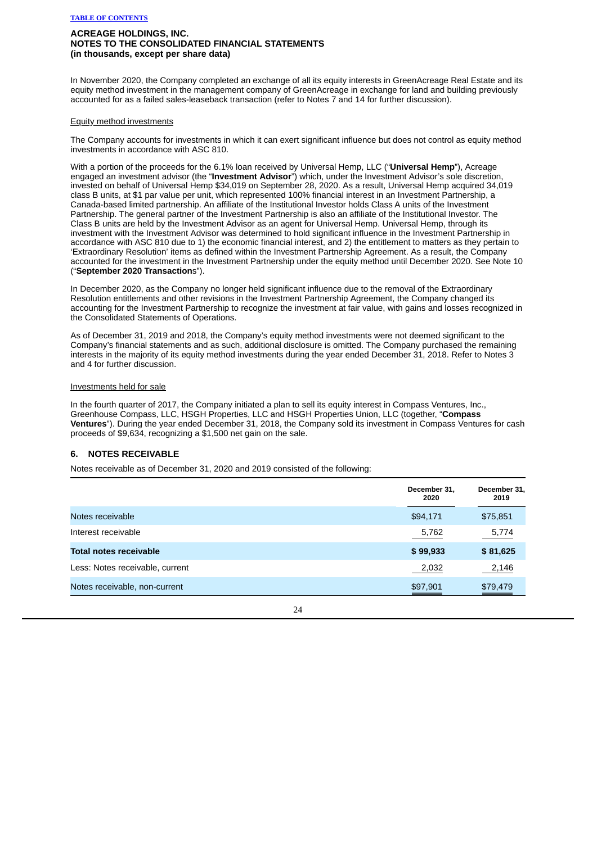In November 2020, the Company completed an exchange of all its equity interests in GreenAcreage Real Estate and its equity method investment in the management company of GreenAcreage in exchange for land and building previously accounted for as a failed sales-leaseback transaction (refer to Notes 7 and 14 for further discussion).

#### Equity method investments

The Company accounts for investments in which it can exert significant influence but does not control as equity method investments in accordance with ASC 810.

With a portion of the proceeds for the 6.1% loan received by Universal Hemp, LLC ("**Universal Hemp**"), Acreage engaged an investment advisor (the "**Investment Advisor**") which, under the Investment Advisor's sole discretion, invested on behalf of Universal Hemp \$34,019 on September 28, 2020. As a result, Universal Hemp acquired 34,019 class B units, at \$1 par value per unit, which represented 100% financial interest in an Investment Partnership, a Canada-based limited partnership. An affiliate of the Institutional Investor holds Class A units of the Investment Partnership. The general partner of the Investment Partnership is also an affiliate of the Institutional Investor. The Class B units are held by the Investment Advisor as an agent for Universal Hemp. Universal Hemp, through its investment with the Investment Advisor was determined to hold significant influence in the Investment Partnership in accordance with ASC 810 due to 1) the economic financial interest, and 2) the entitlement to matters as they pertain to 'Extraordinary Resolution' items as defined within the Investment Partnership Agreement. As a result, the Company accounted for the investment in the Investment Partnership under the equity method until December 2020. See Note 10 ("**September 2020 Transaction**s").

In December 2020, as the Company no longer held significant influence due to the removal of the Extraordinary Resolution entitlements and other revisions in the Investment Partnership Agreement, the Company changed its accounting for the Investment Partnership to recognize the investment at fair value, with gains and losses recognized in the Consolidated Statements of Operations.

As of December 31, 2019 and 2018, the Company's equity method investments were not deemed significant to the Company's financial statements and as such, additional disclosure is omitted. The Company purchased the remaining interests in the majority of its equity method investments during the year ended December 31, 2018. Refer to Notes 3 and 4 for further discussion.

#### Investments held for sale

In the fourth quarter of 2017, the Company initiated a plan to sell its equity interest in Compass Ventures, Inc., Greenhouse Compass, LLC, HSGH Properties, LLC and HSGH Properties Union, LLC (together, "**Compass Ventures**"). During the year ended December 31, 2018, the Company sold its investment in Compass Ventures for cash proceeds of \$9,634, recognizing a \$1,500 net gain on the sale.

## **6. NOTES RECEIVABLE**

Notes receivable as of December 31, 2020 and 2019 consisted of the following:

|                                 | December 31,<br>2020 | December 31,<br>2019 |
|---------------------------------|----------------------|----------------------|
| Notes receivable                | \$94,171             | \$75,851             |
| Interest receivable             | 5,762                | 5,774                |
| <b>Total notes receivable</b>   | \$99,933             | \$81,625             |
| Less: Notes receivable, current | 2,032                | 2,146                |
| Notes receivable, non-current   | \$97,901             | \$79,479             |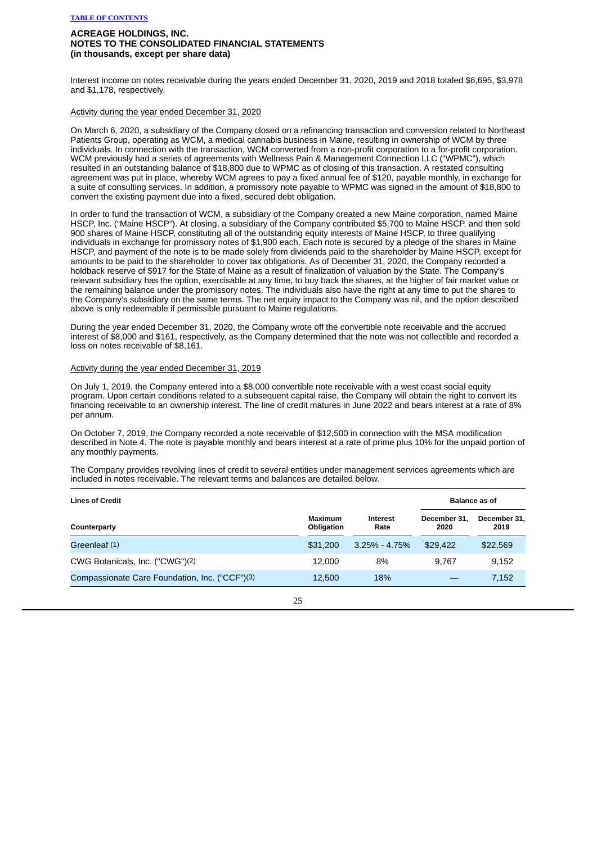Interest income on notes receivable during the years ended December 31, 2020, 2019 and 2018 totaled \$6,695, \$3,978 and \$1,178, respectively.

#### Activity during the year ended December 31, 2020

On March 6, 2020, a subsidiary of the Company closed on a refinancing transaction and conversion related to Northeast Patients Group, operating as WCM, a medical cannabis business in Maine, resulting in ownership of WCM by three individuals. In connection with the transaction, WCM converted from a non-profit corporation to a for-profit corporation. WCM previously had a series of agreements with Wellness Pain & Management Connection LLC ("WPMC"), which resulted in an outstanding balance of \$18,800 due to WPMC as of closing of this transaction. A restated consulting agreement was put in place, whereby WCM agrees to pay a fixed annual fee of \$120, payable monthly, in exchange for a suite of consulting services. In addition, a promissory note payable to WPMC was signed in the amount of \$18,800 to convert the existing payment due into a fixed, secured debt obligation.

In order to fund the transaction of WCM, a subsidiary of the Company created a new Maine corporation, named Maine HSCP, Inc. ("Maine HSCP"). At closing, a subsidiary of the Company contributed \$5,700 to Maine HSCP, and then sold 900 shares of Maine HSCP, constituting all of the outstanding equity interests of Maine HSCP, to three qualifying individuals in exchange for promissory notes of \$1,900 each. Each note is secured by a pledge of the shares in Maine HSCP, and payment of the note is to be made solely from dividends paid to the shareholder by Maine HSCP, except for amounts to be paid to the shareholder to cover tax obligations. As of December 31, 2020, the Company recorded a holdback reserve of \$917 for the State of Maine as a result of finalization of valuation by the State. The Company's relevant subsidiary has the option, exercisable at any time, to buy back the shares, at the higher of fair market value or the remaining balance under the promissory notes. The individuals also have the right at any time to put the shares to the Company's subsidiary on the same terms. The net equity impact to the Company was nil, and the option described above is only redeemable if permissible pursuant to Maine regulations.

During the year ended December 31, 2020, the Company wrote off the convertible note receivable and the accrued interest of \$8,000 and \$161, respectively, as the Company determined that the note was not collectible and recorded a loss on notes receivable of \$8,161.

## Activity during the year ended December 31, 2019

On July 1, 2019, the Company entered into a \$8,000 convertible note receivable with a west coast social equity program. Upon certain conditions related to a subsequent capital raise, the Company will obtain the right to convert its financing receivable to an ownership interest. The line of credit matures in June 2022 and bears interest at a rate of 8% per annum.

On October 7, 2019, the Company recorded a note receivable of \$12,500 in connection with the MSA modification described in Note 4. The note is payable monthly and bears interest at a rate of prime plus 10% for the unpaid portion of any monthly payments.

The Company provides revolving lines of credit to several entities under management services agreements which are included in notes receivable. The relevant terms and balances are detailed below.

| <b>Lines of Credit</b>                         |                       |                         |                      | <b>Balance as of</b> |
|------------------------------------------------|-----------------------|-------------------------|----------------------|----------------------|
| Counterparty                                   | Maximum<br>Obligation | <b>Interest</b><br>Rate | December 31,<br>2020 | December 31,<br>2019 |
| Greenleaf (1)                                  | \$31,200              | $3.25\% - 4.75\%$       | \$29,422             | \$22,569             |
| CWG Botanicals, Inc. ("CWG")(2)                | 12.000                | 8%                      | 9.767                | 9.152                |
| Compassionate Care Foundation, Inc. ("CCF")(3) | 12.500                | 18%                     |                      | 7,152                |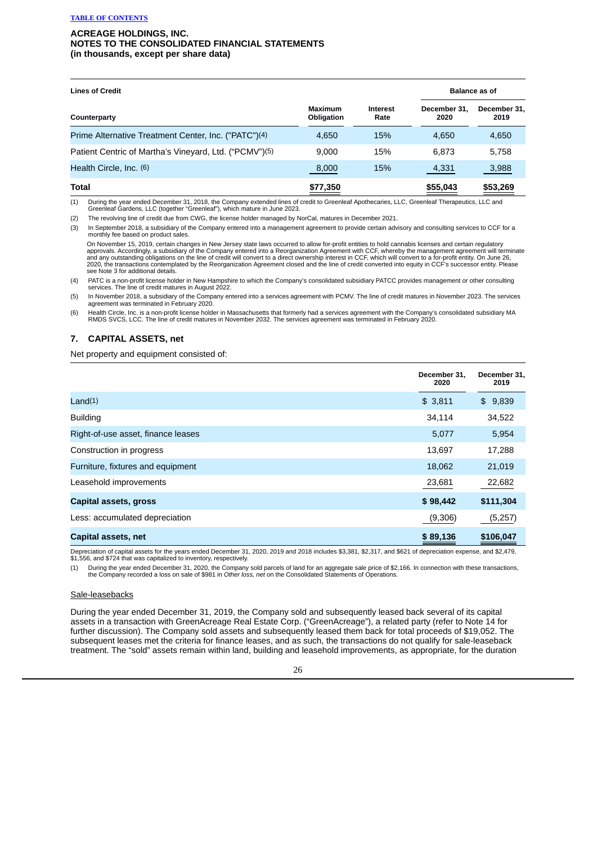| <b>Lines of Credit</b>                                 |                       |                         |                      | <b>Balance as of</b> |
|--------------------------------------------------------|-----------------------|-------------------------|----------------------|----------------------|
| Counterparty                                           | Maximum<br>Obligation | <b>Interest</b><br>Rate | December 31.<br>2020 | December 31,<br>2019 |
| Prime Alternative Treatment Center, Inc. ("PATC")(4)   | 4.650                 | 15%                     | 4.650                | 4,650                |
| Patient Centric of Martha's Vineyard, Ltd. ("PCMV")(5) | 9.000                 | 15%                     | 6.873                | 5.758                |
| Health Circle, Inc. (6)                                | 8,000                 | 15%                     | 4,331                | 3,988                |
| <b>Total</b>                                           | \$77.350              |                         | \$55,043             | \$53,269             |

(1) During the year ended December 31, 2018, the Company extended lines of credit to Greenleaf Apothecaries, LLC, Greenleaf Therapeutics, LLC and Greenleaf Gardens, LLC (together "Greenleaf"), which mature in June 2023.

(2) The revolving line of credit due from CWG, the license holder managed by NorCal, matures in December 2021.

(3) In September 2018, a subsidiary of the Company entered into a management agreement to provide certain advisory and consulting services to CCF for a monthly fee based on product sales.

On November 15, 2019, certain changes in New Jersey state laws occurred to allow for-profit entities to hold cannabis licenses and certain regulatory<br>approvals. Accordingly, a subsidiary of the Company entered into a Reorg see Note 3 for additional details.

(4) PATC is a non-profit license holder in New Hampshire to which the Company's consolidated subsidiary PATCC provides management or other consulting services. The line of credit matures in August 2022.

(5) In November 2018, a subsidiary of the Company entered into a services agreement with PCMV. The line of credit matures in November 2023. The services agreement was terminated in February 2020.

(6) Health Circle, Inc. is a non-profit license holder in Massachusetts that formerly had a services agreement with the Company's consolidated subsidiary MA RMDS SVCS, LCC. The line of credit matures in November 2032. The services agreement was terminated in February 2020.

## **7. CAPITAL ASSETS, net**

Net property and equipment consisted of:

|                                    | December 31,<br>2020 | December 31,<br>2019 |
|------------------------------------|----------------------|----------------------|
| Land(1)                            | \$3,811              | \$9,839              |
| <b>Building</b>                    | 34,114               | 34,522               |
| Right-of-use asset, finance leases | 5,077                | 5,954                |
| Construction in progress           | 13,697               | 17,288               |
| Furniture, fixtures and equipment  | 18,062               | 21,019               |
| Leasehold improvements             | 23,681               | 22,682               |
| Capital assets, gross              | \$98,442             | \$111,304            |
| Less: accumulated depreciation     | (9,306)              | (5,257)              |
| Capital assets, net                | \$89,136             | \$106,047            |

Depreciation of capital assets for the years ended December 31, 2020, 2019 and 2018 includes \$3,381, \$2,317, and \$621 of depreciation expense, and \$2,479, \$1,556, and \$724 that was capitalized to inventory, respectively.

(1) During the year ended December 31, 2020, the Company sold parcels of land for an aggregate sale price of \$2,166. In connection with these transactions,<br>the Company recorded a loss on sale of \$981 in Other loss, net on

#### Sale-leasebacks

During the year ended December 31, 2019, the Company sold and subsequently leased back several of its capital assets in a transaction with GreenAcreage Real Estate Corp. ("GreenAcreage"), a related party (refer to Note 14 for further discussion). The Company sold assets and subsequently leased them back for total proceeds of \$19,052. The subsequent leases met the criteria for finance leases, and as such, the transactions do not qualify for sale-leaseback treatment. The "sold" assets remain within land, building and leasehold improvements, as appropriate, for the duration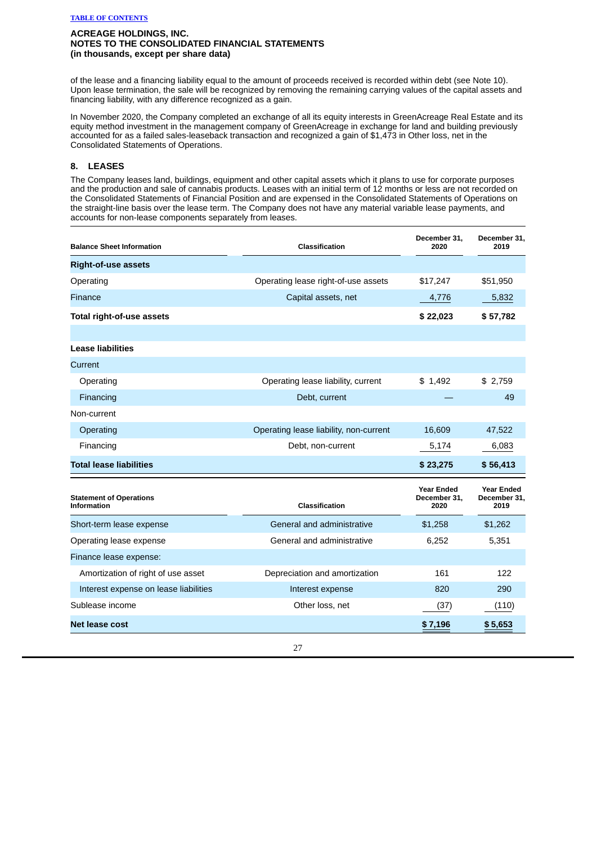of the lease and a financing liability equal to the amount of proceeds received is recorded within debt (see Note 10). Upon lease termination, the sale will be recognized by removing the remaining carrying values of the capital assets and financing liability, with any difference recognized as a gain.

In November 2020, the Company completed an exchange of all its equity interests in GreenAcreage Real Estate and its equity method investment in the management company of GreenAcreage in exchange for land and building previously accounted for as a failed sales-leaseback transaction and recognized a gain of \$1,473 in Other loss, net in the Consolidated Statements of Operations.

## **8. LEASES**

The Company leases land, buildings, equipment and other capital assets which it plans to use for corporate purposes and the production and sale of cannabis products. Leases with an initial term of 12 months or less are not recorded on the Consolidated Statements of Financial Position and are expensed in the Consolidated Statements of Operations on the straight-line basis over the lease term. The Company does not have any material variable lease payments, and accounts for non-lease components separately from leases.

| <b>Balance Sheet Information</b>              | <b>Classification</b>                  | December 31,<br>2020                      | December 31,<br>2019                      |
|-----------------------------------------------|----------------------------------------|-------------------------------------------|-------------------------------------------|
| <b>Right-of-use assets</b>                    |                                        |                                           |                                           |
| Operating                                     | Operating lease right-of-use assets    | \$17,247                                  | \$51,950                                  |
| <b>Finance</b>                                | Capital assets, net                    | 4,776                                     | 5,832                                     |
| Total right-of-use assets                     |                                        | \$22,023                                  | \$57,782                                  |
| <b>Lease liabilities</b>                      |                                        |                                           |                                           |
| Current                                       |                                        |                                           |                                           |
| Operating                                     | Operating lease liability, current     | \$1,492                                   | \$2,759                                   |
| Financing                                     | Debt, current                          |                                           | 49                                        |
| Non-current                                   |                                        |                                           |                                           |
| Operating                                     | Operating lease liability, non-current | 16,609                                    | 47,522                                    |
| Financing                                     | Debt, non-current                      | 5,174                                     | 6,083                                     |
| <b>Total lease liabilities</b>                |                                        | \$23,275                                  | \$56,413                                  |
| <b>Statement of Operations</b><br>Information | <b>Classification</b>                  | <b>Year Ended</b><br>December 31,<br>2020 | <b>Year Ended</b><br>December 31,<br>2019 |
| Short-term lease expense                      | General and administrative             | \$1,258                                   | \$1,262                                   |
| Operating lease expense                       | General and administrative             | 6,252                                     | 5,351                                     |
| Finance lease expense:                        |                                        |                                           |                                           |
| Amortization of right of use asset            | Depreciation and amortization          | 161                                       | 122                                       |
| Interest expense on lease liabilities         | Interest expense                       | 820                                       | 290                                       |
| Sublease income                               | Other loss, net                        | (37)                                      | (110)                                     |
| Net lease cost                                |                                        | \$7,196                                   | \$5,653                                   |

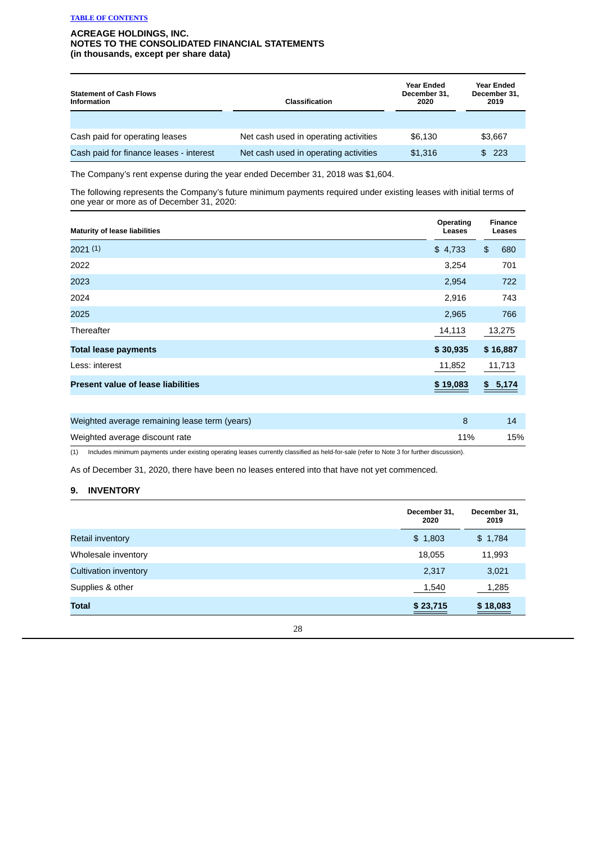| <b>Statement of Cash Flows</b><br><b>Information</b> | <b>Classification</b>                 | <b>Year Ended</b><br>December 31.<br>2020 | Year Ended<br>December 31.<br>2019 |
|------------------------------------------------------|---------------------------------------|-------------------------------------------|------------------------------------|
| Cash paid for operating leases                       | Net cash used in operating activities | \$6.130                                   | \$3,667                            |
| Cash paid for finance leases - interest              | Net cash used in operating activities | \$1,316                                   | \$223                              |

The Company's rent expense during the year ended December 31, 2018 was \$1,604.

The following represents the Company's future minimum payments required under existing leases with initial terms of one year or more as of December 31, 2020:

| <b>Maturity of lease liabilities</b>      | Operating<br>Leases | <b>Finance</b><br>Leases |
|-------------------------------------------|---------------------|--------------------------|
| 2021(1)                                   | \$4,733             | \$<br>680                |
| 2022                                      | 3,254               | 701                      |
| 2023                                      | 2,954               | 722                      |
| 2024                                      | 2,916               | 743                      |
| 2025                                      | 2,965               | 766                      |
| Thereafter                                | 14,113              | 13,275                   |
| <b>Total lease payments</b>               | \$30,935            | \$16,887                 |
| Less: interest                            | 11,852              | 11,713                   |
| <b>Present value of lease liabilities</b> | \$19,083            | \$5,174                  |

| Weighted average remaining lease term (years)                                                                             |     |     |
|---------------------------------------------------------------------------------------------------------------------------|-----|-----|
| Weighted average discount rate                                                                                            | 11% | 15% |
| AND IN THE RESIDENCE OF RESIDENT AND INVESTIGATION OF RESIDENT AND PROPERTY IN THE RESIDENT AND A RESIDENCE OF RESIDENCE. |     |     |

(1) Includes minimum payments under existing operating leases currently classified as held-for-sale (refer to Note 3 for further discussion).

As of December 31, 2020, there have been no leases entered into that have not yet commenced.

## **9. INVENTORY**

|                              | December 31,<br>2020 | December 31,<br>2019 |
|------------------------------|----------------------|----------------------|
| <b>Retail inventory</b>      | \$1,803              | \$1,784              |
| Wholesale inventory          | 18,055               | 11,993               |
| <b>Cultivation inventory</b> | 2,317                | 3,021                |
| Supplies & other             | 1,540                | 1,285                |
| <b>Total</b>                 | \$23,715             | \$18,083             |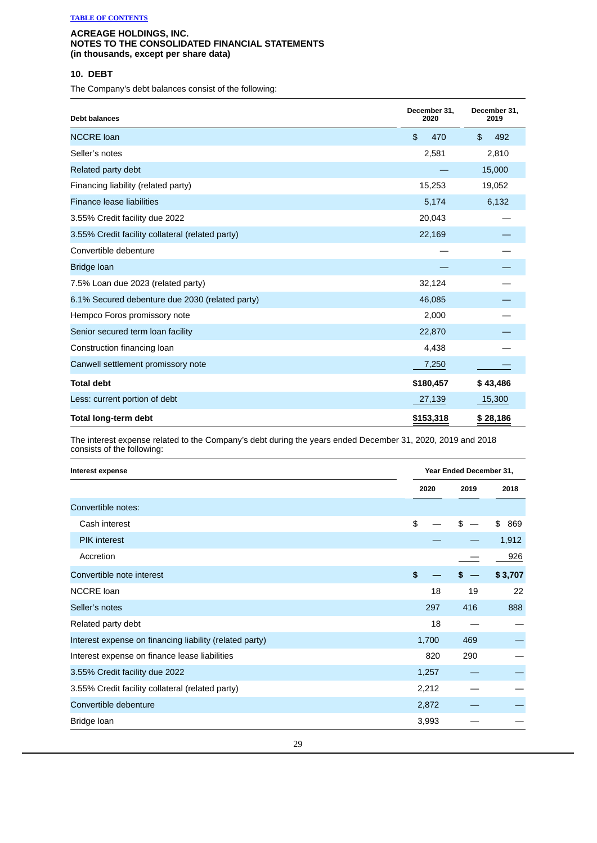## **10. DEBT**

The Company's debt balances consist of the following:

| <b>Debt balances</b>                             | December 31,<br>2020 | December 31,<br>2019 |
|--------------------------------------------------|----------------------|----------------------|
| <b>NCCRE</b> loan                                | \$<br>470            | \$<br>492            |
| Seller's notes                                   | 2,581                | 2,810                |
| Related party debt                               |                      | 15,000               |
| Financing liability (related party)              | 15,253               | 19,052               |
| <b>Finance lease liabilities</b>                 | 5,174                | 6,132                |
| 3.55% Credit facility due 2022                   | 20,043               |                      |
| 3.55% Credit facility collateral (related party) | 22,169               |                      |
| Convertible debenture                            |                      |                      |
| Bridge loan                                      |                      |                      |
| 7.5% Loan due 2023 (related party)               | 32,124               |                      |
| 6.1% Secured debenture due 2030 (related party)  | 46,085               |                      |
| Hempco Foros promissory note                     | 2,000                |                      |
| Senior secured term loan facility                | 22,870               |                      |
| Construction financing loan                      | 4,438                |                      |
| Canwell settlement promissory note               | 7,250                |                      |
| <b>Total debt</b>                                | \$180,457            | \$43,486             |
| Less: current portion of debt                    | 27,139               | 15,300               |
| <b>Total long-term debt</b>                      | \$153,318            | \$28,186             |

The interest expense related to the Company's debt during the years ended December 31, 2020, 2019 and 2018 consists of the following:

| <b>Interest expense</b>                                 | Year Ended December 31, |      |           |
|---------------------------------------------------------|-------------------------|------|-----------|
|                                                         | 2020                    | 2019 | 2018      |
| Convertible notes:                                      |                         |      |           |
| Cash interest                                           | \$                      | \$   | \$<br>869 |
| <b>PIK</b> interest                                     |                         |      | 1,912     |
| Accretion                                               |                         |      | 926       |
| Convertible note interest                               | \$                      | \$   | \$3,707   |
| <b>NCCRE</b> loan                                       | 18                      | 19   | 22        |
| Seller's notes                                          | 297                     | 416  | 888       |
| Related party debt                                      | 18                      |      |           |
| Interest expense on financing liability (related party) | 1,700                   | 469  |           |
| Interest expense on finance lease liabilities           | 820                     | 290  |           |
| 3.55% Credit facility due 2022                          | 1,257                   |      |           |
| 3.55% Credit facility collateral (related party)        | 2,212                   |      |           |
| Convertible debenture                                   | 2,872                   |      |           |
| Bridge loan                                             | 3,993                   |      |           |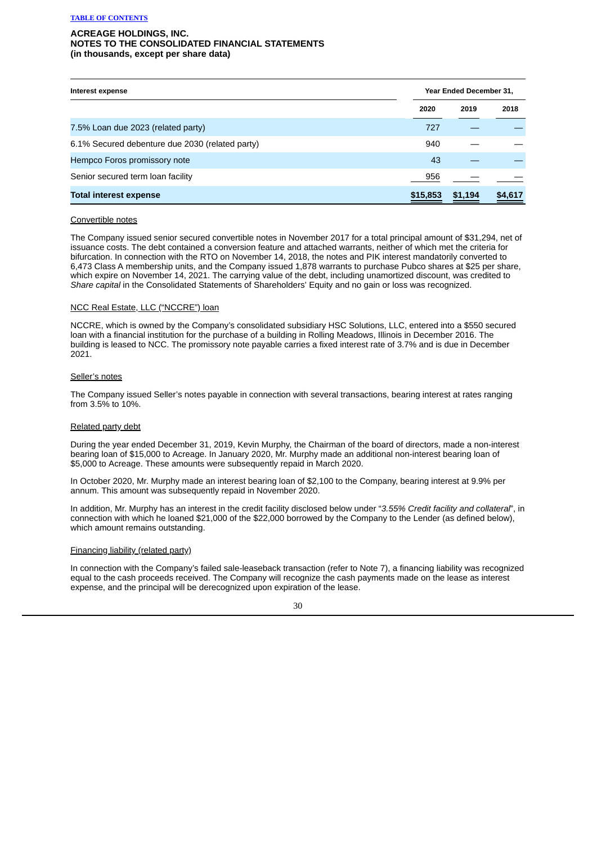| Interest expense                                |          | Year Ended December 31, |         |
|-------------------------------------------------|----------|-------------------------|---------|
|                                                 | 2020     | 2019                    | 2018    |
| 7.5% Loan due 2023 (related party)              | 727      |                         |         |
| 6.1% Secured debenture due 2030 (related party) | 940      |                         |         |
| Hempco Foros promissory note                    | 43       |                         |         |
| Senior secured term loan facility               | 956      |                         |         |
| <b>Total interest expense</b>                   | \$15,853 | \$1,194                 | \$4,617 |

#### Convertible notes

The Company issued senior secured convertible notes in November 2017 for a total principal amount of \$31,294, net of issuance costs. The debt contained a conversion feature and attached warrants, neither of which met the criteria for bifurcation. In connection with the RTO on November 14, 2018, the notes and PIK interest mandatorily converted to 6,473 Class A membership units, and the Company issued 1,878 warrants to purchase Pubco shares at \$25 per share, which expire on November 14, 2021. The carrying value of the debt, including unamortized discount, was credited to *Share capital* in the Consolidated Statements of Shareholders' Equity and no gain or loss was recognized.

#### NCC Real Estate, LLC ("NCCRE") loan

NCCRE, which is owned by the Company's consolidated subsidiary HSC Solutions, LLC, entered into a \$550 secured loan with a financial institution for the purchase of a building in Rolling Meadows, Illinois in December 2016. The building is leased to NCC. The promissory note payable carries a fixed interest rate of 3.7% and is due in December 2021.

#### Seller's notes

The Company issued Seller's notes payable in connection with several transactions, bearing interest at rates ranging from 3.5% to 10%.

#### Related party debt

During the year ended December 31, 2019, Kevin Murphy, the Chairman of the board of directors, made a non-interest bearing loan of \$15,000 to Acreage. In January 2020, Mr. Murphy made an additional non-interest bearing loan of \$5,000 to Acreage. These amounts were subsequently repaid in March 2020.

In October 2020, Mr. Murphy made an interest bearing loan of \$2,100 to the Company, bearing interest at 9.9% per annum. This amount was subsequently repaid in November 2020.

In addition, Mr. Murphy has an interest in the credit facility disclosed below under "*3.55% Credit facility and collateral*", in connection with which he loaned \$21,000 of the \$22,000 borrowed by the Company to the Lender (as defined below), which amount remains outstanding.

#### Financing liability (related party)

In connection with the Company's failed sale-leaseback transaction (refer to Note 7), a financing liability was recognized equal to the cash proceeds received. The Company will recognize the cash payments made on the lease as interest expense, and the principal will be derecognized upon expiration of the lease.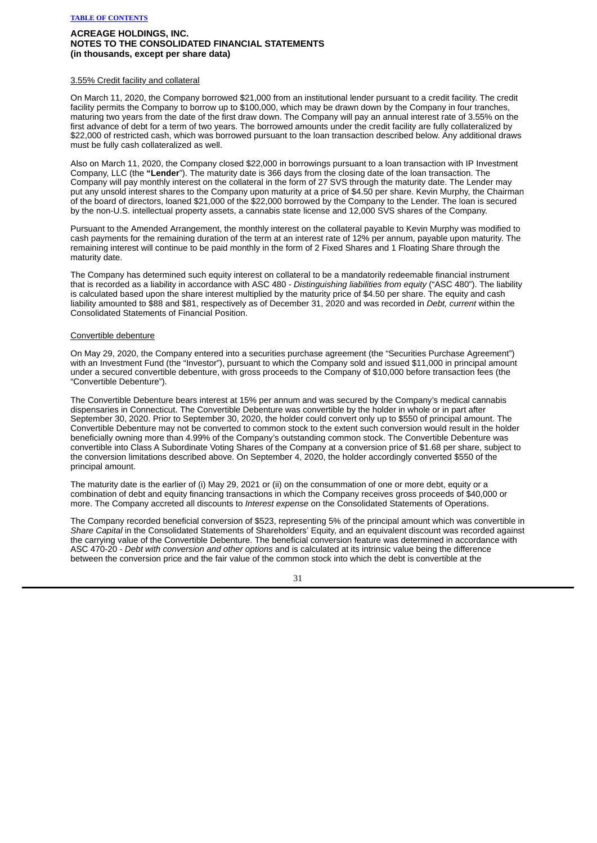#### 3.55% Credit facility and collateral

On March 11, 2020, the Company borrowed \$21,000 from an institutional lender pursuant to a credit facility. The credit facility permits the Company to borrow up to \$100,000, which may be drawn down by the Company in four tranches, maturing two years from the date of the first draw down. The Company will pay an annual interest rate of 3.55% on the first advance of debt for a term of two years. The borrowed amounts under the credit facility are fully collateralized by \$22,000 of restricted cash, which was borrowed pursuant to the loan transaction described below. Any additional draws must be fully cash collateralized as well.

Also on March 11, 2020, the Company closed \$22,000 in borrowings pursuant to a loan transaction with IP Investment Company, LLC (the **"Lender**"). The maturity date is 366 days from the closing date of the loan transaction. The Company will pay monthly interest on the collateral in the form of 27 SVS through the maturity date. The Lender may put any unsold interest shares to the Company upon maturity at a price of \$4.50 per share. Kevin Murphy, the Chairman of the board of directors, loaned \$21,000 of the \$22,000 borrowed by the Company to the Lender. The loan is secured by the non-U.S. intellectual property assets, a cannabis state license and 12,000 SVS shares of the Company.

Pursuant to the Amended Arrangement, the monthly interest on the collateral payable to Kevin Murphy was modified to cash payments for the remaining duration of the term at an interest rate of 12% per annum, payable upon maturity. The remaining interest will continue to be paid monthly in the form of 2 Fixed Shares and 1 Floating Share through the maturity date.

The Company has determined such equity interest on collateral to be a mandatorily redeemable financial instrument that is recorded as a liability in accordance with ASC 480 - *Distinguishing liabilities from equity* ("ASC 480"). The liability is calculated based upon the share interest multiplied by the maturity price of \$4.50 per share. The equity and cash liability amounted to \$88 and \$81, respectively as of December 31, 2020 and was recorded in *Debt, current* within the Consolidated Statements of Financial Position.

#### Convertible debenture

On May 29, 2020, the Company entered into a securities purchase agreement (the "Securities Purchase Agreement") with an Investment Fund (the "Investor"), pursuant to which the Company sold and issued \$11,000 in principal amount under a secured convertible debenture, with gross proceeds to the Company of \$10,000 before transaction fees (the "Convertible Debenture").

The Convertible Debenture bears interest at 15% per annum and was secured by the Company's medical cannabis dispensaries in Connecticut. The Convertible Debenture was convertible by the holder in whole or in part after September 30, 2020. Prior to September 30, 2020, the holder could convert only up to \$550 of principal amount. The Convertible Debenture may not be converted to common stock to the extent such conversion would result in the holder beneficially owning more than 4.99% of the Company's outstanding common stock. The Convertible Debenture was convertible into Class A Subordinate Voting Shares of the Company at a conversion price of \$1.68 per share, subject to the conversion limitations described above. On September 4, 2020, the holder accordingly converted \$550 of the principal amount.

The maturity date is the earlier of (i) May 29, 2021 or (ii) on the consummation of one or more debt, equity or a combination of debt and equity financing transactions in which the Company receives gross proceeds of \$40,000 or more. The Company accreted all discounts to *Interest expense* on the Consolidated Statements of Operations.

The Company recorded beneficial conversion of \$523, representing 5% of the principal amount which was convertible in *Share Capital* in the Consolidated Statements of Shareholders' Equity, and an equivalent discount was recorded against the carrying value of the Convertible Debenture. The beneficial conversion feature was determined in accordance with ASC 470-20 - *Debt with conversion and other options* and is calculated at its intrinsic value being the difference between the conversion price and the fair value of the common stock into which the debt is convertible at the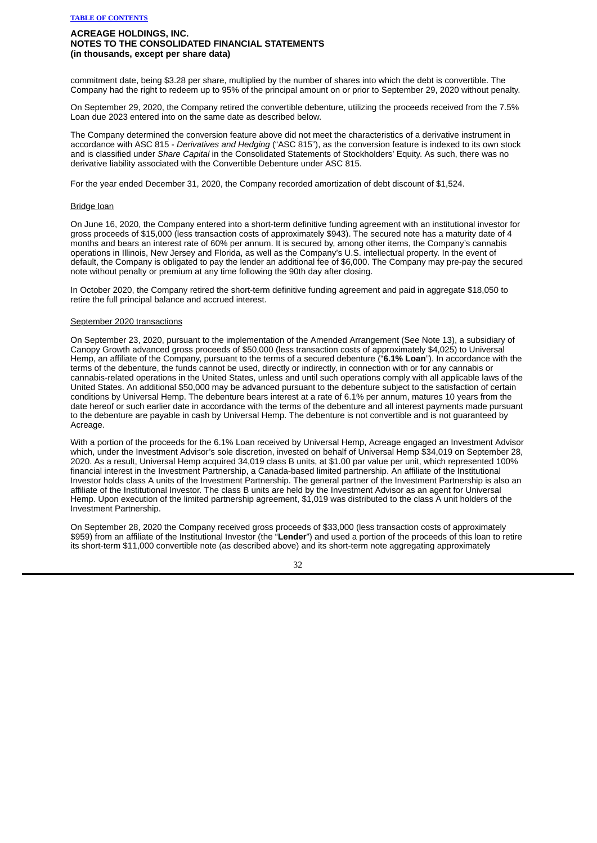commitment date, being \$3.28 per share, multiplied by the number of shares into which the debt is convertible. The Company had the right to redeem up to 95% of the principal amount on or prior to September 29, 2020 without penalty.

On September 29, 2020, the Company retired the convertible debenture, utilizing the proceeds received from the 7.5% Loan due 2023 entered into on the same date as described below.

The Company determined the conversion feature above did not meet the characteristics of a derivative instrument in accordance with ASC 815 - *Derivatives and Hedging* ("ASC 815"), as the conversion feature is indexed to its own stock and is classified under *Share Capital* in the Consolidated Statements of Stockholders' Equity. As such, there was no derivative liability associated with the Convertible Debenture under ASC 815.

For the year ended December 31, 2020, the Company recorded amortization of debt discount of \$1,524.

#### Bridge loan

On June 16, 2020, the Company entered into a short-term definitive funding agreement with an institutional investor for gross proceeds of \$15,000 (less transaction costs of approximately \$943). The secured note has a maturity date of 4 months and bears an interest rate of 60% per annum. It is secured by, among other items, the Company's cannabis operations in Illinois, New Jersey and Florida, as well as the Company's U.S. intellectual property. In the event of default, the Company is obligated to pay the lender an additional fee of \$6,000. The Company may pre-pay the secured note without penalty or premium at any time following the 90th day after closing.

In October 2020, the Company retired the short-term definitive funding agreement and paid in aggregate \$18,050 to retire the full principal balance and accrued interest.

## September 2020 transactions

On September 23, 2020, pursuant to the implementation of the Amended Arrangement (See Note 13), a subsidiary of Canopy Growth advanced gross proceeds of \$50,000 (less transaction costs of approximately \$4,025) to Universal Hemp, an affiliate of the Company, pursuant to the terms of a secured debenture ("**6.1% Loan**"). In accordance with the terms of the debenture, the funds cannot be used, directly or indirectly, in connection with or for any cannabis or cannabis-related operations in the United States, unless and until such operations comply with all applicable laws of the United States. An additional \$50,000 may be advanced pursuant to the debenture subject to the satisfaction of certain conditions by Universal Hemp. The debenture bears interest at a rate of 6.1% per annum, matures 10 years from the date hereof or such earlier date in accordance with the terms of the debenture and all interest payments made pursuant to the debenture are payable in cash by Universal Hemp. The debenture is not convertible and is not guaranteed by Acreage.

With a portion of the proceeds for the 6.1% Loan received by Universal Hemp, Acreage engaged an Investment Advisor which, under the Investment Advisor's sole discretion, invested on behalf of Universal Hemp \$34,019 on September 28, 2020. As a result, Universal Hemp acquired 34,019 class B units, at \$1.00 par value per unit, which represented 100% financial interest in the Investment Partnership, a Canada-based limited partnership. An affiliate of the Institutional Investor holds class A units of the Investment Partnership. The general partner of the Investment Partnership is also an affiliate of the Institutional Investor. The class B units are held by the Investment Advisor as an agent for Universal Hemp. Upon execution of the limited partnership agreement, \$1,019 was distributed to the class A unit holders of the Investment Partnership.

On September 28, 2020 the Company received gross proceeds of \$33,000 (less transaction costs of approximately \$959) from an affiliate of the Institutional Investor (the "**Lender**") and used a portion of the proceeds of this loan to retire its short-term \$11,000 convertible note (as described above) and its short-term note aggregating approximately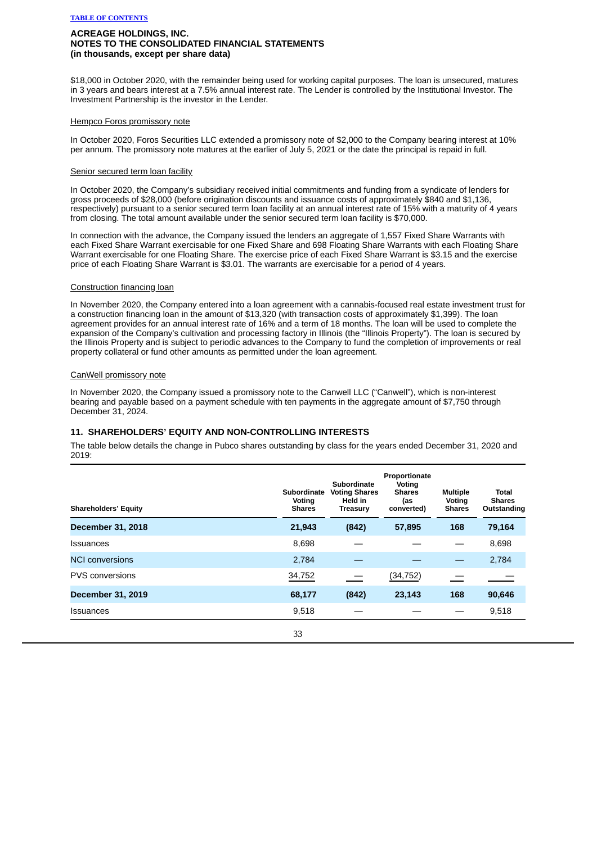\$18,000 in October 2020, with the remainder being used for working capital purposes. The loan is unsecured, matures in 3 years and bears interest at a 7.5% annual interest rate. The Lender is controlled by the Institutional Investor. The Investment Partnership is the investor in the Lender.

#### Hempco Foros promissory note

In October 2020, Foros Securities LLC extended a promissory note of \$2,000 to the Company bearing interest at 10% per annum. The promissory note matures at the earlier of July 5, 2021 or the date the principal is repaid in full.

## Senior secured term loan facility

In October 2020, the Company's subsidiary received initial commitments and funding from a syndicate of lenders for gross proceeds of \$28,000 (before origination discounts and issuance costs of approximately \$840 and \$1,136, respectively) pursuant to a senior secured term loan facility at an annual interest rate of 15% with a maturity of 4 years from closing. The total amount available under the senior secured term loan facility is \$70,000.

In connection with the advance, the Company issued the lenders an aggregate of 1,557 Fixed Share Warrants with each Fixed Share Warrant exercisable for one Fixed Share and 698 Floating Share Warrants with each Floating Share Warrant exercisable for one Floating Share. The exercise price of each Fixed Share Warrant is \$3.15 and the exercise price of each Floating Share Warrant is \$3.01. The warrants are exercisable for a period of 4 years.

#### Construction financing loan

In November 2020, the Company entered into a loan agreement with a cannabis-focused real estate investment trust for a construction financing loan in the amount of \$13,320 (with transaction costs of approximately \$1,399). The loan agreement provides for an annual interest rate of 16% and a term of 18 months. The loan will be used to complete the expansion of the Company's cultivation and processing factory in Illinois (the "Illinois Property"). The loan is secured by the Illinois Property and is subject to periodic advances to the Company to fund the completion of improvements or real property collateral or fund other amounts as permitted under the loan agreement.

#### CanWell promissory note

In November 2020, the Company issued a promissory note to the Canwell LLC ("Canwell"), which is non-interest bearing and payable based on a payment schedule with ten payments in the aggregate amount of \$7,750 through December 31, 2024.

## **11. SHAREHOLDERS' EQUITY AND NON-CONTROLLING INTERESTS**

The table below details the change in Pubco shares outstanding by class for the years ended December 31, 2020 and 2019:

| <b>Shareholders' Equity</b> | Subordinate<br>Voting<br><b>Shares</b> | <b>Subordinate</b><br><b>Voting Shares</b><br>Held in<br><b>Treasury</b> | Proportionate<br>Voting<br><b>Shares</b><br>(as<br>converted) | <b>Multiple</b><br>Voting<br><b>Shares</b> | Total<br><b>Shares</b><br>Outstanding |
|-----------------------------|----------------------------------------|--------------------------------------------------------------------------|---------------------------------------------------------------|--------------------------------------------|---------------------------------------|
| <b>December 31, 2018</b>    | 21,943                                 | (842)                                                                    | 57,895                                                        | 168                                        | 79,164                                |
| <b>Issuances</b>            | 8,698                                  |                                                                          |                                                               |                                            | 8,698                                 |
| <b>NCI conversions</b>      | 2,784                                  |                                                                          |                                                               |                                            | 2,784                                 |
| <b>PVS</b> conversions      | 34,752                                 |                                                                          | (34, 752)                                                     |                                            |                                       |
| <b>December 31, 2019</b>    | 68,177                                 | (842)                                                                    | 23,143                                                        | 168                                        | 90,646                                |
| <b>Issuances</b>            | 9,518                                  |                                                                          |                                                               |                                            | 9,518                                 |
|                             | 33                                     |                                                                          |                                                               |                                            |                                       |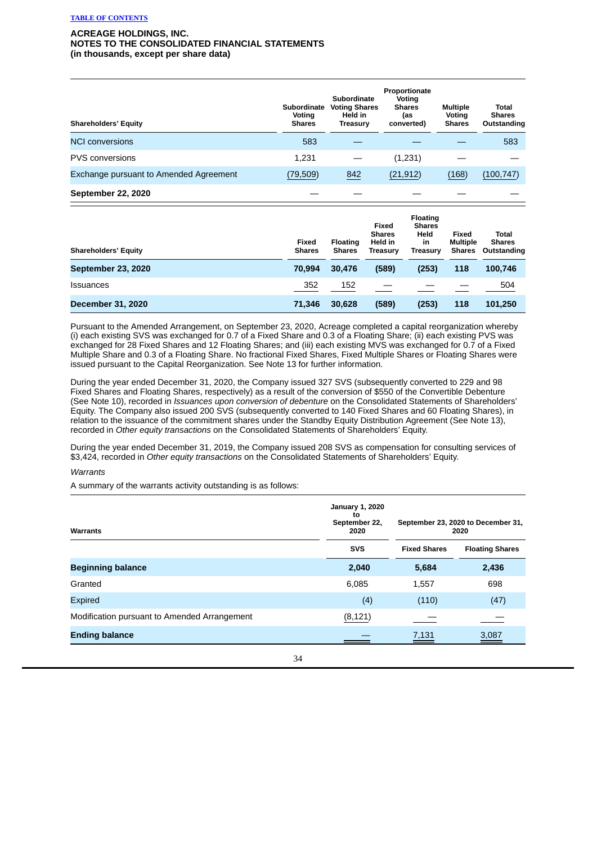# **ACREAGE HOLDINGS, INC. NOTES TO THE CONSOLIDATED FINANCIAL STATEMENTS (in thousands, except per share data)**

| <b>Shareholders' Equity</b>            | <b>Subordinate</b><br>Voting<br><b>Shares</b> | Subordinate<br><b>Voting Shares</b><br>Held in<br>Treasurv | Proportionate<br>Voting<br><b>Shares</b><br>(as<br>converted) | <b>Multiple</b><br>Voting<br><b>Shares</b> | Total<br><b>Shares</b><br>Outstanding |
|----------------------------------------|-----------------------------------------------|------------------------------------------------------------|---------------------------------------------------------------|--------------------------------------------|---------------------------------------|
| <b>NCI conversions</b>                 | 583                                           |                                                            |                                                               |                                            | 583                                   |
| <b>PVS</b> conversions                 | 1,231                                         |                                                            | (1,231)                                                       |                                            |                                       |
| Exchange pursuant to Amended Agreement | (79, 509)                                     | 842                                                        | (21, 912)                                                     | (168)                                      | (100, 747)                            |
| <b>September 22, 2020</b>              |                                               |                                                            |                                                               |                                            |                                       |

| <b>Shareholders' Equity</b> | Fixed<br><b>Shares</b> | <b>Floating</b><br><b>Shares</b> | Fixed<br><b>Shares</b><br>Held in<br><b>Treasury</b> | <b>Floating</b><br><b>Shares</b><br>Held<br>in<br><b>Treasury</b> | Fixed<br><b>Multiple</b><br><b>Shares</b> | Total<br><b>Shares</b><br>Outstanding |
|-----------------------------|------------------------|----------------------------------|------------------------------------------------------|-------------------------------------------------------------------|-------------------------------------------|---------------------------------------|
| <b>September 23, 2020</b>   | 70.994                 | 30,476                           | (589)                                                | (253)                                                             | 118                                       | 100,746                               |
| <b>Issuances</b>            | 352                    | 152                              |                                                      |                                                                   |                                           | 504                                   |
| <b>December 31, 2020</b>    | 71,346                 | 30,628                           | (589)                                                | (253)                                                             | 118                                       | 101,250                               |

Pursuant to the Amended Arrangement, on September 23, 2020, Acreage completed a capital reorganization whereby (i) each existing SVS was exchanged for 0.7 of a Fixed Share and 0.3 of a Floating Share; (ii) each existing PVS was exchanged for 28 Fixed Shares and 12 Floating Shares; and (iii) each existing MVS was exchanged for 0.7 of a Fixed Multiple Share and 0.3 of a Floating Share. No fractional Fixed Shares, Fixed Multiple Shares or Floating Shares were issued pursuant to the Capital Reorganization. See Note 13 for further information.

During the year ended December 31, 2020, the Company issued 327 SVS (subsequently converted to 229 and 98 Fixed Shares and Floating Shares, respectively) as a result of the conversion of \$550 of the Convertible Debenture (See Note 10), recorded in *Issuances upon conversion of debenture* on the Consolidated Statements of Shareholders' Equity. The Company also issued 200 SVS (subsequently converted to 140 Fixed Shares and 60 Floating Shares), in relation to the issuance of the commitment shares under the Standby Equity Distribution Agreement (See Note 13), recorded in *Other equity transactions* on the Consolidated Statements of Shareholders' Equity.

During the year ended December 31, 2019, the Company issued 208 SVS as compensation for consulting services of \$3,424, recorded in *Other equity transactions* on the Consolidated Statements of Shareholders' Equity.

## *Warrants*

A summary of the warrants activity outstanding is as follows:

| Warrants                                     | <b>January 1, 2020</b><br>to<br>September 22,<br>2020 | September 23, 2020 to December 31,<br>2020 |                        |
|----------------------------------------------|-------------------------------------------------------|--------------------------------------------|------------------------|
|                                              | <b>SVS</b>                                            | <b>Fixed Shares</b>                        | <b>Floating Shares</b> |
| <b>Beginning balance</b>                     | 2,040                                                 | 5,684                                      | 2,436                  |
| Granted                                      | 6,085                                                 | 1,557                                      | 698                    |
| <b>Expired</b>                               | (4)                                                   | (110)                                      | (47)                   |
| Modification pursuant to Amended Arrangement | (8, 121)                                              |                                            |                        |
| <b>Ending balance</b>                        |                                                       | 7,131                                      | 3,087                  |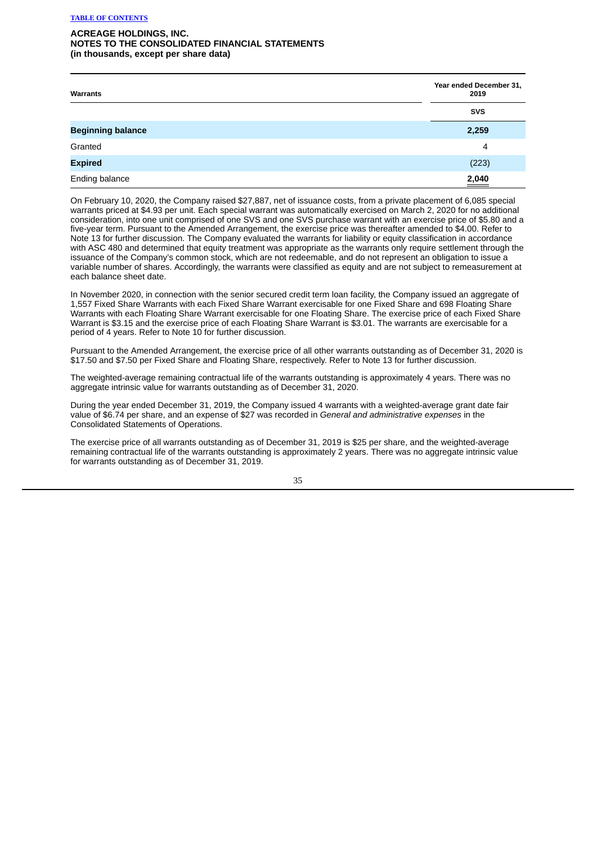| Warrants                 | Year ended December 31,<br>2019 |
|--------------------------|---------------------------------|
|                          | <b>SVS</b>                      |
| <b>Beginning balance</b> | 2,259                           |
| Granted                  | $\overline{4}$                  |
| <b>Expired</b>           | (223)                           |
| Ending balance           | 2,040                           |

On February 10, 2020, the Company raised \$27,887, net of issuance costs, from a private placement of 6,085 special warrants priced at \$4.93 per unit. Each special warrant was automatically exercised on March 2, 2020 for no additional consideration, into one unit comprised of one SVS and one SVS purchase warrant with an exercise price of \$5.80 and a five-year term. Pursuant to the Amended Arrangement, the exercise price was thereafter amended to \$4.00. Refer to Note 13 for further discussion. The Company evaluated the warrants for liability or equity classification in accordance with ASC 480 and determined that equity treatment was appropriate as the warrants only require settlement through the issuance of the Company's common stock, which are not redeemable, and do not represent an obligation to issue a variable number of shares. Accordingly, the warrants were classified as equity and are not subject to remeasurement at each balance sheet date.

In November 2020, in connection with the senior secured credit term loan facility, the Company issued an aggregate of 1,557 Fixed Share Warrants with each Fixed Share Warrant exercisable for one Fixed Share and 698 Floating Share Warrants with each Floating Share Warrant exercisable for one Floating Share. The exercise price of each Fixed Share Warrant is \$3.15 and the exercise price of each Floating Share Warrant is \$3.01. The warrants are exercisable for a period of 4 years. Refer to Note 10 for further discussion.

Pursuant to the Amended Arrangement, the exercise price of all other warrants outstanding as of December 31, 2020 is \$17.50 and \$7.50 per Fixed Share and Floating Share, respectively. Refer to Note 13 for further discussion.

The weighted-average remaining contractual life of the warrants outstanding is approximately 4 years. There was no aggregate intrinsic value for warrants outstanding as of December 31, 2020.

During the year ended December 31, 2019, the Company issued 4 warrants with a weighted-average grant date fair value of \$6.74 per share, and an expense of \$27 was recorded in *General and administrative expenses* in the Consolidated Statements of Operations.

The exercise price of all warrants outstanding as of December 31, 2019 is \$25 per share, and the weighted-average remaining contractual life of the warrants outstanding is approximately 2 years. There was no aggregate intrinsic value for warrants outstanding as of December 31, 2019.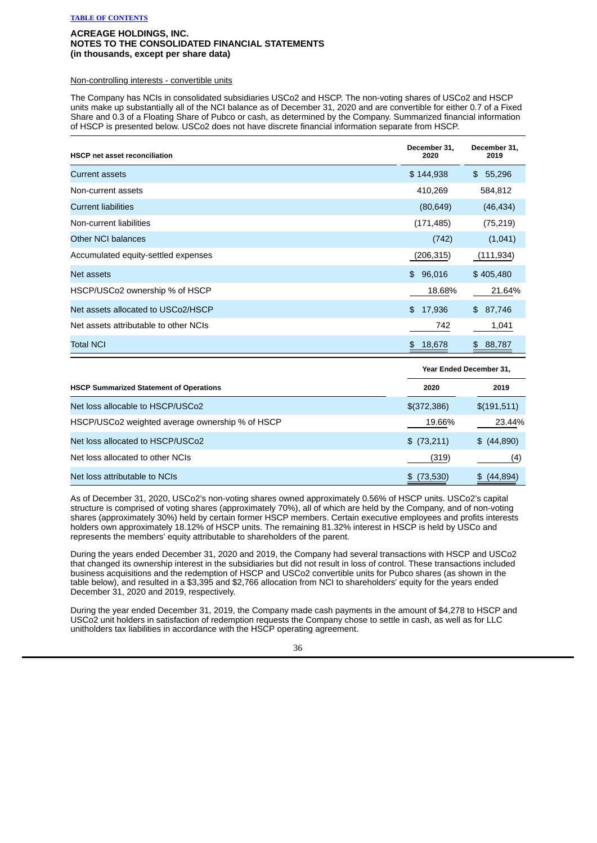### Non-controlling interests - convertible units

The Company has NCIs in consolidated subsidiaries USCo2 and HSCP. The non-voting shares of USCo2 and HSCP units make up substantially all of the NCI balance as of December 31, 2020 and are convertible for either 0.7 of a Fixed Share and 0.3 of a Floating Share of Pubco or cash, as determined by the Company. Summarized financial information of HSCP is presented below. USCo2 does not have discrete financial information separate from HSCP.

| <b>HSCP</b> net asset reconciliation  | December 31,<br>2020 | December 31,<br>2019 |
|---------------------------------------|----------------------|----------------------|
| <b>Current assets</b>                 | \$144,938            | \$55,296             |
| Non-current assets                    | 410,269              | 584,812              |
| <b>Current liabilities</b>            | (80, 649)            | (46, 434)            |
| Non-current liabilities               | (171, 485)           | (75, 219)            |
| <b>Other NCI balances</b>             | (742)                | (1,041)              |
| Accumulated equity-settled expenses   | (206, 315)           | (111, 934)           |
| Net assets                            | \$96,016             | \$405,480            |
| HSCP/USCo2 ownership % of HSCP        | 18.68%               | 21.64%               |
| Net assets allocated to USCo2/HSCP    | \$17,936             | \$87,746             |
| Net assets attributable to other NCIs | 742                  | 1,041                |
| <b>Total NCI</b>                      | 18,678<br>\$         | 88,787<br>\$         |

|                                                 |             | Year Ended December 31. |
|-------------------------------------------------|-------------|-------------------------|
| <b>HSCP Summarized Statement of Operations</b>  | 2020        | 2019                    |
| Net loss allocable to HSCP/USCo2                | \$(372,386) | \$(191,511)             |
| HSCP/USCo2 weighted average ownership % of HSCP | 19.66%      | 23.44%                  |
| Net loss allocated to HSCP/USCo2                | \$ (73,211) | \$ (44,890)             |
| Net loss allocated to other NCIs                | (319)       | (4)                     |
| Net loss attributable to NCIs                   | \$ (73,530) | \$ (44,894)             |

As of December 31, 2020, USCo2's non-voting shares owned approximately 0.56% of HSCP units. USCo2's capital structure is comprised of voting shares (approximately 70%), all of which are held by the Company, and of non-voting shares (approximately 30%) held by certain former HSCP members. Certain executive employees and profits interests holders own approximately 18.12% of HSCP units. The remaining 81.32% interest in HSCP is held by USCo and represents the members' equity attributable to shareholders of the parent.

During the years ended December 31, 2020 and 2019, the Company had several transactions with HSCP and USCo2 that changed its ownership interest in the subsidiaries but did not result in loss of control. These transactions included business acquisitions and the redemption of HSCP and USCo2 convertible units for Pubco shares (as shown in the table below), and resulted in a \$3,395 and \$2,766 allocation from NCI to shareholders' equity for the years ended December 31, 2020 and 2019, respectively.

During the year ended December 31, 2019, the Company made cash payments in the amount of \$4,278 to HSCP and USCo2 unit holders in satisfaction of redemption requests the Company chose to settle in cash, as well as for LLC unitholders tax liabilities in accordance with the HSCP operating agreement.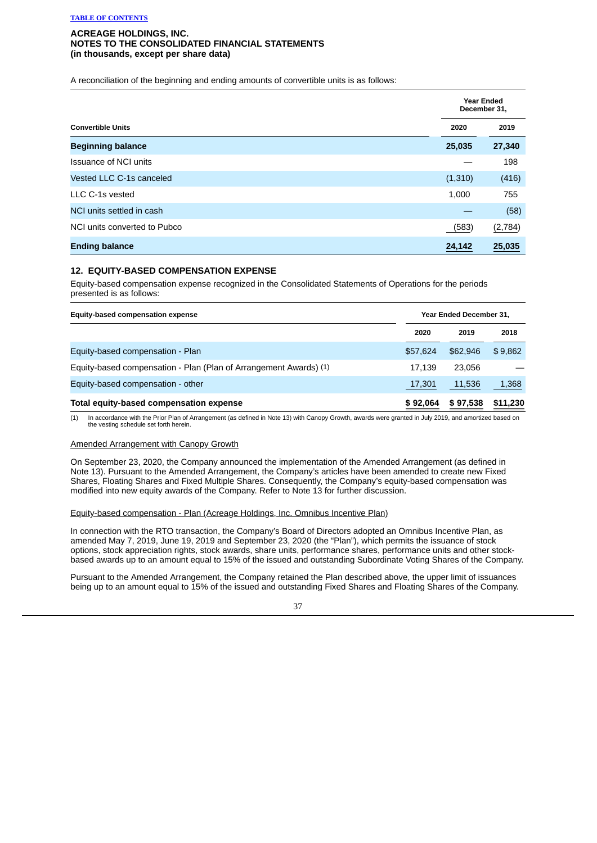# **ACREAGE HOLDINGS, INC. NOTES TO THE CONSOLIDATED FINANCIAL STATEMENTS (in thousands, except per share data)**

A reconciliation of the beginning and ending amounts of convertible units is as follows:

|                              |         | <b>Year Ended</b><br>December 31, |
|------------------------------|---------|-----------------------------------|
| <b>Convertible Units</b>     | 2020    | 2019                              |
| <b>Beginning balance</b>     | 25,035  | 27,340                            |
| Issuance of NCI units        |         | 198                               |
| Vested LLC C-1s canceled     | (1,310) | (416)                             |
| LLC C-1s vested              | 1,000   | 755                               |
| NCI units settled in cash    |         | (58)                              |
| NCI units converted to Pubco | (583)   | (2,784)                           |
| <b>Ending balance</b>        | 24,142  | 25,035                            |

# **12. EQUITY-BASED COMPENSATION EXPENSE**

Equity-based compensation expense recognized in the Consolidated Statements of Operations for the periods presented is as follows:

| Equity-based compensation expense                                 | Year Ended December 31, |          |          |
|-------------------------------------------------------------------|-------------------------|----------|----------|
|                                                                   | 2020                    | 2019     | 2018     |
| Equity-based compensation - Plan                                  | \$57.624                | \$62,946 | \$9,862  |
| Equity-based compensation - Plan (Plan of Arrangement Awards) (1) | 17.139                  | 23.056   |          |
| Equity-based compensation - other                                 | 17,301                  | 11,536   | 1,368    |
| Total equity-based compensation expense                           | \$92,064                | \$97,538 | \$11,230 |
|                                                                   |                         |          |          |

(1) In accordance with the Prior Plan of Arrangement (as defined in Note 13) with Canopy Growth, awards were granted in July 2019, and amortized based on the vesting schedule set forth herein.

## Amended Arrangement with Canopy Growth

On September 23, 2020, the Company announced the implementation of the Amended Arrangement (as defined in Note 13). Pursuant to the Amended Arrangement, the Company's articles have been amended to create new Fixed Shares, Floating Shares and Fixed Multiple Shares. Consequently, the Company's equity-based compensation was modified into new equity awards of the Company. Refer to Note 13 for further discussion.

# Equity-based compensation - Plan (Acreage Holdings, Inc. Omnibus Incentive Plan)

In connection with the RTO transaction, the Company's Board of Directors adopted an Omnibus Incentive Plan, as amended May 7, 2019, June 19, 2019 and September 23, 2020 (the "Plan"), which permits the issuance of stock options, stock appreciation rights, stock awards, share units, performance shares, performance units and other stockbased awards up to an amount equal to 15% of the issued and outstanding Subordinate Voting Shares of the Company.

Pursuant to the Amended Arrangement, the Company retained the Plan described above, the upper limit of issuances being up to an amount equal to 15% of the issued and outstanding Fixed Shares and Floating Shares of the Company.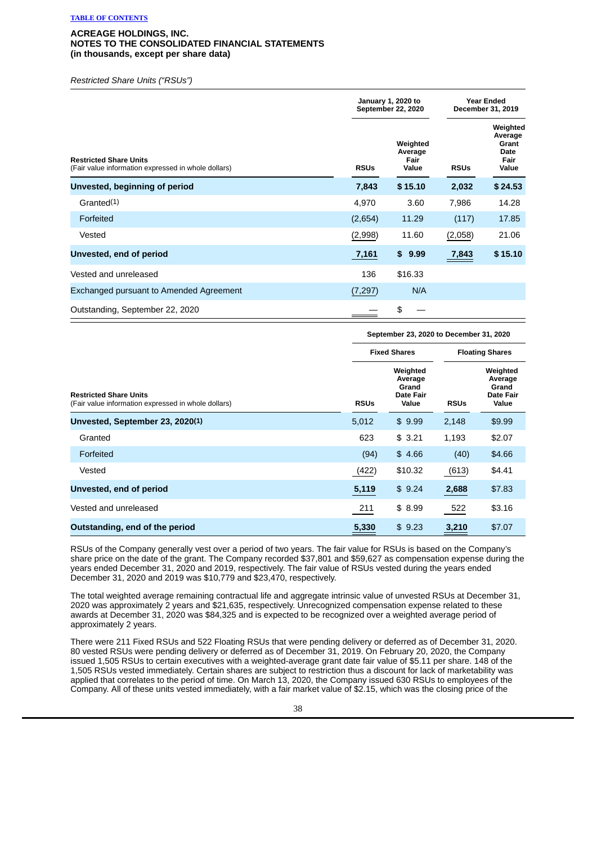*Restricted Share Units ("RSUs")*

|                                                                                      |             | January 1, 2020 to<br>September 22, 2020 | <b>Year Ended</b><br>December 31, 2019 |                                                       |  |
|--------------------------------------------------------------------------------------|-------------|------------------------------------------|----------------------------------------|-------------------------------------------------------|--|
| <b>Restricted Share Units</b><br>(Fair value information expressed in whole dollars) | <b>RSUs</b> | Weighted<br>Average<br>Fair<br>Value     | <b>RSUs</b>                            | Weighted<br>Average<br>Grant<br>Date<br>Fair<br>Value |  |
| Unvested, beginning of period                                                        | 7,843       | \$15.10                                  | 2,032                                  | \$24.53                                               |  |
| Granted(1)                                                                           | 4,970       | 3.60                                     | 7,986                                  | 14.28                                                 |  |
| Forfeited                                                                            | (2,654)     | 11.29                                    | (117)                                  | 17.85                                                 |  |
| Vested                                                                               | (2,998)     | 11.60                                    | (2,058)                                | 21.06                                                 |  |
| Unvested, end of period                                                              | 7,161       | \$9.99                                   | 7,843                                  | \$15.10                                               |  |
| Vested and unreleased                                                                | 136         | \$16.33                                  |                                        |                                                       |  |
| Exchanged pursuant to Amended Agreement                                              | (7, 297)    | N/A                                      |                                        |                                                       |  |
| Outstanding, September 22, 2020                                                      |             | \$                                       |                                        |                                                       |  |

|                                                                                      | September 23, 2020 to December 31, 2020 |                                                    |                        |                                                    |
|--------------------------------------------------------------------------------------|-----------------------------------------|----------------------------------------------------|------------------------|----------------------------------------------------|
|                                                                                      |                                         | <b>Fixed Shares</b>                                | <b>Floating Shares</b> |                                                    |
| <b>Restricted Share Units</b><br>(Fair value information expressed in whole dollars) | <b>RSUs</b>                             | Weighted<br>Average<br>Grand<br>Date Fair<br>Value | <b>RSUs</b>            | Weighted<br>Average<br>Grand<br>Date Fair<br>Value |
| Unvested, September 23, 2020(1)                                                      | 5,012                                   | \$9.99                                             | 2,148                  | \$9.99                                             |
| Granted                                                                              | 623                                     | \$3.21                                             | 1,193                  | \$2.07                                             |
| Forfeited                                                                            | (94)                                    | \$4.66                                             | (40)                   | \$4.66                                             |
| Vested                                                                               | (422)                                   | \$10.32                                            | (613)                  | \$4.41                                             |
| Unvested, end of period                                                              | 5,119                                   | \$9.24                                             | 2,688                  | \$7.83                                             |
| Vested and unreleased                                                                | 211                                     | \$8.99                                             | 522                    | \$3.16                                             |
| Outstanding, end of the period                                                       | 5,330                                   | \$9.23                                             | 3,210                  | \$7.07                                             |

RSUs of the Company generally vest over a period of two years. The fair value for RSUs is based on the Company's share price on the date of the grant. The Company recorded \$37,801 and \$59,627 as compensation expense during the years ended December 31, 2020 and 2019, respectively. The fair value of RSUs vested during the years ended December 31, 2020 and 2019 was \$10,779 and \$23,470, respectively.

The total weighted average remaining contractual life and aggregate intrinsic value of unvested RSUs at December 31, 2020 was approximately 2 years and \$21,635, respectively. Unrecognized compensation expense related to these awards at December 31, 2020 was \$84,325 and is expected to be recognized over a weighted average period of approximately 2 years.

There were 211 Fixed RSUs and 522 Floating RSUs that were pending delivery or deferred as of December 31, 2020. 80 vested RSUs were pending delivery or deferred as of December 31, 2019. On February 20, 2020, the Company issued 1,505 RSUs to certain executives with a weighted-average grant date fair value of \$5.11 per share. 148 of the 1,505 RSUs vested immediately. Certain shares are subject to restriction thus a discount for lack of marketability was applied that correlates to the period of time. On March 13, 2020, the Company issued 630 RSUs to employees of the Company. All of these units vested immediately, with a fair market value of \$2.15, which was the closing price of the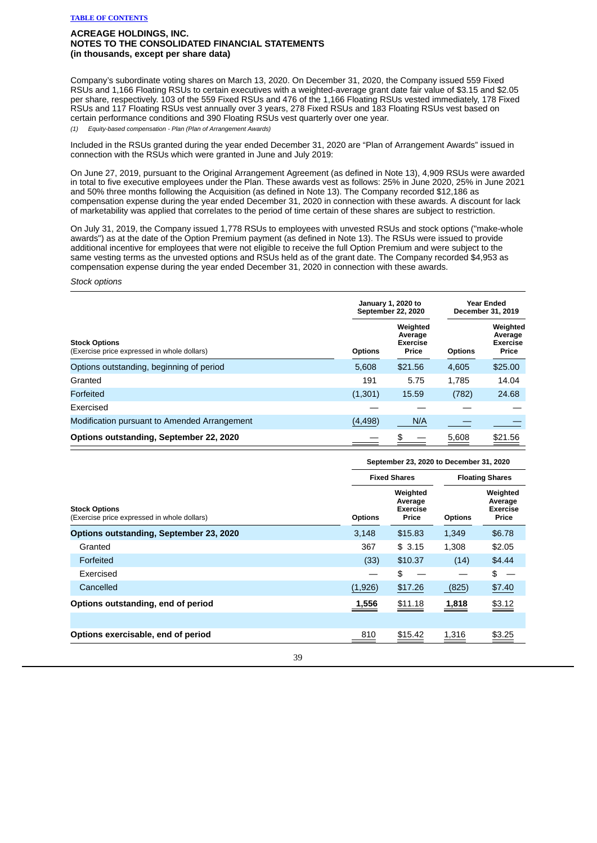Company's subordinate voting shares on March 13, 2020. On December 31, 2020, the Company issued 559 Fixed RSUs and 1,166 Floating RSUs to certain executives with a weighted-average grant date fair value of \$3.15 and \$2.05 per share, respectively. 103 of the 559 Fixed RSUs and 476 of the 1,166 Floating RSUs vested immediately, 178 Fixed RSUs and 117 Floating RSUs vest annually over 3 years, 278 Fixed RSUs and 183 Floating RSUs vest based on certain performance conditions and 390 Floating RSUs vest quarterly over one year.

*(1) Equity-based compensation - Plan (Plan of Arrangement Awards)*

Included in the RSUs granted during the year ended December 31, 2020 are "Plan of Arrangement Awards" issued in connection with the RSUs which were granted in June and July 2019:

On June 27, 2019, pursuant to the Original Arrangement Agreement (as defined in Note 13), 4,909 RSUs were awarded in total to five executive employees under the Plan. These awards vest as follows: 25% in June 2020, 25% in June 2021 and 50% three months following the Acquisition (as defined in Note 13). The Company recorded \$12,186 as compensation expense during the year ended December 31, 2020 in connection with these awards. A discount for lack of marketability was applied that correlates to the period of time certain of these shares are subject to restriction.

On July 31, 2019, the Company issued 1,778 RSUs to employees with unvested RSUs and stock options ("make-whole awards") as at the date of the Option Premium payment (as defined in Note 13). The RSUs were issued to provide additional incentive for employees that were not eligible to receive the full Option Premium and were subject to the same vesting terms as the unvested options and RSUs held as of the grant date. The Company recorded \$4,953 as compensation expense during the year ended December 31, 2020 in connection with these awards.

*Stock options*

|                                                                     | January 1, 2020 to<br><b>September 22, 2020</b> |                                          | <b>Year Ended</b><br>December 31, 2019 |                                          |
|---------------------------------------------------------------------|-------------------------------------------------|------------------------------------------|----------------------------------------|------------------------------------------|
| <b>Stock Options</b><br>(Exercise price expressed in whole dollars) | <b>Options</b>                                  | Weighted<br>Average<br>Exercise<br>Price | <b>Options</b>                         | Weighted<br>Average<br>Exercise<br>Price |
| Options outstanding, beginning of period                            | 5.608                                           | \$21.56                                  | 4.605                                  | \$25.00                                  |
| Granted                                                             | 191                                             | 5.75                                     | 1.785                                  | 14.04                                    |
| Forfeited                                                           | (1,301)                                         | 15.59                                    | (782)                                  | 24.68                                    |
| Exercised                                                           |                                                 |                                          |                                        |                                          |
| Modification pursuant to Amended Arrangement                        | (4, 498)                                        | N/A                                      |                                        |                                          |
| Options outstanding, September 22, 2020                             |                                                 |                                          | 5,608                                  | \$21.56                                  |

|                                                                     |                     | September 23, 2020 to December 31, 2020  |                        |                                          |  |  |
|---------------------------------------------------------------------|---------------------|------------------------------------------|------------------------|------------------------------------------|--|--|
|                                                                     | <b>Fixed Shares</b> |                                          | <b>Floating Shares</b> |                                          |  |  |
| <b>Stock Options</b><br>(Exercise price expressed in whole dollars) | <b>Options</b>      | Weighted<br>Average<br>Exercise<br>Price | <b>Options</b>         | Weighted<br>Average<br>Exercise<br>Price |  |  |
| Options outstanding, September 23, 2020                             | 3,148               | \$15.83                                  | 1,349                  | \$6.78                                   |  |  |
| Granted                                                             | 367                 | \$3.15                                   | 1,308                  | \$2.05                                   |  |  |
| Forfeited                                                           | (33)                | \$10.37                                  | (14)                   | \$4.44                                   |  |  |
| Exercised                                                           |                     | \$                                       |                        | \$                                       |  |  |
| Cancelled                                                           | (1,926)             | \$17.26                                  | (825)                  | \$7.40                                   |  |  |
| Options outstanding, end of period                                  | 1,556               | \$11.18                                  | 1,818                  | $\frac{$3.12}{2}$                        |  |  |
|                                                                     |                     |                                          |                        |                                          |  |  |
| Options exercisable, end of period                                  | 810                 | \$15.42                                  | 1,316                  | \$3.25                                   |  |  |
|                                                                     |                     |                                          |                        |                                          |  |  |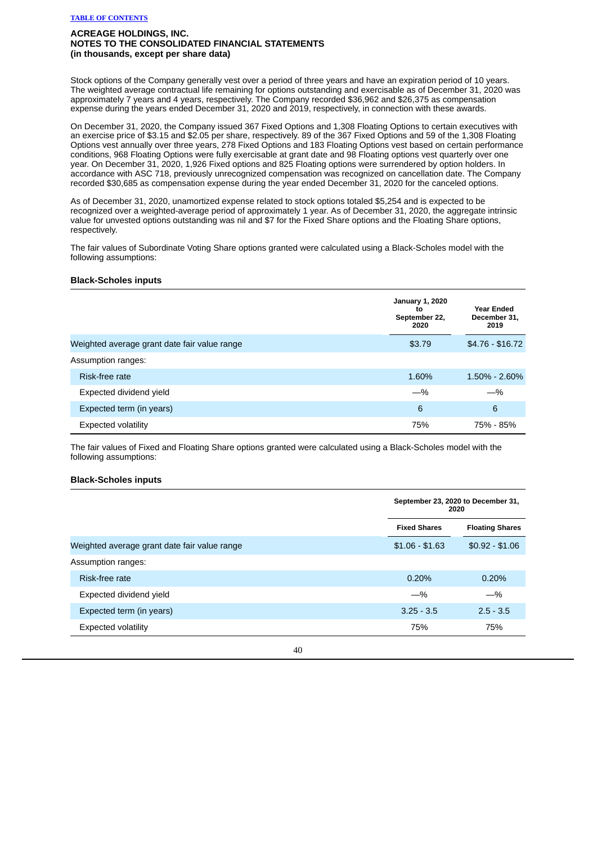Stock options of the Company generally vest over a period of three years and have an expiration period of 10 years. The weighted average contractual life remaining for options outstanding and exercisable as of December 31, 2020 was approximately 7 years and 4 years, respectively. The Company recorded \$36,962 and \$26,375 as compensation expense during the years ended December 31, 2020 and 2019, respectively, in connection with these awards.

On December 31, 2020, the Company issued 367 Fixed Options and 1,308 Floating Options to certain executives with an exercise price of \$3.15 and \$2.05 per share, respectively. 89 of the 367 Fixed Options and 59 of the 1,308 Floating Options vest annually over three years, 278 Fixed Options and 183 Floating Options vest based on certain performance conditions, 968 Floating Options were fully exercisable at grant date and 98 Floating options vest quarterly over one year. On December 31, 2020, 1,926 Fixed options and 825 Floating options were surrendered by option holders. In accordance with ASC 718, previously unrecognized compensation was recognized on cancellation date. The Company recorded \$30,685 as compensation expense during the year ended December 31, 2020 for the canceled options.

As of December 31, 2020, unamortized expense related to stock options totaled \$5,254 and is expected to be recognized over a weighted-average period of approximately 1 year. As of December 31, 2020, the aggregate intrinsic value for unvested options outstanding was nil and \$7 for the Fixed Share options and the Floating Share options, respectively.

The fair values of Subordinate Voting Share options granted were calculated using a Black-Scholes model with the following assumptions:

## **Black-Scholes inputs**

|                                              | <b>January 1, 2020</b><br>to<br>September 22,<br>2020 | <b>Year Ended</b><br>December 31,<br>2019 |
|----------------------------------------------|-------------------------------------------------------|-------------------------------------------|
| Weighted average grant date fair value range | \$3.79                                                | $$4.76 - $16.72$                          |
| Assumption ranges:                           |                                                       |                                           |
| Risk-free rate                               | 1.60%                                                 | $1.50\% - 2.60\%$                         |
| Expected dividend yield                      | $-$ %                                                 | $-$ %                                     |
| Expected term (in years)                     | 6                                                     | 6                                         |
| Expected volatility                          | 75%                                                   | 75% - 85%                                 |

The fair values of Fixed and Floating Share options granted were calculated using a Black-Scholes model with the following assumptions:

## **Black-Scholes inputs**

|                                              | September 23, 2020 to December 31,<br>2020 |                        |
|----------------------------------------------|--------------------------------------------|------------------------|
|                                              | <b>Fixed Shares</b>                        | <b>Floating Shares</b> |
| Weighted average grant date fair value range | $$1.06 - $1.63$                            | $$0.92 - $1.06$        |
| Assumption ranges:                           |                                            |                        |
| Risk-free rate                               | 0.20%                                      | 0.20%                  |
| Expected dividend yield                      | $-$ %                                      | $-$ %                  |
| Expected term (in years)                     | $3.25 - 3.5$                               | $2.5 - 3.5$            |
| <b>Expected volatility</b>                   | 75%                                        | 75%                    |
|                                              |                                            |                        |

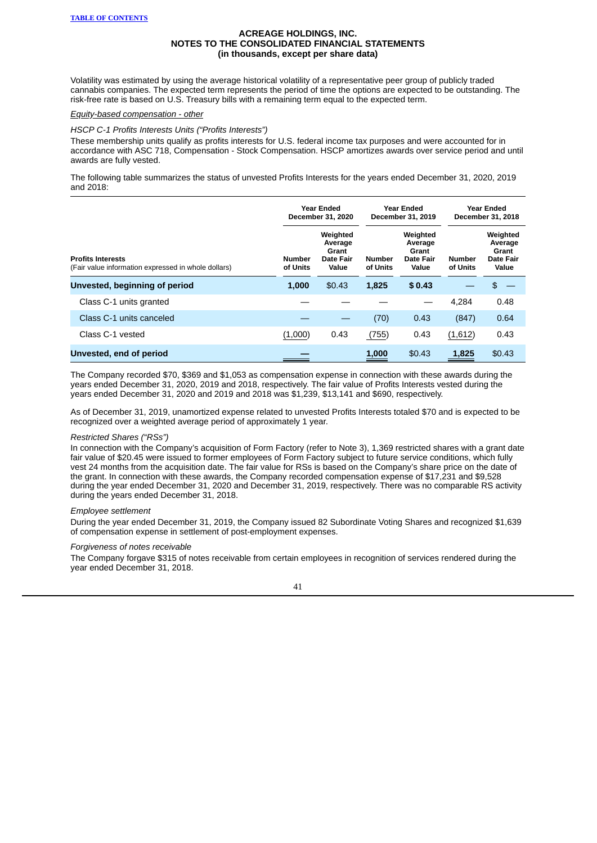Volatility was estimated by using the average historical volatility of a representative peer group of publicly traded cannabis companies. The expected term represents the period of time the options are expected to be outstanding. The risk-free rate is based on U.S. Treasury bills with a remaining term equal to the expected term.

## *Equity-based compensation - other*

### *HSCP C-1 Profits Interests Units ("Profits Interests")*

These membership units qualify as profits interests for U.S. federal income tax purposes and were accounted for in accordance with ASC 718, Compensation - Stock Compensation. HSCP amortizes awards over service period and until awards are fully vested.

The following table summarizes the status of unvested Profits Interests for the years ended December 31, 2020, 2019 and 2018:

|                                                                                 |                    | <b>Year Ended</b><br>December 31, 2020                    | <b>Year Ended</b><br>December 31, 2019 |                                                    | Year Ended<br>December 31, 2018 |                                                           |
|---------------------------------------------------------------------------------|--------------------|-----------------------------------------------------------|----------------------------------------|----------------------------------------------------|---------------------------------|-----------------------------------------------------------|
| <b>Profits Interests</b><br>(Fair value information expressed in whole dollars) | Number<br>of Units | Weighted<br>Average<br>Grant<br><b>Date Fair</b><br>Value | Number<br>of Units                     | Weighted<br>Average<br>Grant<br>Date Fair<br>Value | Number<br>of Units              | Weighted<br>Average<br>Grant<br><b>Date Fair</b><br>Value |
| Unvested, beginning of period                                                   | 1.000              | \$0.43                                                    | 1.825                                  | \$0,43                                             |                                 | \$                                                        |
| Class C-1 units granted                                                         |                    |                                                           |                                        |                                                    | 4,284                           | 0.48                                                      |
| Class C-1 units canceled                                                        |                    |                                                           | (70)                                   | 0.43                                               | (847)                           | 0.64                                                      |
| Class C-1 yested                                                                | (1,000)            | 0.43                                                      | (755)                                  | 0.43                                               | (1,612)                         | 0.43                                                      |
| Unvested, end of period                                                         |                    |                                                           | 1,000                                  | \$0.43                                             | 1.825                           | \$0.43                                                    |

The Company recorded \$70, \$369 and \$1,053 as compensation expense in connection with these awards during the years ended December 31, 2020, 2019 and 2018, respectively. The fair value of Profits Interests vested during the years ended December 31, 2020 and 2019 and 2018 was \$1,239, \$13,141 and \$690, respectively.

As of December 31, 2019, unamortized expense related to unvested Profits Interests totaled \$70 and is expected to be recognized over a weighted average period of approximately 1 year.

## *Restricted Shares ("RSs")*

In connection with the Company's acquisition of Form Factory (refer to Note 3), 1,369 restricted shares with a grant date fair value of \$20.45 were issued to former employees of Form Factory subject to future service conditions, which fully vest 24 months from the acquisition date. The fair value for RSs is based on the Company's share price on the date of the grant. In connection with these awards, the Company recorded compensation expense of \$17,231 and \$9,528 during the year ended December 31, 2020 and December 31, 2019, respectively. There was no comparable RS activity during the years ended December 31, 2018.

#### *Employee settlement*

During the year ended December 31, 2019, the Company issued 82 Subordinate Voting Shares and recognized \$1,639 of compensation expense in settlement of post-employment expenses.

### *Forgiveness of notes receivable*

The Company forgave \$315 of notes receivable from certain employees in recognition of services rendered during the year ended December 31, 2018.

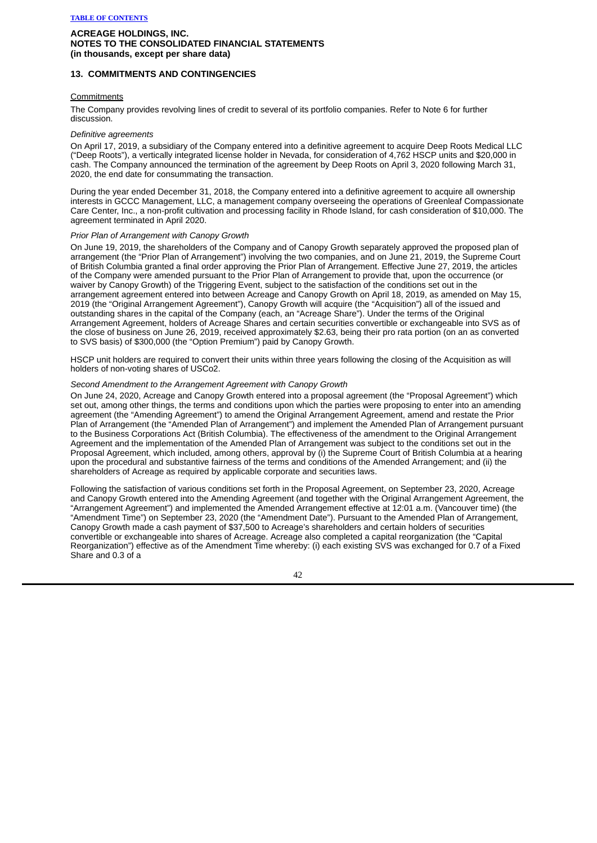# **13. COMMITMENTS AND CONTINGENCIES**

### **Commitments**

The Company provides revolving lines of credit to several of its portfolio companies. Refer to Note 6 for further discussion.

### *Definitive agreements*

On April 17, 2019, a subsidiary of the Company entered into a definitive agreement to acquire Deep Roots Medical LLC ("Deep Roots"), a vertically integrated license holder in Nevada, for consideration of 4,762 HSCP units and \$20,000 in cash. The Company announced the termination of the agreement by Deep Roots on April 3, 2020 following March 31, 2020, the end date for consummating the transaction.

During the year ended December 31, 2018, the Company entered into a definitive agreement to acquire all ownership interests in GCCC Management, LLC, a management company overseeing the operations of Greenleaf Compassionate Care Center, Inc., a non-profit cultivation and processing facility in Rhode Island, for cash consideration of \$10,000. The agreement terminated in April 2020.

## *Prior Plan of Arrangement with Canopy Growth*

On June 19, 2019, the shareholders of the Company and of Canopy Growth separately approved the proposed plan of arrangement (the "Prior Plan of Arrangement") involving the two companies, and on June 21, 2019, the Supreme Court of British Columbia granted a final order approving the Prior Plan of Arrangement. Effective June 27, 2019, the articles of the Company were amended pursuant to the Prior Plan of Arrangement to provide that, upon the occurrence (or waiver by Canopy Growth) of the Triggering Event, subject to the satisfaction of the conditions set out in the arrangement agreement entered into between Acreage and Canopy Growth on April 18, 2019, as amended on May 15, 2019 (the "Original Arrangement Agreement"), Canopy Growth will acquire (the "Acquisition") all of the issued and outstanding shares in the capital of the Company (each, an "Acreage Share"). Under the terms of the Original Arrangement Agreement, holders of Acreage Shares and certain securities convertible or exchangeable into SVS as of the close of business on June 26, 2019, received approximately \$2.63, being their pro rata portion (on an as converted to SVS basis) of \$300,000 (the "Option Premium") paid by Canopy Growth.

HSCP unit holders are required to convert their units within three years following the closing of the Acquisition as will holders of non-voting shares of USCo2.

### *Second Amendment to the Arrangement Agreement with Canopy Growth*

On June 24, 2020, Acreage and Canopy Growth entered into a proposal agreement (the "Proposal Agreement") which set out, among other things, the terms and conditions upon which the parties were proposing to enter into an amending agreement (the "Amending Agreement") to amend the Original Arrangement Agreement, amend and restate the Prior Plan of Arrangement (the "Amended Plan of Arrangement") and implement the Amended Plan of Arrangement pursuant to the Business Corporations Act (British Columbia). The effectiveness of the amendment to the Original Arrangement Agreement and the implementation of the Amended Plan of Arrangement was subject to the conditions set out in the Proposal Agreement, which included, among others, approval by (i) the Supreme Court of British Columbia at a hearing upon the procedural and substantive fairness of the terms and conditions of the Amended Arrangement; and (ii) the shareholders of Acreage as required by applicable corporate and securities laws.

Following the satisfaction of various conditions set forth in the Proposal Agreement, on September 23, 2020, Acreage and Canopy Growth entered into the Amending Agreement (and together with the Original Arrangement Agreement, the "Arrangement Agreement") and implemented the Amended Arrangement effective at 12:01 a.m. (Vancouver time) (the "Amendment Time") on September 23, 2020 (the "Amendment Date"). Pursuant to the Amended Plan of Arrangement, Canopy Growth made a cash payment of \$37,500 to Acreage's shareholders and certain holders of securities convertible or exchangeable into shares of Acreage. Acreage also completed a capital reorganization (the "Capital Reorganization") effective as of the Amendment Time whereby: (i) each existing SVS was exchanged for 0.7 of a Fixed Share and 0.3 of a

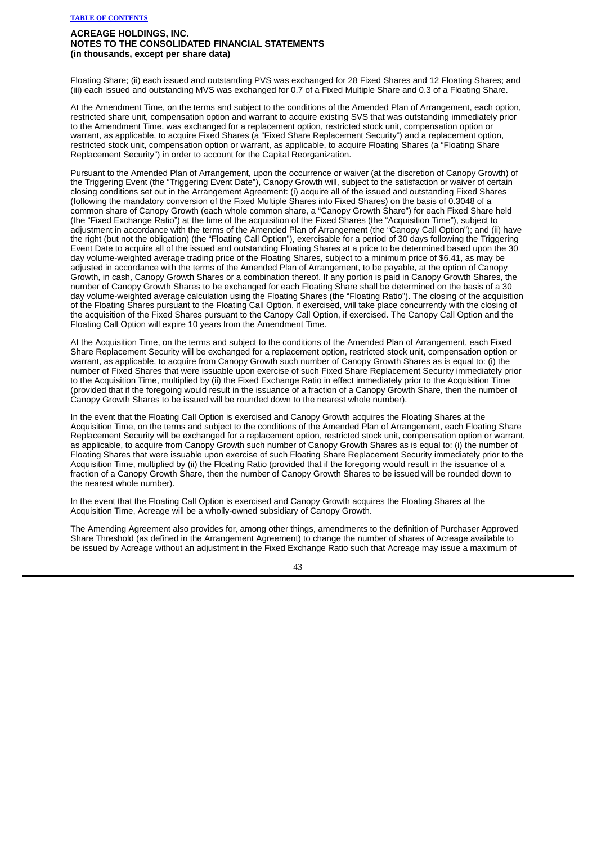Floating Share; (ii) each issued and outstanding PVS was exchanged for 28 Fixed Shares and 12 Floating Shares; and (iii) each issued and outstanding MVS was exchanged for 0.7 of a Fixed Multiple Share and 0.3 of a Floating Share.

At the Amendment Time, on the terms and subject to the conditions of the Amended Plan of Arrangement, each option, restricted share unit, compensation option and warrant to acquire existing SVS that was outstanding immediately prior to the Amendment Time, was exchanged for a replacement option, restricted stock unit, compensation option or warrant, as applicable, to acquire Fixed Shares (a "Fixed Share Replacement Security") and a replacement option, restricted stock unit, compensation option or warrant, as applicable, to acquire Floating Shares (a "Floating Share Replacement Security") in order to account for the Capital Reorganization.

Pursuant to the Amended Plan of Arrangement, upon the occurrence or waiver (at the discretion of Canopy Growth) of the Triggering Event (the "Triggering Event Date"), Canopy Growth will, subject to the satisfaction or waiver of certain closing conditions set out in the Arrangement Agreement: (i) acquire all of the issued and outstanding Fixed Shares (following the mandatory conversion of the Fixed Multiple Shares into Fixed Shares) on the basis of 0.3048 of a common share of Canopy Growth (each whole common share, a "Canopy Growth Share") for each Fixed Share held (the "Fixed Exchange Ratio") at the time of the acquisition of the Fixed Shares (the "Acquisition Time"), subject to adjustment in accordance with the terms of the Amended Plan of Arrangement (the "Canopy Call Option"); and (ii) have the right (but not the obligation) (the "Floating Call Option"), exercisable for a period of 30 days following the Triggering Event Date to acquire all of the issued and outstanding Floating Shares at a price to be determined based upon the 30 day volume-weighted average trading price of the Floating Shares, subject to a minimum price of \$6.41, as may be adjusted in accordance with the terms of the Amended Plan of Arrangement, to be payable, at the option of Canopy Growth, in cash, Canopy Growth Shares or a combination thereof. If any portion is paid in Canopy Growth Shares, the number of Canopy Growth Shares to be exchanged for each Floating Share shall be determined on the basis of a 30 day volume-weighted average calculation using the Floating Shares (the "Floating Ratio"). The closing of the acquisition of the Floating Shares pursuant to the Floating Call Option, if exercised, will take place concurrently with the closing of the acquisition of the Fixed Shares pursuant to the Canopy Call Option, if exercised. The Canopy Call Option and the Floating Call Option will expire 10 years from the Amendment Time.

At the Acquisition Time, on the terms and subject to the conditions of the Amended Plan of Arrangement, each Fixed Share Replacement Security will be exchanged for a replacement option, restricted stock unit, compensation option or warrant, as applicable, to acquire from Canopy Growth such number of Canopy Growth Shares as is equal to: (i) the number of Fixed Shares that were issuable upon exercise of such Fixed Share Replacement Security immediately prior to the Acquisition Time, multiplied by (ii) the Fixed Exchange Ratio in effect immediately prior to the Acquisition Time (provided that if the foregoing would result in the issuance of a fraction of a Canopy Growth Share, then the number of Canopy Growth Shares to be issued will be rounded down to the nearest whole number).

In the event that the Floating Call Option is exercised and Canopy Growth acquires the Floating Shares at the Acquisition Time, on the terms and subject to the conditions of the Amended Plan of Arrangement, each Floating Share Replacement Security will be exchanged for a replacement option, restricted stock unit, compensation option or warrant, as applicable, to acquire from Canopy Growth such number of Canopy Growth Shares as is equal to: (i) the number of Floating Shares that were issuable upon exercise of such Floating Share Replacement Security immediately prior to the Acquisition Time, multiplied by (ii) the Floating Ratio (provided that if the foregoing would result in the issuance of a fraction of a Canopy Growth Share, then the number of Canopy Growth Shares to be issued will be rounded down to the nearest whole number).

In the event that the Floating Call Option is exercised and Canopy Growth acquires the Floating Shares at the Acquisition Time, Acreage will be a wholly-owned subsidiary of Canopy Growth.

The Amending Agreement also provides for, among other things, amendments to the definition of Purchaser Approved Share Threshold (as defined in the Arrangement Agreement) to change the number of shares of Acreage available to be issued by Acreage without an adjustment in the Fixed Exchange Ratio such that Acreage may issue a maximum of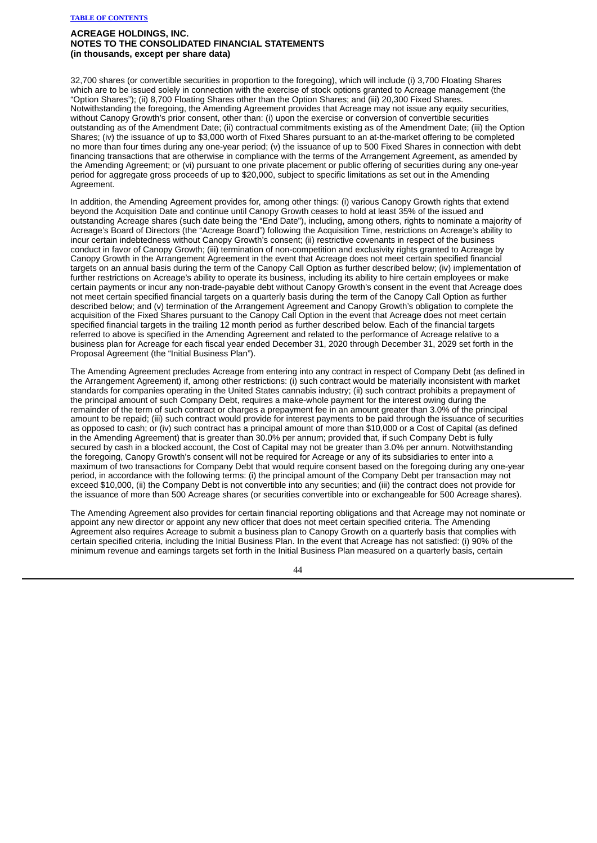32,700 shares (or convertible securities in proportion to the foregoing), which will include (i) 3,700 Floating Shares which are to be issued solely in connection with the exercise of stock options granted to Acreage management (the "Option Shares"); (ii) 8,700 Floating Shares other than the Option Shares; and (iii) 20,300 Fixed Shares. Notwithstanding the foregoing, the Amending Agreement provides that Acreage may not issue any equity securities, without Canopy Growth's prior consent, other than: (i) upon the exercise or conversion of convertible securities outstanding as of the Amendment Date; (ii) contractual commitments existing as of the Amendment Date; (iii) the Option Shares; (iv) the issuance of up to \$3,000 worth of Fixed Shares pursuant to an at-the-market offering to be completed no more than four times during any one-year period; (v) the issuance of up to 500 Fixed Shares in connection with debt financing transactions that are otherwise in compliance with the terms of the Arrangement Agreement, as amended by the Amending Agreement; or (vi) pursuant to one private placement or public offering of securities during any one-year period for aggregate gross proceeds of up to \$20,000, subject to specific limitations as set out in the Amending Agreement.

In addition, the Amending Agreement provides for, among other things: (i) various Canopy Growth rights that extend beyond the Acquisition Date and continue until Canopy Growth ceases to hold at least 35% of the issued and outstanding Acreage shares (such date being the "End Date"), including, among others, rights to nominate a majority of Acreage's Board of Directors (the "Acreage Board") following the Acquisition Time, restrictions on Acreage's ability to incur certain indebtedness without Canopy Growth's consent; (ii) restrictive covenants in respect of the business conduct in favor of Canopy Growth; (iii) termination of non-competition and exclusivity rights granted to Acreage by Canopy Growth in the Arrangement Agreement in the event that Acreage does not meet certain specified financial targets on an annual basis during the term of the Canopy Call Option as further described below; (iv) implementation of further restrictions on Acreage's ability to operate its business, including its ability to hire certain employees or make certain payments or incur any non-trade-payable debt without Canopy Growth's consent in the event that Acreage does not meet certain specified financial targets on a quarterly basis during the term of the Canopy Call Option as further described below; and (v) termination of the Arrangement Agreement and Canopy Growth's obligation to complete the acquisition of the Fixed Shares pursuant to the Canopy Call Option in the event that Acreage does not meet certain specified financial targets in the trailing 12 month period as further described below. Each of the financial targets referred to above is specified in the Amending Agreement and related to the performance of Acreage relative to a business plan for Acreage for each fiscal year ended December 31, 2020 through December 31, 2029 set forth in the Proposal Agreement (the "Initial Business Plan").

The Amending Agreement precludes Acreage from entering into any contract in respect of Company Debt (as defined in the Arrangement Agreement) if, among other restrictions: (i) such contract would be materially inconsistent with market standards for companies operating in the United States cannabis industry; (ii) such contract prohibits a prepayment of the principal amount of such Company Debt, requires a make-whole payment for the interest owing during the remainder of the term of such contract or charges a prepayment fee in an amount greater than 3.0% of the principal amount to be repaid; (iii) such contract would provide for interest payments to be paid through the issuance of securities as opposed to cash; or (iv) such contract has a principal amount of more than \$10,000 or a Cost of Capital (as defined in the Amending Agreement) that is greater than 30.0% per annum; provided that, if such Company Debt is fully secured by cash in a blocked account, the Cost of Capital may not be greater than 3.0% per annum. Notwithstanding the foregoing, Canopy Growth's consent will not be required for Acreage or any of its subsidiaries to enter into a maximum of two transactions for Company Debt that would require consent based on the foregoing during any one-year period, in accordance with the following terms: (i) the principal amount of the Company Debt per transaction may not exceed \$10,000, (ii) the Company Debt is not convertible into any securities; and (iii) the contract does not provide for the issuance of more than 500 Acreage shares (or securities convertible into or exchangeable for 500 Acreage shares).

The Amending Agreement also provides for certain financial reporting obligations and that Acreage may not nominate or appoint any new director or appoint any new officer that does not meet certain specified criteria. The Amending Agreement also requires Acreage to submit a business plan to Canopy Growth on a quarterly basis that complies with certain specified criteria, including the Initial Business Plan. In the event that Acreage has not satisfied: (i) 90% of the minimum revenue and earnings targets set forth in the Initial Business Plan measured on a quarterly basis, certain

 $\overline{A}$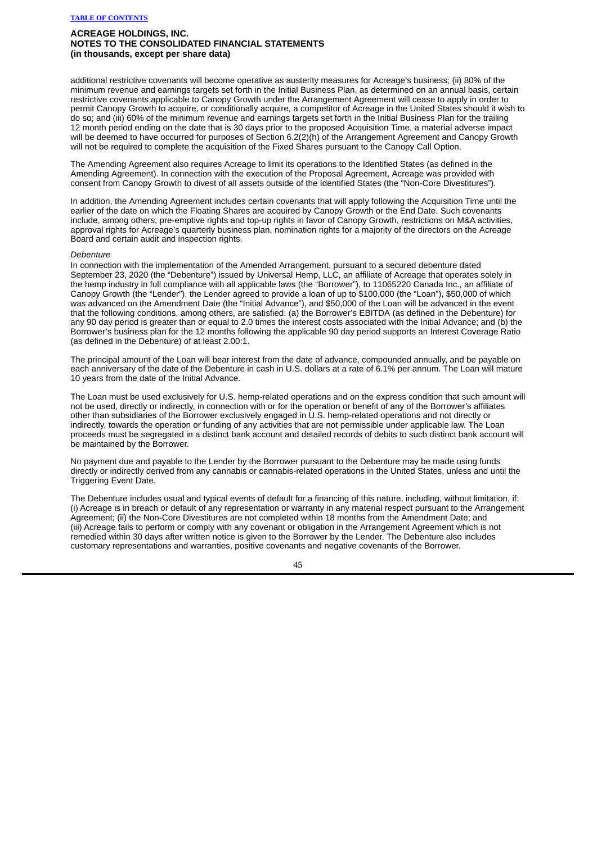additional restrictive covenants will become operative as austerity measures for Acreage's business; (ii) 80% of the minimum revenue and earnings targets set forth in the Initial Business Plan, as determined on an annual basis, certain restrictive covenants applicable to Canopy Growth under the Arrangement Agreement will cease to apply in order to permit Canopy Growth to acquire, or conditionally acquire, a competitor of Acreage in the United States should it wish to do so; and (iii) 60% of the minimum revenue and earnings targets set forth in the Initial Business Plan for the trailing 12 month period ending on the date that is 30 days prior to the proposed Acquisition Time, a material adverse impact will be deemed to have occurred for purposes of Section 6.2(2)(h) of the Arrangement Agreement and Canopy Growth will not be required to complete the acquisition of the Fixed Shares pursuant to the Canopy Call Option.

The Amending Agreement also requires Acreage to limit its operations to the Identified States (as defined in the Amending Agreement). In connection with the execution of the Proposal Agreement, Acreage was provided with consent from Canopy Growth to divest of all assets outside of the Identified States (the "Non-Core Divestitures").

In addition, the Amending Agreement includes certain covenants that will apply following the Acquisition Time until the earlier of the date on which the Floating Shares are acquired by Canopy Growth or the End Date. Such covenants include, among others, pre-emptive rights and top-up rights in favor of Canopy Growth, restrictions on M&A activities, approval rights for Acreage's quarterly business plan, nomination rights for a majority of the directors on the Acreage Board and certain audit and inspection rights.

#### *Debenture*

In connection with the implementation of the Amended Arrangement, pursuant to a secured debenture dated September 23, 2020 (the "Debenture") issued by Universal Hemp, LLC, an affiliate of Acreage that operates solely in the hemp industry in full compliance with all applicable laws (the "Borrower"), to 11065220 Canada Inc., an affiliate of Canopy Growth (the "Lender"), the Lender agreed to provide a loan of up to \$100,000 (the "Loan"), \$50,000 of which was advanced on the Amendment Date (the "Initial Advance"), and \$50,000 of the Loan will be advanced in the event that the following conditions, among others, are satisfied: (a) the Borrower's EBITDA (as defined in the Debenture) for any 90 day period is greater than or equal to 2.0 times the interest costs associated with the Initial Advance; and (b) the Borrower's business plan for the 12 months following the applicable 90 day period supports an Interest Coverage Ratio (as defined in the Debenture) of at least 2.00:1.

The principal amount of the Loan will bear interest from the date of advance, compounded annually, and be payable on each anniversary of the date of the Debenture in cash in U.S. dollars at a rate of 6.1% per annum. The Loan will mature 10 years from the date of the Initial Advance.

The Loan must be used exclusively for U.S. hemp-related operations and on the express condition that such amount will not be used, directly or indirectly, in connection with or for the operation or benefit of any of the Borrower's affiliates other than subsidiaries of the Borrower exclusively engaged in U.S. hemp-related operations and not directly or indirectly, towards the operation or funding of any activities that are not permissible under applicable law. The Loan proceeds must be segregated in a distinct bank account and detailed records of debits to such distinct bank account will be maintained by the Borrower.

No payment due and payable to the Lender by the Borrower pursuant to the Debenture may be made using funds directly or indirectly derived from any cannabis or cannabis-related operations in the United States, unless and until the Triggering Event Date.

The Debenture includes usual and typical events of default for a financing of this nature, including, without limitation, if: (i) Acreage is in breach or default of any representation or warranty in any material respect pursuant to the Arrangement Agreement; (ii) the Non-Core Divestitures are not completed within 18 months from the Amendment Date; and (iii) Acreage fails to perform or comply with any covenant or obligation in the Arrangement Agreement which is not remedied within 30 days after written notice is given to the Borrower by the Lender. The Debenture also includes customary representations and warranties, positive covenants and negative covenants of the Borrower.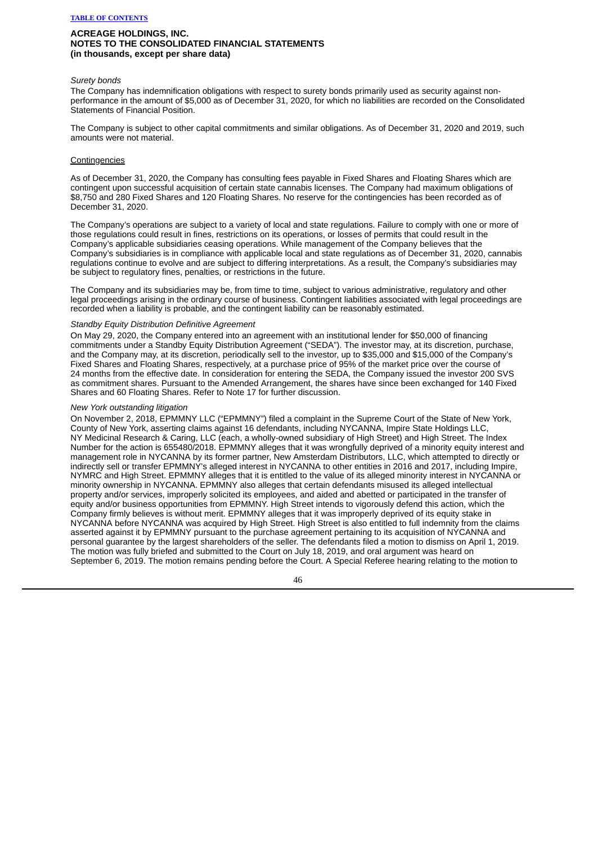### *Surety bonds*

The Company has indemnification obligations with respect to surety bonds primarily used as security against nonperformance in the amount of \$5,000 as of December 31, 2020, for which no liabilities are recorded on the Consolidated Statements of Financial Position.

The Company is subject to other capital commitments and similar obligations. As of December 31, 2020 and 2019, such amounts were not material.

## Contingencies

As of December 31, 2020, the Company has consulting fees payable in Fixed Shares and Floating Shares which are contingent upon successful acquisition of certain state cannabis licenses. The Company had maximum obligations of \$8,750 and 280 Fixed Shares and 120 Floating Shares. No reserve for the contingencies has been recorded as of December 31, 2020.

The Company's operations are subject to a variety of local and state regulations. Failure to comply with one or more of those regulations could result in fines, restrictions on its operations, or losses of permits that could result in the Company's applicable subsidiaries ceasing operations. While management of the Company believes that the Company's subsidiaries is in compliance with applicable local and state regulations as of December 31, 2020, cannabis regulations continue to evolve and are subject to differing interpretations. As a result, the Company's subsidiaries may be subject to regulatory fines, penalties, or restrictions in the future.

The Company and its subsidiaries may be, from time to time, subject to various administrative, regulatory and other legal proceedings arising in the ordinary course of business. Contingent liabilities associated with legal proceedings are recorded when a liability is probable, and the contingent liability can be reasonably estimated.

## *Standby Equity Distribution Definitive Agreement*

On May 29, 2020, the Company entered into an agreement with an institutional lender for \$50,000 of financing commitments under a Standby Equity Distribution Agreement ("SEDA"). The investor may, at its discretion, purchase, and the Company may, at its discretion, periodically sell to the investor, up to \$35,000 and \$15,000 of the Company's Fixed Shares and Floating Shares, respectively, at a purchase price of 95% of the market price over the course of 24 months from the effective date. In consideration for entering the SEDA, the Company issued the investor 200 SVS as commitment shares. Pursuant to the Amended Arrangement, the shares have since been exchanged for 140 Fixed Shares and 60 Floating Shares. Refer to Note 17 for further discussion.

### *New York outstanding litigation*

On November 2, 2018, EPMMNY LLC ("EPMMNY") filed a complaint in the Supreme Court of the State of New York, County of New York, asserting claims against 16 defendants, including NYCANNA, Impire State Holdings LLC, NY Medicinal Research & Caring, LLC (each, a wholly-owned subsidiary of High Street) and High Street. The Index Number for the action is 655480/2018. EPMMNY alleges that it was wrongfully deprived of a minority equity interest and management role in NYCANNA by its former partner, New Amsterdam Distributors, LLC, which attempted to directly or indirectly sell or transfer EPMMNY's alleged interest in NYCANNA to other entities in 2016 and 2017, including Impire, NYMRC and High Street. EPMMNY alleges that it is entitled to the value of its alleged minority interest in NYCANNA or minority ownership in NYCANNA. EPMMNY also alleges that certain defendants misused its alleged intellectual property and/or services, improperly solicited its employees, and aided and abetted or participated in the transfer of equity and/or business opportunities from EPMMNY. High Street intends to vigorously defend this action, which the Company firmly believes is without merit. EPMMNY alleges that it was improperly deprived of its equity stake in NYCANNA before NYCANNA was acquired by High Street. High Street is also entitled to full indemnity from the claims asserted against it by EPMMNY pursuant to the purchase agreement pertaining to its acquisition of NYCANNA and personal guarantee by the largest shareholders of the seller. The defendants filed a motion to dismiss on April 1, 2019. The motion was fully briefed and submitted to the Court on July 18, 2019, and oral argument was heard on September 6, 2019. The motion remains pending before the Court. A Special Referee hearing relating to the motion to

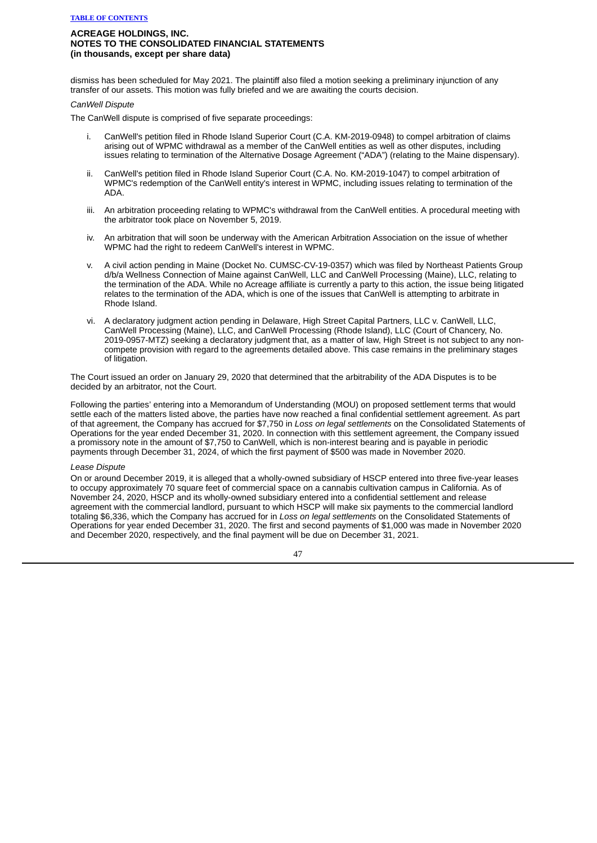dismiss has been scheduled for May 2021. The plaintiff also filed a motion seeking a preliminary injunction of any transfer of our assets. This motion was fully briefed and we are awaiting the courts decision.

*CanWell Dispute*

The CanWell dispute is comprised of five separate proceedings:

- i. CanWell's petition filed in Rhode Island Superior Court (C.A. KM-2019-0948) to compel arbitration of claims arising out of WPMC withdrawal as a member of the CanWell entities as well as other disputes, including issues relating to termination of the Alternative Dosage Agreement ("ADA") (relating to the Maine dispensary).
- ii. CanWell's petition filed in Rhode Island Superior Court (C.A. No. KM-2019-1047) to compel arbitration of WPMC's redemption of the CanWell entity's interest in WPMC, including issues relating to termination of the ADA.
- iii. An arbitration proceeding relating to WPMC's withdrawal from the CanWell entities. A procedural meeting with the arbitrator took place on November 5, 2019.
- iv. An arbitration that will soon be underway with the American Arbitration Association on the issue of whether WPMC had the right to redeem CanWell's interest in WPMC.
- v. A civil action pending in Maine (Docket No. CUMSC-CV-19-0357) which was filed by Northeast Patients Group d/b/a Wellness Connection of Maine against CanWell, LLC and CanWell Processing (Maine), LLC, relating to the termination of the ADA. While no Acreage affiliate is currently a party to this action, the issue being litigated relates to the termination of the ADA, which is one of the issues that CanWell is attempting to arbitrate in Rhode Island.
- vi. A declaratory judgment action pending in Delaware, High Street Capital Partners, LLC v. CanWell, LLC, CanWell Processing (Maine), LLC, and CanWell Processing (Rhode Island), LLC (Court of Chancery, No. 2019-0957-MTZ) seeking a declaratory judgment that, as a matter of law, High Street is not subject to any noncompete provision with regard to the agreements detailed above. This case remains in the preliminary stages of litigation.

The Court issued an order on January 29, 2020 that determined that the arbitrability of the ADA Disputes is to be decided by an arbitrator, not the Court.

Following the parties' entering into a Memorandum of Understanding (MOU) on proposed settlement terms that would settle each of the matters listed above, the parties have now reached a final confidential settlement agreement. As part of that agreement, the Company has accrued for \$7,750 in *Loss on legal settlements* on the Consolidated Statements of Operations for the year ended December 31, 2020. In connection with this settlement agreement, the Company issued a promissory note in the amount of \$7,750 to CanWell, which is non-interest bearing and is payable in periodic payments through December 31, 2024, of which the first payment of \$500 was made in November 2020.

## *Lease Dispute*

On or around December 2019, it is alleged that a wholly-owned subsidiary of HSCP entered into three five-year leases to occupy approximately 70 square feet of commercial space on a cannabis cultivation campus in California. As of November 24, 2020, HSCP and its wholly-owned subsidiary entered into a confidential settlement and release agreement with the commercial landlord, pursuant to which HSCP will make six payments to the commercial landlord totaling \$6,336, which the Company has accrued for in *Loss on legal settlements* on the Consolidated Statements of Operations for year ended December 31, 2020. The first and second payments of \$1,000 was made in November 2020 and December 2020, respectively, and the final payment will be due on December 31, 2021.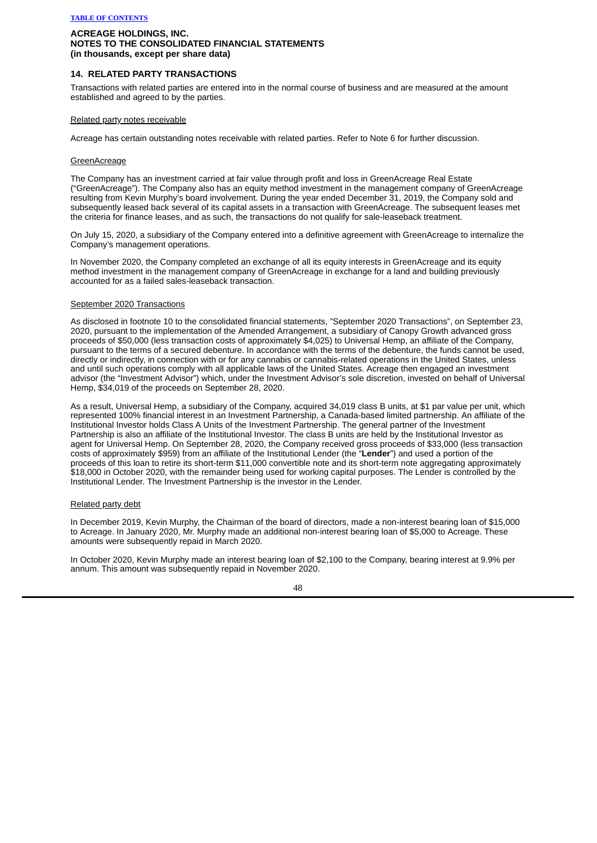# **14. RELATED PARTY TRANSACTIONS**

Transactions with related parties are entered into in the normal course of business and are measured at the amount established and agreed to by the parties.

## Related party notes receivable

Acreage has certain outstanding notes receivable with related parties. Refer to Note 6 for further discussion.

## GreenAcreage

The Company has an investment carried at fair value through profit and loss in GreenAcreage Real Estate ("GreenAcreage"). The Company also has an equity method investment in the management company of GreenAcreage resulting from Kevin Murphy's board involvement. During the year ended December 31, 2019, the Company sold and subsequently leased back several of its capital assets in a transaction with GreenAcreage. The subsequent leases met the criteria for finance leases, and as such, the transactions do not qualify for sale-leaseback treatment.

On July 15, 2020, a subsidiary of the Company entered into a definitive agreement with GreenAcreage to internalize the Company's management operations.

In November 2020, the Company completed an exchange of all its equity interests in GreenAcreage and its equity method investment in the management company of GreenAcreage in exchange for a land and building previously accounted for as a failed sales-leaseback transaction.

## September 2020 Transactions

As disclosed in footnote 10 to the consolidated financial statements, "September 2020 Transactions", on September 23, 2020, pursuant to the implementation of the Amended Arrangement, a subsidiary of Canopy Growth advanced gross proceeds of \$50,000 (less transaction costs of approximately \$4,025) to Universal Hemp, an affiliate of the Company, pursuant to the terms of a secured debenture. In accordance with the terms of the debenture, the funds cannot be used, directly or indirectly, in connection with or for any cannabis or cannabis-related operations in the United States, unless and until such operations comply with all applicable laws of the United States. Acreage then engaged an investment advisor (the "Investment Advisor") which, under the Investment Advisor's sole discretion, invested on behalf of Universal Hemp, \$34,019 of the proceeds on September 28, 2020.

As a result, Universal Hemp, a subsidiary of the Company, acquired 34,019 class B units, at \$1 par value per unit, which represented 100% financial interest in an Investment Partnership, a Canada-based limited partnership. An affiliate of the Institutional Investor holds Class A Units of the Investment Partnership. The general partner of the Investment Partnership is also an affiliate of the Institutional Investor. The class B units are held by the Institutional Investor as agent for Universal Hemp. On September 28, 2020, the Company received gross proceeds of \$33,000 (less transaction costs of approximately \$959) from an affiliate of the Institutional Lender (the "**Lender**") and used a portion of the proceeds of this loan to retire its short-term \$11,000 convertible note and its short-term note aggregating approximately \$18,000 in October 2020, with the remainder being used for working capital purposes. The Lender is controlled by the Institutional Lender. The Investment Partnership is the investor in the Lender.

### Related party debt

In December 2019, Kevin Murphy, the Chairman of the board of directors, made a non-interest bearing loan of \$15,000 to Acreage. In January 2020, Mr. Murphy made an additional non-interest bearing loan of \$5,000 to Acreage. These amounts were subsequently repaid in March 2020.

In October 2020, Kevin Murphy made an interest bearing loan of \$2,100 to the Company, bearing interest at 9.9% per annum. This amount was subsequently repaid in November 2020.

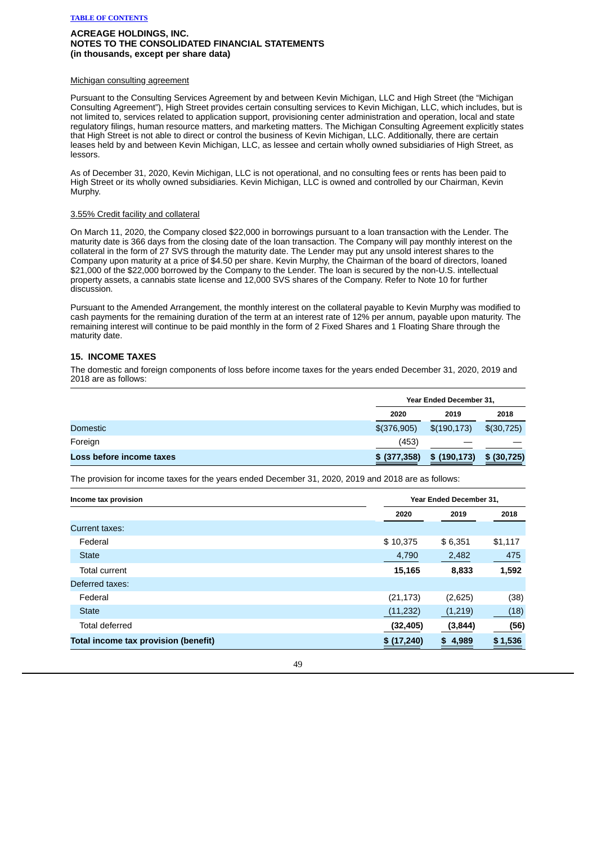#### Michigan consulting agreement

Pursuant to the Consulting Services Agreement by and between Kevin Michigan, LLC and High Street (the "Michigan Consulting Agreement"), High Street provides certain consulting services to Kevin Michigan, LLC, which includes, but is not limited to, services related to application support, provisioning center administration and operation, local and state regulatory filings, human resource matters, and marketing matters. The Michigan Consulting Agreement explicitly states that High Street is not able to direct or control the business of Kevin Michigan, LLC. Additionally, there are certain leases held by and between Kevin Michigan, LLC, as lessee and certain wholly owned subsidiaries of High Street, as lessors.

As of December 31, 2020, Kevin Michigan, LLC is not operational, and no consulting fees or rents has been paid to High Street or its wholly owned subsidiaries. Kevin Michigan, LLC is owned and controlled by our Chairman, Kevin Murphy.

### 3.55% Credit facility and collateral

On March 11, 2020, the Company closed \$22,000 in borrowings pursuant to a loan transaction with the Lender. The maturity date is 366 days from the closing date of the loan transaction. The Company will pay monthly interest on the collateral in the form of 27 SVS through the maturity date. The Lender may put any unsold interest shares to the Company upon maturity at a price of \$4.50 per share. Kevin Murphy, the Chairman of the board of directors, loaned \$21,000 of the \$22,000 borrowed by the Company to the Lender. The loan is secured by the non-U.S. intellectual property assets, a cannabis state license and 12,000 SVS shares of the Company. Refer to Note 10 for further discussion.

Pursuant to the Amended Arrangement, the monthly interest on the collateral payable to Kevin Murphy was modified to cash payments for the remaining duration of the term at an interest rate of 12% per annum, payable upon maturity. The remaining interest will continue to be paid monthly in the form of 2 Fixed Shares and 1 Floating Share through the maturity date.

## **15. INCOME TAXES**

The domestic and foreign components of loss before income taxes for the years ended December 31, 2020, 2019 and 2018 are as follows:

|                          | Year Ended December 31, |               |              |
|--------------------------|-------------------------|---------------|--------------|
|                          | 2020                    | 2019          | 2018         |
| Domestic                 | \$(376,905)             | \$(190, 173)  | \$(30,725)   |
| Foreign                  | (453)                   |               |              |
| Loss before income taxes | \$ (377, 358)           | \$ (190, 173) | \$ (30, 725) |

The provision for income taxes for the years ended December 31, 2020, 2019 and 2018 are as follows:

| Income tax provision                 | Year Ended December 31, |          |         |
|--------------------------------------|-------------------------|----------|---------|
|                                      | 2020                    | 2019     | 2018    |
| Current taxes:                       |                         |          |         |
| Federal                              | \$10,375                | \$6,351  | \$1,117 |
| <b>State</b>                         | 4,790                   | 2,482    | 475     |
| <b>Total current</b>                 | 15,165                  | 8,833    | 1,592   |
| Deferred taxes:                      |                         |          |         |
| Federal                              | (21, 173)               | (2,625)  | (38)    |
| <b>State</b>                         | (11, 232)               | (1,219)  | (18)    |
| Total deferred                       | (32, 405)               | (3, 844) | (56)    |
| Total income tax provision (benefit) | \$ (17,240)             | \$4,989  | \$1,536 |

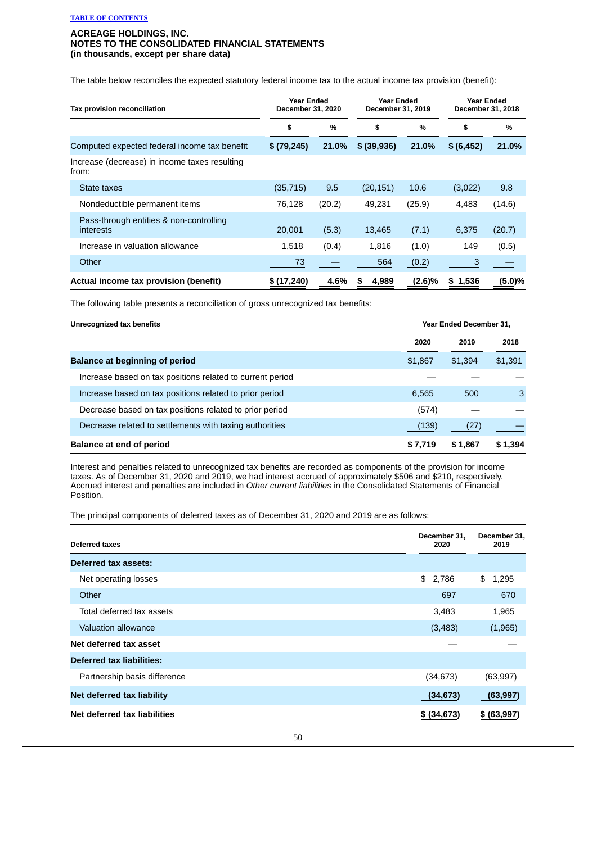The table below reconciles the expected statutory federal income tax to the actual income tax provision (benefit):

| Tax provision reconciliation                           | Year Ended<br>December 31, 2020 |        | <b>Year Ended</b><br>December 31, 2019 |        | <b>Year Ended</b><br>December 31, 2018 |        |
|--------------------------------------------------------|---------------------------------|--------|----------------------------------------|--------|----------------------------------------|--------|
|                                                        | \$                              | %      | \$                                     | $\%$   | \$                                     | %      |
| Computed expected federal income tax benefit           | \$(79, 245)                     | 21.0%  | \$ (39,936)                            | 21.0%  | \$ (6, 452)                            | 21.0%  |
| Increase (decrease) in income taxes resulting<br>from: |                                 |        |                                        |        |                                        |        |
| State taxes                                            | (35, 715)                       | 9.5    | (20, 151)                              | 10.6   | (3,022)                                | 9.8    |
| Nondeductible permanent items                          | 76,128                          | (20.2) | 49.231                                 | (25.9) | 4,483                                  | (14.6) |
| Pass-through entities & non-controlling<br>interests   | 20,001                          | (5.3)  | 13,465                                 | (7.1)  | 6,375                                  | (20.7) |
| Increase in valuation allowance                        | 1,518                           | (0.4)  | 1,816                                  | (1.0)  | 149                                    | (0.5)  |
| Other                                                  | 73                              |        | 564                                    | (0.2)  | 3                                      |        |
| Actual income tax provision (benefit)                  | \$(17,240)                      | 4.6%   | 4,989<br>\$                            | (2.6)% | \$1,536                                | (5.0)% |

The following table presents a reconciliation of gross unrecognized tax benefits:

| Unrecognized tax benefits                                 | <b>Year Ended December 31.</b> |         |         |
|-----------------------------------------------------------|--------------------------------|---------|---------|
|                                                           | 2020                           | 2019    | 2018    |
| Balance at beginning of period                            | \$1,867                        | \$1,394 | \$1,391 |
| Increase based on tax positions related to current period |                                |         |         |
| Increase based on tax positions related to prior period   | 6.565                          | 500     | 3       |
| Decrease based on tax positions related to prior period   | (574)                          |         |         |
| Decrease related to settlements with taxing authorities   | (139)                          | (27)    |         |
| Balance at end of period                                  | \$7,719                        | \$1,867 | \$1,394 |

Interest and penalties related to unrecognized tax benefits are recorded as components of the provision for income taxes. As of December 31, 2020 and 2019, we had interest accrued of approximately \$506 and \$210, respectively. Accrued interest and penalties are included in *Other current liabilities* in the Consolidated Statements of Financial Position.

The principal components of deferred taxes as of December 31, 2020 and 2019 are as follows:

| Deferred taxes                   | December 31,<br>2020 | December 31,<br>2019 |
|----------------------------------|----------------------|----------------------|
| Deferred tax assets:             |                      |                      |
| Net operating losses             | \$<br>2,786          | \$<br>1,295          |
| Other                            | 697                  | 670                  |
| Total deferred tax assets        | 3,483                | 1,965                |
| Valuation allowance              | (3,483)              | (1,965)              |
| Net deferred tax asset           |                      |                      |
| <b>Deferred tax liabilities:</b> |                      |                      |
| Partnership basis difference     | (34, 673)            | (63, 997)            |
| Net deferred tax liability       | (34, 673)            | (63, 997)            |
| Net deferred tax liabilities     | \$ (34,673)          | \$ (63,997)          |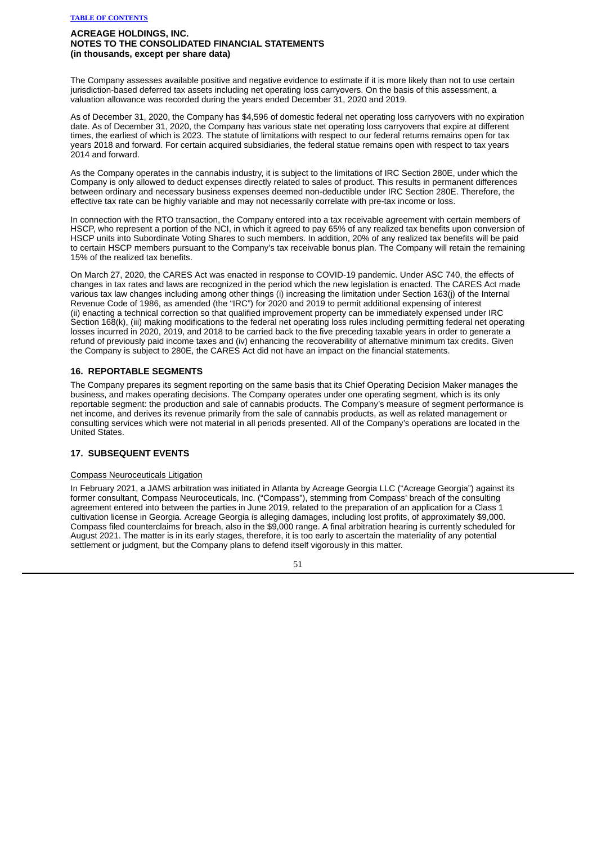The Company assesses available positive and negative evidence to estimate if it is more likely than not to use certain jurisdiction-based deferred tax assets including net operating loss carryovers. On the basis of this assessment, a valuation allowance was recorded during the years ended December 31, 2020 and 2019.

As of December 31, 2020, the Company has \$4,596 of domestic federal net operating loss carryovers with no expiration date. As of December 31, 2020, the Company has various state net operating loss carryovers that expire at different times, the earliest of which is 2023. The statute of limitations with respect to our federal returns remains open for tax years 2018 and forward. For certain acquired subsidiaries, the federal statue remains open with respect to tax years 2014 and forward.

As the Company operates in the cannabis industry, it is subject to the limitations of IRC Section 280E, under which the Company is only allowed to deduct expenses directly related to sales of product. This results in permanent differences between ordinary and necessary business expenses deemed non-deductible under IRC Section 280E. Therefore, the effective tax rate can be highly variable and may not necessarily correlate with pre-tax income or loss.

In connection with the RTO transaction, the Company entered into a tax receivable agreement with certain members of HSCP, who represent a portion of the NCI, in which it agreed to pay 65% of any realized tax benefits upon conversion of HSCP units into Subordinate Voting Shares to such members. In addition, 20% of any realized tax benefits will be paid to certain HSCP members pursuant to the Company's tax receivable bonus plan. The Company will retain the remaining 15% of the realized tax benefits.

On March 27, 2020, the CARES Act was enacted in response to COVID-19 pandemic. Under ASC 740, the effects of changes in tax rates and laws are recognized in the period which the new legislation is enacted. The CARES Act made various tax law changes including among other things (i) increasing the limitation under Section 163(j) of the Internal Revenue Code of 1986, as amended (the "IRC") for 2020 and 2019 to permit additional expensing of interest (ii) enacting a technical correction so that qualified improvement property can be immediately expensed under IRC Section 168(k), (iii) making modifications to the federal net operating loss rules including permitting federal net operating losses incurred in 2020, 2019, and 2018 to be carried back to the five preceding taxable years in order to generate a refund of previously paid income taxes and (iv) enhancing the recoverability of alternative minimum tax credits. Given the Company is subject to 280E, the CARES Act did not have an impact on the financial statements.

# **16. REPORTABLE SEGMENTS**

The Company prepares its segment reporting on the same basis that its Chief Operating Decision Maker manages the business, and makes operating decisions. The Company operates under one operating segment, which is its only reportable segment: the production and sale of cannabis products. The Company's measure of segment performance is net income, and derives its revenue primarily from the sale of cannabis products, as well as related management or consulting services which were not material in all periods presented. All of the Company's operations are located in the United States.

# **17. SUBSEQUENT EVENTS**

# Compass Neuroceuticals Litigation

In February 2021, a JAMS arbitration was initiated in Atlanta by Acreage Georgia LLC ("Acreage Georgia") against its former consultant, Compass Neuroceuticals, Inc. ("Compass"), stemming from Compass' breach of the consulting agreement entered into between the parties in June 2019, related to the preparation of an application for a Class 1 cultivation license in Georgia. Acreage Georgia is alleging damages, including lost profits, of approximately \$9,000. Compass filed counterclaims for breach, also in the \$9,000 range. A final arbitration hearing is currently scheduled for August 2021. The matter is in its early stages, therefore, it is too early to ascertain the materiality of any potential settlement or judgment, but the Company plans to defend itself vigorously in this matter.

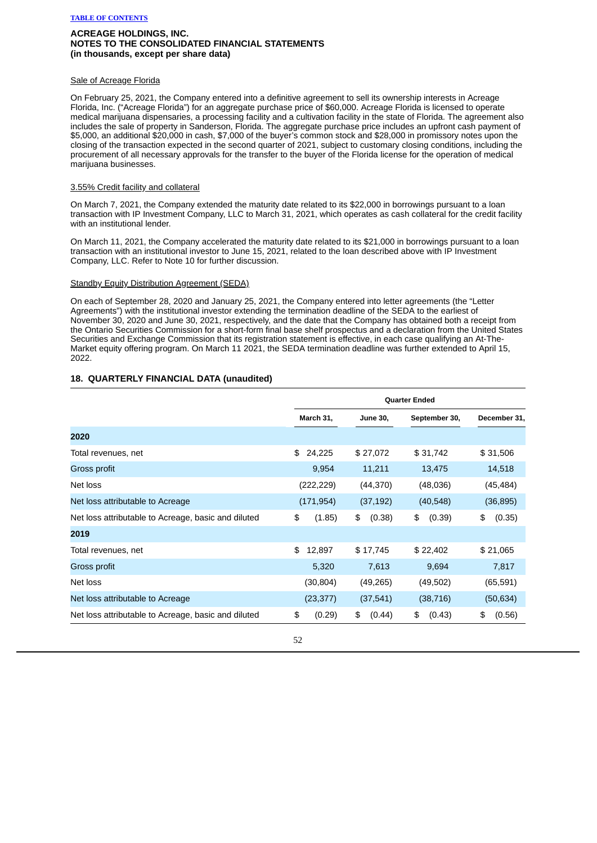### Sale of Acreage Florida

On February 25, 2021, the Company entered into a definitive agreement to sell its ownership interests in Acreage Florida, Inc. ("Acreage Florida") for an aggregate purchase price of \$60,000. Acreage Florida is licensed to operate medical marijuana dispensaries, a processing facility and a cultivation facility in the state of Florida. The agreement also includes the sale of property in Sanderson, Florida. The aggregate purchase price includes an upfront cash payment of \$5,000, an additional \$20,000 in cash, \$7,000 of the buyer's common stock and \$28,000 in promissory notes upon the closing of the transaction expected in the second quarter of 2021, subject to customary closing conditions, including the procurement of all necessary approvals for the transfer to the buyer of the Florida license for the operation of medical marijuana businesses.

## 3.55% Credit facility and collateral

On March 7, 2021, the Company extended the maturity date related to its \$22,000 in borrowings pursuant to a loan transaction with IP Investment Company, LLC to March 31, 2021, which operates as cash collateral for the credit facility with an institutional lender.

On March 11, 2021, the Company accelerated the maturity date related to its \$21,000 in borrowings pursuant to a loan transaction with an institutional investor to June 15, 2021, related to the loan described above with IP Investment Company, LLC. Refer to Note 10 for further discussion.

### Standby Equity Distribution Agreement (SEDA)

On each of September 28, 2020 and January 25, 2021, the Company entered into letter agreements (the "Letter Agreements") with the institutional investor extending the termination deadline of the SEDA to the earliest of November 30, 2020 and June 30, 2021, respectively, and the date that the Company has obtained both a receipt from the Ontario Securities Commission for a short-form final base shelf prospectus and a declaration from the United States Securities and Exchange Commission that its registration statement is effective, in each case qualifying an At-The-Market equity offering program. On March 11 2021, the SEDA termination deadline was further extended to April 15, 2022.

## **18. QUARTERLY FINANCIAL DATA (unaudited)**

|                                                     | <b>Quarter Ended</b> |                 |               |              |
|-----------------------------------------------------|----------------------|-----------------|---------------|--------------|
|                                                     | March 31,            | <b>June 30,</b> | September 30, | December 31, |
| 2020                                                |                      |                 |               |              |
| Total revenues, net                                 | 24,225<br>\$         | \$27,072        | \$31,742      | \$31,506     |
| Gross profit                                        | 9,954                | 11,211          | 13,475        | 14,518       |
| Net loss                                            | (222, 229)           | (44, 370)       | (48,036)      | (45, 484)    |
| Net loss attributable to Acreage                    | (171, 954)           | (37, 192)       | (40, 548)     | (36, 895)    |
| Net loss attributable to Acreage, basic and diluted | \$<br>(1.85)         | (0.38)<br>\$    | \$<br>(0.39)  | \$<br>(0.35) |
| 2019                                                |                      |                 |               |              |
| Total revenues, net                                 | 12,897<br>\$         | \$17.745        | \$22,402      | \$21,065     |
| Gross profit                                        | 5,320                | 7,613           | 9,694         | 7,817        |
| Net loss                                            | (30, 804)            | (49, 265)       | (49, 502)     | (65, 591)    |
| Net loss attributable to Acreage                    | (23, 377)            | (37, 541)       | (38, 716)     | (50, 634)    |
| Net loss attributable to Acreage, basic and diluted | \$<br>(0.29)         | \$<br>(0.44)    | \$<br>(0.43)  | \$<br>(0.56) |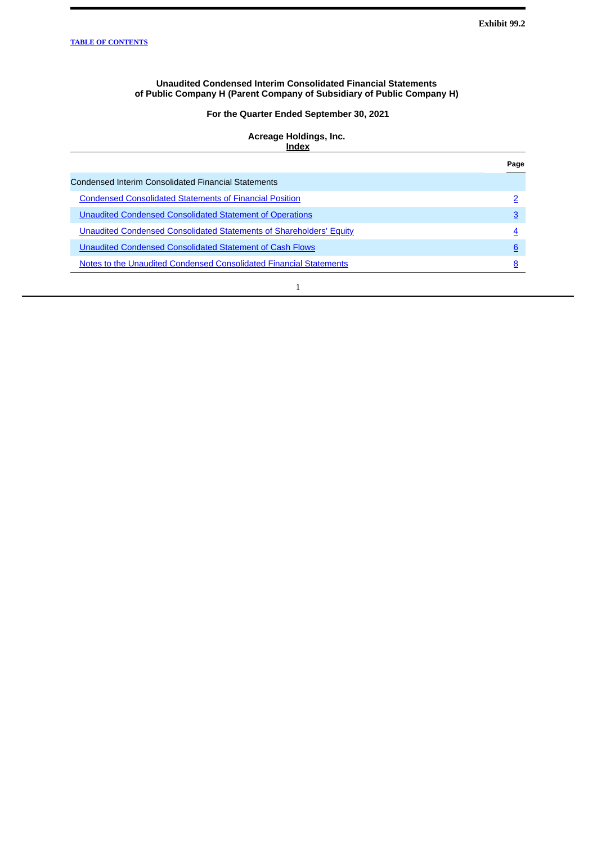## **Unaudited Condensed Interim Consolidated Financial Statements of Public Company H (Parent Company of Subsidiary of Public Company H)**

# **For the Quarter Ended September 30, 2021**

## **Acreage Holdings, Inc.**

**Index**

|                                                                     | Page |
|---------------------------------------------------------------------|------|
| <b>Condensed Interim Consolidated Financial Statements</b>          |      |
| <b>Condensed Consolidated Statements of Financial Position</b>      |      |
| Unaudited Condensed Consolidated Statement of Operations            | 3    |
| Unaudited Condensed Consolidated Statements of Shareholders' Equity |      |
| Unaudited Condensed Consolidated Statement of Cash Flows            | 6    |
| Notes to the Unaudited Condensed Consolidated Financial Statements  |      |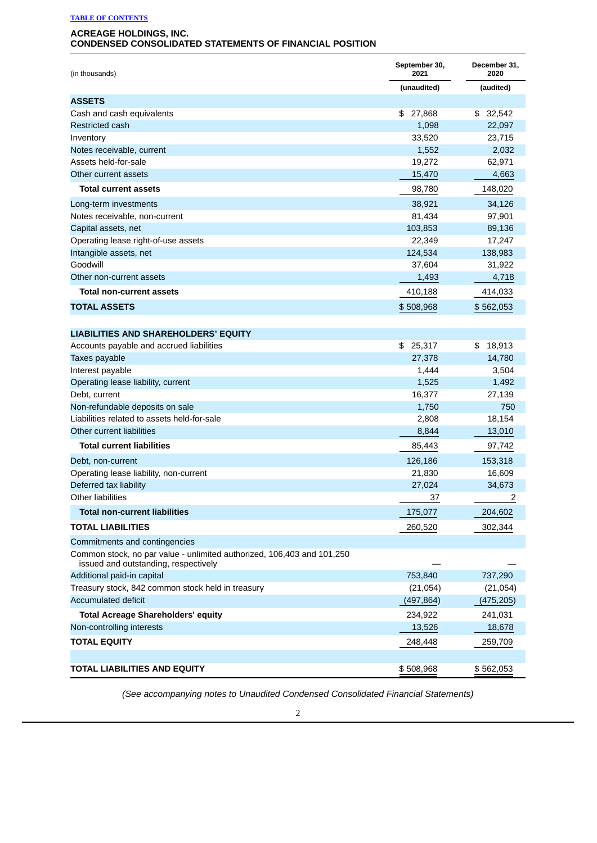# <span id="page-56-0"></span>**ACREAGE HOLDINGS, INC.**

### **CONDENSED CONSOLIDATED STATEMENTS OF FINANCIAL POSITION**

| September 30,<br>(in thousands)<br>2021                                                                        |                | December 31,<br>2020 |
|----------------------------------------------------------------------------------------------------------------|----------------|----------------------|
|                                                                                                                | (unaudited)    | (audited)            |
| <b>ASSETS</b>                                                                                                  |                |                      |
| Cash and cash equivalents                                                                                      | \$27,868       | 32,542<br>\$         |
| <b>Restricted cash</b>                                                                                         | 1,098          | 22,097               |
| Inventory                                                                                                      | 33,520         | 23,715               |
| Notes receivable, current                                                                                      | 1,552          | 2,032                |
| Assets held-for-sale                                                                                           | 19,272         | 62,971               |
| Other current assets                                                                                           | 15,470         | 4,663                |
| <b>Total current assets</b>                                                                                    | 98,780         | 148,020              |
| Long-term investments                                                                                          | 38,921         | 34,126               |
| Notes receivable, non-current                                                                                  | 81,434         | 97,901               |
| Capital assets, net                                                                                            | 103,853        | 89,136               |
| Operating lease right-of-use assets                                                                            | 22,349         | 17,247               |
| Intangible assets, net                                                                                         | 124,534        | 138,983              |
| Goodwill                                                                                                       | 37,604         | 31,922               |
| Other non-current assets                                                                                       | 1,493          | 4,718                |
| <b>Total non-current assets</b>                                                                                | 410,188        | 414,033              |
| <b>TOTAL ASSETS</b>                                                                                            | \$508,968      | \$562,053            |
|                                                                                                                |                |                      |
| <b>LIABILITIES AND SHAREHOLDERS' EQUITY</b>                                                                    |                |                      |
| Accounts payable and accrued liabilities                                                                       | \$<br>25,317   | 18,913<br>\$         |
| Taxes payable                                                                                                  | 27,378         | 14,780               |
| Interest payable                                                                                               | 1,444          | 3,504                |
| Operating lease liability, current                                                                             | 1,525          | 1,492                |
| Debt, current                                                                                                  | 16,377         | 27,139               |
| Non-refundable deposits on sale<br>Liabilities related to assets held-for-sale                                 | 1,750<br>2,808 | 750                  |
| Other current liabilities                                                                                      | 8,844          | 18,154<br>13,010     |
| <b>Total current liabilities</b>                                                                               |                |                      |
|                                                                                                                | 85,443         | 97,742               |
| Debt, non-current                                                                                              | 126,186        | 153,318              |
| Operating lease liability, non-current                                                                         | 21,830         | 16,609               |
| Deferred tax liability<br>Other liabilities                                                                    | 27,024<br>37   | 34,673               |
|                                                                                                                |                | 2                    |
| <b>Total non-current liabilities</b>                                                                           | 175,077        | 204,602              |
| <b>TOTAL LIABILITIES</b>                                                                                       | 260,520        | 302,344              |
| Commitments and contingencies                                                                                  |                |                      |
| Common stock, no par value - unlimited authorized, 106,403 and 101,250<br>issued and outstanding, respectively |                |                      |
| Additional paid-in capital                                                                                     | 753,840        | 737,290              |
| Treasury stock, 842 common stock held in treasury                                                              | (21,054)       | (21,054)             |
| <b>Accumulated deficit</b>                                                                                     | (497, 864)     | (475, 205)           |
| <b>Total Acreage Shareholders' equity</b>                                                                      | 234,922        | 241,031              |
| Non-controlling interests                                                                                      | 13,526         | 18,678               |
| <b>TOTAL EQUITY</b>                                                                                            | 248,448        | 259,709              |
| TOTAL LIABILITIES AND EQUITY                                                                                   | \$508,968      | \$562,053            |
|                                                                                                                |                |                      |

*(See accompanying notes to Unaudited Condensed Consolidated Financial Statements)*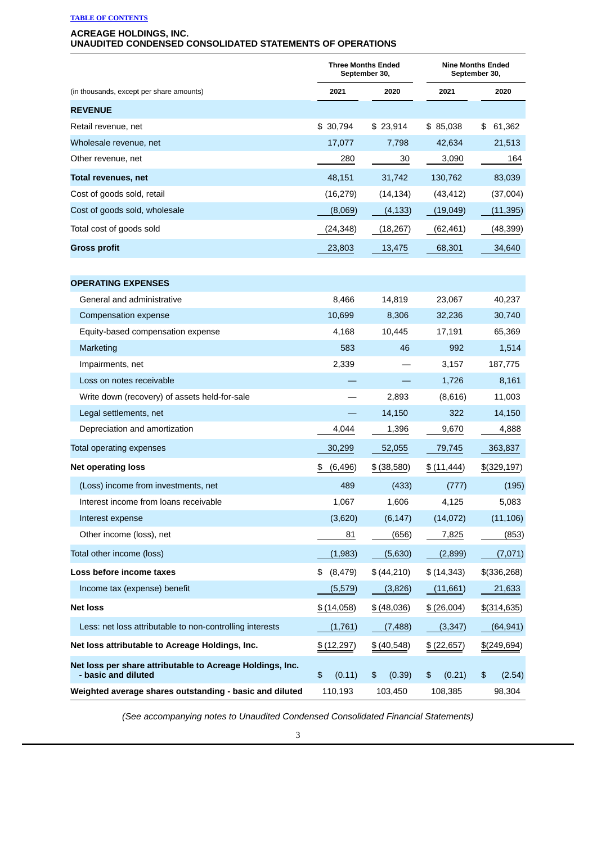## <span id="page-57-0"></span>**ACREAGE HOLDINGS, INC.**

## **UNAUDITED CONDENSED CONSOLIDATED STATEMENTS OF OPERATIONS**

|                                          | <b>Three Months Ended</b><br>September 30, |           | <b>Nine Months Ended</b><br>September 30, |              |
|------------------------------------------|--------------------------------------------|-----------|-------------------------------------------|--------------|
| (in thousands, except per share amounts) | 2021                                       | 2020      | 2021                                      | 2020         |
| <b>REVENUE</b>                           |                                            |           |                                           |              |
| Retail revenue, net                      | \$30,794                                   | \$23,914  | \$85,038                                  | \$<br>61,362 |
| Wholesale revenue, net                   | 17,077                                     | 7,798     | 42,634                                    | 21,513       |
| Other revenue, net                       | 280                                        | 30        | 3,090                                     | 164          |
| Total revenues, net                      | 48,151                                     | 31,742    | 130,762                                   | 83,039       |
| Cost of goods sold, retail               | (16, 279)                                  | (14, 134) | (43, 412)                                 | (37,004)     |
| Cost of goods sold, wholesale            | (8,069)                                    | (4, 133)  | (19,049)                                  | (11, 395)    |
| Total cost of goods sold                 | (24, 348)                                  | (18, 267) | (62, 461)                                 | (48,399)     |
| <b>Gross profit</b>                      | 23,803                                     | 13,475    | 68,301                                    | 34,640       |

| <b>OPERATING EXPENSES</b>                                                        |                    |              |              |               |
|----------------------------------------------------------------------------------|--------------------|--------------|--------------|---------------|
| General and administrative                                                       | 8.466              | 14.819       | 23,067       | 40,237        |
| Compensation expense                                                             | 10,699             | 8,306        | 32,236       | 30,740        |
| Equity-based compensation expense                                                | 4,168              | 10,445       | 17,191       | 65,369        |
| Marketing                                                                        | 583                | 46           | 992          | 1,514         |
| Impairments, net                                                                 | 2,339              |              | 3,157        | 187,775       |
| Loss on notes receivable                                                         |                    |              | 1,726        | 8,161         |
| Write down (recovery) of assets held-for-sale                                    |                    | 2,893        | (8,616)      | 11,003        |
| Legal settlements, net                                                           |                    | 14,150       | 322          | 14,150        |
| Depreciation and amortization                                                    | 4,044              | 1,396        | 9,670        | 4,888         |
| Total operating expenses                                                         | 30,299             | 52,055       | 79,745       | 363,837       |
| <b>Net operating loss</b>                                                        | \$<br>(6, 496)     | \$ (38,580)  | \$(11, 444)  | \$(329,197)   |
| (Loss) income from investments, net                                              | 489                | (433)        | (777)        | (195)         |
| Interest income from loans receivable                                            | 1,067              | 1,606        | 4,125        | 5,083         |
| Interest expense                                                                 | (3,620)            | (6, 147)     | (14,072)     | (11, 106)     |
| Other income (loss), net                                                         | 81                 | (656)        | 7,825        | (853)         |
| Total other income (loss)                                                        | (1,983)<br>(5,630) |              | (2,899)      | (7,071)       |
| Loss before income taxes                                                         | \$<br>(8, 479)     | \$ (44,210)  | \$(14, 343)  | $$$ (336,268) |
| Income tax (expense) benefit                                                     | (5, 579)           | (3,826)      | (11,661)     | 21,633        |
| <b>Net loss</b>                                                                  | \$(14,058)         | \$ (48,036)  | \$(26,004)   | \$(314, 635)  |
| Less: net loss attributable to non-controlling interests                         | (1,761)            | (7, 488)     | (3, 347)     | (64, 941)     |
| Net loss attributable to Acreage Holdings, Inc.                                  | \$(12, 297)        | \$ (40,548)  | \$(22,657)   | \$(249,694)   |
| Net loss per share attributable to Acreage Holdings, Inc.<br>- basic and diluted | \$<br>(0.11)       | \$<br>(0.39) | (0.21)<br>\$ | \$<br>(2.54)  |
| Weighted average shares outstanding - basic and diluted                          | 110,193            | 103,450      | 108,385      | 98,304        |

*(See accompanying notes to Unaudited Condensed Consolidated Financial Statements)*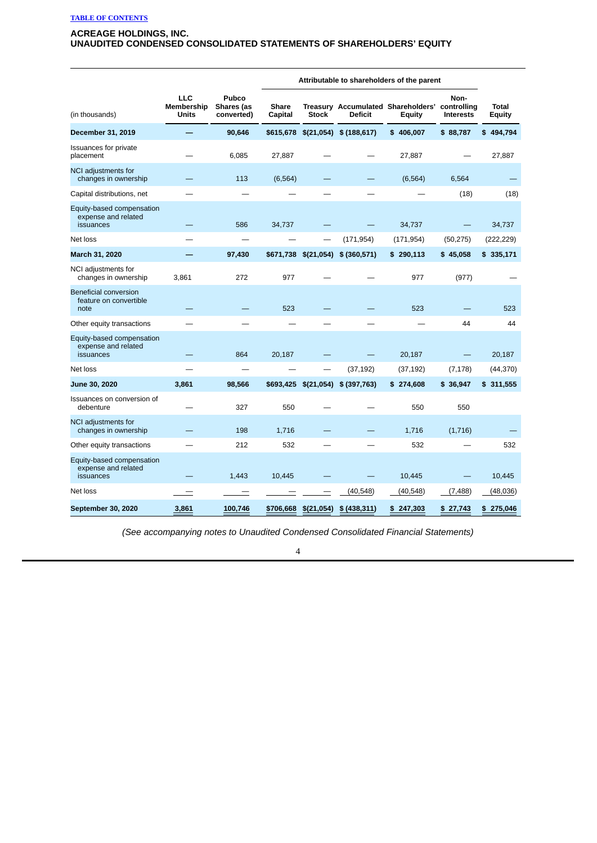## **ACREAGE HOLDINGS, INC. UNAUDITED CONDENSED CONSOLIDATED STATEMENTS OF SHAREHOLDERS' EQUITY**

<span id="page-58-0"></span>

|                                                                      |                                          |                                   | Attributable to shareholders of the parent |              |                          |                                                          |                          |                               |
|----------------------------------------------------------------------|------------------------------------------|-----------------------------------|--------------------------------------------|--------------|--------------------------|----------------------------------------------------------|--------------------------|-------------------------------|
| (in thousands)                                                       | <b>LLC</b><br>Membership<br><b>Units</b> | Pubco<br>Shares (as<br>converted) | <b>Share</b><br>Capital                    | <b>Stock</b> | <b>Deficit</b>           | Treasury Accumulated Shareholders' controlling<br>Equity | Non-<br><b>Interests</b> | <b>Total</b><br><b>Equity</b> |
| December 31, 2019                                                    |                                          | 90,646                            | \$615,678                                  |              | $$(21,054)$ \$ (188,617) | \$406,007                                                | \$88,787                 | \$494,794                     |
| Issuances for private<br>placement                                   |                                          | 6,085                             | 27,887                                     |              |                          | 27,887                                                   |                          | 27,887                        |
| NCI adjustments for<br>changes in ownership                          |                                          | 113                               | (6, 564)                                   |              |                          | (6, 564)                                                 | 6,564                    |                               |
| Capital distributions, net                                           |                                          |                                   |                                            |              |                          |                                                          | (18)                     | (18)                          |
| Equity-based compensation<br>expense and related<br>issuances        |                                          | 586                               | 34,737                                     |              |                          | 34,737                                                   |                          | 34,737                        |
| Net loss                                                             |                                          |                                   |                                            |              | (171, 954)               | (171, 954)                                               | (50, 275)                | (222, 229)                    |
| March 31, 2020                                                       |                                          | 97,430                            | \$671,738                                  | \$(21,054)   | \$ (360,571)             | \$290,113                                                | \$45,058                 | \$335,171                     |
| NCI adjustments for<br>changes in ownership                          | 3,861                                    | 272                               | 977                                        |              |                          | 977                                                      | (977)                    |                               |
| <b>Beneficial conversion</b><br>feature on convertible<br>note       |                                          |                                   | 523                                        |              |                          | 523                                                      |                          | 523                           |
| Other equity transactions                                            |                                          |                                   |                                            |              |                          |                                                          | 44                       | 44                            |
| Equity-based compensation<br>expense and related<br><i>issuances</i> |                                          | 864                               | 20,187                                     |              |                          | 20,187                                                   |                          | 20,187                        |
| Net loss                                                             |                                          |                                   |                                            |              | (37, 192)                | (37, 192)                                                | (7, 178)                 | (44, 370)                     |
| June 30, 2020                                                        | 3,861                                    | 98,566                            | \$693,425                                  |              | $$(21,054)$ \$ (397,763) | \$274,608                                                | \$36,947                 | \$ 311,555                    |
| Issuances on conversion of<br>debenture                              |                                          | 327                               | 550                                        |              |                          | 550                                                      | 550                      |                               |
| NCI adjustments for<br>changes in ownership                          |                                          | 198                               | 1,716                                      |              |                          | 1,716                                                    | (1,716)                  |                               |
| Other equity transactions                                            |                                          | 212                               | 532                                        |              |                          | 532                                                      |                          | 532                           |
| Equity-based compensation<br>expense and related<br>issuances        |                                          | 1,443                             | 10,445                                     |              |                          | 10,445                                                   |                          | 10,445                        |
| Net loss                                                             |                                          |                                   |                                            |              | (40, 548)                | (40, 548)                                                | (7, 488)                 | (48, 036)                     |
| <b>September 30, 2020</b>                                            | 3,861                                    | 100,746                           | \$706,668                                  | \$(21,054)   | \$ (438, 311)            | \$247,303                                                | \$27,743                 | \$ 275,046                    |

*(See accompanying notes to Unaudited Condensed Consolidated Financial Statements)*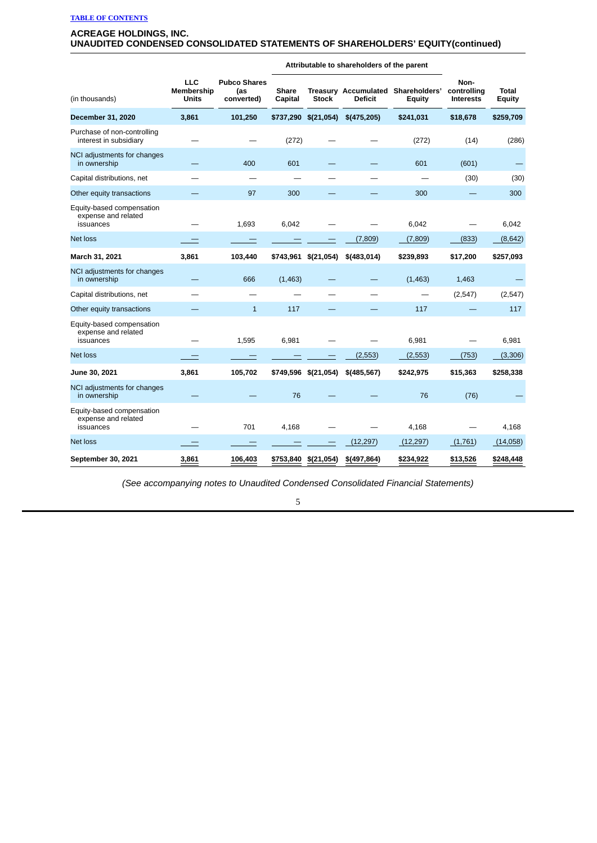## **ACREAGE HOLDINGS, INC.**

**UNAUDITED CONDENSED CONSOLIDATED STATEMENTS OF SHAREHOLDERS' EQUITY(continued)**

|                                                               |                                          |                                          |                         | Attributable to shareholders of the parent |                |                                                     |                                         |                        |
|---------------------------------------------------------------|------------------------------------------|------------------------------------------|-------------------------|--------------------------------------------|----------------|-----------------------------------------------------|-----------------------------------------|------------------------|
| (in thousands)                                                | <b>LLC</b><br>Membership<br><b>Units</b> | <b>Pubco Shares</b><br>(as<br>converted) | <b>Share</b><br>Capital | <b>Stock</b>                               | <b>Deficit</b> | Treasury Accumulated Shareholders'<br><b>Equity</b> | Non-<br>controlling<br><b>Interests</b> | <b>Total</b><br>Equity |
| <b>December 31, 2020</b>                                      | 3,861                                    | 101,250                                  |                         | \$737,290 \$(21,054)                       | \$(475,205)    | \$241,031                                           | \$18,678                                | \$259,709              |
| Purchase of non-controlling<br>interest in subsidiary         |                                          |                                          | (272)                   |                                            |                | (272)                                               | (14)                                    | (286)                  |
| NCI adjustments for changes<br>in ownership                   |                                          | 400                                      | 601                     |                                            |                | 601                                                 | (601)                                   |                        |
| Capital distributions, net                                    |                                          |                                          |                         |                                            |                |                                                     | (30)                                    | (30)                   |
| Other equity transactions                                     |                                          | 97                                       | 300                     |                                            |                | 300                                                 |                                         | 300                    |
| Equity-based compensation<br>expense and related<br>issuances |                                          | 1,693                                    | 6,042                   |                                            |                | 6,042                                               |                                         | 6,042                  |
| Net loss                                                      |                                          |                                          |                         |                                            | (7,809)        | (7, 809)                                            | (833)                                   | (8,642)                |
| March 31, 2021                                                | 3,861                                    | 103,440                                  |                         | \$743,961 \$(21,054)                       | $$$ (483,014)  | \$239,893                                           | \$17,200                                | \$257,093              |
| NCI adjustments for changes<br>in ownership                   |                                          | 666                                      | (1, 463)                |                                            |                | (1, 463)                                            | 1,463                                   |                        |
| Capital distributions, net                                    |                                          |                                          |                         |                                            |                | -                                                   | (2,547)                                 | (2,547)                |
| Other equity transactions                                     |                                          | $\mathbf{1}$                             | 117                     |                                            |                | 117                                                 |                                         | 117                    |
| Equity-based compensation<br>expense and related<br>issuances |                                          | 1,595                                    | 6,981                   |                                            |                | 6,981                                               |                                         | 6,981                  |
| Net loss                                                      |                                          |                                          |                         |                                            | (2, 553)       | (2, 553)                                            | (753)                                   | (3,306)                |
| June 30, 2021                                                 | 3,861                                    | 105,702                                  | \$749,596               | \$(21,054)                                 | $$$ (485,567)  | \$242,975                                           | \$15,363                                | \$258,338              |
| NCI adjustments for changes<br>in ownership                   |                                          |                                          | 76                      |                                            |                | 76                                                  | (76)                                    |                        |
| Equity-based compensation<br>expense and related<br>issuances |                                          | 701                                      | 4,168                   |                                            |                | 4,168                                               |                                         | 4,168                  |
| <b>Net loss</b>                                               |                                          |                                          |                         |                                            | (12, 297)      | (12, 297)                                           | (1,761)                                 | (14,058)               |
| <b>September 30, 2021</b>                                     | 3,861                                    | 106,403                                  | \$753,840               | \$(21,054)                                 | $$$ (497,864)  | \$234,922                                           | \$13,526                                | \$248,448              |

*(See accompanying notes to Unaudited Condensed Consolidated Financial Statements)*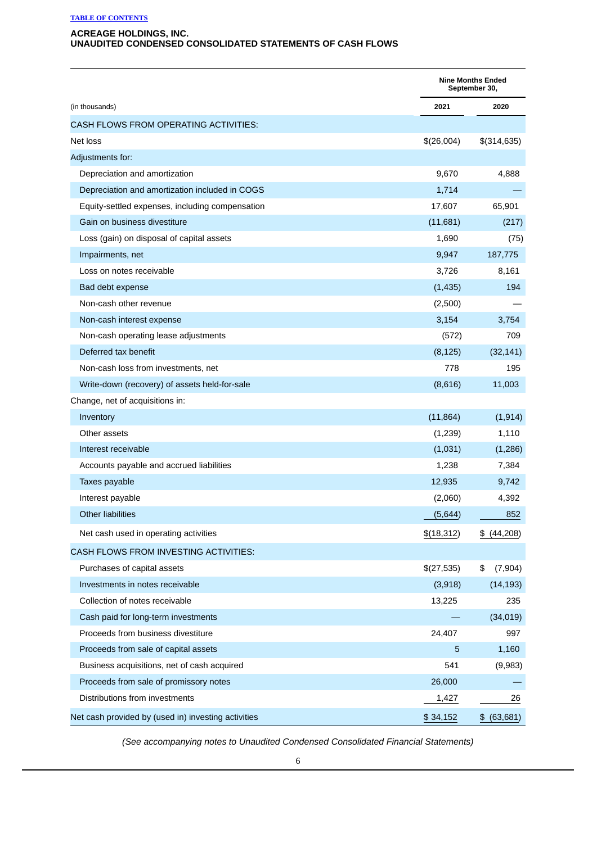# **ACREAGE HOLDINGS, INC.**

## <span id="page-60-0"></span>**UNAUDITED CONDENSED CONSOLIDATED STATEMENTS OF CASH FLOWS**

|                                                     |            | <b>Nine Months Ended</b><br>September 30, |
|-----------------------------------------------------|------------|-------------------------------------------|
| (in thousands)                                      | 2021       | 2020                                      |
| CASH FLOWS FROM OPERATING ACTIVITIES:               |            |                                           |
| Net loss                                            | \$(26,004) | \$(314,635)                               |
| Adjustments for:                                    |            |                                           |
| Depreciation and amortization                       | 9,670      | 4,888                                     |
| Depreciation and amortization included in COGS      | 1,714      |                                           |
| Equity-settled expenses, including compensation     | 17,607     | 65,901                                    |
| Gain on business divestiture                        | (11,681)   | (217)                                     |
| Loss (gain) on disposal of capital assets           | 1,690      | (75)                                      |
| Impairments, net                                    | 9,947      | 187,775                                   |
| Loss on notes receivable                            | 3,726      | 8,161                                     |
| Bad debt expense                                    | (1, 435)   | 194                                       |
| Non-cash other revenue                              | (2,500)    |                                           |
| Non-cash interest expense                           | 3,154      | 3,754                                     |
| Non-cash operating lease adjustments                | (572)      | 709                                       |
| Deferred tax benefit                                | (8, 125)   | (32, 141)                                 |
| Non-cash loss from investments, net                 | 778        | 195                                       |
| Write-down (recovery) of assets held-for-sale       | (8,616)    | 11,003                                    |
| Change, net of acquisitions in:                     |            |                                           |
| Inventory                                           | (11, 864)  | (1, 914)                                  |
| Other assets                                        | (1,239)    | 1,110                                     |
| Interest receivable                                 | (1,031)    | (1,286)                                   |
| Accounts payable and accrued liabilities            | 1,238      | 7,384                                     |
| Taxes payable                                       | 12,935     | 9,742                                     |
| Interest payable                                    | (2,060)    | 4,392                                     |
| <b>Other liabilities</b>                            | (5,644)    | 852                                       |
| Net cash used in operating activities               | \$(18,312) | \$ (44,208)                               |
| <b>CASH FLOWS FROM INVESTING ACTIVITIES:</b>        |            |                                           |
| Purchases of capital assets                         | \$(27,535) | (7,904)<br>\$                             |
| Investments in notes receivable                     | (3,918)    | (14, 193)                                 |
| Collection of notes receivable                      | 13,225     | 235                                       |
| Cash paid for long-term investments                 |            | (34, 019)                                 |
| Proceeds from business divestiture                  | 24,407     | 997                                       |
| Proceeds from sale of capital assets                | 5          | 1,160                                     |
| Business acquisitions, net of cash acquired         | 541        | (9,983)                                   |
| Proceeds from sale of promissory notes              | 26,000     |                                           |
| Distributions from investments                      | 1,427      | 26                                        |
| Net cash provided by (used in) investing activities | \$34,152   | \$ (63, 681)                              |

*(See accompanying notes to Unaudited Condensed Consolidated Financial Statements)*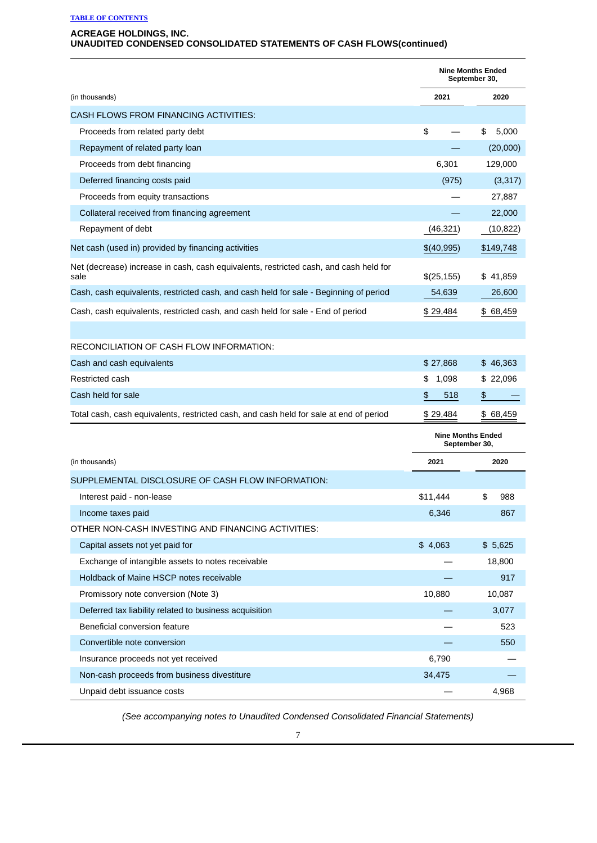# **ACREAGE HOLDINGS, INC.**

## **UNAUDITED CONDENSED CONSOLIDATED STATEMENTS OF CASH FLOWS(continued)**

|                                                                                               | <b>Nine Months Ended</b><br>September 30, |             |  |  |
|-----------------------------------------------------------------------------------------------|-------------------------------------------|-------------|--|--|
| (in thousands)                                                                                | 2021                                      | 2020        |  |  |
| CASH FLOWS FROM FINANCING ACTIVITIES:                                                         |                                           |             |  |  |
| Proceeds from related party debt                                                              | \$                                        | \$<br>5,000 |  |  |
| Repayment of related party loan                                                               |                                           | (20,000)    |  |  |
| Proceeds from debt financing                                                                  | 6,301                                     | 129,000     |  |  |
| Deferred financing costs paid                                                                 | (975)                                     | (3,317)     |  |  |
| Proceeds from equity transactions                                                             |                                           | 27,887      |  |  |
| Collateral received from financing agreement                                                  |                                           | 22,000      |  |  |
| Repayment of debt                                                                             | (46, 321)                                 | (10, 822)   |  |  |
| Net cash (used in) provided by financing activities                                           | \$(40,995)                                | \$149,748   |  |  |
| Net (decrease) increase in cash, cash equivalents, restricted cash, and cash held for<br>sale | \$(25, 155)                               | \$41,859    |  |  |
| Cash, cash equivalents, restricted cash, and cash held for sale - Beginning of period         | 54,639                                    | 26,600      |  |  |
| Cash, cash equivalents, restricted cash, and cash held for sale - End of period               | \$29,484                                  | \$ 68,459   |  |  |
|                                                                                               |                                           |             |  |  |
| RECONCILIATION OF CASH FLOW INFORMATION:                                                      |                                           |             |  |  |
| Cash and cash equivalents                                                                     | \$27,868                                  | \$46,363    |  |  |
| Restricted cash                                                                               | 1,098<br>\$                               | \$22,096    |  |  |
| Cash held for sale                                                                            | 518<br>\$                                 | \$          |  |  |
| Total cash, cash equivalents, restricted cash, and cash held for sale at end of period        | \$29,484                                  | \$ 68,459   |  |  |
|                                                                                               | <b>Nine Months Ended</b><br>September 30, |             |  |  |
| (in thousands)                                                                                | 2021                                      | 2020        |  |  |
| SUPPLEMENTAL DISCLOSURE OF CASH FLOW INFORMATION:                                             |                                           |             |  |  |
| Interest paid - non-lease                                                                     | \$11,444                                  | 988<br>\$   |  |  |
| Income taxes paid                                                                             | 6,346                                     | 867         |  |  |
| OTHER NON-CASH INVESTING AND FINANCING ACTIVITIES:                                            |                                           |             |  |  |
| Capital assets not yet paid for                                                               | \$4,063                                   | \$5,625     |  |  |
| Exchange of intangible assets to notes receivable                                             |                                           | 18,800      |  |  |
| Holdback of Maine HSCP notes receivable                                                       |                                           | 917         |  |  |
| Promissory note conversion (Note 3)                                                           | 10,880                                    | 10,087      |  |  |
| Deferred tax liability related to business acquisition                                        |                                           | 3,077       |  |  |
| Beneficial conversion feature                                                                 |                                           | 523         |  |  |
| Convertible note conversion                                                                   |                                           | 550         |  |  |
| Insurance proceeds not yet received                                                           | 6,790                                     |             |  |  |
| Non-cash proceeds from business divestiture                                                   | 34,475                                    |             |  |  |
| Unpaid debt issuance costs                                                                    |                                           | 4,968       |  |  |

*(See accompanying notes to Unaudited Condensed Consolidated Financial Statements)*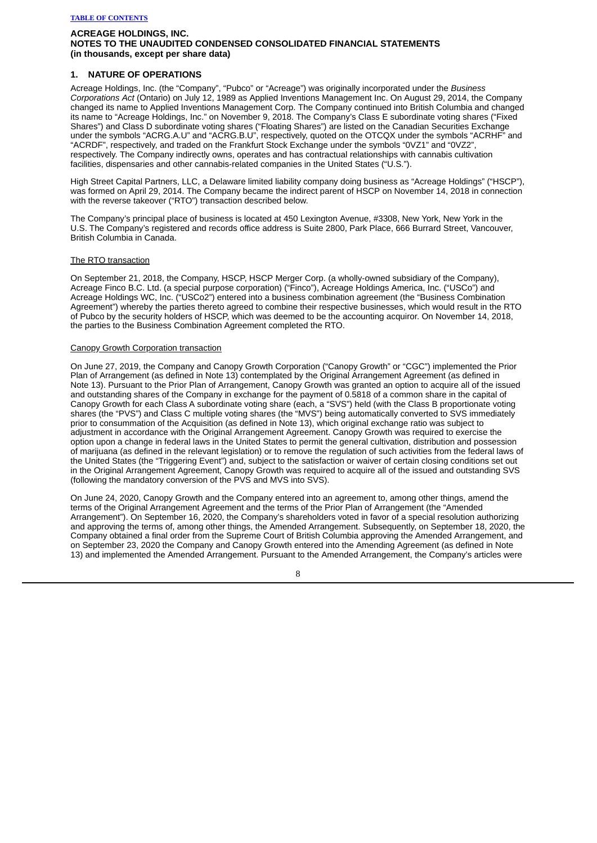# **1. NATURE OF OPERATIONS**

<span id="page-62-0"></span>Acreage Holdings, Inc. (the "Company", "Pubco" or "Acreage") was originally incorporated under the *Business Corporations Act* (Ontario) on July 12, 1989 as Applied Inventions Management Inc. On August 29, 2014, the Company changed its name to Applied Inventions Management Corp. The Company continued into British Columbia and changed its name to "Acreage Holdings, Inc." on November 9, 2018. The Company's Class E subordinate voting shares ("Fixed Shares") and Class D subordinate voting shares ("Floating Shares") are listed on the Canadian Securities Exchange under the symbols "ACRG.A.U" and "ACRG.B.U", respectively, quoted on the OTCQX under the symbols "ACRHF" and "ACRDF", respectively, and traded on the Frankfurt Stock Exchange under the symbols "0VZ1" and "0VZ2", respectively. The Company indirectly owns, operates and has contractual relationships with cannabis cultivation facilities, dispensaries and other cannabis-related companies in the United States ("U.S.").

High Street Capital Partners, LLC, a Delaware limited liability company doing business as "Acreage Holdings" ("HSCP"), was formed on April 29, 2014. The Company became the indirect parent of HSCP on November 14, 2018 in connection with the reverse takeover ("RTO") transaction described below.

The Company's principal place of business is located at 450 Lexington Avenue, #3308, New York, New York in the U.S. The Company's registered and records office address is Suite 2800, Park Place, 666 Burrard Street, Vancouver, British Columbia in Canada.

## The RTO transaction

On September 21, 2018, the Company, HSCP, HSCP Merger Corp. (a wholly-owned subsidiary of the Company), Acreage Finco B.C. Ltd. (a special purpose corporation) ("Finco"), Acreage Holdings America, Inc. ("USCo") and Acreage Holdings WC, Inc. ("USCo2") entered into a business combination agreement (the "Business Combination Agreement") whereby the parties thereto agreed to combine their respective businesses, which would result in the RTO of Pubco by the security holders of HSCP, which was deemed to be the accounting acquiror. On November 14, 2018, the parties to the Business Combination Agreement completed the RTO.

## Canopy Growth Corporation transaction

On June 27, 2019, the Company and Canopy Growth Corporation ("Canopy Growth" or "CGC") implemented the Prior Plan of Arrangement (as defined in Note 13) contemplated by the Original Arrangement Agreement (as defined in Note 13). Pursuant to the Prior Plan of Arrangement, Canopy Growth was granted an option to acquire all of the issued and outstanding shares of the Company in exchange for the payment of 0.5818 of a common share in the capital of Canopy Growth for each Class A subordinate voting share (each, a "SVS") held (with the Class B proportionate voting shares (the "PVS") and Class C multiple voting shares (the "MVS") being automatically converted to SVS immediately prior to consummation of the Acquisition (as defined in Note 13), which original exchange ratio was subject to adjustment in accordance with the Original Arrangement Agreement. Canopy Growth was required to exercise the option upon a change in federal laws in the United States to permit the general cultivation, distribution and possession of marijuana (as defined in the relevant legislation) or to remove the regulation of such activities from the federal laws of the United States (the "Triggering Event") and, subject to the satisfaction or waiver of certain closing conditions set out in the Original Arrangement Agreement, Canopy Growth was required to acquire all of the issued and outstanding SVS (following the mandatory conversion of the PVS and MVS into SVS).

On June 24, 2020, Canopy Growth and the Company entered into an agreement to, among other things, amend the terms of the Original Arrangement Agreement and the terms of the Prior Plan of Arrangement (the "Amended Arrangement"). On September 16, 2020, the Company's shareholders voted in favor of a special resolution authorizing and approving the terms of, among other things, the Amended Arrangement. Subsequently, on September 18, 2020, the Company obtained a final order from the Supreme Court of British Columbia approving the Amended Arrangement, and on September 23, 2020 the Company and Canopy Growth entered into the Amending Agreement (as defined in Note 13) and implemented the Amended Arrangement. Pursuant to the Amended Arrangement, the Company's articles were

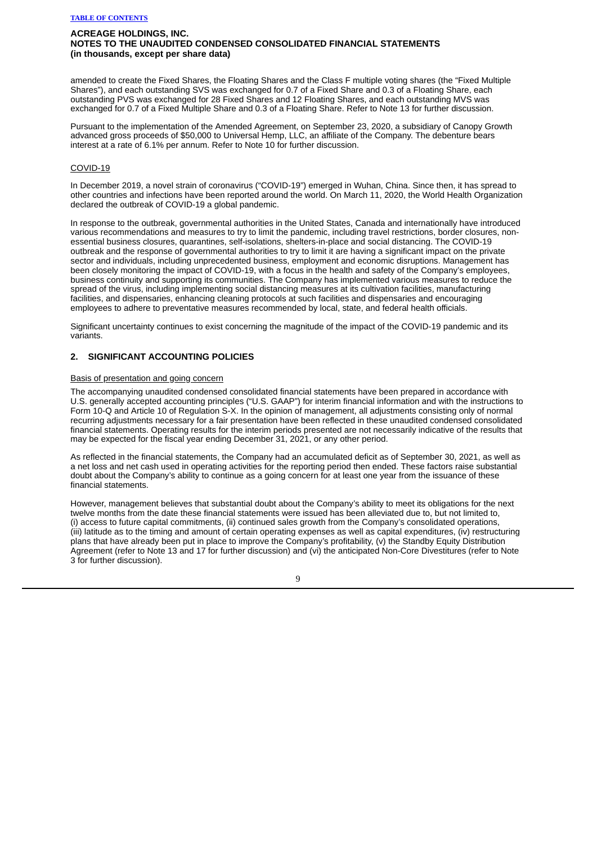amended to create the Fixed Shares, the Floating Shares and the Class F multiple voting shares (the "Fixed Multiple Shares"), and each outstanding SVS was exchanged for 0.7 of a Fixed Share and 0.3 of a Floating Share, each outstanding PVS was exchanged for 28 Fixed Shares and 12 Floating Shares, and each outstanding MVS was exchanged for 0.7 of a Fixed Multiple Share and 0.3 of a Floating Share. Refer to Note 13 for further discussion.

Pursuant to the implementation of the Amended Agreement, on September 23, 2020, a subsidiary of Canopy Growth advanced gross proceeds of \$50,000 to Universal Hemp, LLC, an affiliate of the Company. The debenture bears interest at a rate of 6.1% per annum. Refer to Note 10 for further discussion.

## COVID-19

In December 2019, a novel strain of coronavirus ("COVID-19") emerged in Wuhan, China. Since then, it has spread to other countries and infections have been reported around the world. On March 11, 2020, the World Health Organization declared the outbreak of COVID-19 a global pandemic.

In response to the outbreak, governmental authorities in the United States, Canada and internationally have introduced various recommendations and measures to try to limit the pandemic, including travel restrictions, border closures, nonessential business closures, quarantines, self-isolations, shelters-in-place and social distancing. The COVID-19 outbreak and the response of governmental authorities to try to limit it are having a significant impact on the private sector and individuals, including unprecedented business, employment and economic disruptions. Management has been closely monitoring the impact of COVID-19, with a focus in the health and safety of the Company's employees, business continuity and supporting its communities. The Company has implemented various measures to reduce the spread of the virus, including implementing social distancing measures at its cultivation facilities, manufacturing facilities, and dispensaries, enhancing cleaning protocols at such facilities and dispensaries and encouraging employees to adhere to preventative measures recommended by local, state, and federal health officials.

Significant uncertainty continues to exist concerning the magnitude of the impact of the COVID-19 pandemic and its variants.

# **2. SIGNIFICANT ACCOUNTING POLICIES**

### Basis of presentation and going concern

The accompanying unaudited condensed consolidated financial statements have been prepared in accordance with U.S. generally accepted accounting principles ("U.S. GAAP") for interim financial information and with the instructions to Form 10-Q and Article 10 of Regulation S-X. In the opinion of management, all adjustments consisting only of normal recurring adjustments necessary for a fair presentation have been reflected in these unaudited condensed consolidated financial statements. Operating results for the interim periods presented are not necessarily indicative of the results that may be expected for the fiscal year ending December 31, 2021, or any other period.

As reflected in the financial statements, the Company had an accumulated deficit as of September 30, 2021, as well as a net loss and net cash used in operating activities for the reporting period then ended. These factors raise substantial doubt about the Company's ability to continue as a going concern for at least one year from the issuance of these financial statements.

However, management believes that substantial doubt about the Company's ability to meet its obligations for the next twelve months from the date these financial statements were issued has been alleviated due to, but not limited to, (i) access to future capital commitments, (ii) continued sales growth from the Company's consolidated operations, (iii) latitude as to the timing and amount of certain operating expenses as well as capital expenditures, (iv) restructuring plans that have already been put in place to improve the Company's profitability, (v) the Standby Equity Distribution Agreement (refer to Note 13 and 17 for further discussion) and (vi) the anticipated Non-Core Divestitures (refer to Note 3 for further discussion).

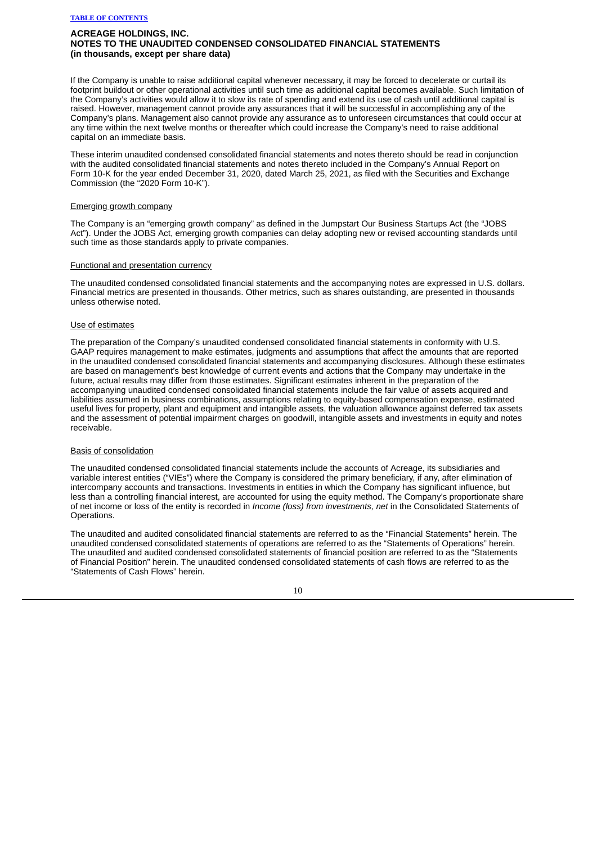If the Company is unable to raise additional capital whenever necessary, it may be forced to decelerate or curtail its footprint buildout or other operational activities until such time as additional capital becomes available. Such limitation of the Company's activities would allow it to slow its rate of spending and extend its use of cash until additional capital is raised. However, management cannot provide any assurances that it will be successful in accomplishing any of the Company's plans. Management also cannot provide any assurance as to unforeseen circumstances that could occur at any time within the next twelve months or thereafter which could increase the Company's need to raise additional capital on an immediate basis.

These interim unaudited condensed consolidated financial statements and notes thereto should be read in conjunction with the audited consolidated financial statements and notes thereto included in the Company's Annual Report on Form 10-K for the year ended December 31, 2020, dated March 25, 2021, as filed with the Securities and Exchange Commission (the "2020 Form 10-K").

### Emerging growth company

The Company is an "emerging growth company" as defined in the Jumpstart Our Business Startups Act (the "JOBS Act"). Under the JOBS Act, emerging growth companies can delay adopting new or revised accounting standards until such time as those standards apply to private companies.

### Functional and presentation currency

The unaudited condensed consolidated financial statements and the accompanying notes are expressed in U.S. dollars. Financial metrics are presented in thousands. Other metrics, such as shares outstanding, are presented in thousands unless otherwise noted.

### Use of estimates

The preparation of the Company's unaudited condensed consolidated financial statements in conformity with U.S. GAAP requires management to make estimates, judgments and assumptions that affect the amounts that are reported in the unaudited condensed consolidated financial statements and accompanying disclosures. Although these estimates are based on management's best knowledge of current events and actions that the Company may undertake in the future, actual results may differ from those estimates. Significant estimates inherent in the preparation of the accompanying unaudited condensed consolidated financial statements include the fair value of assets acquired and liabilities assumed in business combinations, assumptions relating to equity-based compensation expense, estimated useful lives for property, plant and equipment and intangible assets, the valuation allowance against deferred tax assets and the assessment of potential impairment charges on goodwill, intangible assets and investments in equity and notes receivable.

## Basis of consolidation

The unaudited condensed consolidated financial statements include the accounts of Acreage, its subsidiaries and variable interest entities ("VIEs") where the Company is considered the primary beneficiary, if any, after elimination of intercompany accounts and transactions. Investments in entities in which the Company has significant influence, but less than a controlling financial interest, are accounted for using the equity method. The Company's proportionate share of net income or loss of the entity is recorded in *Income (loss) from investments, net* in the Consolidated Statements of Operations.

The unaudited and audited consolidated financial statements are referred to as the "Financial Statements" herein. The unaudited condensed consolidated statements of operations are referred to as the "Statements of Operations" herein. The unaudited and audited condensed consolidated statements of financial position are referred to as the "Statements of Financial Position" herein. The unaudited condensed consolidated statements of cash flows are referred to as the "Statements of Cash Flows" herein.

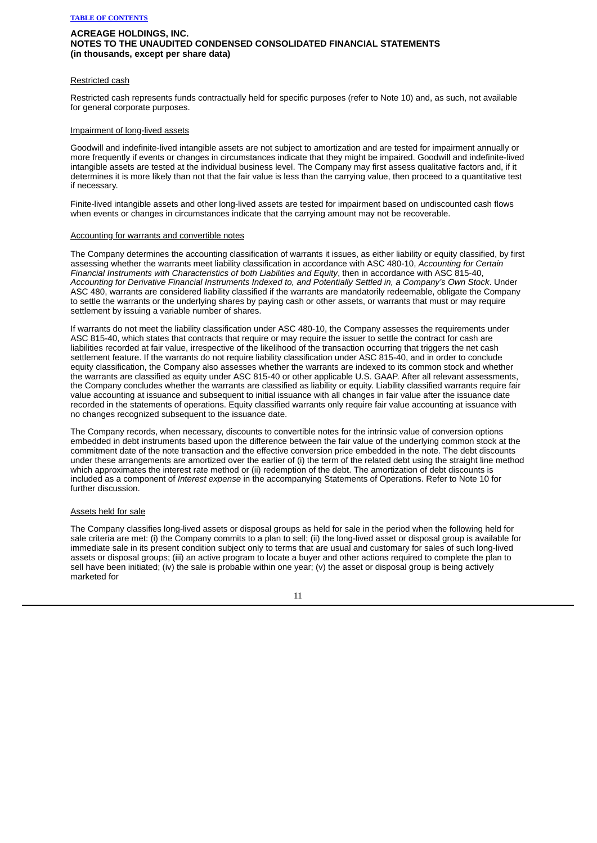### Restricted cash

Restricted cash represents funds contractually held for specific purposes (refer to Note 10) and, as such, not available for general corporate purposes.

### Impairment of long-lived assets

Goodwill and indefinite-lived intangible assets are not subject to amortization and are tested for impairment annually or more frequently if events or changes in circumstances indicate that they might be impaired. Goodwill and indefinite-lived intangible assets are tested at the individual business level. The Company may first assess qualitative factors and, if it determines it is more likely than not that the fair value is less than the carrying value, then proceed to a quantitative test if necessary.

Finite-lived intangible assets and other long-lived assets are tested for impairment based on undiscounted cash flows when events or changes in circumstances indicate that the carrying amount may not be recoverable.

## Accounting for warrants and convertible notes

The Company determines the accounting classification of warrants it issues, as either liability or equity classified, by first assessing whether the warrants meet liability classification in accordance with ASC 480-10, *Accounting for Certain Financial Instruments with Characteristics of both Liabilities and Equity*, then in accordance with ASC 815-40, *Accounting for Derivative Financial Instruments Indexed to, and Potentially Settled in, a Company's Own Stock*. Under ASC 480, warrants are considered liability classified if the warrants are mandatorily redeemable, obligate the Company to settle the warrants or the underlying shares by paying cash or other assets, or warrants that must or may require settlement by issuing a variable number of shares.

If warrants do not meet the liability classification under ASC 480-10, the Company assesses the requirements under ASC 815-40, which states that contracts that require or may require the issuer to settle the contract for cash are liabilities recorded at fair value, irrespective of the likelihood of the transaction occurring that triggers the net cash settlement feature. If the warrants do not require liability classification under ASC 815-40, and in order to conclude equity classification, the Company also assesses whether the warrants are indexed to its common stock and whether the warrants are classified as equity under ASC 815-40 or other applicable U.S. GAAP. After all relevant assessments, the Company concludes whether the warrants are classified as liability or equity. Liability classified warrants require fair value accounting at issuance and subsequent to initial issuance with all changes in fair value after the issuance date recorded in the statements of operations. Equity classified warrants only require fair value accounting at issuance with no changes recognized subsequent to the issuance date.

The Company records, when necessary, discounts to convertible notes for the intrinsic value of conversion options embedded in debt instruments based upon the difference between the fair value of the underlying common stock at the commitment date of the note transaction and the effective conversion price embedded in the note. The debt discounts under these arrangements are amortized over the earlier of (i) the term of the related debt using the straight line method which approximates the interest rate method or (ii) redemption of the debt. The amortization of debt discounts is included as a component of *Interest expense* in the accompanying Statements of Operations. Refer to Note 10 for further discussion.

### Assets held for sale

The Company classifies long-lived assets or disposal groups as held for sale in the period when the following held for sale criteria are met: (i) the Company commits to a plan to sell; (ii) the long-lived asset or disposal group is available for immediate sale in its present condition subject only to terms that are usual and customary for sales of such long-lived assets or disposal groups; (iii) an active program to locate a buyer and other actions required to complete the plan to sell have been initiated; (iv) the sale is probable within one year; (v) the asset or disposal group is being actively marketed for

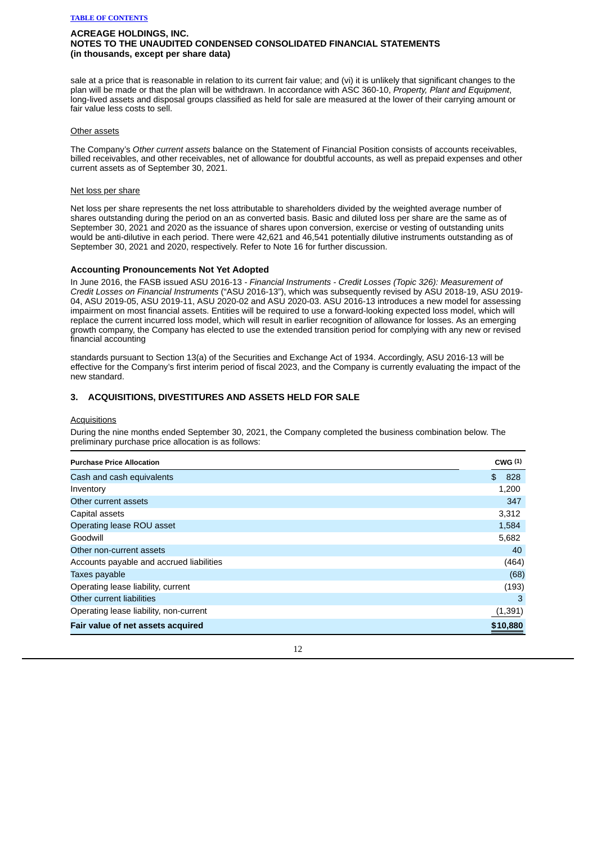sale at a price that is reasonable in relation to its current fair value; and (vi) it is unlikely that significant changes to the plan will be made or that the plan will be withdrawn. In accordance with ASC 360-10, *Property, Plant and Equipment*, long-lived assets and disposal groups classified as held for sale are measured at the lower of their carrying amount or fair value less costs to sell.

#### Other assets

The Company's *Other current assets* balance on the Statement of Financial Position consists of accounts receivables, billed receivables, and other receivables, net of allowance for doubtful accounts, as well as prepaid expenses and other current assets as of September 30, 2021.

## Net loss per share

Net loss per share represents the net loss attributable to shareholders divided by the weighted average number of shares outstanding during the period on an as converted basis. Basic and diluted loss per share are the same as of September 30, 2021 and 2020 as the issuance of shares upon conversion, exercise or vesting of outstanding units would be anti-dilutive in each period. There were 42,621 and 46,541 potentially dilutive instruments outstanding as of September 30, 2021 and 2020, respectively. Refer to Note 16 for further discussion.

## **Accounting Pronouncements Not Yet Adopted**

In June 2016, the FASB issued ASU 2016-13 *- Financial Instruments - Credit Losses (Topic 326): Measurement of Credit Losses on Financial Instruments* ("ASU 2016-13"), which was subsequently revised by ASU 2018-19, ASU 2019- 04, ASU 2019-05, ASU 2019-11, ASU 2020-02 and ASU 2020-03. ASU 2016-13 introduces a new model for assessing impairment on most financial assets. Entities will be required to use a forward-looking expected loss model, which will replace the current incurred loss model, which will result in earlier recognition of allowance for losses. As an emerging growth company, the Company has elected to use the extended transition period for complying with any new or revised financial accounting

standards pursuant to Section 13(a) of the Securities and Exchange Act of 1934. Accordingly, ASU 2016-13 will be effective for the Company's first interim period of fiscal 2023, and the Company is currently evaluating the impact of the new standard.

## **3. ACQUISITIONS, DIVESTITURES AND ASSETS HELD FOR SALE**

## **Acquisitions**

During the nine months ended September 30, 2021, the Company completed the business combination below. The preliminary purchase price allocation is as follows:

| <b>Purchase Price Allocation</b>         | CWG <sup>(1)</sup> |
|------------------------------------------|--------------------|
| Cash and cash equivalents                | \$<br>828          |
| Inventory                                | 1,200              |
| Other current assets                     | 347                |
| Capital assets                           | 3,312              |
| Operating lease ROU asset                | 1,584              |
| Goodwill                                 | 5,682              |
| Other non-current assets                 | 40                 |
| Accounts payable and accrued liabilities | (464)              |
| Taxes payable                            | (68)               |
| Operating lease liability, current       | (193)              |
| Other current liabilities                | 3                  |
| Operating lease liability, non-current   | (1, 391)           |
| Fair value of net assets acquired        | \$10,880           |

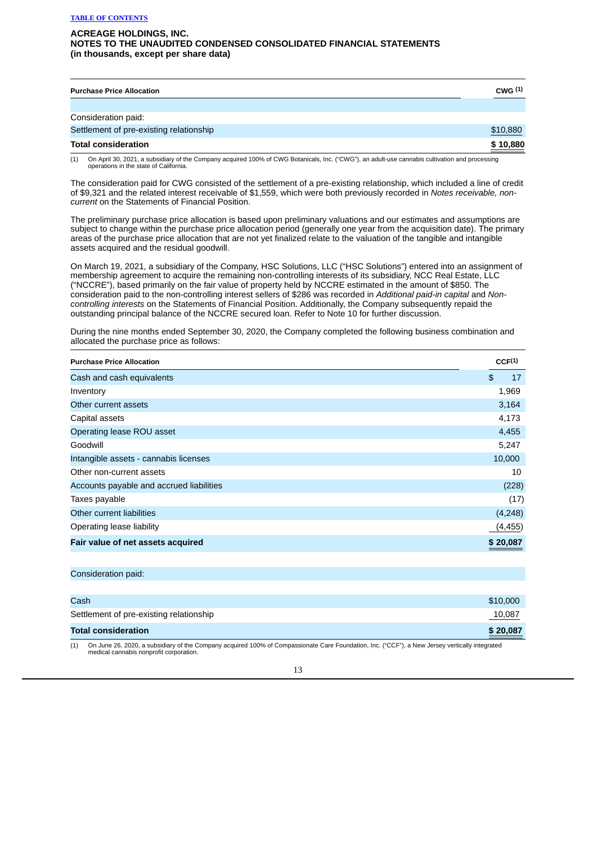| <b>Purchase Price Allocation</b>        | CWG <sup>(1)</sup> |
|-----------------------------------------|--------------------|
|                                         |                    |
| Consideration paid:                     |                    |
| Settlement of pre-existing relationship | \$10,880           |
| <b>Total consideration</b>              | $\frac{$10,880}{}$ |

(1) On April 30, 2021, a subsidiary of the Company acquired 100% of CWG Botanicals, Inc. ("CWG"), an adult-use cannabis cultivation and processing operations in the state of California.

The consideration paid for CWG consisted of the settlement of a pre-existing relationship, which included a line of credit of \$9,321 and the related interest receivable of \$1,559, which were both previously recorded in *Notes receivable, noncurrent* on the Statements of Financial Position.

The preliminary purchase price allocation is based upon preliminary valuations and our estimates and assumptions are subject to change within the purchase price allocation period (generally one year from the acquisition date). The primary areas of the purchase price allocation that are not yet finalized relate to the valuation of the tangible and intangible assets acquired and the residual goodwill.

On March 19, 2021, a subsidiary of the Company, HSC Solutions, LLC ("HSC Solutions") entered into an assignment of membership agreement to acquire the remaining non-controlling interests of its subsidiary, NCC Real Estate, LLC ("NCCRE"), based primarily on the fair value of property held by NCCRE estimated in the amount of \$850. The consideration paid to the non-controlling interest sellers of \$286 was recorded in *Additional paid-in capital* and *Noncontrolling interests* on the Statements of Financial Position. Additionally, the Company subsequently repaid the outstanding principal balance of the NCCRE secured loan. Refer to Note 10 for further discussion.

During the nine months ended September 30, 2020, the Company completed the following business combination and allocated the purchase price as follows:

| <b>Purchase Price Allocation</b>         | CCF <sup>(1)</sup> |
|------------------------------------------|--------------------|
| Cash and cash equivalents                | \$<br>17           |
| Inventory                                | 1,969              |
| Other current assets                     | 3,164              |
| Capital assets                           | 4,173              |
| Operating lease ROU asset                | 4,455              |
| Goodwill                                 | 5,247              |
| Intangible assets - cannabis licenses    | 10,000             |
| Other non-current assets                 | 10                 |
| Accounts payable and accrued liabilities | (228)              |
| Taxes payable                            | (17)               |
| Other current liabilities                | (4, 248)           |
| Operating lease liability                | (4,455)            |
| Fair value of net assets acquired        | \$20,087           |
|                                          |                    |
| Consideration paid:                      |                    |
|                                          |                    |
| Cash                                     | \$10,000           |

(1) On June 26, 2020, a subsidiary of the Company acquired 100% of Compassionate Care Foundation, Inc. ("CCF"), a New Jersey vertically integrated medical cannabis nonprofit corporation.

Settlement of pre-existing relationship 10,087 **Total consideration \$ 20,087**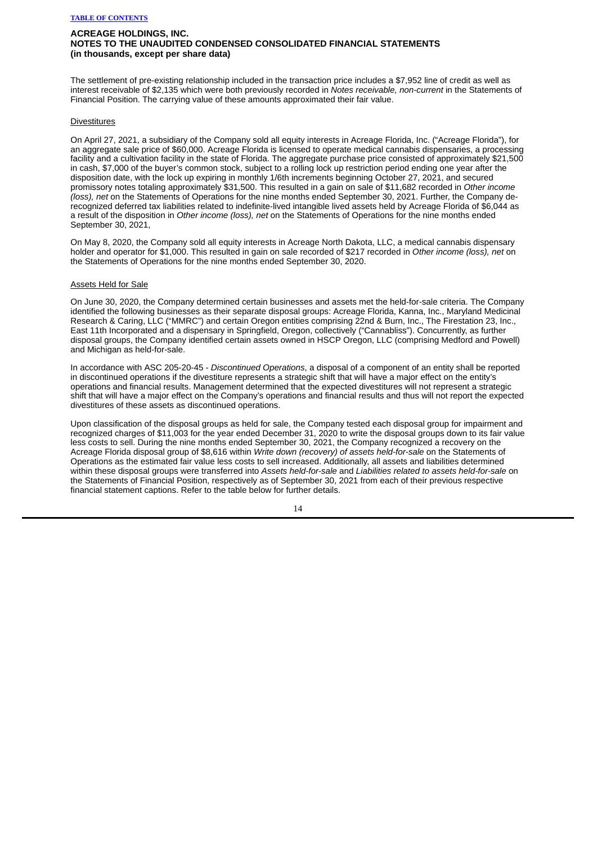The settlement of pre-existing relationship included in the transaction price includes a \$7,952 line of credit as well as interest receivable of \$2,135 which were both previously recorded in *Notes receivable, non-current* in the Statements of Financial Position. The carrying value of these amounts approximated their fair value.

## Divestitures

On April 27, 2021, a subsidiary of the Company sold all equity interests in Acreage Florida, Inc. ("Acreage Florida"), for an aggregate sale price of \$60,000. Acreage Florida is licensed to operate medical cannabis dispensaries, a processing facility and a cultivation facility in the state of Florida. The aggregate purchase price consisted of approximately \$21,500 in cash, \$7,000 of the buyer's common stock, subject to a rolling lock up restriction period ending one year after the disposition date, with the lock up expiring in monthly 1/6th increments beginning October 27, 2021, and secured promissory notes totaling approximately \$31,500. This resulted in a gain on sale of \$11,682 recorded in *Other income (loss), net* on the Statements of Operations for the nine months ended September 30, 2021. Further, the Company derecognized deferred tax liabilities related to indefinite-lived intangible lived assets held by Acreage Florida of \$6,044 as a result of the disposition in *Other income (loss), net* on the Statements of Operations for the nine months ended September 30, 2021,

On May 8, 2020, the Company sold all equity interests in Acreage North Dakota, LLC, a medical cannabis dispensary holder and operator for \$1,000. This resulted in gain on sale recorded of \$217 recorded in *Other income (loss), net* on the Statements of Operations for the nine months ended September 30, 2020.

## Assets Held for Sale

On June 30, 2020, the Company determined certain businesses and assets met the held-for-sale criteria. The Company identified the following businesses as their separate disposal groups: Acreage Florida, Kanna, Inc., Maryland Medicinal Research & Caring, LLC ("MMRC") and certain Oregon entities comprising 22nd & Burn, Inc., The Firestation 23, Inc., East 11th Incorporated and a dispensary in Springfield, Oregon, collectively ("Cannabliss"). Concurrently, as further disposal groups, the Company identified certain assets owned in HSCP Oregon, LLC (comprising Medford and Powell) and Michigan as held-for-sale.

In accordance with ASC 205-20-45 - *Discontinued Operations*, a disposal of a component of an entity shall be reported in discontinued operations if the divestiture represents a strategic shift that will have a major effect on the entity's operations and financial results. Management determined that the expected divestitures will not represent a strategic shift that will have a major effect on the Company's operations and financial results and thus will not report the expected divestitures of these assets as discontinued operations.

Upon classification of the disposal groups as held for sale, the Company tested each disposal group for impairment and recognized charges of \$11,003 for the year ended December 31, 2020 to write the disposal groups down to its fair value less costs to sell. During the nine months ended September 30, 2021, the Company recognized a recovery on the Acreage Florida disposal group of \$8,616 within *Write down (recovery) of assets held-for-sale* on the Statements of Operations as the estimated fair value less costs to sell increased. Additionally, all assets and liabilities determined within these disposal groups were transferred into *Assets held-for-sale* and *Liabilities related to assets held-for-sale* on the Statements of Financial Position, respectively as of September 30, 2021 from each of their previous respective financial statement captions. Refer to the table below for further details.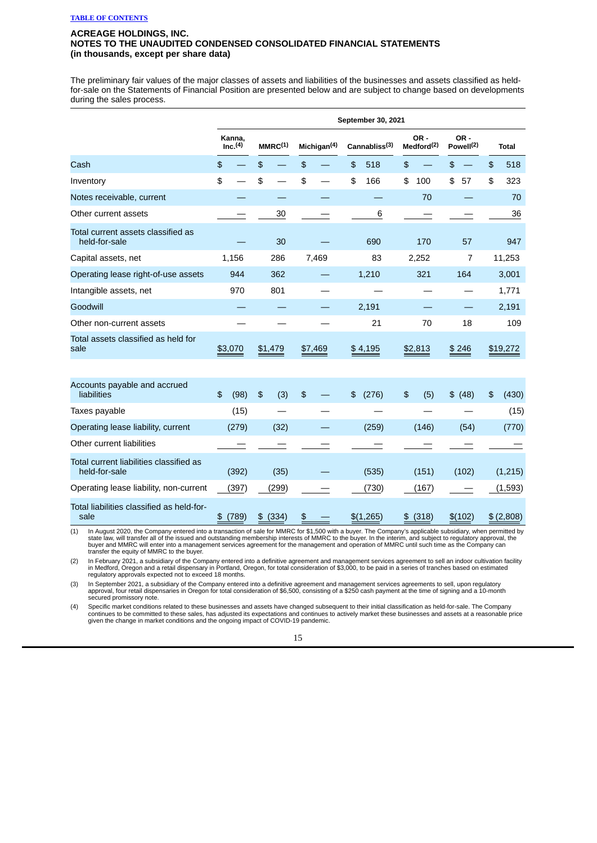The preliminary fair values of the major classes of assets and liabilities of the businesses and assets classified as heldfor-sale on the Statements of Financial Position are presented below and are subject to change based on developments during the sales process.

|                                                          | September 30, 2021           |    |                     |    |                         |    |                           |                               |                     |              |
|----------------------------------------------------------|------------------------------|----|---------------------|----|-------------------------|----|---------------------------|-------------------------------|---------------------|--------------|
|                                                          | Kanna,<br>Inc <sup>(4)</sup> |    | MMRC <sup>(1)</sup> |    | Michigan <sup>(4)</sup> |    | Cannabliss <sup>(3)</sup> | OR-<br>Medford <sup>(2)</sup> | OR-<br>Powell $(2)$ | <b>Total</b> |
| Cash                                                     | \$                           | \$ |                     | \$ |                         | \$ | 518                       | \$                            | \$                  | \$<br>518    |
| Inventory                                                | \$                           | \$ |                     | \$ |                         | \$ | 166                       | \$<br>100                     | \$<br>57            | \$<br>323    |
| Notes receivable, current                                |                              |    |                     |    |                         |    |                           | 70                            |                     | 70           |
| Other current assets                                     |                              |    | 30                  |    |                         |    | 6                         |                               |                     | 36           |
| Total current assets classified as<br>held-for-sale      |                              |    | 30                  |    |                         |    | 690                       | 170                           | 57                  | 947          |
| Capital assets, net                                      | 1,156                        |    | 286                 |    | 7,469                   |    | 83                        | 2,252                         | 7                   | 11,253       |
| Operating lease right-of-use assets                      | 944                          |    | 362                 |    |                         |    | 1,210                     | 321                           | 164                 | 3,001        |
| Intangible assets, net                                   | 970                          |    | 801                 |    |                         |    |                           |                               |                     | 1,771        |
| Goodwill                                                 |                              |    |                     |    |                         |    | 2,191                     |                               |                     | 2,191        |
| Other non-current assets                                 |                              |    |                     |    |                         |    | 21                        | 70                            | 18                  | 109          |
| Total assets classified as held for<br>sale              | \$3,070                      |    | \$1,479             |    | \$7,469                 |    | \$4,195                   | \$2,813                       | \$246               | \$19,272     |
| Accounts payable and accrued<br>liabilities              | (98)<br>$\mathfrak{D}$       | \$ | (3)                 | \$ |                         | \$ | (276)                     | \$<br>(5)                     | \$<br>(48)          | \$<br>(430)  |
| Taxes payable                                            | (15)                         |    |                     |    |                         |    |                           |                               |                     | (15)         |
| Operating lease liability, current                       | (279)                        |    | (32)                |    |                         |    | (259)                     | (146)                         | (54)                | (770)        |
| Other current liabilities                                |                              |    |                     |    |                         |    |                           |                               |                     |              |
| Total current liabilities classified as<br>held-for-sale | (392)                        |    | (35)                |    |                         |    | (535)                     | (151)                         | (102)               | (1, 215)     |
| Operating lease liability, non-current                   | (397)                        |    | (299)               |    |                         |    | (730)                     | (167)                         |                     | (1, 593)     |
| Total liabilities classified as held-for-<br>sale        | (789)<br>\$                  | \$ | (334)               | \$ |                         |    | \$(1,265)                 | \$<br>(318)                   | \$(102)             | \$(2,808)    |

(1) In August 2020, the Company entered into a transaction of sale for MMRC for \$1,500 with a buyer. The Company's applicable subsidiary, when permitted by state law, will transfer all of the issued and outstanding members

2011, a subsidiary of the Company entered into a definitive agreement and management services agreement to sell an indoor cultivation facility (2)<br>in Medford, Oregon, and a retail dispensary in Portland, Oregon, for total

(3) In September 2021, a subsidiary of the Company entered into a definitive agreement and management services agreements to sell, upon regulatory<br>approval, four retail dispensaries in Oregon for total consideration of \$6, secured promissory note.

(4) Specific market conditions related to these businesses and assets have changed subsequent to their initial classification as held-for-sale. The Company continues to be committed to these sales, has adjusted its expectations and continues to actively market these businesses and assets at a reasonable price<br>given the change in market conditions and the ongoing impact of COV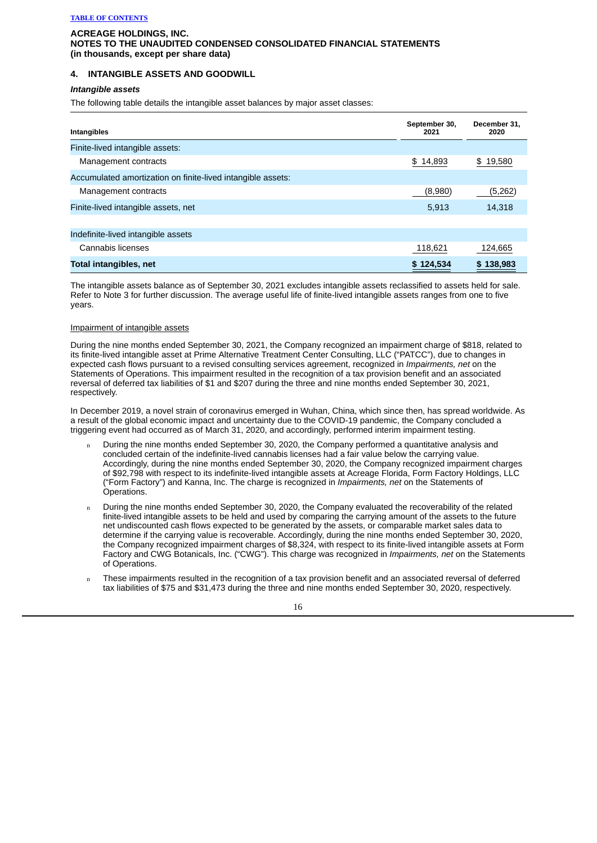# **4. INTANGIBLE ASSETS AND GOODWILL**

## *Intangible assets*

The following table details the intangible asset balances by major asset classes:

| <b>Intangibles</b>                                          | September 30,<br>2021 | December 31.<br>2020 |
|-------------------------------------------------------------|-----------------------|----------------------|
| Finite-lived intangible assets:                             |                       |                      |
| Management contracts                                        | \$14,893              | 19,580<br>\$         |
| Accumulated amortization on finite-lived intangible assets: |                       |                      |
| Management contracts                                        | (8,980)               | (5,262)              |
| Finite-lived intangible assets, net                         | 5,913                 | 14,318               |
|                                                             |                       |                      |
| Indefinite-lived intangible assets                          |                       |                      |
| Cannabis licenses                                           | 118,621               | 124,665              |
| Total intangibles, net                                      | \$124,534             | \$138,983            |

The intangible assets balance as of September 30, 2021 excludes intangible assets reclassified to assets held for sale. Refer to Note 3 for further discussion. The average useful life of finite-lived intangible assets ranges from one to five years.

### Impairment of intangible assets

During the nine months ended September 30, 2021, the Company recognized an impairment charge of \$818, related to its finite-lived intangible asset at Prime Alternative Treatment Center Consulting, LLC ("PATCC"), due to changes in expected cash flows pursuant to a revised consulting services agreement, recognized in *Impairments, net* on the Statements of Operations. This impairment resulted in the recognition of a tax provision benefit and an associated reversal of deferred tax liabilities of \$1 and \$207 during the three and nine months ended September 30, 2021, respectively.

In December 2019, a novel strain of coronavirus emerged in Wuhan, China, which since then, has spread worldwide. As a result of the global economic impact and uncertainty due to the COVID-19 pandemic, the Company concluded a triggering event had occurred as of March 31, 2020, and accordingly, performed interim impairment testing.

- During the nine months ended September 30, 2020, the Company performed a quantitative analysis and concluded certain of the indefinite-lived cannabis licenses had a fair value below the carrying value. Accordingly, during the nine months ended September 30, 2020, the Company recognized impairment charges of \$92,798 with respect to its indefinite-lived intangible assets at Acreage Florida, Form Factory Holdings, LLC ("Form Factory") and Kanna, Inc. The charge is recognized in *Impairments, net* on the Statements of **Operations** n
- During the nine months ended September 30, 2020, the Company evaluated the recoverability of the related finite-lived intangible assets to be held and used by comparing the carrying amount of the assets to the future net undiscounted cash flows expected to be generated by the assets, or comparable market sales data to determine if the carrying value is recoverable. Accordingly, during the nine months ended September 30, 2020, the Company recognized impairment charges of \$8,324, with respect to its finite-lived intangible assets at Form Factory and CWG Botanicals, Inc. ("CWG"). This charge was recognized in *Impairments, net* on the Statements of Operations. n
- These impairments resulted in the recognition of a tax provision benefit and an associated reversal of deferred tax liabilities of \$75 and \$31,473 during the three and nine months ended September 30, 2020, respectively. n

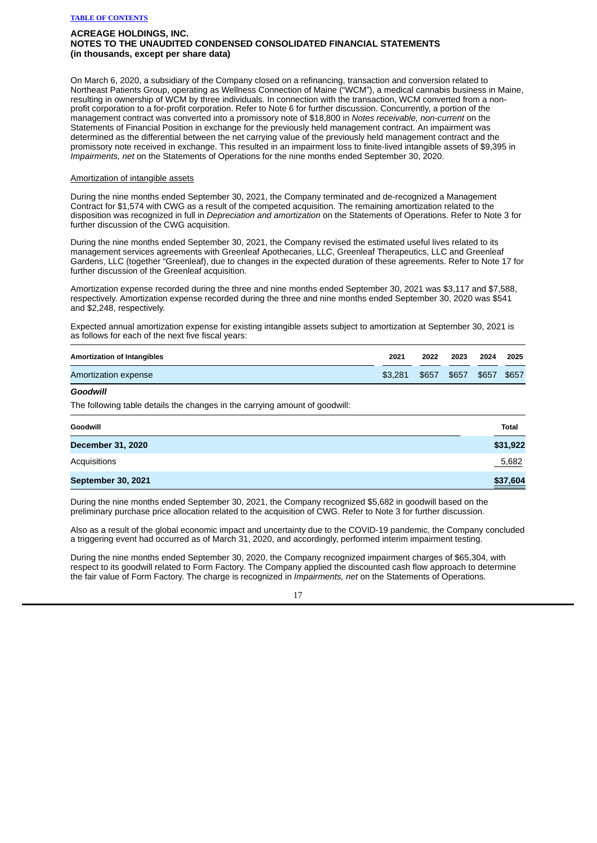On March 6, 2020, a subsidiary of the Company closed on a refinancing, transaction and conversion related to Northeast Patients Group, operating as Wellness Connection of Maine ("WCM"), a medical cannabis business in Maine, resulting in ownership of WCM by three individuals. In connection with the transaction, WCM converted from a nonprofit corporation to a for-profit corporation. Refer to Note 6 for further discussion. Concurrently, a portion of the management contract was converted into a promissory note of \$18,800 in *Notes receivable, non-current* on the Statements of Financial Position in exchange for the previously held management contract. An impairment was determined as the differential between the net carrying value of the previously held management contract and the promissory note received in exchange. This resulted in an impairment loss to finite-lived intangible assets of \$9,395 in *Impairments, net* on the Statements of Operations for the nine months ended September 30, 2020.

#### Amortization of intangible assets

During the nine months ended September 30, 2021, the Company terminated and de-recognized a Management Contract for \$1,574 with CWG as a result of the competed acquisition. The remaining amortization related to the disposition was recognized in full in *Depreciation and amortization* on the Statements of Operations. Refer to Note 3 for further discussion of the CWG acquisition.

During the nine months ended September 30, 2021, the Company revised the estimated useful lives related to its management services agreements with Greenleaf Apothecaries, LLC, Greenleaf Therapeutics, LLC and Greenleaf Gardens, LLC (together "Greenleaf), due to changes in the expected duration of these agreements. Refer to Note 17 for further discussion of the Greenleaf acquisition.

Amortization expense recorded during the three and nine months ended September 30, 2021 was \$3,117 and \$7,588, respectively. Amortization expense recorded during the three and nine months ended September 30, 2020 was \$541 and \$2,248, respectively.

Expected annual amortization expense for existing intangible assets subject to amortization at September 30, 2021 is as follows for each of the next five fiscal years:

| <b>Amortization of Intangibles</b> | 2021    | 2022  | 2023  | 2024  | 2025  |
|------------------------------------|---------|-------|-------|-------|-------|
| Amortization expense               | \$3.281 | \$657 | \$657 | \$657 | \$657 |

# *Goodwill*

The following table details the changes in the carrying amount of goodwill:

| Goodwill                  | <b>Total</b> |
|---------------------------|--------------|
| <b>December 31, 2020</b>  | \$31,922     |
| Acquisitions              | 5,682        |
| <b>September 30, 2021</b> | \$37,604     |

During the nine months ended September 30, 2021, the Company recognized \$5,682 in goodwill based on the preliminary purchase price allocation related to the acquisition of CWG. Refer to Note 3 for further discussion.

Also as a result of the global economic impact and uncertainty due to the COVID-19 pandemic, the Company concluded a triggering event had occurred as of March 31, 2020, and accordingly, performed interim impairment testing.

During the nine months ended September 30, 2020, the Company recognized impairment charges of \$65,304, with respect to its goodwill related to Form Factory. The Company applied the discounted cash flow approach to determine the fair value of Form Factory. The charge is recognized in *Impairments, net* on the Statements of Operations.

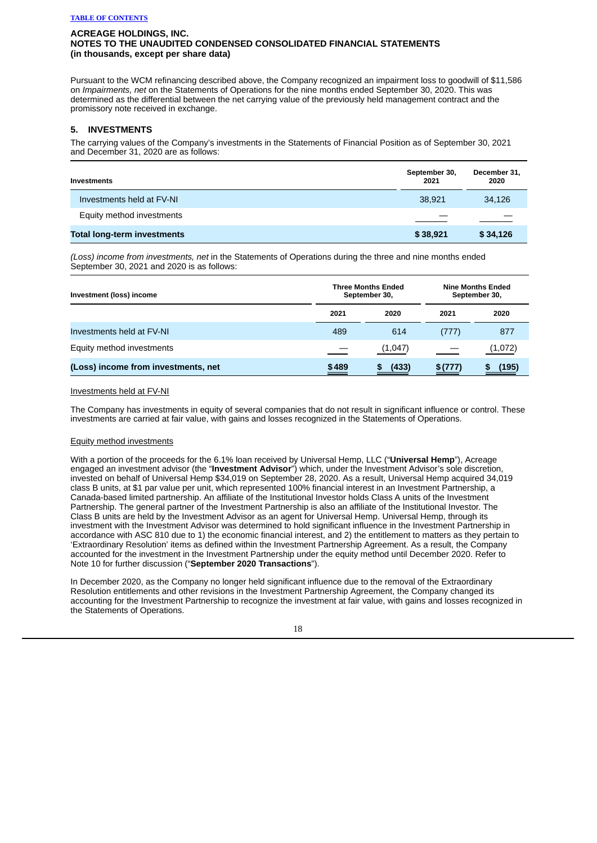Pursuant to the WCM refinancing described above, the Company recognized an impairment loss to goodwill of \$11,586 on *Impairments, net* on the Statements of Operations for the nine months ended September 30, 2020. This was determined as the differential between the net carrying value of the previously held management contract and the promissory note received in exchange.

### **5. INVESTMENTS**

The carrying values of the Company's investments in the Statements of Financial Position as of September 30, 2021 and December 31, 2020 are as follows:

| <b>Investments</b>                 | September 30,<br>2021 | December 31,<br>2020 |
|------------------------------------|-----------------------|----------------------|
| Investments held at FV-NI          | 38,921                | 34,126               |
| Equity method investments          |                       |                      |
| <b>Total long-term investments</b> | \$38,921              | \$34,126             |

*(Loss) income from investments, net* in the Statements of Operations during the three and nine months ended September 30, 2021 and 2020 is as follows:

| Investment (loss) income            | <b>Three Months Ended</b><br>September 30, |         |       |         |  |  | <b>Nine Months Ended</b><br>September 30, |  |  |
|-------------------------------------|--------------------------------------------|---------|-------|---------|--|--|-------------------------------------------|--|--|
|                                     | 2021                                       | 2020    | 2021  | 2020    |  |  |                                           |  |  |
| Investments held at FV-NI           | 489                                        | 614     | (777) | 877     |  |  |                                           |  |  |
| Equity method investments           |                                            | (1,047) |       | (1,072) |  |  |                                           |  |  |
| (Loss) income from investments, net | $\underline{\$489}$                        | (433)   |       | (195)   |  |  |                                           |  |  |

### Investments held at FV-NI

The Company has investments in equity of several companies that do not result in significant influence or control. These investments are carried at fair value, with gains and losses recognized in the Statements of Operations.

### Equity method investments

With a portion of the proceeds for the 6.1% loan received by Universal Hemp, LLC ("**Universal Hemp**"), Acreage engaged an investment advisor (the "**Investment Advisor**") which, under the Investment Advisor's sole discretion, invested on behalf of Universal Hemp \$34,019 on September 28, 2020. As a result, Universal Hemp acquired 34,019 class B units, at \$1 par value per unit, which represented 100% financial interest in an Investment Partnership, a Canada-based limited partnership. An affiliate of the Institutional Investor holds Class A units of the Investment Partnership. The general partner of the Investment Partnership is also an affiliate of the Institutional Investor. The Class B units are held by the Investment Advisor as an agent for Universal Hemp. Universal Hemp, through its investment with the Investment Advisor was determined to hold significant influence in the Investment Partnership in accordance with ASC 810 due to 1) the economic financial interest, and 2) the entitlement to matters as they pertain to 'Extraordinary Resolution' items as defined within the Investment Partnership Agreement. As a result, the Company accounted for the investment in the Investment Partnership under the equity method until December 2020. Refer to Note 10 for further discussion ("**September 2020 Transactions**").

In December 2020, as the Company no longer held significant influence due to the removal of the Extraordinary Resolution entitlements and other revisions in the Investment Partnership Agreement, the Company changed its accounting for the Investment Partnership to recognize the investment at fair value, with gains and losses recognized in the Statements of Operations.

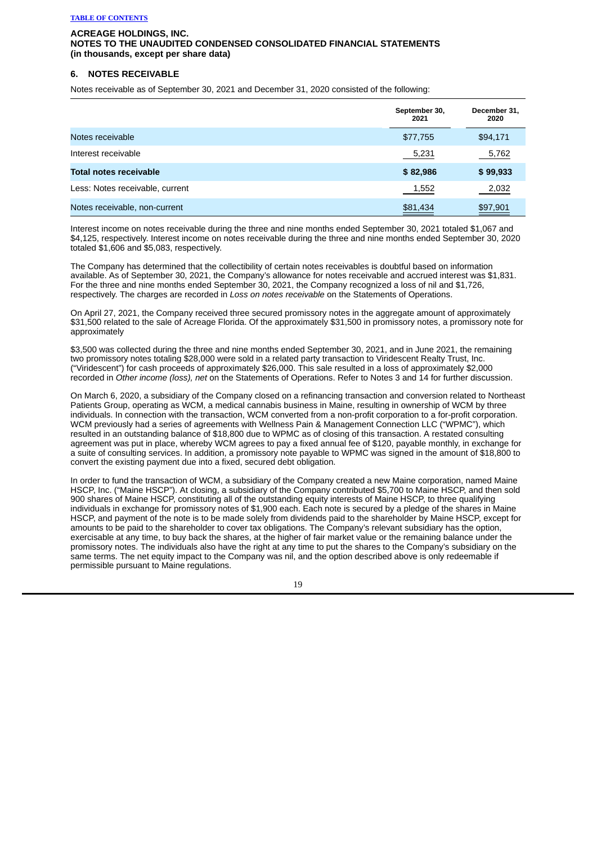## **6. NOTES RECEIVABLE**

Notes receivable as of September 30, 2021 and December 31, 2020 consisted of the following:

|                                 | September 30,<br>2021 | December 31,<br>2020 |
|---------------------------------|-----------------------|----------------------|
| Notes receivable                | \$77,755              | \$94,171             |
| Interest receivable             | 5,231                 | 5,762                |
| Total notes receivable          | \$82,986              | \$99,933             |
| Less: Notes receivable, current | 1,552                 | 2,032                |
| Notes receivable, non-current   | \$81,434              | \$97,901             |

Interest income on notes receivable during the three and nine months ended September 30, 2021 totaled \$1,067 and \$4,125, respectively. Interest income on notes receivable during the three and nine months ended September 30, 2020 totaled \$1,606 and \$5,083, respectively.

The Company has determined that the collectibility of certain notes receivables is doubtful based on information available. As of September 30, 2021, the Company's allowance for notes receivable and accrued interest was \$1,831. For the three and nine months ended September 30, 2021, the Company recognized a loss of nil and \$1,726, respectively. The charges are recorded in *Loss on notes receivable* on the Statements of Operations.

On April 27, 2021, the Company received three secured promissory notes in the aggregate amount of approximately \$31,500 related to the sale of Acreage Florida. Of the approximately \$31,500 in promissory notes, a promissory note for approximately

\$3,500 was collected during the three and nine months ended September 30, 2021, and in June 2021, the remaining two promissory notes totaling \$28,000 were sold in a related party transaction to Viridescent Realty Trust, Inc. ("Viridescent") for cash proceeds of approximately \$26,000. This sale resulted in a loss of approximately \$2,000 recorded in *Other income (loss), net* on the Statements of Operations. Refer to Notes 3 and 14 for further discussion.

On March 6, 2020, a subsidiary of the Company closed on a refinancing transaction and conversion related to Northeast Patients Group, operating as WCM, a medical cannabis business in Maine, resulting in ownership of WCM by three individuals. In connection with the transaction, WCM converted from a non-profit corporation to a for-profit corporation. WCM previously had a series of agreements with Wellness Pain & Management Connection LLC ("WPMC"), which resulted in an outstanding balance of \$18,800 due to WPMC as of closing of this transaction. A restated consulting agreement was put in place, whereby WCM agrees to pay a fixed annual fee of \$120, payable monthly, in exchange for a suite of consulting services. In addition, a promissory note payable to WPMC was signed in the amount of \$18,800 to convert the existing payment due into a fixed, secured debt obligation.

In order to fund the transaction of WCM, a subsidiary of the Company created a new Maine corporation, named Maine HSCP, Inc. ("Maine HSCP"). At closing, a subsidiary of the Company contributed \$5,700 to Maine HSCP, and then sold 900 shares of Maine HSCP, constituting all of the outstanding equity interests of Maine HSCP, to three qualifying individuals in exchange for promissory notes of \$1,900 each. Each note is secured by a pledge of the shares in Maine HSCP, and payment of the note is to be made solely from dividends paid to the shareholder by Maine HSCP, except for amounts to be paid to the shareholder to cover tax obligations. The Company's relevant subsidiary has the option, exercisable at any time, to buy back the shares, at the higher of fair market value or the remaining balance under the promissory notes. The individuals also have the right at any time to put the shares to the Company's subsidiary on the same terms. The net equity impact to the Company was nil, and the option described above is only redeemable if permissible pursuant to Maine regulations.

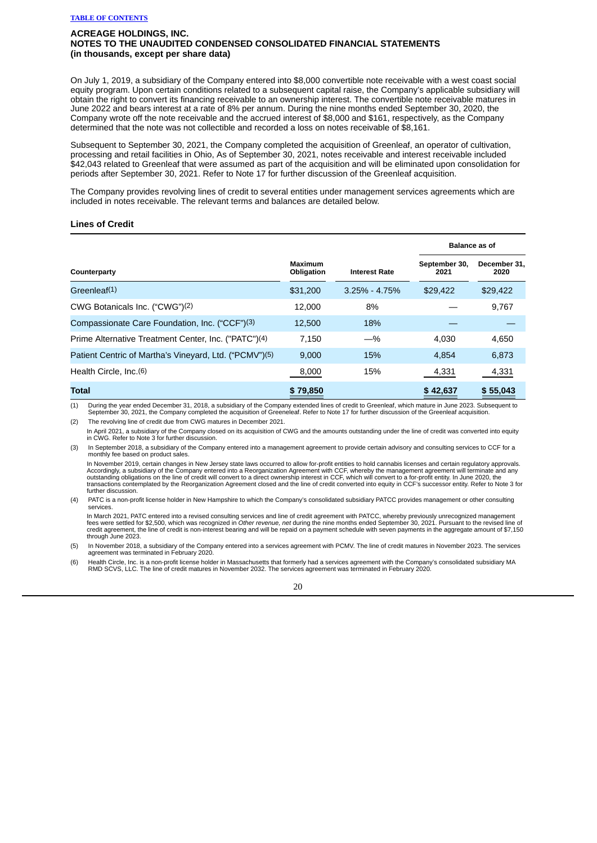On July 1, 2019, a subsidiary of the Company entered into \$8,000 convertible note receivable with a west coast social equity program. Upon certain conditions related to a subsequent capital raise, the Company's applicable subsidiary will obtain the right to convert its financing receivable to an ownership interest. The convertible note receivable matures in June 2022 and bears interest at a rate of 8% per annum. During the nine months ended September 30, 2020, the Company wrote off the note receivable and the accrued interest of \$8,000 and \$161, respectively, as the Company determined that the note was not collectible and recorded a loss on notes receivable of \$8,161.

Subsequent to September 30, 2021, the Company completed the acquisition of Greenleaf, an operator of cultivation, processing and retail facilities in Ohio, As of September 30, 2021, notes receivable and interest receivable included \$42,043 related to Greenleaf that were assumed as part of the acquisition and will be eliminated upon consolidation for periods after September 30, 2021. Refer to Note 17 for further discussion of the Greenleaf acquisition.

The Company provides revolving lines of credit to several entities under management services agreements which are included in notes receivable. The relevant terms and balances are detailed below.

#### **Lines of Credit**

|                                                                  |                       |                      | <b>Balance as of</b>  |                      |  |
|------------------------------------------------------------------|-----------------------|----------------------|-----------------------|----------------------|--|
| Counterparty                                                     | Maximum<br>Obligation | <b>Interest Rate</b> | September 30,<br>2021 | December 31,<br>2020 |  |
| Greenleaf(1)                                                     | \$31,200              | $3.25\% - 4.75\%$    | \$29,422              | \$29,422             |  |
| CWG Botanicals Inc. ("CWG")(2)                                   | 12.000                | 8%                   |                       | 9.767                |  |
| Compassionate Care Foundation, Inc. ("CCF")(3)                   | 12.500                | 18%                  |                       |                      |  |
| Prime Alternative Treatment Center, Inc. ("PATC") <sup>(4)</sup> | 7.150                 | $-$ %                | 4.030                 | 4.650                |  |
| Patient Centric of Martha's Vineyard, Ltd. ("PCMV")(5)           | 9.000                 | 15%                  | 4.854                 | 6,873                |  |
| Health Circle, Inc.(6)                                           | 8,000                 | 15%                  | 4,331                 | 4,331                |  |
| <b>Total</b>                                                     | \$79,850              |                      | \$42,637              | \$55.043             |  |

(1) During the year ended December 31, 2018, a subsidiary of the Company extended lines of credit to Greenleaf, which mature in June 2023. Subsequent to September 30, 2021, the Company completed the acquisition of Greeneleaf. Refer to Note 17 for further discussion of the Greenleaf acquisition.

(2) The revolving line of credit due from CWG matures in December 2021. In April 2021, a subsidiary of the Company closed on its acquisition of CWG and the amounts outstanding under the line of credit was converted into equity in CWG. Refer to Note 3 for further discussion.

(3) In September 2018, a subsidiary of the Company entered into a management agreement to provide certain advisory and consulting services to CCF for a monthly fee based on product sales.

In November 2019, certain changes in New Jersey state laws occurred to allow for-profit entities to hold cannabis licenses and certain regulatory approvals.<br>Accordingly, a subsidiary of the Company entered into a Reorganiz further discussion.

(4) PATC is a non-profit license holder in New Hampshire to which the Company's consolidated subsidiary PATCC provides management or other consulting services.

In March 2021, PATC entered into a revised consulting services and line of credit agreement with PATCC, whereby previously unrecognized management<br>fees were settled for \$2,500, which was recognized in Other revenue, net du credit agreement, the line of credit is non-interest bearing and will be repaid on a payment schedule with seven payments in the aggregate amount of \$7,150 through June 2023.

(5) In November 2018, a subsidiary of the Company entered into a services agreement with PCMV. The line of credit matures in November 2023. The services agreement was terminated in February 2020.

(6) Health Circle, Inc. is a non-profit license holder in Massachusetts that formerly had a services agreement with the Company's consolidated subsidiary MA RMD SCVS, LLC. The line of credit matures in November 2032. The services agreement was terminated in February 2020.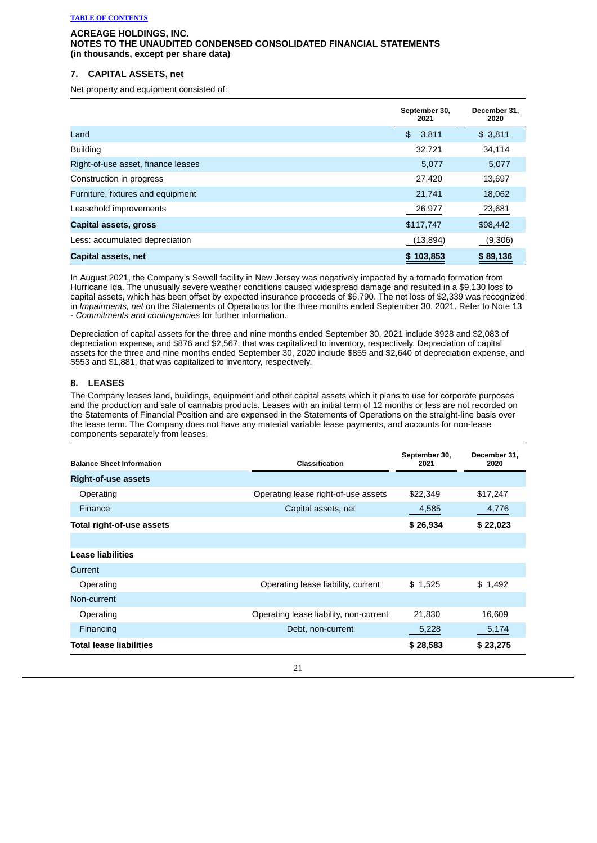## **7. CAPITAL ASSETS, net**

Net property and equipment consisted of:

|                                    | September 30,<br>2021 | December 31,<br>2020 |
|------------------------------------|-----------------------|----------------------|
| Land                               | \$<br>3,811           | \$3,811              |
| <b>Building</b>                    | 32.721                | 34,114               |
| Right-of-use asset, finance leases | 5,077                 | 5,077                |
| Construction in progress           | 27,420                | 13,697               |
| Furniture, fixtures and equipment  | 21,741                | 18,062               |
| Leasehold improvements             | 26,977                | 23,681               |
| Capital assets, gross              | \$117,747             | \$98,442             |
| Less: accumulated depreciation     | (13, 894)             | (9,306)              |
| Capital assets, net                | \$103,853             | \$89,136             |

In August 2021, the Company's Sewell facility in New Jersey was negatively impacted by a tornado formation from Hurricane Ida. The unusually severe weather conditions caused widespread damage and resulted in a \$9,130 loss to capital assets, which has been offset by expected insurance proceeds of \$6,790. The net loss of \$2,339 was recognized in *Impairments, net* on the Statements of Operations for the three months ended September 30, 2021. Refer to Note 13 - *Commitments and contingencies* for further information.

Depreciation of capital assets for the three and nine months ended September 30, 2021 include \$928 and \$2,083 of depreciation expense, and \$876 and \$2,567, that was capitalized to inventory, respectively. Depreciation of capital assets for the three and nine months ended September 30, 2020 include \$855 and \$2,640 of depreciation expense, and \$553 and \$1,881, that was capitalized to inventory, respectively.

### **8. LEASES**

The Company leases land, buildings, equipment and other capital assets which it plans to use for corporate purposes and the production and sale of cannabis products. Leases with an initial term of 12 months or less are not recorded on the Statements of Financial Position and are expensed in the Statements of Operations on the straight-line basis over the lease term. The Company does not have any material variable lease payments, and accounts for non-lease components separately from leases.

| <b>Balance Sheet Information</b> | <b>Classification</b>                  | September 30,<br>2021 | December 31,<br>2020 |
|----------------------------------|----------------------------------------|-----------------------|----------------------|
| <b>Right-of-use assets</b>       |                                        |                       |                      |
| Operating                        | Operating lease right-of-use assets    | \$22,349              | \$17,247             |
| Finance                          | Capital assets, net                    | 4,585                 | 4,776                |
| Total right-of-use assets        |                                        | \$26,934              | \$22,023             |
|                                  |                                        |                       |                      |
| <b>Lease liabilities</b>         |                                        |                       |                      |
| Current                          |                                        |                       |                      |
| Operating                        | Operating lease liability, current     | \$1,525               | \$1,492              |
| Non-current                      |                                        |                       |                      |
| Operating                        | Operating lease liability, non-current | 21,830                | 16,609               |
| Financing                        | Debt, non-current                      | 5,228                 | 5,174                |
| <b>Total lease liabilities</b>   |                                        | \$28,583              | \$23,275             |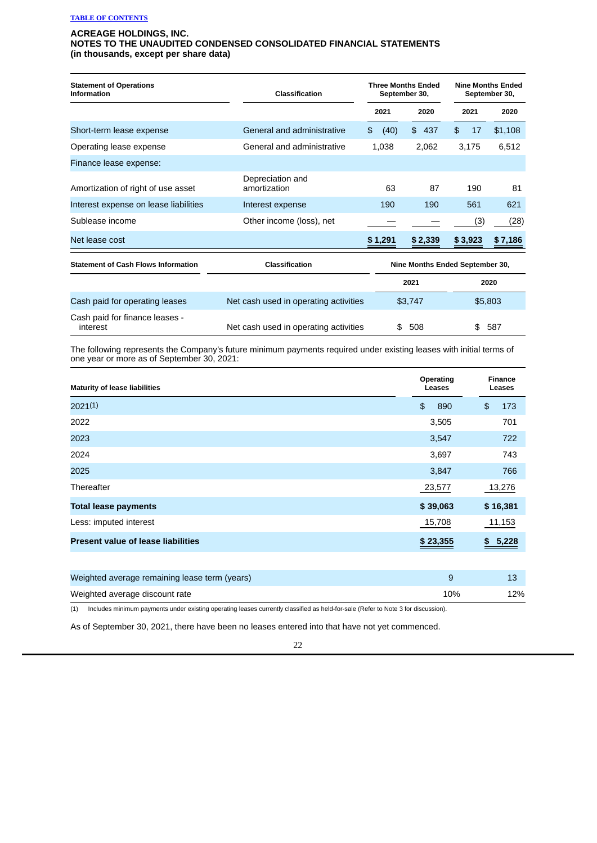| <b>Statement of Operations</b><br><b>Information</b> | <b>Classification</b>                 |                    | <b>Three Months Ended</b><br>September 30, |          | <b>Nine Months Ended</b><br>September 30, |
|------------------------------------------------------|---------------------------------------|--------------------|--------------------------------------------|----------|-------------------------------------------|
|                                                      |                                       | 2021               | 2020                                       | 2021     | 2020                                      |
| Short-term lease expense                             | General and administrative            | (40)<br>\$         | \$437                                      | \$<br>17 | \$1,108                                   |
| Operating lease expense                              | General and administrative            | 1,038              | 2,062                                      | 3,175    | 6,512                                     |
| Finance lease expense:                               |                                       |                    |                                            |          |                                           |
| Amortization of right of use asset                   | Depreciation and<br>amortization      | 63                 | 87                                         | 190      | 81                                        |
| Interest expense on lease liabilities                | Interest expense                      | 190                | 190                                        | 561      | 621                                       |
| Sublease income                                      | Other income (loss), net              |                    |                                            | (3)      | (28)                                      |
| Net lease cost                                       |                                       | \$1,291            | \$2,339                                    | \$3,923  | \$7,186                                   |
| <b>Statement of Cash Flows Information</b>           | Classification                        |                    | Nine Months Ended September 30,            |          |                                           |
|                                                      |                                       |                    | 2021<br>2020                               |          |                                           |
| Cash paid for operating leases                       | Net cash used in operating activities | \$5,803<br>\$3,747 |                                            |          |                                           |
| Cash paid for finance leases -<br>interest           | Net cash used in operating activities | £.                 | 508                                        | \$       | 587                                       |

The following represents the Company's future minimum payments required under existing leases with initial terms of one year or more as of September 30, 2021:

| <b>Maturity of lease liabilities</b>      | Operating<br>Leases | <b>Finance</b><br>Leases |
|-------------------------------------------|---------------------|--------------------------|
| 2021(1)                                   | \$<br>890           | $\frac{1}{2}$<br>173     |
| 2022                                      | 3,505               | 701                      |
| 2023                                      | 3,547               | 722                      |
| 2024                                      | 3,697               | 743                      |
| 2025                                      | 3,847               | 766                      |
| Thereafter                                | 23,577              | 13,276                   |
| <b>Total lease payments</b>               | \$39,063            | \$16,381                 |
| Less: imputed interest                    | 15,708              | 11,153                   |
| <b>Present value of lease liabilities</b> | \$23,355            | \$5,228                  |

| Weighted average remaining lease term (years) |     |     |
|-----------------------------------------------|-----|-----|
| Weighted average discount rate                | 10% | 12% |

(1) Includes minimum payments under existing operating leases currently classified as held-for-sale (Refer to Note 3 for discussion).

As of September 30, 2021, there have been no leases entered into that have not yet commenced.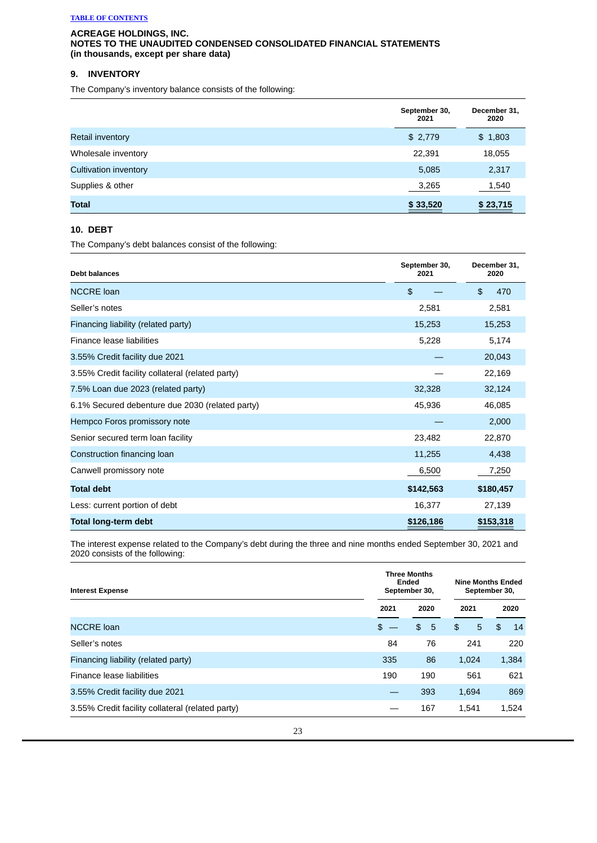# **9. INVENTORY**

The Company's inventory balance consists of the following:

|                              | September 30,<br>2021 | December 31,<br>2020 |
|------------------------------|-----------------------|----------------------|
| Retail inventory             | \$2,779               | \$1,803              |
| Wholesale inventory          | 22,391                | 18,055               |
| <b>Cultivation inventory</b> | 5,085                 | 2,317                |
| Supplies & other             | 3,265                 | 1,540                |
| <b>Total</b>                 | \$33,520              | \$23,715             |

## **10. DEBT**

The Company's debt balances consist of the following:

| <b>Debt balances</b>                             | September 30,<br>2021 | December 31,<br>2020  |
|--------------------------------------------------|-----------------------|-----------------------|
| <b>NCCRE</b> Ioan                                | \$                    | $\mathfrak{L}$<br>470 |
| Seller's notes                                   | 2,581                 | 2,581                 |
| Financing liability (related party)              | 15,253                | 15,253                |
| Finance lease liabilities                        | 5,228                 | 5,174                 |
| 3.55% Credit facility due 2021                   |                       | 20,043                |
| 3.55% Credit facility collateral (related party) |                       | 22,169                |
| 7.5% Loan due 2023 (related party)               | 32,328                | 32,124                |
| 6.1% Secured debenture due 2030 (related party)  | 45,936                | 46,085                |
| Hempco Foros promissory note                     |                       | 2,000                 |
| Senior secured term loan facility                | 23,482                | 22,870                |
| Construction financing loan                      | 11,255                | 4,438                 |
| Canwell promissory note                          | 6,500                 | 7,250                 |
| <b>Total debt</b>                                | \$142,563             | \$180,457             |
| Less: current portion of debt                    | 16,377                | 27,139                |
| <b>Total long-term debt</b>                      | \$126,186             | \$153,318             |

The interest expense related to the Company's debt during the three and nine months ended September 30, 2021 and 2020 consists of the following:

| <b>Interest Expense</b>                          | <b>Three Months</b><br>Ended<br>September 30, |                     | <b>Nine Months Ended</b><br>September 30, |          |
|--------------------------------------------------|-----------------------------------------------|---------------------|-------------------------------------------|----------|
|                                                  | 2021                                          | 2020                | 2021                                      | 2020     |
| <b>NCCRE</b> loan                                | \$                                            | $\mathfrak{P}$<br>5 | 5<br>\$                                   | \$<br>14 |
| Seller's notes                                   | 84                                            | 76                  | 241                                       | 220      |
| Financing liability (related party)              | 335                                           | 86                  | 1,024                                     | 1,384    |
| Finance lease liabilities                        | 190                                           | 190                 | 561                                       | 621      |
| 3.55% Credit facility due 2021                   |                                               | 393                 | 1,694                                     | 869      |
| 3.55% Credit facility collateral (related party) |                                               | 167                 | 1.541                                     | 1,524    |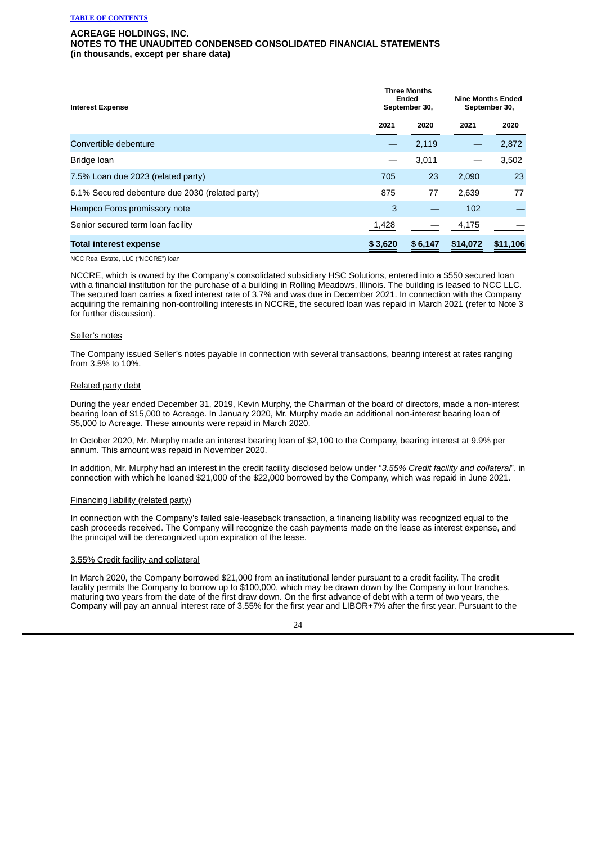| <b>Interest Expense</b>                         | <b>Three Months</b><br>Ended<br>September 30, |         | <b>Nine Months Ended</b><br>September 30, |          |
|-------------------------------------------------|-----------------------------------------------|---------|-------------------------------------------|----------|
|                                                 | 2021                                          | 2020    | 2021                                      | 2020     |
| Convertible debenture                           |                                               | 2,119   |                                           | 2,872    |
| Bridge loan                                     |                                               | 3,011   |                                           | 3,502    |
| 7.5% Loan due 2023 (related party)              | 705                                           | 23      | 2,090                                     | 23       |
| 6.1% Secured debenture due 2030 (related party) | 875                                           | 77      | 2,639                                     | 77       |
| Hempco Foros promissory note                    | 3                                             |         | 102                                       |          |
| Senior secured term loan facility               | 1,428                                         |         | 4,175                                     |          |
| <b>Total interest expense</b>                   | \$3,620                                       | \$6,147 | \$14,072                                  | \$11,106 |

#### NCC Real Estate, LLC ("NCCRE") loan

NCCRE, which is owned by the Company's consolidated subsidiary HSC Solutions, entered into a \$550 secured loan with a financial institution for the purchase of a building in Rolling Meadows, Illinois. The building is leased to NCC LLC. The secured loan carries a fixed interest rate of 3.7% and was due in December 2021. In connection with the Company acquiring the remaining non-controlling interests in NCCRE, the secured loan was repaid in March 2021 (refer to Note 3 for further discussion).

### Seller's notes

The Company issued Seller's notes payable in connection with several transactions, bearing interest at rates ranging from 3.5% to 10%.

#### Related party debt

During the year ended December 31, 2019, Kevin Murphy, the Chairman of the board of directors, made a non-interest bearing loan of \$15,000 to Acreage. In January 2020, Mr. Murphy made an additional non-interest bearing loan of \$5,000 to Acreage. These amounts were repaid in March 2020.

In October 2020, Mr. Murphy made an interest bearing loan of \$2,100 to the Company, bearing interest at 9.9% per annum. This amount was repaid in November 2020.

In addition, Mr. Murphy had an interest in the credit facility disclosed below under "*3.55% Credit facility and collateral*", in connection with which he loaned \$21,000 of the \$22,000 borrowed by the Company, which was repaid in June 2021.

### Financing liability (related party)

In connection with the Company's failed sale-leaseback transaction, a financing liability was recognized equal to the cash proceeds received. The Company will recognize the cash payments made on the lease as interest expense, and the principal will be derecognized upon expiration of the lease.

### 3.55% Credit facility and collateral

In March 2020, the Company borrowed \$21,000 from an institutional lender pursuant to a credit facility. The credit facility permits the Company to borrow up to \$100,000, which may be drawn down by the Company in four tranches, maturing two years from the date of the first draw down. On the first advance of debt with a term of two years, the Company will pay an annual interest rate of 3.55% for the first year and LIBOR+7% after the first year. Pursuant to the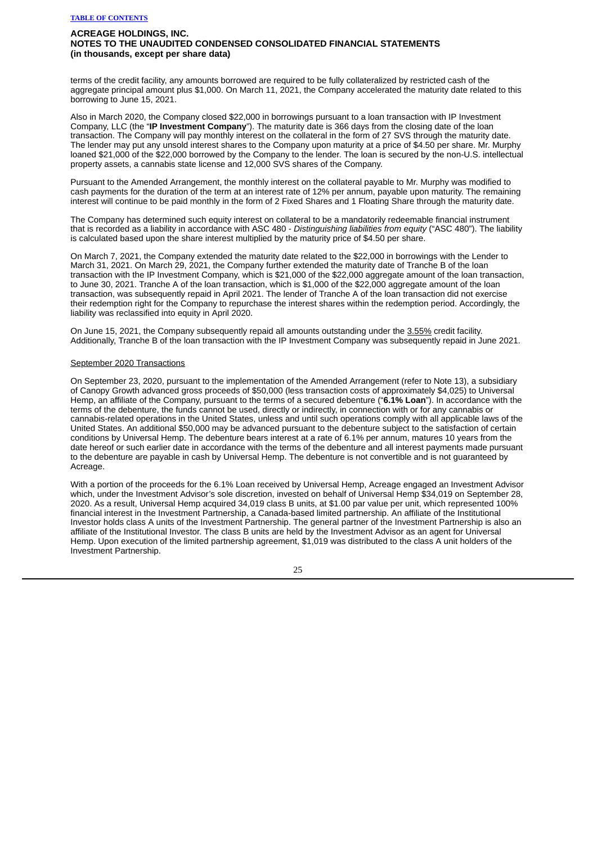terms of the credit facility, any amounts borrowed are required to be fully collateralized by restricted cash of the aggregate principal amount plus \$1,000. On March 11, 2021, the Company accelerated the maturity date related to this borrowing to June 15, 2021.

Also in March 2020, the Company closed \$22,000 in borrowings pursuant to a loan transaction with IP Investment Company, LLC (the "**IP Investment Company**"). The maturity date is 366 days from the closing date of the loan transaction. The Company will pay monthly interest on the collateral in the form of 27 SVS through the maturity date. The lender may put any unsold interest shares to the Company upon maturity at a price of \$4.50 per share. Mr. Murphy loaned \$21,000 of the \$22,000 borrowed by the Company to the lender. The loan is secured by the non-U.S. intellectual property assets, a cannabis state license and 12,000 SVS shares of the Company.

Pursuant to the Amended Arrangement, the monthly interest on the collateral payable to Mr. Murphy was modified to cash payments for the duration of the term at an interest rate of 12% per annum, payable upon maturity. The remaining interest will continue to be paid monthly in the form of 2 Fixed Shares and 1 Floating Share through the maturity date.

The Company has determined such equity interest on collateral to be a mandatorily redeemable financial instrument that is recorded as a liability in accordance with ASC 480 - *Distinguishing liabilities from equity* ("ASC 480"). The liability is calculated based upon the share interest multiplied by the maturity price of \$4.50 per share.

On March 7, 2021, the Company extended the maturity date related to the \$22,000 in borrowings with the Lender to March 31, 2021. On March 29, 2021, the Company further extended the maturity date of Tranche B of the loan transaction with the IP Investment Company, which is \$21,000 of the \$22,000 aggregate amount of the loan transaction, to June 30, 2021. Tranche A of the loan transaction, which is \$1,000 of the \$22,000 aggregate amount of the loan transaction, was subsequently repaid in April 2021. The lender of Tranche A of the loan transaction did not exercise their redemption right for the Company to repurchase the interest shares within the redemption period. Accordingly, the liability was reclassified into equity in April 2020.

On June 15, 2021, the Company subsequently repaid all amounts outstanding under the 3.55% credit facility. Additionally, Tranche B of the loan transaction with the IP Investment Company was subsequently repaid in June 2021.

#### September 2020 Transactions

On September 23, 2020, pursuant to the implementation of the Amended Arrangement (refer to Note 13), a subsidiary of Canopy Growth advanced gross proceeds of \$50,000 (less transaction costs of approximately \$4,025) to Universal Hemp, an affiliate of the Company, pursuant to the terms of a secured debenture ("**6.1% Loan**"). In accordance with the terms of the debenture, the funds cannot be used, directly or indirectly, in connection with or for any cannabis or cannabis-related operations in the United States, unless and until such operations comply with all applicable laws of the United States. An additional \$50,000 may be advanced pursuant to the debenture subject to the satisfaction of certain conditions by Universal Hemp. The debenture bears interest at a rate of 6.1% per annum, matures 10 years from the date hereof or such earlier date in accordance with the terms of the debenture and all interest payments made pursuant to the debenture are payable in cash by Universal Hemp. The debenture is not convertible and is not guaranteed by Acreage.

With a portion of the proceeds for the 6.1% Loan received by Universal Hemp, Acreage engaged an Investment Advisor which, under the Investment Advisor's sole discretion, invested on behalf of Universal Hemp \$34,019 on September 28, 2020. As a result, Universal Hemp acquired 34,019 class B units, at \$1.00 par value per unit, which represented 100% financial interest in the Investment Partnership, a Canada-based limited partnership. An affiliate of the Institutional Investor holds class A units of the Investment Partnership. The general partner of the Investment Partnership is also an affiliate of the Institutional Investor. The class B units are held by the Investment Advisor as an agent for Universal Hemp. Upon execution of the limited partnership agreement, \$1,019 was distributed to the class A unit holders of the Investment Partnership.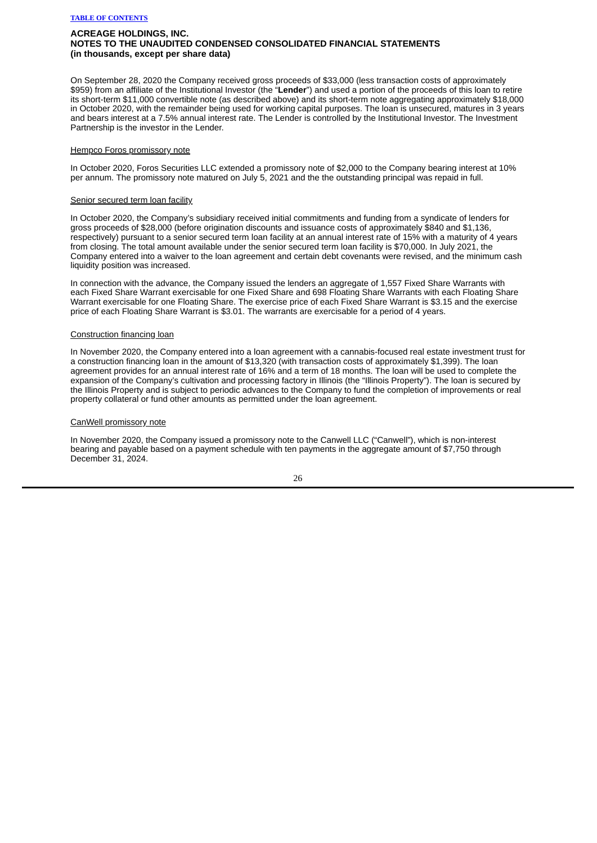On September 28, 2020 the Company received gross proceeds of \$33,000 (less transaction costs of approximately \$959) from an affiliate of the Institutional Investor (the "**Lender**") and used a portion of the proceeds of this loan to retire its short-term \$11,000 convertible note (as described above) and its short-term note aggregating approximately \$18,000 in October 2020, with the remainder being used for working capital purposes. The loan is unsecured, matures in 3 years and bears interest at a 7.5% annual interest rate. The Lender is controlled by the Institutional Investor. The Investment Partnership is the investor in the Lender.

## Hempco Foros promissory note

In October 2020, Foros Securities LLC extended a promissory note of \$2,000 to the Company bearing interest at 10% per annum. The promissory note matured on July 5, 2021 and the the outstanding principal was repaid in full.

### Senior secured term loan facility

In October 2020, the Company's subsidiary received initial commitments and funding from a syndicate of lenders for gross proceeds of \$28,000 (before origination discounts and issuance costs of approximately \$840 and \$1,136, respectively) pursuant to a senior secured term loan facility at an annual interest rate of 15% with a maturity of 4 years from closing. The total amount available under the senior secured term loan facility is \$70,000. In July 2021, the Company entered into a waiver to the loan agreement and certain debt covenants were revised, and the minimum cash liquidity position was increased.

In connection with the advance, the Company issued the lenders an aggregate of 1,557 Fixed Share Warrants with each Fixed Share Warrant exercisable for one Fixed Share and 698 Floating Share Warrants with each Floating Share Warrant exercisable for one Floating Share. The exercise price of each Fixed Share Warrant is \$3.15 and the exercise price of each Floating Share Warrant is \$3.01. The warrants are exercisable for a period of 4 years.

### Construction financing loan

In November 2020, the Company entered into a loan agreement with a cannabis-focused real estate investment trust for a construction financing loan in the amount of \$13,320 (with transaction costs of approximately \$1,399). The loan agreement provides for an annual interest rate of 16% and a term of 18 months. The loan will be used to complete the expansion of the Company's cultivation and processing factory in Illinois (the "Illinois Property"). The loan is secured by the Illinois Property and is subject to periodic advances to the Company to fund the completion of improvements or real property collateral or fund other amounts as permitted under the loan agreement.

### CanWell promissory note

In November 2020, the Company issued a promissory note to the Canwell LLC ("Canwell"), which is non-interest bearing and payable based on a payment schedule with ten payments in the aggregate amount of \$7,750 through December 31, 2024.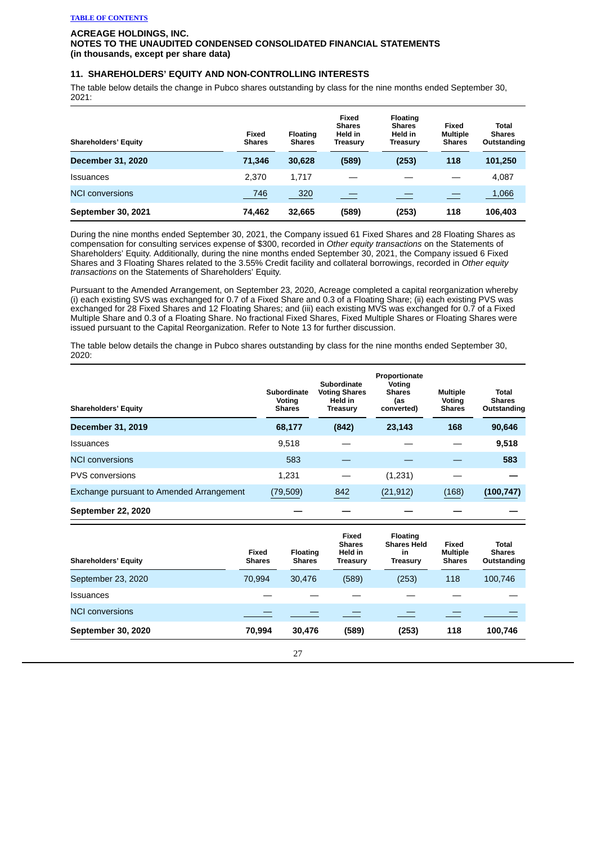## **11. SHAREHOLDERS' EQUITY AND NON-CONTROLLING INTERESTS**

The table below details the change in Pubco shares outstanding by class for the nine months ended September 30, 2021:

| <b>Shareholders' Equity</b> | Fixed<br><b>Shares</b> | <b>Floating</b><br><b>Shares</b> | Fixed<br><b>Shares</b><br>Held in<br><b>Treasury</b> | <b>Floating</b><br><b>Shares</b><br>Held in<br><b>Treasury</b> | Fixed<br><b>Multiple</b><br><b>Shares</b> | Total<br><b>Shares</b><br>Outstanding |
|-----------------------------|------------------------|----------------------------------|------------------------------------------------------|----------------------------------------------------------------|-------------------------------------------|---------------------------------------|
| <b>December 31, 2020</b>    | 71,346                 | 30,628                           | (589)                                                | (253)                                                          | 118                                       | 101,250                               |
| <b>Issuances</b>            | 2.370                  | 1,717                            |                                                      |                                                                |                                           | 4,087                                 |
| NCI conversions             | 746                    | 320                              |                                                      |                                                                |                                           | 1,066                                 |
| <b>September 30, 2021</b>   | 74,462                 | 32,665                           | (589)                                                | (253)                                                          | 118                                       | 106,403                               |

During the nine months ended September 30, 2021, the Company issued 61 Fixed Shares and 28 Floating Shares as compensation for consulting services expense of \$300, recorded in *Other equity transactions* on the Statements of Shareholders' Equity. Additionally, during the nine months ended September 30, 2021, the Company issued 6 Fixed Shares and 3 Floating Shares related to the 3.55% Credit facility and collateral borrowings, recorded in *Other equity transactions* on the Statements of Shareholders' Equity.

Pursuant to the Amended Arrangement, on September 23, 2020, Acreage completed a capital reorganization whereby (i) each existing SVS was exchanged for 0.7 of a Fixed Share and 0.3 of a Floating Share; (ii) each existing PVS was exchanged for 28 Fixed Shares and 12 Floating Shares; and (iii) each existing MVS was exchanged for 0.7 of a Fixed Multiple Share and 0.3 of a Floating Share. No fractional Fixed Shares, Fixed Multiple Shares or Floating Shares were issued pursuant to the Capital Reorganization. Refer to Note 13 for further discussion.

The table below details the change in Pubco shares outstanding by class for the nine months ended September 30, 2020:

| <b>Shareholders' Equity</b>              | <b>Subordinate</b><br>Voting<br><b>Shares</b> | <b>Subordinate</b><br><b>Voting Shares</b><br>Held in<br><b>Treasury</b> | Proportionate<br>Voting<br><b>Shares</b><br>(as<br>converted) | <b>Multiple</b><br>Voting<br><b>Shares</b> | Total<br><b>Shares</b><br>Outstanding |
|------------------------------------------|-----------------------------------------------|--------------------------------------------------------------------------|---------------------------------------------------------------|--------------------------------------------|---------------------------------------|
| <b>December 31, 2019</b>                 | 68,177                                        | (842)                                                                    | 23,143                                                        | 168                                        | 90,646                                |
| <b>Issuances</b>                         | 9.518                                         |                                                                          |                                                               |                                            | 9,518                                 |
| <b>NCI conversions</b>                   | 583                                           |                                                                          |                                                               |                                            | 583                                   |
| <b>PVS</b> conversions                   | 1,231                                         |                                                                          | (1,231)                                                       |                                            |                                       |
| Exchange pursuant to Amended Arrangement | (79, 509)                                     | 842                                                                      | (21, 912)                                                     | (168)                                      | (100, 747)                            |
| <b>September 22, 2020</b>                |                                               |                                                                          |                                                               |                                            |                                       |

| <b>Shareholders' Equity</b> | Fixed<br><b>Shares</b> | <b>Floating</b><br><b>Shares</b> | Fixed<br><b>Shares</b><br>Held in<br>Treasurv | <b>Floating</b><br><b>Shares Held</b><br>in<br>Treasurv | Fixed<br><b>Multiple</b><br><b>Shares</b> | Total<br><b>Shares</b><br>Outstanding |
|-----------------------------|------------------------|----------------------------------|-----------------------------------------------|---------------------------------------------------------|-------------------------------------------|---------------------------------------|
| September 23, 2020          | 70.994                 | 30,476                           | (589)                                         | (253)                                                   | 118                                       | 100,746                               |
| <b>Issuances</b>            |                        |                                  |                                               |                                                         |                                           |                                       |
| <b>NCI conversions</b>      |                        |                                  |                                               |                                                         |                                           |                                       |
| <b>September 30, 2020</b>   | 70.994                 | 30,476                           | (589)                                         | (253)                                                   | 118                                       | 100,746                               |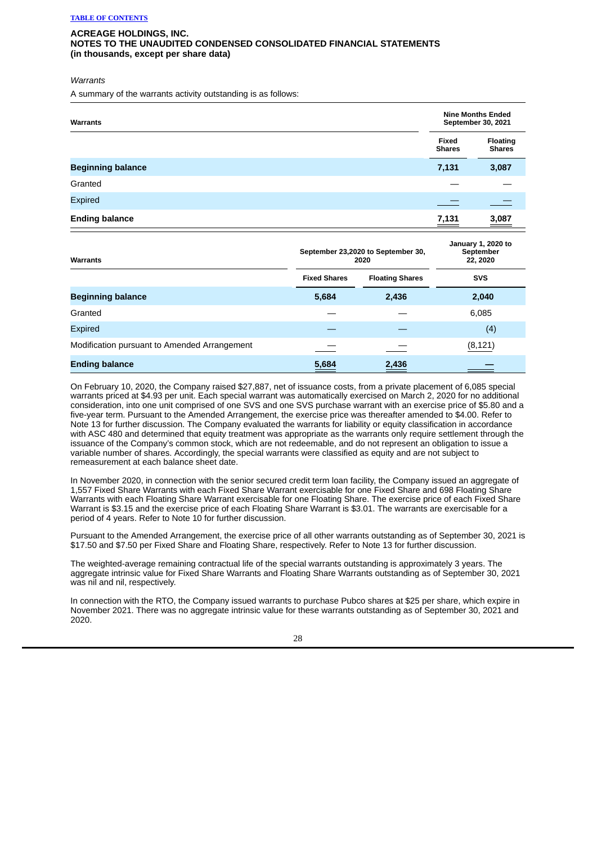*Warrants*

A summary of the warrants activity outstanding is as follows:

| Warrants                 |                        | <b>Nine Months Ended</b><br>September 30, 2021 |  |  |
|--------------------------|------------------------|------------------------------------------------|--|--|
|                          | Fixed<br><b>Shares</b> | Floating<br><b>Shares</b>                      |  |  |
| <b>Beginning balance</b> | 7,131                  | 3,087                                          |  |  |
| Granted                  |                        |                                                |  |  |
| <b>Expired</b>           |                        |                                                |  |  |
| <b>Ending balance</b>    | $\frac{7,131}{ }$      | $\frac{3,087}{ }$                              |  |  |

| Warrants                                     |                     | September 23,2020 to September 30,<br>2020 |            |  |
|----------------------------------------------|---------------------|--------------------------------------------|------------|--|
|                                              | <b>Fixed Shares</b> | <b>Floating Shares</b>                     | <b>SVS</b> |  |
| <b>Beginning balance</b>                     | 5,684               | 2,436                                      | 2,040      |  |
| Granted                                      |                     |                                            | 6,085      |  |
| Expired                                      |                     |                                            | (4)        |  |
| Modification pursuant to Amended Arrangement |                     |                                            | (8, 121)   |  |
| <b>Ending balance</b>                        | 5,684               | 2,436                                      |            |  |

On February 10, 2020, the Company raised \$27,887, net of issuance costs, from a private placement of 6,085 special warrants priced at \$4.93 per unit. Each special warrant was automatically exercised on March 2, 2020 for no additional consideration, into one unit comprised of one SVS and one SVS purchase warrant with an exercise price of \$5.80 and a five-year term. Pursuant to the Amended Arrangement, the exercise price was thereafter amended to \$4.00. Refer to Note 13 for further discussion. The Company evaluated the warrants for liability or equity classification in accordance with ASC 480 and determined that equity treatment was appropriate as the warrants only require settlement through the issuance of the Company's common stock, which are not redeemable, and do not represent an obligation to issue a variable number of shares. Accordingly, the special warrants were classified as equity and are not subject to remeasurement at each balance sheet date.

In November 2020, in connection with the senior secured credit term loan facility, the Company issued an aggregate of 1,557 Fixed Share Warrants with each Fixed Share Warrant exercisable for one Fixed Share and 698 Floating Share Warrants with each Floating Share Warrant exercisable for one Floating Share. The exercise price of each Fixed Share Warrant is \$3.15 and the exercise price of each Floating Share Warrant is \$3.01. The warrants are exercisable for a period of 4 years. Refer to Note 10 for further discussion.

Pursuant to the Amended Arrangement, the exercise price of all other warrants outstanding as of September 30, 2021 is \$17.50 and \$7.50 per Fixed Share and Floating Share, respectively. Refer to Note 13 for further discussion.

The weighted-average remaining contractual life of the special warrants outstanding is approximately 3 years. The aggregate intrinsic value for Fixed Share Warrants and Floating Share Warrants outstanding as of September 30, 2021 was nil and nil, respectively.

In connection with the RTO, the Company issued warrants to purchase Pubco shares at \$25 per share, which expire in November 2021. There was no aggregate intrinsic value for these warrants outstanding as of September 30, 2021 and 2020.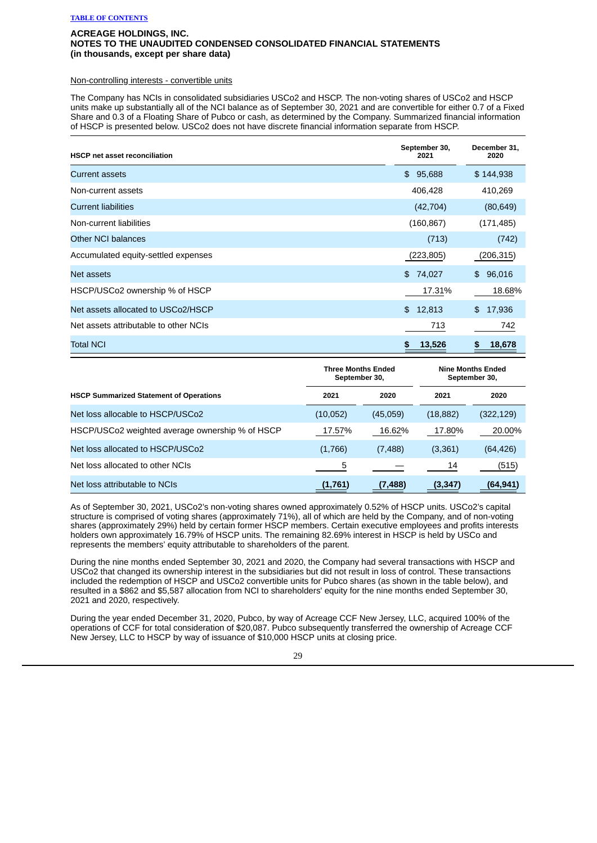### Non-controlling interests - convertible units

The Company has NCIs in consolidated subsidiaries USCo2 and HSCP. The non-voting shares of USCo2 and HSCP units make up substantially all of the NCI balance as of September 30, 2021 and are convertible for either 0.7 of a Fixed Share and 0.3 of a Floating Share of Pubco or cash, as determined by the Company. Summarized financial information of HSCP is presented below. USCo2 does not have discrete financial information separate from HSCP.

| <b>HSCP</b> net asset reconciliation  | September 30,<br>2021 | December 31,<br>2020 |
|---------------------------------------|-----------------------|----------------------|
| <b>Current assets</b>                 | \$95,688              | \$144,938            |
| Non-current assets                    | 406,428               | 410,269              |
| <b>Current liabilities</b>            | (42, 704)             | (80, 649)            |
| Non-current liabilities               | (160, 867)            | (171, 485)           |
| Other NCI balances                    | (713)                 | (742)                |
| Accumulated equity-settled expenses   | (223, 805)            | (206, 315)           |
| Net assets                            | \$74,027              | 96,016<br>\$         |
| HSCP/USCo2 ownership % of HSCP        | 17.31%                | 18.68%               |
| Net assets allocated to USCo2/HSCP    | 12,813<br>\$          | 17,936<br>\$         |
| Net assets attributable to other NCIs | 713                   | 742                  |
| <b>Total NCI</b>                      | 13,526<br>\$          | 18,678<br>\$         |

|                                                 | <b>Three Months Ended</b><br>September 30, |          | <b>Nine Months Ended</b><br>September 30, |            |
|-------------------------------------------------|--------------------------------------------|----------|-------------------------------------------|------------|
| <b>HSCP Summarized Statement of Operations</b>  | 2021                                       | 2020     | 2021                                      | 2020       |
| Net loss allocable to HSCP/USCo2                | (10, 052)                                  | (45,059) | (18, 882)                                 | (322, 129) |
| HSCP/USCo2 weighted average ownership % of HSCP | 17.57%                                     | 16.62%   | 17.80%                                    | 20.00%     |
| Net loss allocated to HSCP/USCo2                | (1,766)                                    | (7, 488) | (3, 361)                                  | (64, 426)  |
| Net loss allocated to other NCIs                | 5                                          |          | 14                                        | (515)      |
| Net loss attributable to NCIs                   | (1,761)                                    | (7, 488) | (3, 347)                                  | (64,941)   |

As of September 30, 2021, USCo2's non-voting shares owned approximately 0.52% of HSCP units. USCo2's capital structure is comprised of voting shares (approximately 71%), all of which are held by the Company, and of non-voting shares (approximately 29%) held by certain former HSCP members. Certain executive employees and profits interests holders own approximately 16.79% of HSCP units. The remaining 82.69% interest in HSCP is held by USCo and represents the members' equity attributable to shareholders of the parent.

During the nine months ended September 30, 2021 and 2020, the Company had several transactions with HSCP and USCo2 that changed its ownership interest in the subsidiaries but did not result in loss of control. These transactions included the redemption of HSCP and USCo2 convertible units for Pubco shares (as shown in the table below), and resulted in a \$862 and \$5,587 allocation from NCI to shareholders' equity for the nine months ended September 30, 2021 and 2020, respectively.

During the year ended December 31, 2020, Pubco, by way of Acreage CCF New Jersey, LLC, acquired 100% of the operations of CCF for total consideration of \$20,087. Pubco subsequently transferred the ownership of Acreage CCF New Jersey, LLC to HSCP by way of issuance of \$10,000 HSCP units at closing price.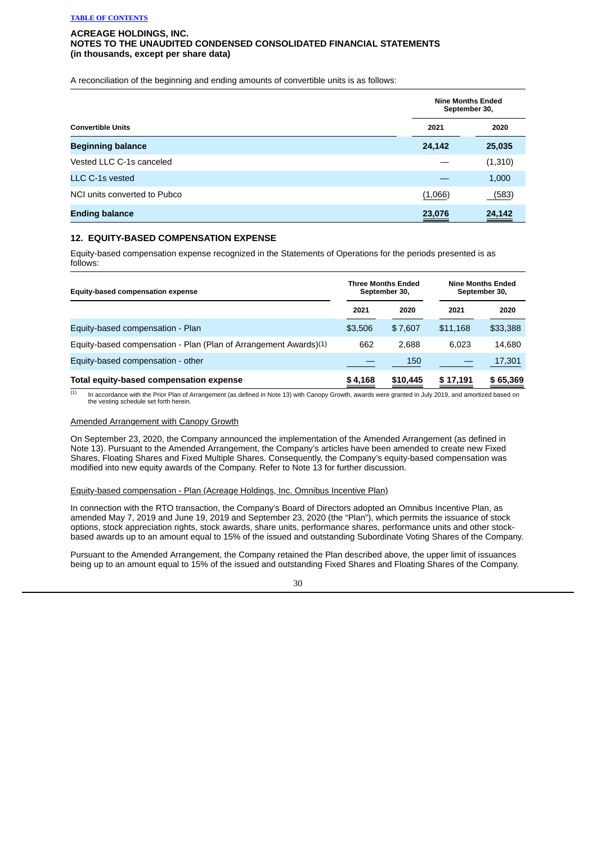A reconciliation of the beginning and ending amounts of convertible units is as follows:

|                              | <b>Nine Months Ended</b><br>September 30, |         |  |
|------------------------------|-------------------------------------------|---------|--|
| <b>Convertible Units</b>     | 2021                                      | 2020    |  |
| <b>Beginning balance</b>     | 24,142                                    | 25,035  |  |
| Vested LLC C-1s canceled     |                                           | (1,310) |  |
| LLC C-1s vested              |                                           | 1,000   |  |
| NCI units converted to Pubco | (1,066)                                   | (583)   |  |
| <b>Ending balance</b>        | 23,076                                    | 24,142  |  |

### **12. EQUITY-BASED COMPENSATION EXPENSE**

Equity-based compensation expense recognized in the Statements of Operations for the periods presented is as follows:

| <b>Three Months Ended</b><br>Equity-based compensation expense<br>September 30, |         |          | <b>Nine Months Ended</b><br>September 30, |          |
|---------------------------------------------------------------------------------|---------|----------|-------------------------------------------|----------|
|                                                                                 | 2021    | 2020     | 2021                                      | 2020     |
| Equity-based compensation - Plan                                                | \$3,506 | \$7.607  | \$11,168                                  | \$33,388 |
| Equity-based compensation - Plan (Plan of Arrangement Awards)(1)                | 662     | 2.688    | 6.023                                     | 14,680   |
| Equity-based compensation - other                                               |         | 150      |                                           | 17,301   |
| Total equity-based compensation expense                                         | \$4,168 | \$10,445 | \$17,191                                  | \$65,369 |

In accordance with the Prior Plan of Arrangement (as defined in Note 13) with Canopy Growth, awards were granted in July 2019, and amortized based on the vesting schedule set forth herein. (1)

### Amended Arrangement with Canopy Growth

On September 23, 2020, the Company announced the implementation of the Amended Arrangement (as defined in Note 13). Pursuant to the Amended Arrangement, the Company's articles have been amended to create new Fixed Shares, Floating Shares and Fixed Multiple Shares. Consequently, the Company's equity-based compensation was modified into new equity awards of the Company. Refer to Note 13 for further discussion.

### Equity-based compensation - Plan (Acreage Holdings, Inc. Omnibus Incentive Plan)

In connection with the RTO transaction, the Company's Board of Directors adopted an Omnibus Incentive Plan, as amended May 7, 2019 and June 19, 2019 and September 23, 2020 (the "Plan"), which permits the issuance of stock options, stock appreciation rights, stock awards, share units, performance shares, performance units and other stockbased awards up to an amount equal to 15% of the issued and outstanding Subordinate Voting Shares of the Company.

Pursuant to the Amended Arrangement, the Company retained the Plan described above, the upper limit of issuances being up to an amount equal to 15% of the issued and outstanding Fixed Shares and Floating Shares of the Company.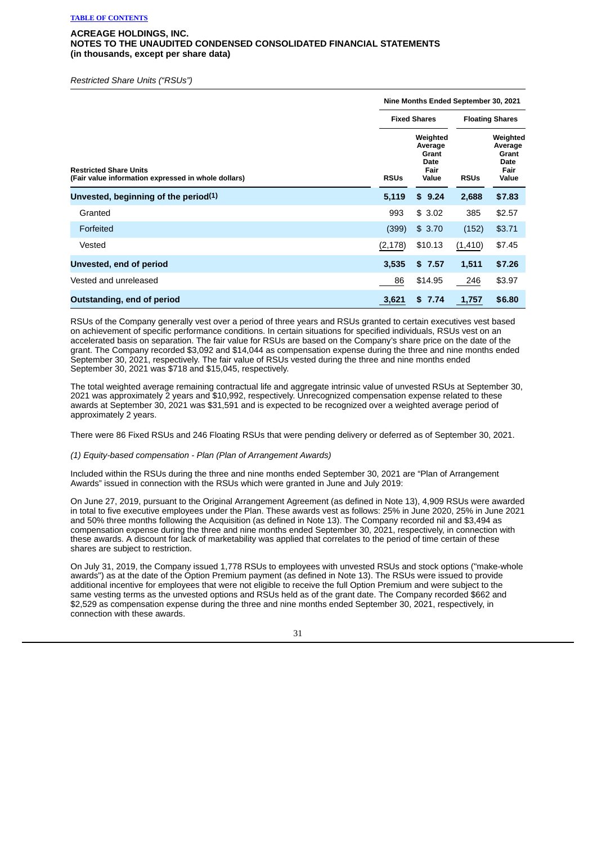*Restricted Share Units ("RSUs")*

|                                                                                      |             | Nine Months Ended September 30, 2021                  |                        |                                                       |  |  |
|--------------------------------------------------------------------------------------|-------------|-------------------------------------------------------|------------------------|-------------------------------------------------------|--|--|
|                                                                                      |             | <b>Fixed Shares</b>                                   | <b>Floating Shares</b> |                                                       |  |  |
| <b>Restricted Share Units</b><br>(Fair value information expressed in whole dollars) | <b>RSUs</b> | Weighted<br>Average<br>Grant<br>Date<br>Fair<br>Value | <b>RSUs</b>            | Weighted<br>Average<br>Grant<br>Date<br>Fair<br>Value |  |  |
| Unvested, beginning of the period $(1)$                                              | 5,119       | \$9.24                                                | 2,688                  | \$7.83                                                |  |  |
| Granted                                                                              | 993         | \$3.02                                                | 385                    | \$2.57                                                |  |  |
| Forfeited                                                                            | (399)       | \$3.70                                                | (152)                  | \$3.71                                                |  |  |
| Vested                                                                               | (2,178)     | \$10.13                                               | (1, 410)               | \$7.45                                                |  |  |
| Unvested, end of period                                                              | 3,535       | \$7.57                                                | 1,511                  | \$7.26                                                |  |  |
| Vested and unreleased                                                                | 86          | \$14.95                                               | 246                    | \$3.97                                                |  |  |
| Outstanding, end of period                                                           | 3,621       | 7.74<br>\$                                            | 1,757                  | \$6.80                                                |  |  |

RSUs of the Company generally vest over a period of three years and RSUs granted to certain executives vest based on achievement of specific performance conditions. In certain situations for specified individuals, RSUs vest on an accelerated basis on separation. The fair value for RSUs are based on the Company's share price on the date of the grant. The Company recorded \$3,092 and \$14,044 as compensation expense during the three and nine months ended September 30, 2021, respectively. The fair value of RSUs vested during the three and nine months ended September 30, 2021 was \$718 and \$15,045, respectively.

The total weighted average remaining contractual life and aggregate intrinsic value of unvested RSUs at September 30, 2021 was approximately 2 years and \$10,992, respectively. Unrecognized compensation expense related to these awards at September 30, 2021 was \$31,591 and is expected to be recognized over a weighted average period of approximately 2 years.

There were 86 Fixed RSUs and 246 Floating RSUs that were pending delivery or deferred as of September 30, 2021.

*(1) Equity-based compensation - Plan (Plan of Arrangement Awards)*

Included within the RSUs during the three and nine months ended September 30, 2021 are "Plan of Arrangement Awards" issued in connection with the RSUs which were granted in June and July 2019:

On June 27, 2019, pursuant to the Original Arrangement Agreement (as defined in Note 13), 4,909 RSUs were awarded in total to five executive employees under the Plan. These awards vest as follows: 25% in June 2020, 25% in June 2021 and 50% three months following the Acquisition (as defined in Note 13). The Company recorded nil and \$3,494 as compensation expense during the three and nine months ended September 30, 2021, respectively, in connection with these awards. A discount for lack of marketability was applied that correlates to the period of time certain of these shares are subject to restriction.

On July 31, 2019, the Company issued 1,778 RSUs to employees with unvested RSUs and stock options ("make-whole awards") as at the date of the Option Premium payment (as defined in Note 13). The RSUs were issued to provide additional incentive for employees that were not eligible to receive the full Option Premium and were subject to the same vesting terms as the unvested options and RSUs held as of the grant date. The Company recorded \$662 and \$2,529 as compensation expense during the three and nine months ended September 30, 2021, respectively, in connection with these awards.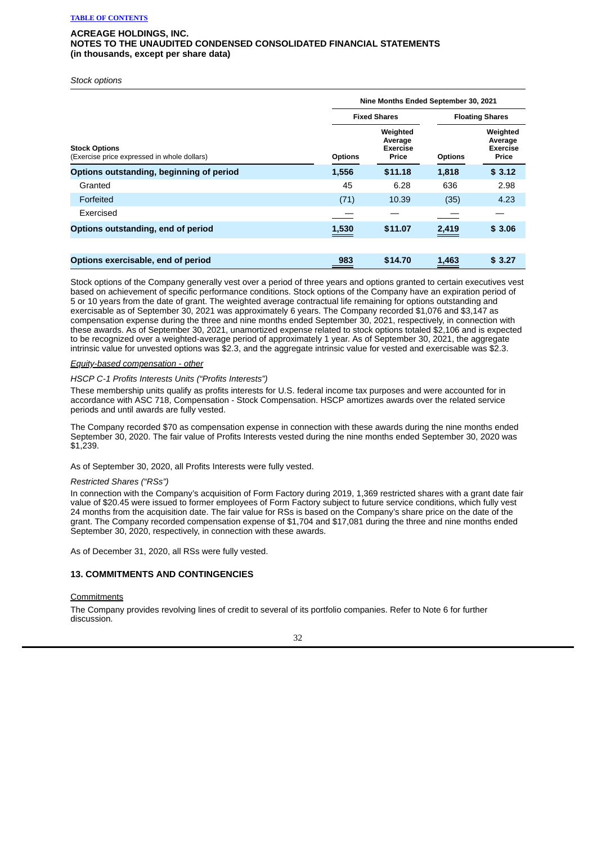*Stock options*

|                                                                     | Nine Months Ended September 30, 2021 |                                          |                |                                          |  |  |
|---------------------------------------------------------------------|--------------------------------------|------------------------------------------|----------------|------------------------------------------|--|--|
|                                                                     |                                      | <b>Fixed Shares</b>                      |                | <b>Floating Shares</b>                   |  |  |
| <b>Stock Options</b><br>(Exercise price expressed in whole dollars) | <b>Options</b>                       | Weighted<br>Average<br>Exercise<br>Price | <b>Options</b> | Weighted<br>Average<br>Exercise<br>Price |  |  |
| Options outstanding, beginning of period                            | 1,556                                | \$11.18                                  | 1,818          | \$3.12                                   |  |  |
| Granted                                                             | 45                                   | 6.28                                     | 636            | 2.98                                     |  |  |
| Forfeited                                                           | (71)                                 | 10.39                                    | (35)           | 4.23                                     |  |  |
| Exercised                                                           |                                      |                                          |                |                                          |  |  |
| Options outstanding, end of period                                  | 1,530                                | \$11.07                                  | 2,419          | \$3.06                                   |  |  |
|                                                                     |                                      |                                          |                |                                          |  |  |
| Options exercisable, end of period                                  | 983                                  | \$14.70                                  | 1.463          | \$3.27                                   |  |  |

Stock options of the Company generally vest over a period of three years and options granted to certain executives vest based on achievement of specific performance conditions. Stock options of the Company have an expiration period of 5 or 10 years from the date of grant. The weighted average contractual life remaining for options outstanding and exercisable as of September 30, 2021 was approximately 6 years. The Company recorded \$1,076 and \$3,147 as compensation expense during the three and nine months ended September 30, 2021, respectively, in connection with these awards. As of September 30, 2021, unamortized expense related to stock options totaled \$2,106 and is expected to be recognized over a weighted-average period of approximately 1 year. As of September 30, 2021, the aggregate intrinsic value for unvested options was \$2.3, and the aggregate intrinsic value for vested and exercisable was \$2.3.

## *Equity-based compensation - other*

#### *HSCP C-1 Profits Interests Units ("Profits Interests")*

These membership units qualify as profits interests for U.S. federal income tax purposes and were accounted for in accordance with ASC 718, Compensation - Stock Compensation. HSCP amortizes awards over the related service periods and until awards are fully vested.

The Company recorded \$70 as compensation expense in connection with these awards during the nine months ended September 30, 2020. The fair value of Profits Interests vested during the nine months ended September 30, 2020 was \$1,239.

As of September 30, 2020, all Profits Interests were fully vested.

#### *Restricted Shares ("RSs")*

In connection with the Company's acquisition of Form Factory during 2019, 1,369 restricted shares with a grant date fair value of \$20.45 were issued to former employees of Form Factory subject to future service conditions, which fully vest 24 months from the acquisition date. The fair value for RSs is based on the Company's share price on the date of the grant. The Company recorded compensation expense of \$1,704 and \$17,081 during the three and nine months ended September 30, 2020, respectively, in connection with these awards.

As of December 31, 2020, all RSs were fully vested.

### **13. COMMITMENTS AND CONTINGENCIES**

**Commitments** 

The Company provides revolving lines of credit to several of its portfolio companies. Refer to Note 6 for further discussion.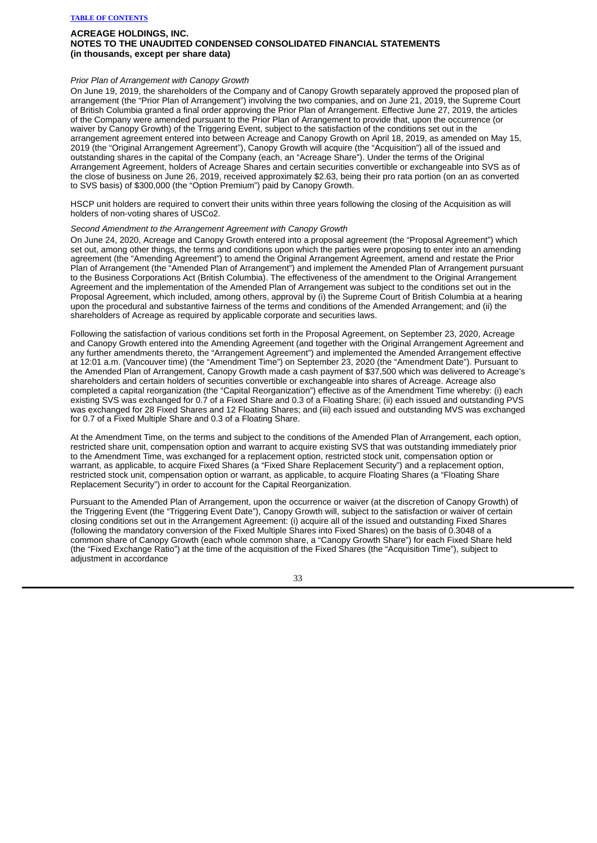#### *Prior Plan of Arrangement with Canopy Growth*

On June 19, 2019, the shareholders of the Company and of Canopy Growth separately approved the proposed plan of arrangement (the "Prior Plan of Arrangement") involving the two companies, and on June 21, 2019, the Supreme Court of British Columbia granted a final order approving the Prior Plan of Arrangement. Effective June 27, 2019, the articles of the Company were amended pursuant to the Prior Plan of Arrangement to provide that, upon the occurrence (or waiver by Canopy Growth) of the Triggering Event, subject to the satisfaction of the conditions set out in the arrangement agreement entered into between Acreage and Canopy Growth on April 18, 2019, as amended on May 15, 2019 (the "Original Arrangement Agreement"), Canopy Growth will acquire (the "Acquisition") all of the issued and outstanding shares in the capital of the Company (each, an "Acreage Share"). Under the terms of the Original Arrangement Agreement, holders of Acreage Shares and certain securities convertible or exchangeable into SVS as of the close of business on June 26, 2019, received approximately \$2.63, being their pro rata portion (on an as converted to SVS basis) of \$300,000 (the "Option Premium") paid by Canopy Growth.

HSCP unit holders are required to convert their units within three years following the closing of the Acquisition as will holders of non-voting shares of USCo2.

#### *Second Amendment to the Arrangement Agreement with Canopy Growth*

On June 24, 2020, Acreage and Canopy Growth entered into a proposal agreement (the "Proposal Agreement") which set out, among other things, the terms and conditions upon which the parties were proposing to enter into an amending agreement (the "Amending Agreement") to amend the Original Arrangement Agreement, amend and restate the Prior Plan of Arrangement (the "Amended Plan of Arrangement") and implement the Amended Plan of Arrangement pursuant to the Business Corporations Act (British Columbia). The effectiveness of the amendment to the Original Arrangement Agreement and the implementation of the Amended Plan of Arrangement was subject to the conditions set out in the Proposal Agreement, which included, among others, approval by (i) the Supreme Court of British Columbia at a hearing upon the procedural and substantive fairness of the terms and conditions of the Amended Arrangement; and (ii) the shareholders of Acreage as required by applicable corporate and securities laws.

Following the satisfaction of various conditions set forth in the Proposal Agreement, on September 23, 2020, Acreage and Canopy Growth entered into the Amending Agreement (and together with the Original Arrangement Agreement and any further amendments thereto, the "Arrangement Agreement") and implemented the Amended Arrangement effective at 12:01 a.m. (Vancouver time) (the "Amendment Time") on September 23, 2020 (the "Amendment Date"). Pursuant to the Amended Plan of Arrangement, Canopy Growth made a cash payment of \$37,500 which was delivered to Acreage's shareholders and certain holders of securities convertible or exchangeable into shares of Acreage. Acreage also completed a capital reorganization (the "Capital Reorganization") effective as of the Amendment Time whereby: (i) each existing SVS was exchanged for 0.7 of a Fixed Share and 0.3 of a Floating Share; (ii) each issued and outstanding PVS was exchanged for 28 Fixed Shares and 12 Floating Shares; and (iii) each issued and outstanding MVS was exchanged for 0.7 of a Fixed Multiple Share and 0.3 of a Floating Share.

At the Amendment Time, on the terms and subject to the conditions of the Amended Plan of Arrangement, each option, restricted share unit, compensation option and warrant to acquire existing SVS that was outstanding immediately prior to the Amendment Time, was exchanged for a replacement option, restricted stock unit, compensation option or warrant, as applicable, to acquire Fixed Shares (a "Fixed Share Replacement Security") and a replacement option, restricted stock unit, compensation option or warrant, as applicable, to acquire Floating Shares (a "Floating Share Replacement Security") in order to account for the Capital Reorganization.

Pursuant to the Amended Plan of Arrangement, upon the occurrence or waiver (at the discretion of Canopy Growth) of the Triggering Event (the "Triggering Event Date"), Canopy Growth will, subject to the satisfaction or waiver of certain closing conditions set out in the Arrangement Agreement: (i) acquire all of the issued and outstanding Fixed Shares (following the mandatory conversion of the Fixed Multiple Shares into Fixed Shares) on the basis of 0.3048 of a common share of Canopy Growth (each whole common share, a "Canopy Growth Share") for each Fixed Share held (the "Fixed Exchange Ratio") at the time of the acquisition of the Fixed Shares (the "Acquisition Time"), subject to adjustment in accordance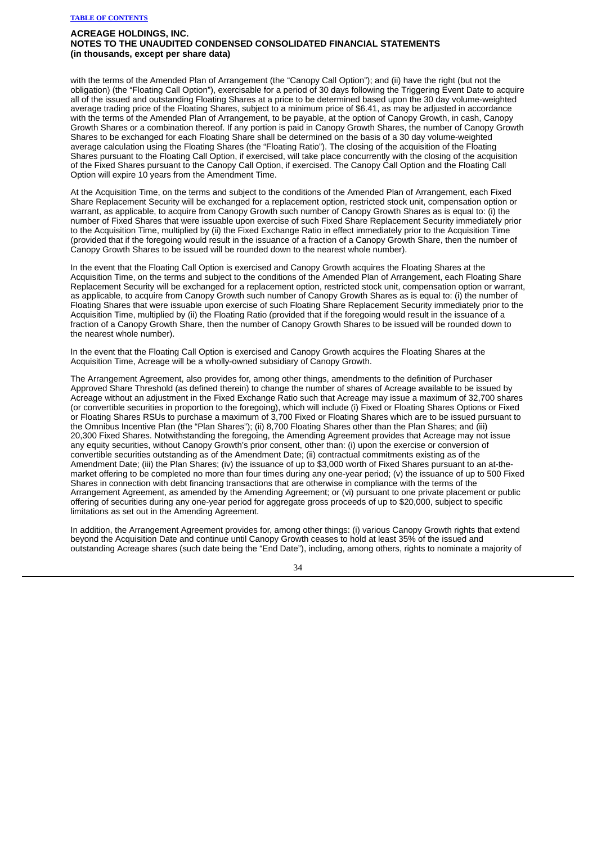with the terms of the Amended Plan of Arrangement (the "Canopy Call Option"); and (ii) have the right (but not the obligation) (the "Floating Call Option"), exercisable for a period of 30 days following the Triggering Event Date to acquire all of the issued and outstanding Floating Shares at a price to be determined based upon the 30 day volume-weighted average trading price of the Floating Shares, subject to a minimum price of \$6.41, as may be adjusted in accordance with the terms of the Amended Plan of Arrangement, to be payable, at the option of Canopy Growth, in cash, Canopy Growth Shares or a combination thereof. If any portion is paid in Canopy Growth Shares, the number of Canopy Growth Shares to be exchanged for each Floating Share shall be determined on the basis of a 30 day volume-weighted average calculation using the Floating Shares (the "Floating Ratio"). The closing of the acquisition of the Floating Shares pursuant to the Floating Call Option, if exercised, will take place concurrently with the closing of the acquisition of the Fixed Shares pursuant to the Canopy Call Option, if exercised. The Canopy Call Option and the Floating Call Option will expire 10 years from the Amendment Time.

At the Acquisition Time, on the terms and subject to the conditions of the Amended Plan of Arrangement, each Fixed Share Replacement Security will be exchanged for a replacement option, restricted stock unit, compensation option or warrant, as applicable, to acquire from Canopy Growth such number of Canopy Growth Shares as is equal to: (i) the number of Fixed Shares that were issuable upon exercise of such Fixed Share Replacement Security immediately prior to the Acquisition Time, multiplied by (ii) the Fixed Exchange Ratio in effect immediately prior to the Acquisition Time (provided that if the foregoing would result in the issuance of a fraction of a Canopy Growth Share, then the number of Canopy Growth Shares to be issued will be rounded down to the nearest whole number).

In the event that the Floating Call Option is exercised and Canopy Growth acquires the Floating Shares at the Acquisition Time, on the terms and subject to the conditions of the Amended Plan of Arrangement, each Floating Share Replacement Security will be exchanged for a replacement option, restricted stock unit, compensation option or warrant, as applicable, to acquire from Canopy Growth such number of Canopy Growth Shares as is equal to: (i) the number of Floating Shares that were issuable upon exercise of such Floating Share Replacement Security immediately prior to the Acquisition Time, multiplied by (ii) the Floating Ratio (provided that if the foregoing would result in the issuance of a fraction of a Canopy Growth Share, then the number of Canopy Growth Shares to be issued will be rounded down to the nearest whole number).

In the event that the Floating Call Option is exercised and Canopy Growth acquires the Floating Shares at the Acquisition Time, Acreage will be a wholly-owned subsidiary of Canopy Growth.

The Arrangement Agreement, also provides for, among other things, amendments to the definition of Purchaser Approved Share Threshold (as defined therein) to change the number of shares of Acreage available to be issued by Acreage without an adjustment in the Fixed Exchange Ratio such that Acreage may issue a maximum of 32,700 shares (or convertible securities in proportion to the foregoing), which will include (i) Fixed or Floating Shares Options or Fixed or Floating Shares RSUs to purchase a maximum of 3,700 Fixed or Floating Shares which are to be issued pursuant to the Omnibus Incentive Plan (the "Plan Shares"); (ii) 8,700 Floating Shares other than the Plan Shares; and (iii) 20,300 Fixed Shares. Notwithstanding the foregoing, the Amending Agreement provides that Acreage may not issue any equity securities, without Canopy Growth's prior consent, other than: (i) upon the exercise or conversion of convertible securities outstanding as of the Amendment Date; (ii) contractual commitments existing as of the Amendment Date; (iii) the Plan Shares; (iv) the issuance of up to \$3,000 worth of Fixed Shares pursuant to an at-themarket offering to be completed no more than four times during any one-year period; (v) the issuance of up to 500 Fixed Shares in connection with debt financing transactions that are otherwise in compliance with the terms of the Arrangement Agreement, as amended by the Amending Agreement; or (vi) pursuant to one private placement or public offering of securities during any one-year period for aggregate gross proceeds of up to \$20,000, subject to specific limitations as set out in the Amending Agreement.

In addition, the Arrangement Agreement provides for, among other things: (i) various Canopy Growth rights that extend beyond the Acquisition Date and continue until Canopy Growth ceases to hold at least 35% of the issued and outstanding Acreage shares (such date being the "End Date"), including, among others, rights to nominate a majority of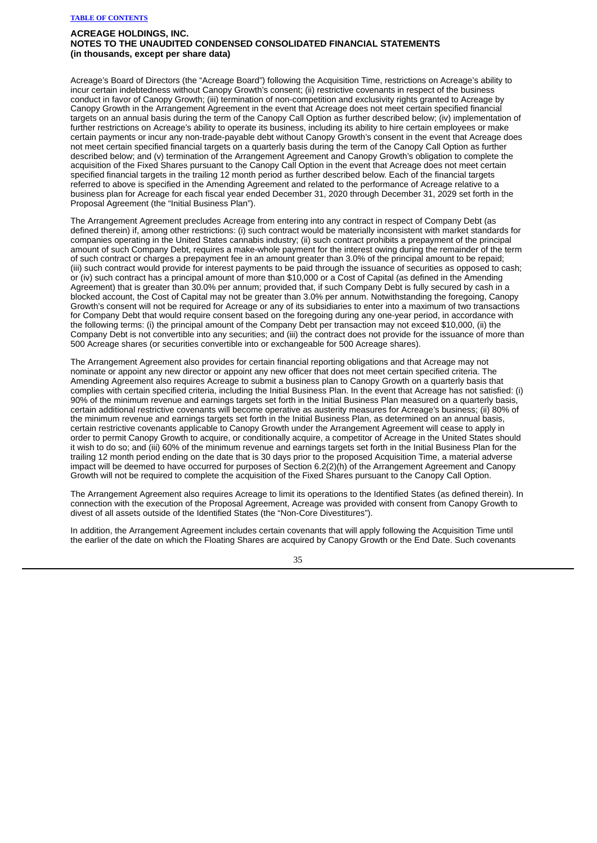Acreage's Board of Directors (the "Acreage Board") following the Acquisition Time, restrictions on Acreage's ability to incur certain indebtedness without Canopy Growth's consent; (ii) restrictive covenants in respect of the business conduct in favor of Canopy Growth; (iii) termination of non-competition and exclusivity rights granted to Acreage by Canopy Growth in the Arrangement Agreement in the event that Acreage does not meet certain specified financial targets on an annual basis during the term of the Canopy Call Option as further described below; (iv) implementation of further restrictions on Acreage's ability to operate its business, including its ability to hire certain employees or make certain payments or incur any non-trade-payable debt without Canopy Growth's consent in the event that Acreage does not meet certain specified financial targets on a quarterly basis during the term of the Canopy Call Option as further described below; and (v) termination of the Arrangement Agreement and Canopy Growth's obligation to complete the acquisition of the Fixed Shares pursuant to the Canopy Call Option in the event that Acreage does not meet certain specified financial targets in the trailing 12 month period as further described below. Each of the financial targets referred to above is specified in the Amending Agreement and related to the performance of Acreage relative to a business plan for Acreage for each fiscal year ended December 31, 2020 through December 31, 2029 set forth in the Proposal Agreement (the "Initial Business Plan").

The Arrangement Agreement precludes Acreage from entering into any contract in respect of Company Debt (as defined therein) if, among other restrictions: (i) such contract would be materially inconsistent with market standards for companies operating in the United States cannabis industry; (ii) such contract prohibits a prepayment of the principal amount of such Company Debt, requires a make-whole payment for the interest owing during the remainder of the term of such contract or charges a prepayment fee in an amount greater than 3.0% of the principal amount to be repaid; (iii) such contract would provide for interest payments to be paid through the issuance of securities as opposed to cash; or (iv) such contract has a principal amount of more than \$10,000 or a Cost of Capital (as defined in the Amending Agreement) that is greater than 30.0% per annum; provided that, if such Company Debt is fully secured by cash in a blocked account, the Cost of Capital may not be greater than 3.0% per annum. Notwithstanding the foregoing, Canopy Growth's consent will not be required for Acreage or any of its subsidiaries to enter into a maximum of two transactions for Company Debt that would require consent based on the foregoing during any one-year period, in accordance with the following terms: (i) the principal amount of the Company Debt per transaction may not exceed \$10,000, (ii) the Company Debt is not convertible into any securities; and (iii) the contract does not provide for the issuance of more than 500 Acreage shares (or securities convertible into or exchangeable for 500 Acreage shares).

The Arrangement Agreement also provides for certain financial reporting obligations and that Acreage may not nominate or appoint any new director or appoint any new officer that does not meet certain specified criteria. The Amending Agreement also requires Acreage to submit a business plan to Canopy Growth on a quarterly basis that complies with certain specified criteria, including the Initial Business Plan. In the event that Acreage has not satisfied: (i) 90% of the minimum revenue and earnings targets set forth in the Initial Business Plan measured on a quarterly basis, certain additional restrictive covenants will become operative as austerity measures for Acreage's business; (ii) 80% of the minimum revenue and earnings targets set forth in the Initial Business Plan, as determined on an annual basis, certain restrictive covenants applicable to Canopy Growth under the Arrangement Agreement will cease to apply in order to permit Canopy Growth to acquire, or conditionally acquire, a competitor of Acreage in the United States should it wish to do so; and (iii) 60% of the minimum revenue and earnings targets set forth in the Initial Business Plan for the trailing 12 month period ending on the date that is 30 days prior to the proposed Acquisition Time, a material adverse impact will be deemed to have occurred for purposes of Section 6.2(2)(h) of the Arrangement Agreement and Canopy Growth will not be required to complete the acquisition of the Fixed Shares pursuant to the Canopy Call Option.

The Arrangement Agreement also requires Acreage to limit its operations to the Identified States (as defined therein). In connection with the execution of the Proposal Agreement, Acreage was provided with consent from Canopy Growth to divest of all assets outside of the Identified States (the "Non-Core Divestitures").

In addition, the Arrangement Agreement includes certain covenants that will apply following the Acquisition Time until the earlier of the date on which the Floating Shares are acquired by Canopy Growth or the End Date. Such covenants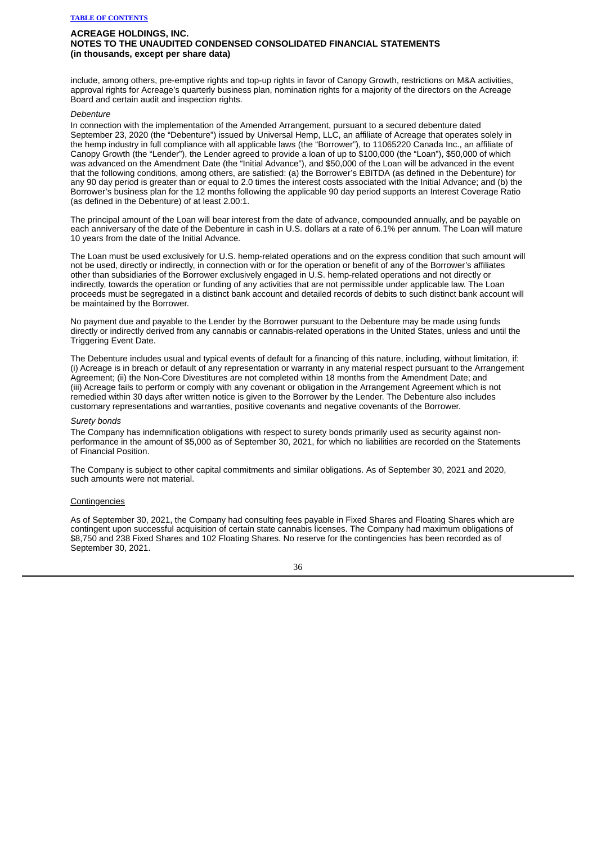include, among others, pre-emptive rights and top-up rights in favor of Canopy Growth, restrictions on M&A activities, approval rights for Acreage's quarterly business plan, nomination rights for a majority of the directors on the Acreage Board and certain audit and inspection rights.

### *Debenture*

In connection with the implementation of the Amended Arrangement, pursuant to a secured debenture dated September 23, 2020 (the "Debenture") issued by Universal Hemp, LLC, an affiliate of Acreage that operates solely in the hemp industry in full compliance with all applicable laws (the "Borrower"), to 11065220 Canada Inc., an affiliate of Canopy Growth (the "Lender"), the Lender agreed to provide a loan of up to \$100,000 (the "Loan"), \$50,000 of which was advanced on the Amendment Date (the "Initial Advance"), and \$50,000 of the Loan will be advanced in the event that the following conditions, among others, are satisfied: (a) the Borrower's EBITDA (as defined in the Debenture) for any 90 day period is greater than or equal to 2.0 times the interest costs associated with the Initial Advance; and (b) the Borrower's business plan for the 12 months following the applicable 90 day period supports an Interest Coverage Ratio (as defined in the Debenture) of at least 2.00:1.

The principal amount of the Loan will bear interest from the date of advance, compounded annually, and be payable on each anniversary of the date of the Debenture in cash in U.S. dollars at a rate of 6.1% per annum. The Loan will mature 10 years from the date of the Initial Advance.

The Loan must be used exclusively for U.S. hemp-related operations and on the express condition that such amount will not be used, directly or indirectly, in connection with or for the operation or benefit of any of the Borrower's affiliates other than subsidiaries of the Borrower exclusively engaged in U.S. hemp-related operations and not directly or indirectly, towards the operation or funding of any activities that are not permissible under applicable law. The Loan proceeds must be segregated in a distinct bank account and detailed records of debits to such distinct bank account will be maintained by the Borrower.

No payment due and payable to the Lender by the Borrower pursuant to the Debenture may be made using funds directly or indirectly derived from any cannabis or cannabis-related operations in the United States, unless and until the Triggering Event Date.

The Debenture includes usual and typical events of default for a financing of this nature, including, without limitation, if: (i) Acreage is in breach or default of any representation or warranty in any material respect pursuant to the Arrangement Agreement; (ii) the Non-Core Divestitures are not completed within 18 months from the Amendment Date; and (iii) Acreage fails to perform or comply with any covenant or obligation in the Arrangement Agreement which is not remedied within 30 days after written notice is given to the Borrower by the Lender. The Debenture also includes customary representations and warranties, positive covenants and negative covenants of the Borrower.

### *Surety bonds*

The Company has indemnification obligations with respect to surety bonds primarily used as security against nonperformance in the amount of \$5,000 as of September 30, 2021, for which no liabilities are recorded on the Statements of Financial Position.

The Company is subject to other capital commitments and similar obligations. As of September 30, 2021 and 2020, such amounts were not material.

#### **Contingencies**

As of September 30, 2021, the Company had consulting fees payable in Fixed Shares and Floating Shares which are contingent upon successful acquisition of certain state cannabis licenses. The Company had maximum obligations of \$8,750 and 238 Fixed Shares and 102 Floating Shares. No reserve for the contingencies has been recorded as of September 30, 2021.

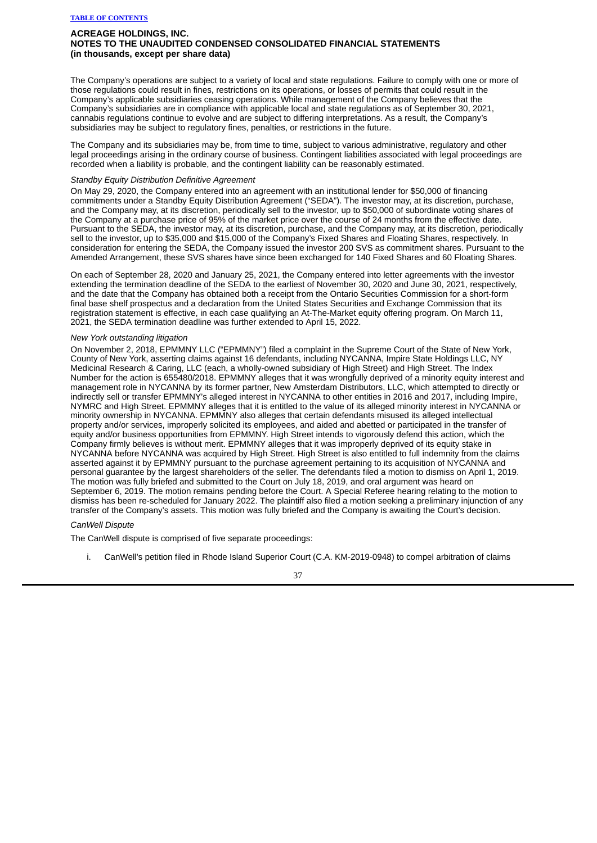The Company's operations are subject to a variety of local and state regulations. Failure to comply with one or more of those regulations could result in fines, restrictions on its operations, or losses of permits that could result in the Company's applicable subsidiaries ceasing operations. While management of the Company believes that the Company's subsidiaries are in compliance with applicable local and state regulations as of September 30, 2021, cannabis regulations continue to evolve and are subject to differing interpretations. As a result, the Company's subsidiaries may be subject to regulatory fines, penalties, or restrictions in the future.

The Company and its subsidiaries may be, from time to time, subject to various administrative, regulatory and other legal proceedings arising in the ordinary course of business. Contingent liabilities associated with legal proceedings are recorded when a liability is probable, and the contingent liability can be reasonably estimated.

### *Standby Equity Distribution Definitive Agreement*

On May 29, 2020, the Company entered into an agreement with an institutional lender for \$50,000 of financing commitments under a Standby Equity Distribution Agreement ("SEDA"). The investor may, at its discretion, purchase, and the Company may, at its discretion, periodically sell to the investor, up to \$50,000 of subordinate voting shares of the Company at a purchase price of 95% of the market price over the course of 24 months from the effective date. Pursuant to the SEDA, the investor may, at its discretion, purchase, and the Company may, at its discretion, periodically sell to the investor, up to \$35,000 and \$15,000 of the Company's Fixed Shares and Floating Shares, respectively. In consideration for entering the SEDA, the Company issued the investor 200 SVS as commitment shares. Pursuant to the Amended Arrangement, these SVS shares have since been exchanged for 140 Fixed Shares and 60 Floating Shares.

On each of September 28, 2020 and January 25, 2021, the Company entered into letter agreements with the investor extending the termination deadline of the SEDA to the earliest of November 30, 2020 and June 30, 2021, respectively, and the date that the Company has obtained both a receipt from the Ontario Securities Commission for a short-form final base shelf prospectus and a declaration from the United States Securities and Exchange Commission that its registration statement is effective, in each case qualifying an At-The-Market equity offering program. On March 11, 2021, the SEDA termination deadline was further extended to April 15, 2022.

## *New York outstanding litigation*

On November 2, 2018, EPMMNY LLC ("EPMMNY") filed a complaint in the Supreme Court of the State of New York, County of New York, asserting claims against 16 defendants, including NYCANNA, Impire State Holdings LLC, NY Medicinal Research & Caring, LLC (each, a wholly-owned subsidiary of High Street) and High Street. The Index Number for the action is 655480/2018. EPMMNY alleges that it was wrongfully deprived of a minority equity interest and management role in NYCANNA by its former partner, New Amsterdam Distributors, LLC, which attempted to directly or indirectly sell or transfer EPMMNY's alleged interest in NYCANNA to other entities in 2016 and 2017, including Impire, NYMRC and High Street. EPMMNY alleges that it is entitled to the value of its alleged minority interest in NYCANNA or minority ownership in NYCANNA. EPMMNY also alleges that certain defendants misused its alleged intellectual property and/or services, improperly solicited its employees, and aided and abetted or participated in the transfer of equity and/or business opportunities from EPMMNY. High Street intends to vigorously defend this action, which the Company firmly believes is without merit. EPMMNY alleges that it was improperly deprived of its equity stake in NYCANNA before NYCANNA was acquired by High Street. High Street is also entitled to full indemnity from the claims asserted against it by EPMMNY pursuant to the purchase agreement pertaining to its acquisition of NYCANNA and personal guarantee by the largest shareholders of the seller. The defendants filed a motion to dismiss on April 1, 2019. The motion was fully briefed and submitted to the Court on July 18, 2019, and oral argument was heard on September 6, 2019. The motion remains pending before the Court. A Special Referee hearing relating to the motion to dismiss has been re-scheduled for January 2022. The plaintiff also filed a motion seeking a preliminary injunction of any transfer of the Company's assets. This motion was fully briefed and the Company is awaiting the Court's decision.

## *CanWell Dispute*

The CanWell dispute is comprised of five separate proceedings:

i. CanWell's petition filed in Rhode Island Superior Court (C.A. KM-2019-0948) to compel arbitration of claims

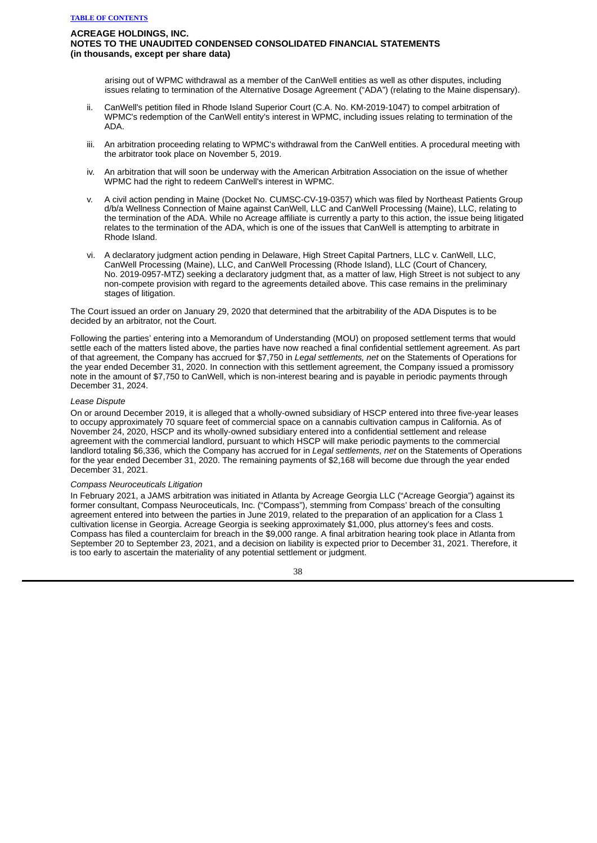arising out of WPMC withdrawal as a member of the CanWell entities as well as other disputes, including issues relating to termination of the Alternative Dosage Agreement ("ADA") (relating to the Maine dispensary).

- ii. CanWell's petition filed in Rhode Island Superior Court (C.A. No. KM-2019-1047) to compel arbitration of WPMC's redemption of the CanWell entity's interest in WPMC, including issues relating to termination of the ADA.
- iii. An arbitration proceeding relating to WPMC's withdrawal from the CanWell entities. A procedural meeting with the arbitrator took place on November 5, 2019.
- iv. An arbitration that will soon be underway with the American Arbitration Association on the issue of whether WPMC had the right to redeem CanWell's interest in WPMC.
- v. A civil action pending in Maine (Docket No. CUMSC-CV-19-0357) which was filed by Northeast Patients Group d/b/a Wellness Connection of Maine against CanWell, LLC and CanWell Processing (Maine), LLC, relating to the termination of the ADA. While no Acreage affiliate is currently a party to this action, the issue being litigated relates to the termination of the ADA, which is one of the issues that CanWell is attempting to arbitrate in Rhode Island.
- vi. A declaratory judgment action pending in Delaware, High Street Capital Partners, LLC v. CanWell, LLC, CanWell Processing (Maine), LLC, and CanWell Processing (Rhode Island), LLC (Court of Chancery, No. 2019-0957-MTZ) seeking a declaratory judgment that, as a matter of law, High Street is not subject to any non-compete provision with regard to the agreements detailed above. This case remains in the preliminary stages of litigation.

The Court issued an order on January 29, 2020 that determined that the arbitrability of the ADA Disputes is to be decided by an arbitrator, not the Court.

Following the parties' entering into a Memorandum of Understanding (MOU) on proposed settlement terms that would settle each of the matters listed above, the parties have now reached a final confidential settlement agreement. As part of that agreement, the Company has accrued for \$7,750 in *Legal settlements, net* on the Statements of Operations for the year ended December 31, 2020. In connection with this settlement agreement, the Company issued a promissory note in the amount of \$7,750 to CanWell, which is non-interest bearing and is payable in periodic payments through December 31, 2024.

### *Lease Dispute*

On or around December 2019, it is alleged that a wholly-owned subsidiary of HSCP entered into three five-year leases to occupy approximately 70 square feet of commercial space on a cannabis cultivation campus in California. As of November 24, 2020, HSCP and its wholly-owned subsidiary entered into a confidential settlement and release agreement with the commercial landlord, pursuant to which HSCP will make periodic payments to the commercial landlord totaling \$6,336, which the Company has accrued for in *Legal settlements, net* on the Statements of Operations for the year ended December 31, 2020. The remaining payments of \$2,168 will become due through the year ended December 31, 2021.

### *Compass Neuroceuticals Litigation*

In February 2021, a JAMS arbitration was initiated in Atlanta by Acreage Georgia LLC ("Acreage Georgia") against its former consultant, Compass Neuroceuticals, Inc. ("Compass"), stemming from Compass' breach of the consulting agreement entered into between the parties in June 2019, related to the preparation of an application for a Class 1 cultivation license in Georgia. Acreage Georgia is seeking approximately \$1,000, plus attorney's fees and costs. Compass has filed a counterclaim for breach in the \$9,000 range. A final arbitration hearing took place in Atlanta from September 20 to September 23, 2021, and a decision on liability is expected prior to December 31, 2021. Therefore, it is too early to ascertain the materiality of any potential settlement or judgment.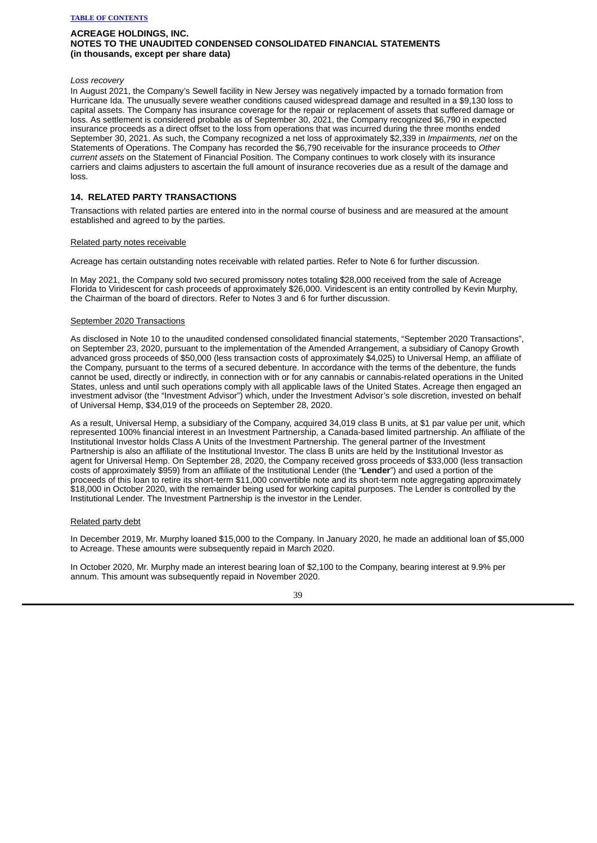#### *Loss recovery*

In August 2021, the Company's Sewell facility in New Jersey was negatively impacted by a tornado formation from Hurricane Ida. The unusually severe weather conditions caused widespread damage and resulted in a \$9,130 loss to capital assets. The Company has insurance coverage for the repair or replacement of assets that suffered damage or loss. As settlement is considered probable as of September 30, 2021, the Company recognized \$6,790 in expected insurance proceeds as a direct offset to the loss from operations that was incurred during the three months ended September 30, 2021. As such, the Company recognized a net loss of approximately \$2,339 in *Impairments, net* on the Statements of Operations. The Company has recorded the \$6,790 receivable for the insurance proceeds to *Other current assets* on the Statement of Financial Position. The Company continues to work closely with its insurance carriers and claims adjusters to ascertain the full amount of insurance recoveries due as a result of the damage and loss.

### **14. RELATED PARTY TRANSACTIONS**

Transactions with related parties are entered into in the normal course of business and are measured at the amount established and agreed to by the parties.

#### Related party notes receivable

Acreage has certain outstanding notes receivable with related parties. Refer to Note 6 for further discussion.

In May 2021, the Company sold two secured promissory notes totaling \$28,000 received from the sale of Acreage Florida to Viridescent for cash proceeds of approximately \$26,000. Viridescent is an entity controlled by Kevin Murphy, the Chairman of the board of directors. Refer to Notes 3 and 6 for further discussion.

#### September 2020 Transactions

As disclosed in Note 10 to the unaudited condensed consolidated financial statements, "September 2020 Transactions", on September 23, 2020, pursuant to the implementation of the Amended Arrangement, a subsidiary of Canopy Growth advanced gross proceeds of \$50,000 (less transaction costs of approximately \$4,025) to Universal Hemp, an affiliate of the Company, pursuant to the terms of a secured debenture. In accordance with the terms of the debenture, the funds cannot be used, directly or indirectly, in connection with or for any cannabis or cannabis-related operations in the United States, unless and until such operations comply with all applicable laws of the United States. Acreage then engaged an investment advisor (the "Investment Advisor") which, under the Investment Advisor's sole discretion, invested on behalf of Universal Hemp, \$34,019 of the proceeds on September 28, 2020.

As a result, Universal Hemp, a subsidiary of the Company, acquired 34,019 class B units, at \$1 par value per unit, which represented 100% financial interest in an Investment Partnership, a Canada-based limited partnership. An affiliate of the Institutional Investor holds Class A Units of the Investment Partnership. The general partner of the Investment Partnership is also an affiliate of the Institutional Investor. The class B units are held by the Institutional Investor as agent for Universal Hemp. On September 28, 2020, the Company received gross proceeds of \$33,000 (less transaction costs of approximately \$959) from an affiliate of the Institutional Lender (the "**Lender**") and used a portion of the proceeds of this loan to retire its short-term \$11,000 convertible note and its short-term note aggregating approximately \$18,000 in October 2020, with the remainder being used for working capital purposes. The Lender is controlled by the Institutional Lender. The Investment Partnership is the investor in the Lender.

#### Related party debt

In December 2019, Mr. Murphy loaned \$15,000 to the Company. In January 2020, he made an additional loan of \$5,000 to Acreage. These amounts were subsequently repaid in March 2020.

In October 2020, Mr. Murphy made an interest bearing loan of \$2,100 to the Company, bearing interest at 9.9% per annum. This amount was subsequently repaid in November 2020.

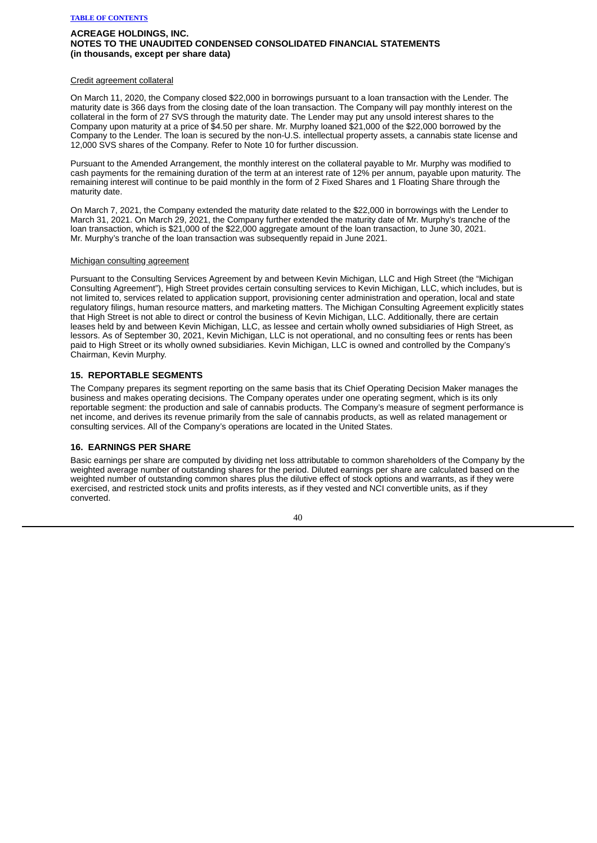#### Credit agreement collateral

On March 11, 2020, the Company closed \$22,000 in borrowings pursuant to a loan transaction with the Lender. The maturity date is 366 days from the closing date of the loan transaction. The Company will pay monthly interest on the collateral in the form of 27 SVS through the maturity date. The Lender may put any unsold interest shares to the Company upon maturity at a price of \$4.50 per share. Mr. Murphy loaned \$21,000 of the \$22,000 borrowed by the Company to the Lender. The loan is secured by the non-U.S. intellectual property assets, a cannabis state license and 12,000 SVS shares of the Company. Refer to Note 10 for further discussion.

Pursuant to the Amended Arrangement, the monthly interest on the collateral payable to Mr. Murphy was modified to cash payments for the remaining duration of the term at an interest rate of 12% per annum, payable upon maturity. The remaining interest will continue to be paid monthly in the form of 2 Fixed Shares and 1 Floating Share through the maturity date.

On March 7, 2021, the Company extended the maturity date related to the \$22,000 in borrowings with the Lender to March 31, 2021. On March 29, 2021, the Company further extended the maturity date of Mr. Murphy's tranche of the loan transaction, which is \$21,000 of the \$22,000 aggregate amount of the loan transaction, to June 30, 2021. Mr. Murphy's tranche of the loan transaction was subsequently repaid in June 2021.

#### Michigan consulting agreement

Pursuant to the Consulting Services Agreement by and between Kevin Michigan, LLC and High Street (the "Michigan Consulting Agreement"), High Street provides certain consulting services to Kevin Michigan, LLC, which includes, but is not limited to, services related to application support, provisioning center administration and operation, local and state regulatory filings, human resource matters, and marketing matters. The Michigan Consulting Agreement explicitly states that High Street is not able to direct or control the business of Kevin Michigan, LLC. Additionally, there are certain leases held by and between Kevin Michigan, LLC, as lessee and certain wholly owned subsidiaries of High Street, as lessors. As of September 30, 2021, Kevin Michigan, LLC is not operational, and no consulting fees or rents has been paid to High Street or its wholly owned subsidiaries. Kevin Michigan, LLC is owned and controlled by the Company's Chairman, Kevin Murphy.

### **15. REPORTABLE SEGMENTS**

The Company prepares its segment reporting on the same basis that its Chief Operating Decision Maker manages the business and makes operating decisions. The Company operates under one operating segment, which is its only reportable segment: the production and sale of cannabis products. The Company's measure of segment performance is net income, and derives its revenue primarily from the sale of cannabis products, as well as related management or consulting services. All of the Company's operations are located in the United States.

### **16. EARNINGS PER SHARE**

Basic earnings per share are computed by dividing net loss attributable to common shareholders of the Company by the weighted average number of outstanding shares for the period. Diluted earnings per share are calculated based on the weighted number of outstanding common shares plus the dilutive effect of stock options and warrants, as if they were exercised, and restricted stock units and profits interests, as if they vested and NCI convertible units, as if they converted.